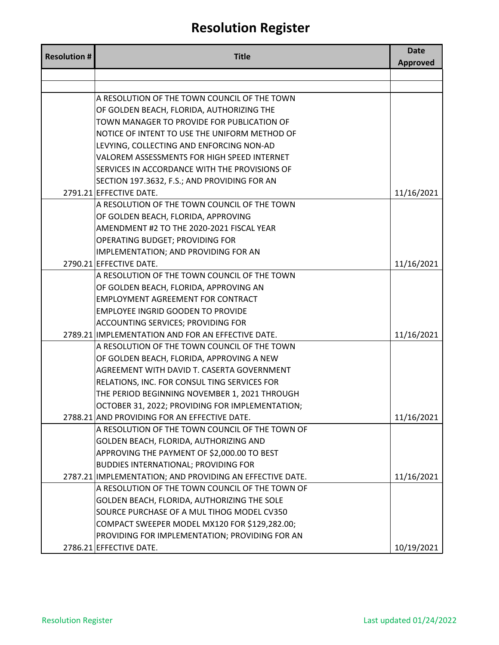| <b>Resolution #</b> | <b>Title</b>                                                                     | <b>Date</b><br><b>Approved</b> |
|---------------------|----------------------------------------------------------------------------------|--------------------------------|
|                     |                                                                                  |                                |
|                     |                                                                                  |                                |
|                     | A RESOLUTION OF THE TOWN COUNCIL OF THE TOWN                                     |                                |
|                     | OF GOLDEN BEACH, FLORIDA, AUTHORIZING THE                                        |                                |
|                     | TOWN MANAGER TO PROVIDE FOR PUBLICATION OF                                       |                                |
|                     | NOTICE OF INTENT TO USE THE UNIFORM METHOD OF                                    |                                |
|                     | LEVYING, COLLECTING AND ENFORCING NON-AD                                         |                                |
|                     | VALOREM ASSESSMENTS FOR HIGH SPEED INTERNET                                      |                                |
|                     | SERVICES IN ACCORDANCE WITH THE PROVISIONS OF                                    |                                |
|                     | SECTION 197.3632, F.S.; AND PROVIDING FOR AN                                     |                                |
|                     | 2791.21 EFFECTIVE DATE.                                                          | 11/16/2021                     |
|                     | A RESOLUTION OF THE TOWN COUNCIL OF THE TOWN                                     |                                |
|                     | OF GOLDEN BEACH, FLORIDA, APPROVING<br>AMENDMENT #2 TO THE 2020-2021 FISCAL YEAR |                                |
|                     | OPERATING BUDGET; PROVIDING FOR                                                  |                                |
|                     | IMPLEMENTATION; AND PROVIDING FOR AN                                             |                                |
|                     | 2790.21 EFFECTIVE DATE.                                                          | 11/16/2021                     |
|                     | A RESOLUTION OF THE TOWN COUNCIL OF THE TOWN                                     |                                |
|                     | OF GOLDEN BEACH, FLORIDA, APPROVING AN                                           |                                |
|                     | <b>EMPLOYMENT AGREEMENT FOR CONTRACT</b>                                         |                                |
|                     | <b>EMPLOYEE INGRID GOODEN TO PROVIDE</b>                                         |                                |
|                     | <b>ACCOUNTING SERVICES; PROVIDING FOR</b>                                        |                                |
|                     | 2789.21 IMPLEMENTATION AND FOR AN EFFECTIVE DATE.                                | 11/16/2021                     |
|                     | A RESOLUTION OF THE TOWN COUNCIL OF THE TOWN                                     |                                |
|                     | OF GOLDEN BEACH, FLORIDA, APPROVING A NEW                                        |                                |
|                     | AGREEMENT WITH DAVID T. CASERTA GOVERNMENT                                       |                                |
|                     | RELATIONS, INC. FOR CONSUL TING SERVICES FOR                                     |                                |
|                     | THE PERIOD BEGINNING NOVEMBER 1, 2021 THROUGH                                    |                                |
|                     | OCTOBER 31, 2022; PROVIDING FOR IMPLEMENTATION;                                  |                                |
|                     | 2788.21 AND PROVIDING FOR AN EFFECTIVE DATE.                                     | 11/16/2021                     |
|                     | A RESOLUTION OF THE TOWN COUNCIL OF THE TOWN OF                                  |                                |
|                     | GOLDEN BEACH, FLORIDA, AUTHORIZING AND                                           |                                |
|                     | APPROVING THE PAYMENT OF \$2,000.00 TO BEST                                      |                                |
|                     | <b>BUDDIES INTERNATIONAL; PROVIDING FOR</b>                                      |                                |
|                     | 2787.21 IMPLEMENTATION; AND PROVIDING AN EFFECTIVE DATE.                         | 11/16/2021                     |
|                     | A RESOLUTION OF THE TOWN COUNCIL OF THE TOWN OF                                  |                                |
|                     | GOLDEN BEACH, FLORIDA, AUTHORIZING THE SOLE                                      |                                |
|                     | SOURCE PURCHASE OF A MUL TIHOG MODEL CV350                                       |                                |
|                     | COMPACT SWEEPER MODEL MX120 FOR \$129,282.00;                                    |                                |
|                     | PROVIDING FOR IMPLEMENTATION; PROVIDING FOR AN                                   |                                |
|                     | 2786.21 EFFECTIVE DATE.                                                          | 10/19/2021                     |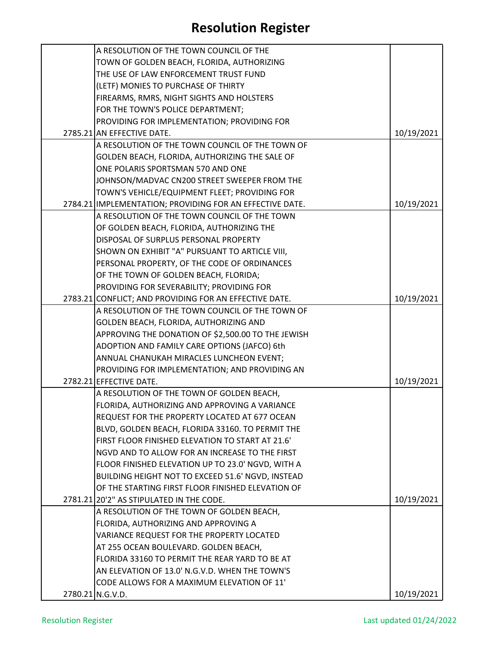| A RESOLUTION OF THE TOWN COUNCIL OF THE                  |            |
|----------------------------------------------------------|------------|
| TOWN OF GOLDEN BEACH, FLORIDA, AUTHORIZING               |            |
| THE USE OF LAW ENFORCEMENT TRUST FUND                    |            |
| (LETF) MONIES TO PURCHASE OF THIRTY                      |            |
| FIREARMS, RMRS, NIGHT SIGHTS AND HOLSTERS                |            |
| FOR THE TOWN'S POLICE DEPARTMENT;                        |            |
| PROVIDING FOR IMPLEMENTATION; PROVIDING FOR              |            |
| 2785.21 AN EFFECTIVE DATE.                               | 10/19/2021 |
| A RESOLUTION OF THE TOWN COUNCIL OF THE TOWN OF          |            |
| GOLDEN BEACH, FLORIDA, AUTHORIZING THE SALE OF           |            |
| ONE POLARIS SPORTSMAN 570 AND ONE                        |            |
| JOHNSON/MADVAC CN200 STREET SWEEPER FROM THE             |            |
| TOWN'S VEHICLE/EQUIPMENT FLEET; PROVIDING FOR            |            |
| 2784.21 IMPLEMENTATION; PROVIDING FOR AN EFFECTIVE DATE. | 10/19/2021 |
| A RESOLUTION OF THE TOWN COUNCIL OF THE TOWN             |            |
| OF GOLDEN BEACH, FLORIDA, AUTHORIZING THE                |            |
| DISPOSAL OF SURPLUS PERSONAL PROPERTY                    |            |
| SHOWN ON EXHIBIT "A" PURSUANT TO ARTICLE VIII,           |            |
| PERSONAL PROPERTY, OF THE CODE OF ORDINANCES             |            |
| OF THE TOWN OF GOLDEN BEACH, FLORIDA;                    |            |
| PROVIDING FOR SEVERABILITY; PROVIDING FOR                |            |
| 2783.21 CONFLICT; AND PROVIDING FOR AN EFFECTIVE DATE.   | 10/19/2021 |
| A RESOLUTION OF THE TOWN COUNCIL OF THE TOWN OF          |            |
| GOLDEN BEACH, FLORIDA, AUTHORIZING AND                   |            |
| APPROVING THE DONATION OF \$2,500.00 TO THE JEWISH       |            |
| ADOPTION AND FAMILY CARE OPTIONS (JAFCO) 6th             |            |
| ANNUAL CHANUKAH MIRACLES LUNCHEON EVENT;                 |            |
| PROVIDING FOR IMPLEMENTATION; AND PROVIDING AN           |            |
| 2782.21 EFFECTIVE DATE.                                  | 10/19/2021 |
| A RESOLUTION OF THE TOWN OF GOLDEN BEACH,                |            |
| FLORIDA, AUTHORIZING AND APPROVING A VARIANCE            |            |
| REQUEST FOR THE PROPERTY LOCATED AT 677 OCEAN            |            |
| BLVD, GOLDEN BEACH, FLORIDA 33160. TO PERMIT THE         |            |
| FIRST FLOOR FINISHED ELEVATION TO START AT 21.6'         |            |
| NGVD AND TO ALLOW FOR AN INCREASE TO THE FIRST           |            |
| FLOOR FINISHED ELEVATION UP TO 23.0' NGVD, WITH A        |            |
| BUILDING HEIGHT NOT TO EXCEED 51.6' NGVD, INSTEAD        |            |
| OF THE STARTING FIRST FLOOR FINISHED ELEVATION OF        |            |
| 2781.21 20'2" AS STIPULATED IN THE CODE.                 | 10/19/2021 |
| A RESOLUTION OF THE TOWN OF GOLDEN BEACH,                |            |
| FLORIDA, AUTHORIZING AND APPROVING A                     |            |
| VARIANCE REQUEST FOR THE PROPERTY LOCATED                |            |
| AT 255 OCEAN BOULEVARD. GOLDEN BEACH,                    |            |
| FLORIDA 33160 TO PERMIT THE REAR YARD TO BE AT           |            |
| AN ELEVATION OF 13.0' N.G.V.D. WHEN THE TOWN'S           |            |
| CODE ALLOWS FOR A MAXIMUM ELEVATION OF 11'               |            |
| 2780.21 N.G.V.D.                                         | 10/19/2021 |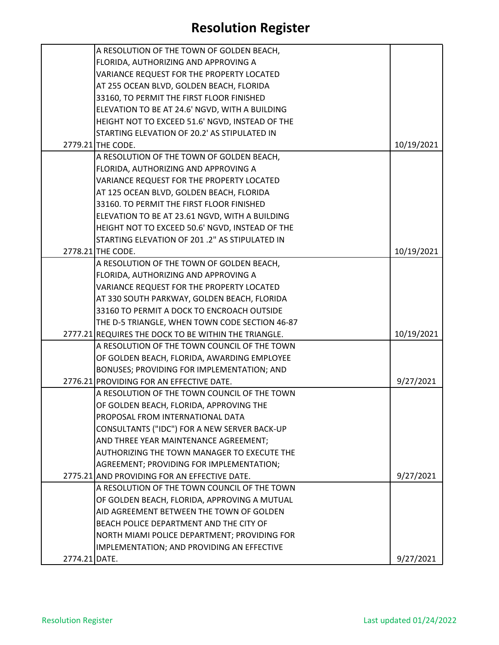|               | A RESOLUTION OF THE TOWN OF GOLDEN BEACH,            |            |
|---------------|------------------------------------------------------|------------|
|               | FLORIDA, AUTHORIZING AND APPROVING A                 |            |
|               | VARIANCE REQUEST FOR THE PROPERTY LOCATED            |            |
|               | AT 255 OCEAN BLVD, GOLDEN BEACH, FLORIDA             |            |
|               | 33160, TO PERMIT THE FIRST FLOOR FINISHED            |            |
|               | ELEVATION TO BE AT 24.6' NGVD, WITH A BUILDING       |            |
|               | HEIGHT NOT TO EXCEED 51.6' NGVD, INSTEAD OF THE      |            |
|               | STARTING ELEVATION OF 20.2' AS STIPULATED IN         |            |
|               | 2779.21 THE CODE.                                    | 10/19/2021 |
|               | A RESOLUTION OF THE TOWN OF GOLDEN BEACH,            |            |
|               | FLORIDA, AUTHORIZING AND APPROVING A                 |            |
|               | VARIANCE REQUEST FOR THE PROPERTY LOCATED            |            |
|               | AT 125 OCEAN BLVD, GOLDEN BEACH, FLORIDA             |            |
|               | 33160. TO PERMIT THE FIRST FLOOR FINISHED            |            |
|               | ELEVATION TO BE AT 23.61 NGVD, WITH A BUILDING       |            |
|               | HEIGHT NOT TO EXCEED 50.6' NGVD, INSTEAD OF THE      |            |
|               | STARTING ELEVATION OF 201.2" AS STIPULATED IN        |            |
|               | 2778.21 THE CODE.                                    | 10/19/2021 |
|               | A RESOLUTION OF THE TOWN OF GOLDEN BEACH,            |            |
|               | FLORIDA, AUTHORIZING AND APPROVING A                 |            |
|               | VARIANCE REQUEST FOR THE PROPERTY LOCATED            |            |
|               | AT 330 SOUTH PARKWAY, GOLDEN BEACH, FLORIDA          |            |
|               | 33160 TO PERMIT A DOCK TO ENCROACH OUTSIDE           |            |
|               | THE D-5 TRIANGLE, WHEN TOWN CODE SECTION 46-87       |            |
|               | 2777.21 REQUIRES THE DOCK TO BE WITHIN THE TRIANGLE. | 10/19/2021 |
|               | A RESOLUTION OF THE TOWN COUNCIL OF THE TOWN         |            |
|               | OF GOLDEN BEACH, FLORIDA, AWARDING EMPLOYEE          |            |
|               | BONUSES; PROVIDING FOR IMPLEMENTATION; AND           |            |
|               | 2776.21 PROVIDING FOR AN EFFECTIVE DATE.             | 9/27/2021  |
|               | A RESOLUTION OF THE TOWN COUNCIL OF THE TOWN         |            |
|               | OF GOLDEN BEACH, FLORIDA, APPROVING THE              |            |
|               | PROPOSAL FROM INTERNATIONAL DATA                     |            |
|               | CONSULTANTS ("IDC") FOR A NEW SERVER BACK-UP         |            |
|               | AND THREE YEAR MAINTENANCE AGREEMENT;                |            |
|               | AUTHORIZING THE TOWN MANAGER TO EXECUTE THE          |            |
|               | AGREEMENT; PROVIDING FOR IMPLEMENTATION;             |            |
|               | 2775.21 AND PROVIDING FOR AN EFFECTIVE DATE.         | 9/27/2021  |
|               | A RESOLUTION OF THE TOWN COUNCIL OF THE TOWN         |            |
|               | OF GOLDEN BEACH, FLORIDA, APPROVING A MUTUAL         |            |
|               | AID AGREEMENT BETWEEN THE TOWN OF GOLDEN             |            |
|               | BEACH POLICE DEPARTMENT AND THE CITY OF              |            |
|               | NORTH MIAMI POLICE DEPARTMENT; PROVIDING FOR         |            |
|               | IMPLEMENTATION; AND PROVIDING AN EFFECTIVE           |            |
| 2774.21 DATE. |                                                      | 9/27/2021  |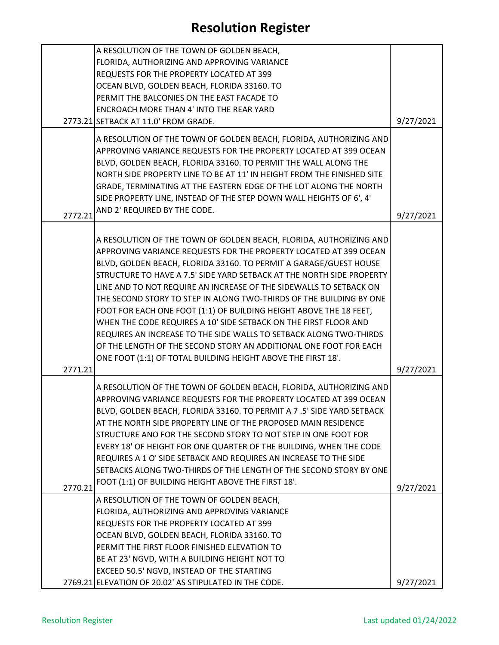|         | A RESOLUTION OF THE TOWN OF GOLDEN BEACH,                              |           |
|---------|------------------------------------------------------------------------|-----------|
|         | FLORIDA, AUTHORIZING AND APPROVING VARIANCE                            |           |
|         | REQUESTS FOR THE PROPERTY LOCATED AT 399                               |           |
|         | OCEAN BLVD, GOLDEN BEACH, FLORIDA 33160. TO                            |           |
|         | PERMIT THE BALCONIES ON THE EAST FACADE TO                             |           |
|         | <b>ENCROACH MORE THAN 4' INTO THE REAR YARD</b>                        |           |
|         | 2773.21 SETBACK AT 11.0' FROM GRADE.                                   | 9/27/2021 |
|         |                                                                        |           |
|         | A RESOLUTION OF THE TOWN OF GOLDEN BEACH, FLORIDA, AUTHORIZING AND     |           |
|         | APPROVING VARIANCE REQUESTS FOR THE PROPERTY LOCATED AT 399 OCEAN      |           |
|         | BLVD, GOLDEN BEACH, FLORIDA 33160. TO PERMIT THE WALL ALONG THE        |           |
|         | NORTH SIDE PROPERTY LINE TO BE AT 11' IN HEIGHT FROM THE FINISHED SITE |           |
|         | GRADE, TERMINATING AT THE EASTERN EDGE OF THE LOT ALONG THE NORTH      |           |
|         | SIDE PROPERTY LINE, INSTEAD OF THE STEP DOWN WALL HEIGHTS OF 6', 4'    |           |
| 2772.21 | AND 2' REQUIRED BY THE CODE.                                           | 9/27/2021 |
|         |                                                                        |           |
|         | A RESOLUTION OF THE TOWN OF GOLDEN BEACH, FLORIDA, AUTHORIZING AND     |           |
|         | APPROVING VARIANCE REQUESTS FOR THE PROPERTY LOCATED AT 399 OCEAN      |           |
|         | BLVD, GOLDEN BEACH, FLORIDA 33160. TO PERMIT A GARAGE/GUEST HOUSE      |           |
|         | STRUCTURE TO HAVE A 7.5' SIDE YARD SETBACK AT THE NORTH SIDE PROPERTY  |           |
|         | LINE AND TO NOT REQUIRE AN INCREASE OF THE SIDEWALLS TO SETBACK ON     |           |
|         | THE SECOND STORY TO STEP IN ALONG TWO-THIRDS OF THE BUILDING BY ONE    |           |
|         | FOOT FOR EACH ONE FOOT (1:1) OF BUILDING HEIGHT ABOVE THE 18 FEET,     |           |
|         | WHEN THE CODE REQUIRES A 10' SIDE SETBACK ON THE FIRST FLOOR AND       |           |
|         | REQUIRES AN INCREASE TO THE SIDE WALLS TO SETBACK ALONG TWO-THIRDS     |           |
|         | OF THE LENGTH OF THE SECOND STORY AN ADDITIONAL ONE FOOT FOR EACH      |           |
|         | ONE FOOT (1:1) OF TOTAL BUILDING HEIGHT ABOVE THE FIRST 18'.           |           |
| 2771.21 |                                                                        | 9/27/2021 |
|         |                                                                        |           |
|         | A RESOLUTION OF THE TOWN OF GOLDEN BEACH, FLORIDA, AUTHORIZING AND     |           |
|         | APPROVING VARIANCE REQUESTS FOR THE PROPERTY LOCATED AT 399 OCEAN      |           |
|         | BLVD, GOLDEN BEACH, FLORIDA 33160. TO PERMIT A 7 .5' SIDE YARD SETBACK |           |
|         | AT THE NORTH SIDE PROPERTY LINE OF THE PROPOSED MAIN RESIDENCE         |           |
|         | STRUCTURE ANO FOR THE SECOND STORY TO NOT STEP IN ONE FOOT FOR         |           |
|         | EVERY 18' OF HEIGHT FOR ONE QUARTER OF THE BUILDING, WHEN THE CODE     |           |
|         | REQUIRES A 1 O' SIDE SETBACK AND REQUIRES AN INCREASE TO THE SIDE      |           |
|         | SETBACKS ALONG TWO-THIRDS OF THE LENGTH OF THE SECOND STORY BY ONE     |           |
| 2770.21 | FOOT (1:1) OF BUILDING HEIGHT ABOVE THE FIRST 18'.                     | 9/27/2021 |
|         | A RESOLUTION OF THE TOWN OF GOLDEN BEACH,                              |           |
|         | FLORIDA, AUTHORIZING AND APPROVING VARIANCE                            |           |
|         | REQUESTS FOR THE PROPERTY LOCATED AT 399                               |           |
|         | OCEAN BLVD, GOLDEN BEACH, FLORIDA 33160. TO                            |           |
|         | PERMIT THE FIRST FLOOR FINISHED ELEVATION TO                           |           |
|         |                                                                        |           |
|         | BE AT 23' NGVD, WITH A BUILDING HEIGHT NOT TO                          |           |
|         | EXCEED 50.5' NGVD, INSTEAD OF THE STARTING                             |           |
|         | 2769.21 ELEVATION OF 20.02' AS STIPULATED IN THE CODE.                 | 9/27/2021 |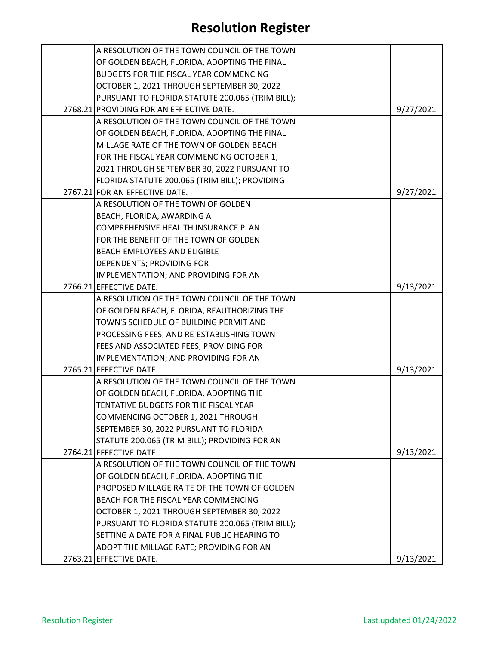| A RESOLUTION OF THE TOWN COUNCIL OF THE TOWN     |           |
|--------------------------------------------------|-----------|
| OF GOLDEN BEACH, FLORIDA, ADOPTING THE FINAL     |           |
| <b>BUDGETS FOR THE FISCAL YEAR COMMENCING</b>    |           |
| OCTOBER 1, 2021 THROUGH SEPTEMBER 30, 2022       |           |
| PURSUANT TO FLORIDA STATUTE 200.065 (TRIM BILL); |           |
| 2768.21 PROVIDING FOR AN EFF ECTIVE DATE.        | 9/27/2021 |
| A RESOLUTION OF THE TOWN COUNCIL OF THE TOWN     |           |
| OF GOLDEN BEACH, FLORIDA, ADOPTING THE FINAL     |           |
| MILLAGE RATE OF THE TOWN OF GOLDEN BEACH         |           |
| FOR THE FISCAL YEAR COMMENCING OCTOBER 1,        |           |
| 2021 THROUGH SEPTEMBER 30, 2022 PURSUANT TO      |           |
| FLORIDA STATUTE 200.065 (TRIM BILL); PROVIDING   |           |
| 2767.21 FOR AN EFFECTIVE DATE.                   | 9/27/2021 |
| A RESOLUTION OF THE TOWN OF GOLDEN               |           |
| BEACH, FLORIDA, AWARDING A                       |           |
| COMPREHENSIVE HEAL TH INSURANCE PLAN             |           |
| FOR THE BENEFIT OF THE TOWN OF GOLDEN            |           |
| <b>BEACH EMPLOYEES AND ELIGIBLE</b>              |           |
| <b>DEPENDENTS; PROVIDING FOR</b>                 |           |
| IMPLEMENTATION; AND PROVIDING FOR AN             |           |
| 2766.21 EFFECTIVE DATE.                          | 9/13/2021 |
| A RESOLUTION OF THE TOWN COUNCIL OF THE TOWN     |           |
| OF GOLDEN BEACH, FLORIDA, REAUTHORIZING THE      |           |
| TOWN'S SCHEDULE OF BUILDING PERMIT AND           |           |
| PROCESSING FEES, AND RE-ESTABLISHING TOWN        |           |
| FEES AND ASSOCIATED FEES; PROVIDING FOR          |           |
| IMPLEMENTATION; AND PROVIDING FOR AN             |           |
| 2765.21 EFFECTIVE DATE.                          | 9/13/2021 |
| A RESOLUTION OF THE TOWN COUNCIL OF THE TOWN     |           |
| OF GOLDEN BEACH, FLORIDA, ADOPTING THE           |           |
| TENTATIVE BUDGETS FOR THE FISCAL YEAR            |           |
| COMMENCING OCTOBER 1, 2021 THROUGH               |           |
| SEPTEMBER 30, 2022 PURSUANT TO FLORIDA           |           |
| STATUTE 200.065 (TRIM BILL); PROVIDING FOR AN    |           |
| 2764.21 EFFECTIVE DATE.                          | 9/13/2021 |
| A RESOLUTION OF THE TOWN COUNCIL OF THE TOWN     |           |
| OF GOLDEN BEACH, FLORIDA. ADOPTING THE           |           |
| PROPOSED MILLAGE RA TE OF THE TOWN OF GOLDEN     |           |
| BEACH FOR THE FISCAL YEAR COMMENCING             |           |
| OCTOBER 1, 2021 THROUGH SEPTEMBER 30, 2022       |           |
| PURSUANT TO FLORIDA STATUTE 200.065 (TRIM BILL); |           |
| SETTING A DATE FOR A FINAL PUBLIC HEARING TO     |           |
| ADOPT THE MILLAGE RATE; PROVIDING FOR AN         |           |
| 2763.21 EFFECTIVE DATE.                          | 9/13/2021 |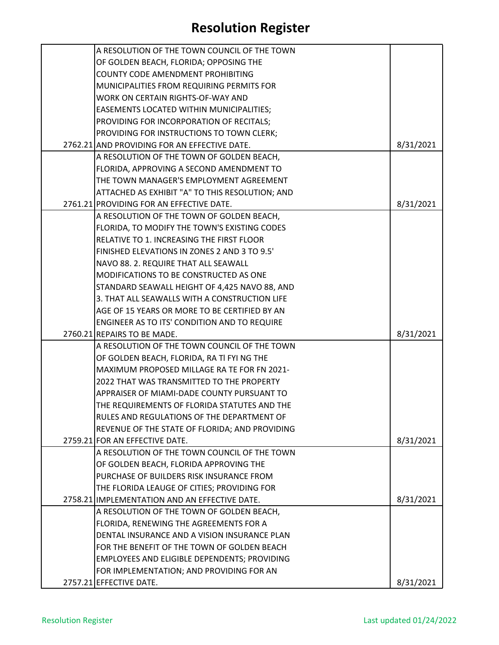| A RESOLUTION OF THE TOWN COUNCIL OF THE TOWN    |           |
|-------------------------------------------------|-----------|
| OF GOLDEN BEACH, FLORIDA; OPPOSING THE          |           |
| <b>COUNTY CODE AMENDMENT PROHIBITING</b>        |           |
| MUNICIPALITIES FROM REQUIRING PERMITS FOR       |           |
| WORK ON CERTAIN RIGHTS-OF-WAY AND               |           |
| EASEMENTS LOCATED WITHIN MUNICIPALITIES;        |           |
| PROVIDING FOR INCORPORATION OF RECITALS;        |           |
| PROVIDING FOR INSTRUCTIONS TO TOWN CLERK;       |           |
| 2762.21 AND PROVIDING FOR AN EFFECTIVE DATE.    | 8/31/2021 |
| A RESOLUTION OF THE TOWN OF GOLDEN BEACH,       |           |
| FLORIDA, APPROVING A SECOND AMENDMENT TO        |           |
| THE TOWN MANAGER'S EMPLOYMENT AGREEMENT         |           |
| ATTACHED AS EXHIBIT "A" TO THIS RESOLUTION; AND |           |
| 2761.21 PROVIDING FOR AN EFFECTIVE DATE.        | 8/31/2021 |
| A RESOLUTION OF THE TOWN OF GOLDEN BEACH,       |           |
| FLORIDA, TO MODIFY THE TOWN'S EXISTING CODES    |           |
| RELATIVE TO 1. INCREASING THE FIRST FLOOR       |           |
| FINISHED ELEVATIONS IN ZONES 2 AND 3 TO 9.5'    |           |
| NAVO 88. 2. REQUIRE THAT ALL SEAWALL            |           |
| MODIFICATIONS TO BE CONSTRUCTED AS ONE          |           |
| STANDARD SEAWALL HEIGHT OF 4,425 NAVO 88, AND   |           |
| 3. THAT ALL SEAWALLS WITH A CONSTRUCTION LIFE   |           |
| AGE OF 15 YEARS OR MORE TO BE CERTIFIED BY AN   |           |
| ENGINEER AS TO ITS' CONDITION AND TO REQUIRE    |           |
| 2760.21 REPAIRS TO BE MADE.                     | 8/31/2021 |
| A RESOLUTION OF THE TOWN COUNCIL OF THE TOWN    |           |
| OF GOLDEN BEACH, FLORIDA, RA TI FYI NG THE      |           |
| MAXIMUM PROPOSED MILLAGE RA TE FOR FN 2021-     |           |
| 2022 THAT WAS TRANSMITTED TO THE PROPERTY       |           |
| APPRAISER OF MIAMI-DADE COUNTY PURSUANT TO      |           |
| THE REQUIREMENTS OF FLORIDA STATUTES AND THE    |           |
| RULES AND REGULATIONS OF THE DEPARTMENT OF      |           |
| REVENUE OF THE STATE OF FLORIDA; AND PROVIDING  |           |
| 2759.21 FOR AN EFFECTIVE DATE.                  | 8/31/2021 |
| A RESOLUTION OF THE TOWN COUNCIL OF THE TOWN    |           |
| OF GOLDEN BEACH, FLORIDA APPROVING THE          |           |
| PURCHASE OF BUILDERS RISK INSURANCE FROM        |           |
| THE FLORIDA LEAUGE OF CITIES; PROVIDING FOR     |           |
| 2758.21 IMPLEMENTATION AND AN EFFECTIVE DATE.   | 8/31/2021 |
| A RESOLUTION OF THE TOWN OF GOLDEN BEACH,       |           |
| FLORIDA, RENEWING THE AGREEMENTS FOR A          |           |
| DENTAL INSURANCE AND A VISION INSURANCE PLAN    |           |
| FOR THE BENEFIT OF THE TOWN OF GOLDEN BEACH     |           |
| EMPLOYEES AND ELIGIBLE DEPENDENTS; PROVIDING    |           |
| FOR IMPLEMENTATION; AND PROVIDING FOR AN        |           |
| 2757.21 EFFECTIVE DATE.                         | 8/31/2021 |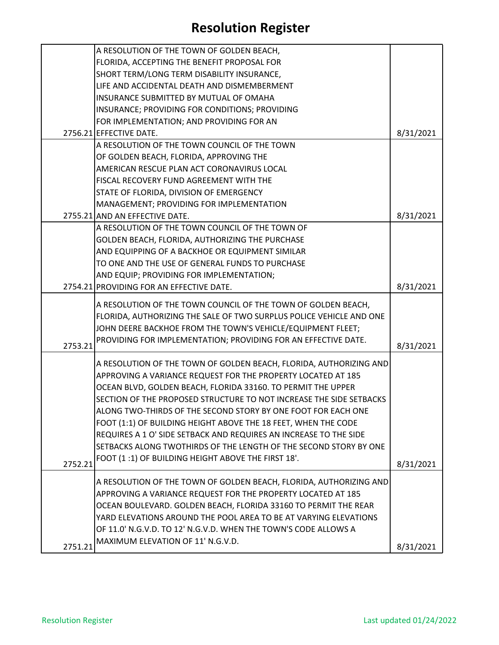|         | A RESOLUTION OF THE TOWN OF GOLDEN BEACH,                                                                                          |           |
|---------|------------------------------------------------------------------------------------------------------------------------------------|-----------|
|         | FLORIDA, ACCEPTING THE BENEFIT PROPOSAL FOR                                                                                        |           |
|         | SHORT TERM/LONG TERM DISABILITY INSURANCE,                                                                                         |           |
|         | LIFE AND ACCIDENTAL DEATH AND DISMEMBERMENT                                                                                        |           |
|         | INSURANCE SUBMITTED BY MUTUAL OF OMAHA                                                                                             |           |
|         | INSURANCE; PROVIDING FOR CONDITIONS; PROVIDING                                                                                     |           |
|         | FOR IMPLEMENTATION; AND PROVIDING FOR AN                                                                                           |           |
|         | 2756.21 EFFECTIVE DATE.                                                                                                            | 8/31/2021 |
|         | A RESOLUTION OF THE TOWN COUNCIL OF THE TOWN                                                                                       |           |
|         | OF GOLDEN BEACH, FLORIDA, APPROVING THE                                                                                            |           |
|         | AMERICAN RESCUE PLAN ACT CORONAVIRUS LOCAL                                                                                         |           |
|         | <b>FISCAL RECOVERY FUND AGREEMENT WITH THE</b>                                                                                     |           |
|         | STATE OF FLORIDA, DIVISION OF EMERGENCY                                                                                            |           |
|         | MANAGEMENT; PROVIDING FOR IMPLEMENTATION                                                                                           |           |
|         | 2755.21 AND AN EFFECTIVE DATE.                                                                                                     | 8/31/2021 |
|         | A RESOLUTION OF THE TOWN COUNCIL OF THE TOWN OF                                                                                    |           |
|         | GOLDEN BEACH, FLORIDA, AUTHORIZING THE PURCHASE                                                                                    |           |
|         | AND EQUIPPING OF A BACKHOE OR EQUIPMENT SIMILAR                                                                                    |           |
|         | TO ONE AND THE USE OF GENERAL FUNDS TO PURCHASE                                                                                    |           |
|         | AND EQUIP; PROVIDING FOR IMPLEMENTATION;                                                                                           |           |
|         | 2754.21 PROVIDING FOR AN EFFECTIVE DATE.                                                                                           | 8/31/2021 |
|         |                                                                                                                                    |           |
|         | A RESOLUTION OF THE TOWN COUNCIL OF THE TOWN OF GOLDEN BEACH,                                                                      |           |
|         | FLORIDA, AUTHORIZING THE SALE OF TWO SURPLUS POLICE VEHICLE AND ONE                                                                |           |
|         | JOHN DEERE BACKHOE FROM THE TOWN'S VEHICLE/EQUIPMENT FLEET;                                                                        |           |
| 2753.21 | PROVIDING FOR IMPLEMENTATION; PROVIDING FOR AN EFFECTIVE DATE.                                                                     | 8/31/2021 |
|         |                                                                                                                                    |           |
|         | A RESOLUTION OF THE TOWN OF GOLDEN BEACH, FLORIDA, AUTHORIZING AND<br>APPROVING A VARIANCE REQUEST FOR THE PROPERTY LOCATED AT 185 |           |
|         | OCEAN BLVD, GOLDEN BEACH, FLORIDA 33160. TO PERMIT THE UPPER                                                                       |           |
|         | SECTION OF THE PROPOSED STRUCTURE TO NOT INCREASE THE SIDE SETBACKS                                                                |           |
|         |                                                                                                                                    |           |
|         | ALONG TWO-THIRDS OF THE SECOND STORY BY ONE FOOT FOR EACH ONE                                                                      |           |
|         | FOOT (1:1) OF BUILDING HEIGHT ABOVE THE 18 FEET, WHEN THE CODE                                                                     |           |
|         | REQUIRES A 1 O' SIDE SETBACK AND REQUIRES AN INCREASE TO THE SIDE                                                                  |           |
|         | SETBACKS ALONG TWOTHIRDS OF THE LENGTH OF THE SECOND STORY BY ONE                                                                  |           |
| 2752.21 | FOOT (1:1) OF BUILDING HEIGHT ABOVE THE FIRST 18'.                                                                                 | 8/31/2021 |
|         | A RESOLUTION OF THE TOWN OF GOLDEN BEACH, FLORIDA, AUTHORIZING AND                                                                 |           |
|         | APPROVING A VARIANCE REQUEST FOR THE PROPERTY LOCATED AT 185                                                                       |           |
|         | OCEAN BOULEVARD. GOLDEN BEACH, FLORIDA 33160 TO PERMIT THE REAR                                                                    |           |
|         | YARD ELEVATIONS AROUND THE POOL AREA TO BE AT VARYING ELEVATIONS                                                                   |           |
|         | OF 11.0' N.G.V.D. TO 12' N.G.V.D. WHEN THE TOWN'S CODE ALLOWS A                                                                    |           |
|         | MAXIMUM ELEVATION OF 11' N.G.V.D.                                                                                                  |           |
| 2751.21 |                                                                                                                                    | 8/31/2021 |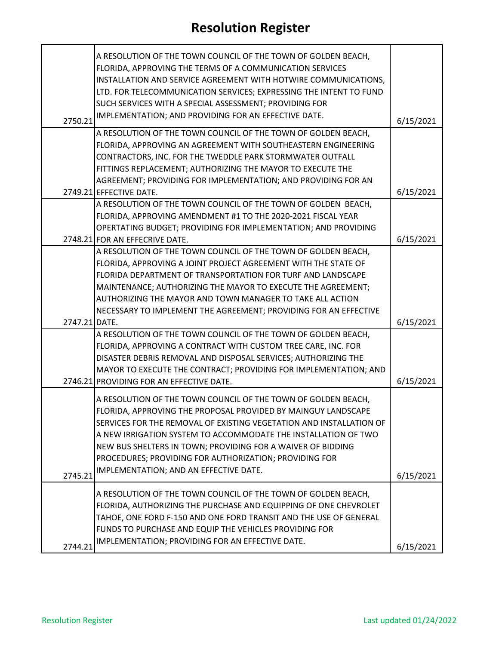|               | A RESOLUTION OF THE TOWN COUNCIL OF THE TOWN OF GOLDEN BEACH,<br>FLORIDA, APPROVING THE TERMS OF A COMMUNICATION SERVICES<br>INSTALLATION AND SERVICE AGREEMENT WITH HOTWIRE COMMUNICATIONS,<br>LTD. FOR TELECOMMUNICATION SERVICES; EXPRESSING THE INTENT TO FUND<br>SUCH SERVICES WITH A SPECIAL ASSESSMENT; PROVIDING FOR                                                                                                               |           |
|---------------|--------------------------------------------------------------------------------------------------------------------------------------------------------------------------------------------------------------------------------------------------------------------------------------------------------------------------------------------------------------------------------------------------------------------------------------------|-----------|
| 2750.21       | IMPLEMENTATION; AND PROVIDING FOR AN EFFECTIVE DATE.                                                                                                                                                                                                                                                                                                                                                                                       | 6/15/2021 |
|               | A RESOLUTION OF THE TOWN COUNCIL OF THE TOWN OF GOLDEN BEACH,<br>FLORIDA, APPROVING AN AGREEMENT WITH SOUTHEASTERN ENGINEERING<br>CONTRACTORS, INC. FOR THE TWEDDLE PARK STORMWATER OUTFALL<br>FITTINGS REPLACEMENT; AUTHORIZING THE MAYOR TO EXECUTE THE<br>AGREEMENT; PROVIDING FOR IMPLEMENTATION; AND PROVIDING FOR AN                                                                                                                 |           |
|               | 2749.21 EFFECTIVE DATE.                                                                                                                                                                                                                                                                                                                                                                                                                    | 6/15/2021 |
|               | A RESOLUTION OF THE TOWN COUNCIL OF THE TOWN OF GOLDEN BEACH,<br>FLORIDA, APPROVING AMENDMENT #1 TO THE 2020-2021 FISCAL YEAR<br>OPERTATING BUDGET; PROVIDING FOR IMPLEMENTATION; AND PROVIDING                                                                                                                                                                                                                                            |           |
|               | 2748.21 FOR AN EFFECRIVE DATE.<br>A RESOLUTION OF THE TOWN COUNCIL OF THE TOWN OF GOLDEN BEACH,                                                                                                                                                                                                                                                                                                                                            | 6/15/2021 |
|               | FLORIDA, APPROVING A JOINT PROJECT AGREEMENT WITH THE STATE OF<br>FLORIDA DEPARTMENT OF TRANSPORTATION FOR TURF AND LANDSCAPE                                                                                                                                                                                                                                                                                                              |           |
|               | MAINTENANCE; AUTHORIZING THE MAYOR TO EXECUTE THE AGREEMENT;<br>AUTHORIZING THE MAYOR AND TOWN MANAGER TO TAKE ALL ACTION                                                                                                                                                                                                                                                                                                                  |           |
|               | NECESSARY TO IMPLEMENT THE AGREEMENT; PROVIDING FOR AN EFFECTIVE                                                                                                                                                                                                                                                                                                                                                                           |           |
| 2747.21 DATE. |                                                                                                                                                                                                                                                                                                                                                                                                                                            | 6/15/2021 |
|               | A RESOLUTION OF THE TOWN COUNCIL OF THE TOWN OF GOLDEN BEACH,<br>FLORIDA, APPROVING A CONTRACT WITH CUSTOM TREE CARE, INC. FOR<br>DISASTER DEBRIS REMOVAL AND DISPOSAL SERVICES; AUTHORIZING THE<br>MAYOR TO EXECUTE THE CONTRACT; PROVIDING FOR IMPLEMENTATION; AND<br>2746.21 PROVIDING FOR AN EFFECTIVE DATE.                                                                                                                           | 6/15/2021 |
| 2745.21       | A RESOLUTION OF THE TOWN COUNCIL OF THE TOWN OF GOLDEN BEACH,<br>FLORIDA, APPROVING THE PROPOSAL PROVIDED BY MAINGUY LANDSCAPE<br>SERVICES FOR THE REMOVAL OF EXISTING VEGETATION AND INSTALLATION OF<br>A NEW IRRIGATION SYSTEM TO ACCOMMODATE THE INSTALLATION OF TWO<br>NEW BUS SHELTERS IN TOWN; PROVIDING FOR A WAIVER OF BIDDING<br>PROCEDURES; PROVIDING FOR AUTHORIZATION; PROVIDING FOR<br>IMPLEMENTATION; AND AN EFFECTIVE DATE. | 6/15/2021 |
| 2744.21       | A RESOLUTION OF THE TOWN COUNCIL OF THE TOWN OF GOLDEN BEACH,<br>FLORIDA, AUTHORIZING THE PURCHASE AND EQUIPPING OF ONE CHEVROLET<br>TAHOE, ONE FORD F-150 AND ONE FORD TRANSIT AND THE USE OF GENERAL<br>FUNDS TO PURCHASE AND EQUIP THE VEHICLES PROVIDING FOR<br>IMPLEMENTATION; PROVIDING FOR AN EFFECTIVE DATE.                                                                                                                       | 6/15/2021 |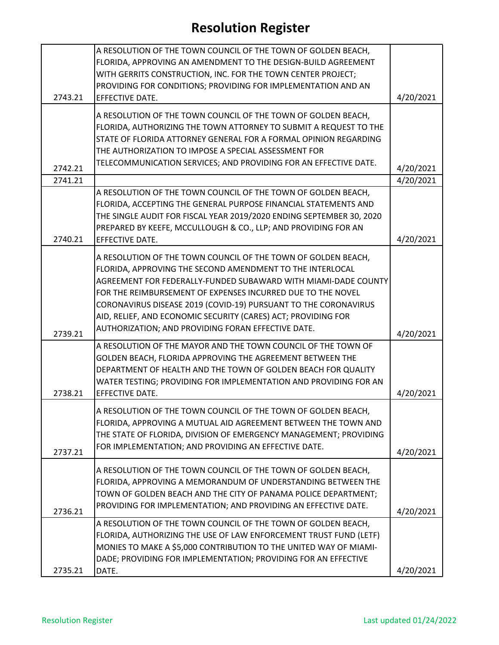|         | A RESOLUTION OF THE TOWN COUNCIL OF THE TOWN OF GOLDEN BEACH,        |           |
|---------|----------------------------------------------------------------------|-----------|
|         | FLORIDA, APPROVING AN AMENDMENT TO THE DESIGN-BUILD AGREEMENT        |           |
|         | WITH GERRITS CONSTRUCTION, INC. FOR THE TOWN CENTER PROJECT;         |           |
|         | PROVIDING FOR CONDITIONS; PROVIDING FOR IMPLEMENTATION AND AN        |           |
| 2743.21 | EFFECTIVE DATE.                                                      | 4/20/2021 |
|         |                                                                      |           |
|         | A RESOLUTION OF THE TOWN COUNCIL OF THE TOWN OF GOLDEN BEACH,        |           |
|         | FLORIDA, AUTHORIZING THE TOWN ATTORNEY TO SUBMIT A REQUEST TO THE    |           |
|         | STATE OF FLORIDA ATTORNEY GENERAL FOR A FORMAL OPINION REGARDING     |           |
|         | THE AUTHORIZATION TO IMPOSE A SPECIAL ASSESSMENT FOR                 |           |
| 2742.21 | TELECOMMUNICATION SERVICES; AND PROVIDING FOR AN EFFECTIVE DATE.     | 4/20/2021 |
| 2741.21 |                                                                      | 4/20/2021 |
|         | A RESOLUTION OF THE TOWN COUNCIL OF THE TOWN OF GOLDEN BEACH,        |           |
|         | FLORIDA, ACCEPTING THE GENERAL PURPOSE FINANCIAL STATEMENTS AND      |           |
|         | THE SINGLE AUDIT FOR FISCAL YEAR 2019/2020 ENDING SEPTEMBER 30, 2020 |           |
|         | PREPARED BY KEEFE, MCCULLOUGH & CO., LLP; AND PROVIDING FOR AN       |           |
| 2740.21 | EFFECTIVE DATE.                                                      | 4/20/2021 |
|         |                                                                      |           |
|         | A RESOLUTION OF THE TOWN COUNCIL OF THE TOWN OF GOLDEN BEACH,        |           |
|         | FLORIDA, APPROVING THE SECOND AMENDMENT TO THE INTERLOCAL            |           |
|         | AGREEMENT FOR FEDERALLY-FUNDED SUBAWARD WITH MIAMI-DADE COUNTY       |           |
|         | FOR THE REIMBURSEMENT OF EXPENSES INCURRED DUE TO THE NOVEL          |           |
|         | CORONAVIRUS DISEASE 2019 (COVID-19) PURSUANT TO THE CORONAVIRUS      |           |
|         | AID, RELIEF, AND ECONOMIC SECURITY (CARES) ACT; PROVIDING FOR        |           |
| 2739.21 | AUTHORIZATION; AND PROVIDING FORAN EFFECTIVE DATE.                   | 4/20/2021 |
|         | A RESOLUTION OF THE MAYOR AND THE TOWN COUNCIL OF THE TOWN OF        |           |
|         | GOLDEN BEACH, FLORIDA APPROVING THE AGREEMENT BETWEEN THE            |           |
|         | DEPARTMENT OF HEALTH AND THE TOWN OF GOLDEN BEACH FOR QUALITY        |           |
|         | WATER TESTING; PROVIDING FOR IMPLEMENTATION AND PROVIDING FOR AN     |           |
| 2738.21 | EFFECTIVE DATE.                                                      | 4/20/2021 |
|         | A RESOLUTION OF THE TOWN COUNCIL OF THE TOWN OF GOLDEN BEACH,        |           |
|         | FLORIDA, APPROVING A MUTUAL AID AGREEMENT BETWEEN THE TOWN AND       |           |
|         | THE STATE OF FLORIDA, DIVISION OF EMERGENCY MANAGEMENT; PROVIDING    |           |
|         | FOR IMPLEMENTATION; AND PROVIDING AN EFFECTIVE DATE.                 |           |
| 2737.21 |                                                                      | 4/20/2021 |
|         | A RESOLUTION OF THE TOWN COUNCIL OF THE TOWN OF GOLDEN BEACH,        |           |
|         | FLORIDA, APPROVING A MEMORANDUM OF UNDERSTANDING BETWEEN THE         |           |
|         | TOWN OF GOLDEN BEACH AND THE CITY OF PANAMA POLICE DEPARTMENT;       |           |
|         | PROVIDING FOR IMPLEMENTATION; AND PROVIDING AN EFFECTIVE DATE.       |           |
| 2736.21 |                                                                      | 4/20/2021 |
|         | A RESOLUTION OF THE TOWN COUNCIL OF THE TOWN OF GOLDEN BEACH,        |           |
|         | FLORIDA, AUTHORIZING THE USE OF LAW ENFORCEMENT TRUST FUND (LETF)    |           |
|         | MONIES TO MAKE A \$5,000 CONTRIBUTION TO THE UNITED WAY OF MIAMI-    |           |
|         | DADE; PROVIDING FOR IMPLEMENTATION; PROVIDING FOR AN EFFECTIVE       |           |
| 2735.21 | DATE.                                                                | 4/20/2021 |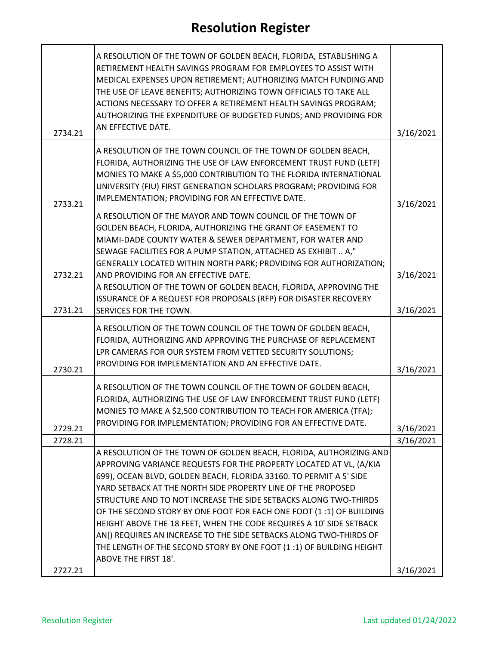| 2734.21 | A RESOLUTION OF THE TOWN OF GOLDEN BEACH, FLORIDA, ESTABLISHING A<br>RETIREMENT HEALTH SAVINGS PROGRAM FOR EMPLOYEES TO ASSIST WITH<br>MEDICAL EXPENSES UPON RETIREMENT; AUTHORIZING MATCH FUNDING AND<br>THE USE OF LEAVE BENEFITS; AUTHORIZING TOWN OFFICIALS TO TAKE ALL<br>ACTIONS NECESSARY TO OFFER A RETIREMENT HEALTH SAVINGS PROGRAM;<br>AUTHORIZING THE EXPENDITURE OF BUDGETED FUNDS; AND PROVIDING FOR<br>AN EFFECTIVE DATE. | 3/16/2021 |
|---------|------------------------------------------------------------------------------------------------------------------------------------------------------------------------------------------------------------------------------------------------------------------------------------------------------------------------------------------------------------------------------------------------------------------------------------------|-----------|
|         | A RESOLUTION OF THE TOWN COUNCIL OF THE TOWN OF GOLDEN BEACH,                                                                                                                                                                                                                                                                                                                                                                            |           |
| 2733.21 | FLORIDA, AUTHORIZING THE USE OF LAW ENFORCEMENT TRUST FUND (LETF)<br>MONIES TO MAKE A \$5,000 CONTRIBUTION TO THE FLORIDA INTERNATIONAL<br>UNIVERSITY {FIU) FIRST GENERATION SCHOLARS PROGRAM; PROVIDING FOR<br>IMPLEMENTATION; PROVIDING FOR AN EFFECTIVE DATE.                                                                                                                                                                         | 3/16/2021 |
|         | A RESOLUTION OF THE MAYOR AND TOWN COUNCIL OF THE TOWN OF                                                                                                                                                                                                                                                                                                                                                                                |           |
|         | GOLDEN BEACH, FLORIDA, AUTHORIZING THE GRANT OF EASEMENT TO                                                                                                                                                                                                                                                                                                                                                                              |           |
|         | MIAMI-DADE COUNTY WATER & SEWER DEPARTMENT, FOR WATER AND                                                                                                                                                                                                                                                                                                                                                                                |           |
|         | SEWAGE FACILITIES FOR A PUMP STATION, ATTACHED AS EXHIBIT  A,"                                                                                                                                                                                                                                                                                                                                                                           |           |
| 2732.21 | GENERALLY LOCATED WITHIN NORTH PARK; PROVIDING FOR AUTHORIZATION;<br>AND PROVIDING FOR AN EFFECTIVE DATE.                                                                                                                                                                                                                                                                                                                                | 3/16/2021 |
|         | A RESOLUTION OF THE TOWN OF GOLDEN BEACH, FLORIDA, APPROVING THE                                                                                                                                                                                                                                                                                                                                                                         |           |
|         | ISSURANCE OF A REQUEST FOR PROPOSALS (RFP) FOR DISASTER RECOVERY                                                                                                                                                                                                                                                                                                                                                                         |           |
| 2731.21 | <b>SERVICES FOR THE TOWN.</b>                                                                                                                                                                                                                                                                                                                                                                                                            | 3/16/2021 |
| 2730.21 | A RESOLUTION OF THE TOWN COUNCIL OF THE TOWN OF GOLDEN BEACH,<br>FLORIDA, AUTHORIZING AND APPROVING THE PURCHASE OF REPLACEMENT<br>LPR CAMERAS FOR OUR SYSTEM FROM VETTED SECURITY SOLUTIONS;<br>PROVIDING FOR IMPLEMENTATION AND AN EFFECTIVE DATE.                                                                                                                                                                                     | 3/16/2021 |
|         | A RESOLUTION OF THE TOWN COUNCIL OF THE TOWN OF GOLDEN BEACH,                                                                                                                                                                                                                                                                                                                                                                            |           |
|         | FLORIDA, AUTHORIZING THE USE OF LAW ENFORCEMENT TRUST FUND (LETF)                                                                                                                                                                                                                                                                                                                                                                        |           |
|         | MONIES TO MAKE A \$2,500 CONTRIBUTION TO TEACH FOR AMERICA (TFA);                                                                                                                                                                                                                                                                                                                                                                        |           |
| 2729.21 | PROVIDING FOR IMPLEMENTATION; PROVIDING FOR AN EFFECTIVE DATE.                                                                                                                                                                                                                                                                                                                                                                           | 3/16/2021 |
| 2728.21 |                                                                                                                                                                                                                                                                                                                                                                                                                                          | 3/16/2021 |
|         | A RESOLUTION OF THE TOWN OF GOLDEN BEACH, FLORIDA, AUTHORIZING AND                                                                                                                                                                                                                                                                                                                                                                       |           |
|         | APPROVING VARIANCE REQUESTS FOR THE PROPERTY LOCATED AT VL, (A/KIA                                                                                                                                                                                                                                                                                                                                                                       |           |
|         | 699), OCEAN BLVD, GOLDEN BEACH, FLORIDA 33160. TO PERMIT A 5' SIDE                                                                                                                                                                                                                                                                                                                                                                       |           |
|         | YARD SETBACK AT THE NORTH SIDE PROPERTY LINE OF THE PROPOSED                                                                                                                                                                                                                                                                                                                                                                             |           |
|         | STRUCTURE AND TO NOT INCREASE THE SIDE SETBACKS ALONG TWO-THIRDS                                                                                                                                                                                                                                                                                                                                                                         |           |
|         | OF THE SECOND STORY BY ONE FOOT FOR EACH ONE FOOT (1:1) OF BUILDING<br>HEIGHT ABOVE THE 18 FEET, WHEN THE CODE REQUIRES A 10' SIDE SETBACK                                                                                                                                                                                                                                                                                               |           |
|         | AN[) REQUIRES AN INCREASE TO THE SIDE SETBACKS ALONG TWO-THIRDS OF                                                                                                                                                                                                                                                                                                                                                                       |           |
|         | THE LENGTH OF THE SECOND STORY BY ONE FOOT (1:1) OF BUILDING HEIGHT                                                                                                                                                                                                                                                                                                                                                                      |           |
|         | <b>ABOVE THE FIRST 18'.</b>                                                                                                                                                                                                                                                                                                                                                                                                              |           |
| 2727.21 |                                                                                                                                                                                                                                                                                                                                                                                                                                          | 3/16/2021 |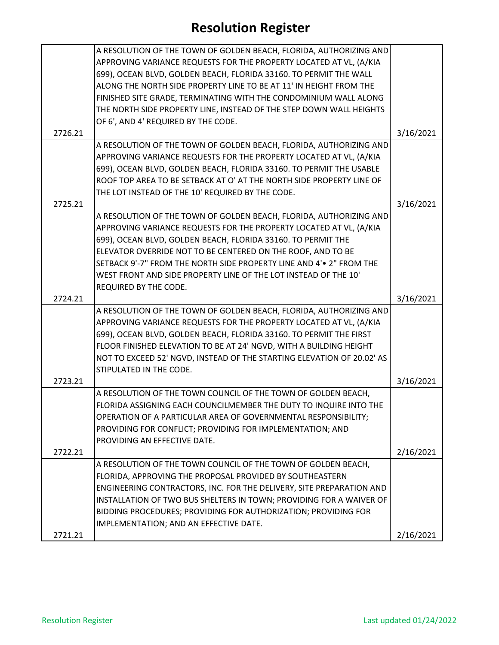|         | A RESOLUTION OF THE TOWN OF GOLDEN BEACH, FLORIDA, AUTHORIZING AND     |           |
|---------|------------------------------------------------------------------------|-----------|
|         | APPROVING VARIANCE REQUESTS FOR THE PROPERTY LOCATED AT VL, (A/KIA     |           |
|         | 699), OCEAN BLVD, GOLDEN BEACH, FLORIDA 33160. TO PERMIT THE WALL      |           |
|         | ALONG THE NORTH SIDE PROPERTY LINE TO BE AT 11' IN HEIGHT FROM THE     |           |
|         | FINISHED SITE GRADE, TERMINATING WITH THE CONDOMINIUM WALL ALONG       |           |
|         | THE NORTH SIDE PROPERTY LINE, INSTEAD OF THE STEP DOWN WALL HEIGHTS    |           |
|         | OF 6', AND 4' REQUIRED BY THE CODE.                                    |           |
| 2726.21 |                                                                        | 3/16/2021 |
|         | A RESOLUTION OF THE TOWN OF GOLDEN BEACH, FLORIDA, AUTHORIZING AND     |           |
|         | APPROVING VARIANCE REQUESTS FOR THE PROPERTY LOCATED AT VL, (A/KIA     |           |
|         | 699), OCEAN BLVD, GOLDEN BEACH, FLORIDA 33160. TO PERMIT THE USABLE    |           |
|         | ROOF TOP AREA TO BE SETBACK AT O' AT THE NORTH SIDE PROPERTY LINE OF   |           |
|         | THE LOT INSTEAD OF THE 10' REQUIRED BY THE CODE.                       |           |
| 2725.21 |                                                                        | 3/16/2021 |
|         | A RESOLUTION OF THE TOWN OF GOLDEN BEACH, FLORIDA, AUTHORIZING AND     |           |
|         | APPROVING VARIANCE REQUESTS FOR THE PROPERTY LOCATED AT VL, (A/KIA     |           |
|         | 699), OCEAN BLVD, GOLDEN BEACH, FLORIDA 33160. TO PERMIT THE           |           |
|         | ELEVATOR OVERRIDE NOT TO BE CENTERED ON THE ROOF, AND TO BE            |           |
|         | SETBACK 9'-7" FROM THE NORTH SIDE PROPERTY LINE AND 4' • 2" FROM THE   |           |
|         | WEST FRONT AND SIDE PROPERTY LINE OF THE LOT INSTEAD OF THE 10'        |           |
|         | REQUIRED BY THE CODE.                                                  |           |
| 2724.21 |                                                                        | 3/16/2021 |
|         | A RESOLUTION OF THE TOWN OF GOLDEN BEACH, FLORIDA, AUTHORIZING AND     |           |
|         | APPROVING VARIANCE REQUESTS FOR THE PROPERTY LOCATED AT VL, (A/KIA     |           |
|         | 699), OCEAN BLVD, GOLDEN BEACH, FLORIDA 33160. TO PERMIT THE FIRST     |           |
|         | FLOOR FINISHED ELEVATION TO BE AT 24' NGVD, WITH A BUILDING HEIGHT     |           |
|         | NOT TO EXCEED 52' NGVD, INSTEAD OF THE STARTING ELEVATION OF 20.02' AS |           |
|         | STIPULATED IN THE CODE.                                                |           |
| 2723.21 |                                                                        | 3/16/2021 |
|         | A RESOLUTION OF THE TOWN COUNCIL OF THE TOWN OF GOLDEN BEACH,          |           |
|         | FLORIDA ASSIGNING EACH COUNCILMEMBER THE DUTY TO INQUIRE INTO THE      |           |
|         | OPERATION OF A PARTICULAR AREA OF GOVERNMENTAL RESPONSIBILITY;         |           |
|         | PROVIDING FOR CONFLICT; PROVIDING FOR IMPLEMENTATION; AND              |           |
|         | PROVIDING AN EFFECTIVE DATE.                                           |           |
| 2722.21 |                                                                        | 2/16/2021 |
|         | A RESOLUTION OF THE TOWN COUNCIL OF THE TOWN OF GOLDEN BEACH,          |           |
|         | FLORIDA, APPROVING THE PROPOSAL PROVIDED BY SOUTHEASTERN               |           |
|         | ENGINEERING CONTRACTORS, INC. FOR THE DELIVERY, SITE PREPARATION AND   |           |
|         | INSTALLATION OF TWO BUS SHELTERS IN TOWN; PROVIDING FOR A WAIVER OF    |           |
|         | BIDDING PROCEDURES; PROVIDING FOR AUTHORIZATION; PROVIDING FOR         |           |
|         | IMPLEMENTATION; AND AN EFFECTIVE DATE.                                 |           |
| 2721.21 |                                                                        | 2/16/2021 |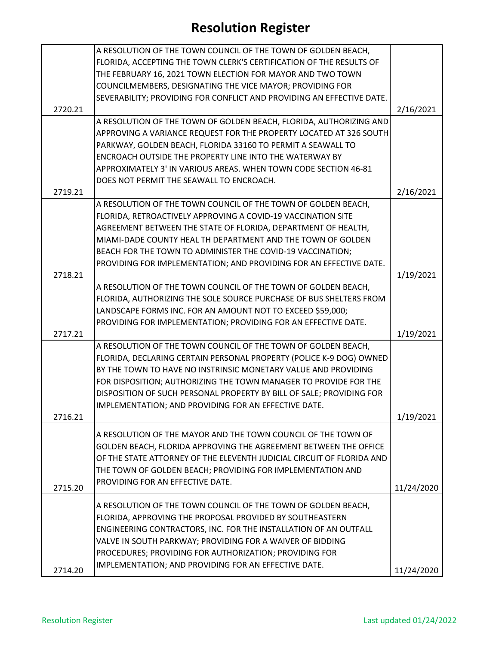|         | A RESOLUTION OF THE TOWN COUNCIL OF THE TOWN OF GOLDEN BEACH,         |            |
|---------|-----------------------------------------------------------------------|------------|
|         | FLORIDA, ACCEPTING THE TOWN CLERK'S CERTIFICATION OF THE RESULTS OF   |            |
|         | THE FEBRUARY 16, 2021 TOWN ELECTION FOR MAYOR AND TWO TOWN            |            |
|         | COUNCILMEMBERS, DESIGNATING THE VICE MAYOR; PROVIDING FOR             |            |
|         | SEVERABILITY; PROVIDING FOR CONFLICT AND PROVIDING AN EFFECTIVE DATE. |            |
| 2720.21 |                                                                       | 2/16/2021  |
|         | A RESOLUTION OF THE TOWN OF GOLDEN BEACH, FLORIDA, AUTHORIZING AND    |            |
|         | APPROVING A VARIANCE REQUEST FOR THE PROPERTY LOCATED AT 326 SOUTH    |            |
|         | PARKWAY, GOLDEN BEACH, FLORIDA 33160 TO PERMIT A SEAWALL TO           |            |
|         | ENCROACH OUTSIDE THE PROPERTY LINE INTO THE WATERWAY BY               |            |
|         | APPROXIMATELY 3' IN VARIOUS AREAS. WHEN TOWN CODE SECTION 46-81       |            |
|         | DOES NOT PERMIT THE SEAWALL TO ENCROACH.                              |            |
| 2719.21 |                                                                       | 2/16/2021  |
|         | A RESOLUTION OF THE TOWN COUNCIL OF THE TOWN OF GOLDEN BEACH,         |            |
|         | FLORIDA, RETROACTIVELY APPROVING A COVID-19 VACCINATION SITE          |            |
|         | AGREEMENT BETWEEN THE STATE OF FLORIDA, DEPARTMENT OF HEALTH,         |            |
|         | MIAMI-DADE COUNTY HEAL TH DEPARTMENT AND THE TOWN OF GOLDEN           |            |
|         | BEACH FOR THE TOWN TO ADMINISTER THE COVID-19 VACCINATION;            |            |
|         | PROVIDING FOR IMPLEMENTATION; AND PROVIDING FOR AN EFFECTIVE DATE.    |            |
| 2718.21 |                                                                       | 1/19/2021  |
|         | A RESOLUTION OF THE TOWN COUNCIL OF THE TOWN OF GOLDEN BEACH,         |            |
|         | FLORIDA, AUTHORIZING THE SOLE SOURCE PURCHASE OF BUS SHELTERS FROM    |            |
|         | LANDSCAPE FORMS INC. FOR AN AMOUNT NOT TO EXCEED \$59,000;            |            |
|         | PROVIDING FOR IMPLEMENTATION; PROVIDING FOR AN EFFECTIVE DATE.        |            |
| 2717.21 |                                                                       | 1/19/2021  |
|         | A RESOLUTION OF THE TOWN COUNCIL OF THE TOWN OF GOLDEN BEACH,         |            |
|         | FLORIDA, DECLARING CERTAIN PERSONAL PROPERTY (POLICE K-9 DOG) OWNED   |            |
|         | BY THE TOWN TO HAVE NO INSTRINSIC MONETARY VALUE AND PROVIDING        |            |
|         | FOR DISPOSITION; AUTHORIZING THE TOWN MANAGER TO PROVIDE FOR THE      |            |
|         | DISPOSITION OF SUCH PERSONAL PROPERTY BY BILL OF SALE; PROVIDING FOR  |            |
|         | IMPLEMENTATION; AND PROVIDING FOR AN EFFECTIVE DATE.                  |            |
| 2716.21 |                                                                       | 1/19/2021  |
|         | A RESOLUTION OF THE MAYOR AND THE TOWN COUNCIL OF THE TOWN OF         |            |
|         | GOLDEN BEACH, FLORIDA APPROVING THE AGREEMENT BETWEEN THE OFFICE      |            |
|         | OF THE STATE ATTORNEY OF THE ELEVENTH JUDICIAL CIRCUIT OF FLORIDA AND |            |
|         | THE TOWN OF GOLDEN BEACH; PROVIDING FOR IMPLEMENTATION AND            |            |
|         | PROVIDING FOR AN EFFECTIVE DATE.                                      |            |
| 2715.20 |                                                                       | 11/24/2020 |
|         | A RESOLUTION OF THE TOWN COUNCIL OF THE TOWN OF GOLDEN BEACH,         |            |
|         | FLORIDA, APPROVING THE PROPOSAL PROVIDED BY SOUTHEASTERN              |            |
|         | ENGINEERING CONTRACTORS, INC. FOR THE INSTALLATION OF AN OUTFALL      |            |
|         | VALVE IN SOUTH PARKWAY; PROVIDING FOR A WAIVER OF BIDDING             |            |
|         | PROCEDURES; PROVIDING FOR AUTHORIZATION; PROVIDING FOR                |            |
|         | IMPLEMENTATION; AND PROVIDING FOR AN EFFECTIVE DATE.                  |            |
| 2714.20 |                                                                       | 11/24/2020 |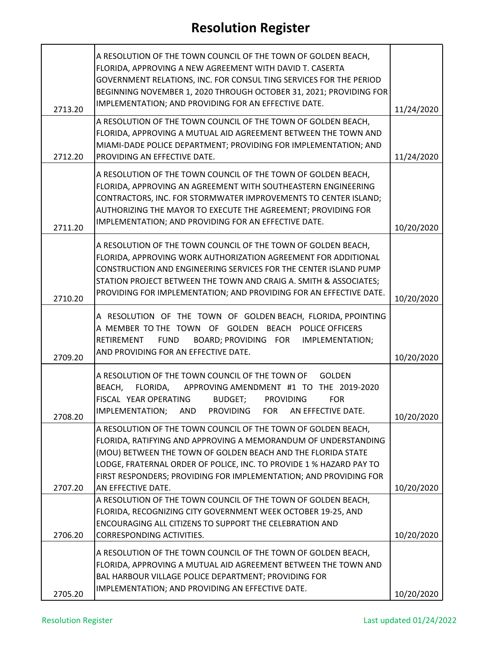| 2713.20 | A RESOLUTION OF THE TOWN COUNCIL OF THE TOWN OF GOLDEN BEACH,<br>FLORIDA, APPROVING A NEW AGREEMENT WITH DAVID T. CASERTA<br>GOVERNMENT RELATIONS, INC. FOR CONSUL TING SERVICES FOR THE PERIOD<br>BEGINNING NOVEMBER 1, 2020 THROUGH OCTOBER 31, 2021; PROVIDING FOR<br>IMPLEMENTATION; AND PROVIDING FOR AN EFFECTIVE DATE.                                     | 11/24/2020 |
|---------|-------------------------------------------------------------------------------------------------------------------------------------------------------------------------------------------------------------------------------------------------------------------------------------------------------------------------------------------------------------------|------------|
| 2712.20 | A RESOLUTION OF THE TOWN COUNCIL OF THE TOWN OF GOLDEN BEACH,<br>FLORIDA, APPROVING A MUTUAL AID AGREEMENT BETWEEN THE TOWN AND<br>MIAMI-DADE POLICE DEPARTMENT; PROVIDING FOR IMPLEMENTATION; AND<br>PROVIDING AN EFFECTIVE DATE.                                                                                                                                | 11/24/2020 |
| 2711.20 | A RESOLUTION OF THE TOWN COUNCIL OF THE TOWN OF GOLDEN BEACH,<br>FLORIDA, APPROVING AN AGREEMENT WITH SOUTHEASTERN ENGINEERING<br>CONTRACTORS, INC. FOR STORMWATER IMPROVEMENTS TO CENTER ISLAND;<br>AUTHORIZING THE MAYOR TO EXECUTE THE AGREEMENT; PROVIDING FOR<br>IMPLEMENTATION; AND PROVIDING FOR AN EFFECTIVE DATE.                                        | 10/20/2020 |
| 2710.20 | A RESOLUTION OF THE TOWN COUNCIL OF THE TOWN OF GOLDEN BEACH,<br>FLORIDA, APPROVING WORK AUTHORIZATION AGREEMENT FOR ADDITIONAL<br>CONSTRUCTION AND ENGINEERING SERVICES FOR THE CENTER ISLAND PUMP<br>STATION PROJECT BETWEEN THE TOWN AND CRAIG A. SMITH & ASSOCIATES;<br>PROVIDING FOR IMPLEMENTATION; AND PROVIDING FOR AN EFFECTIVE DATE.                    | 10/20/2020 |
| 2709.20 | A RESOLUTION OF THE TOWN OF GOLDEN BEACH, FLORIDA, PPOINTING<br>A MEMBER TO THE TOWN OF GOLDEN BEACH POLICE OFFICERS<br>BOARD; PROVIDING FOR IMPLEMENTATION;<br>RETIREMENT<br><b>FUND</b><br>AND PROVIDING FOR AN EFFECTIVE DATE.                                                                                                                                 | 10/20/2020 |
| 2708.20 | A RESOLUTION OF THE TOWN COUNCIL OF THE TOWN OF<br><b>GOLDEN</b><br>FLORIDA, APPROVING AMENDMENT #1 TO THE 2019-2020<br>BEACH,<br>FISCAL YEAR OPERATING<br>BUDGET;<br><b>PROVIDING</b><br><b>FOR</b><br>IMPLEMENTATION; AND PROVIDING FOR AN EFFECTIVE DATE.                                                                                                      | 10/20/2020 |
| 2707.20 | A RESOLUTION OF THE TOWN COUNCIL OF THE TOWN OF GOLDEN BEACH,<br>FLORIDA, RATIFYING AND APPROVING A MEMORANDUM OF UNDERSTANDING<br>(MOU) BETWEEN THE TOWN OF GOLDEN BEACH AND THE FLORIDA STATE<br>LODGE, FRATERNAL ORDER OF POLICE, INC. TO PROVIDE 1 % HAZARD PAY TO<br>FIRST RESPONDERS; PROVIDING FOR IMPLEMENTATION; AND PROVIDING FOR<br>AN EFFECTIVE DATE. | 10/20/2020 |
| 2706.20 | A RESOLUTION OF THE TOWN COUNCIL OF THE TOWN OF GOLDEN BEACH,<br>FLORIDA, RECOGNIZING CITY GOVERNMENT WEEK OCTOBER 19-25, AND<br>ENCOURAGING ALL CITIZENS TO SUPPORT THE CELEBRATION AND<br>CORRESPONDING ACTIVITIES.                                                                                                                                             | 10/20/2020 |
| 2705.20 | A RESOLUTION OF THE TOWN COUNCIL OF THE TOWN OF GOLDEN BEACH,<br>FLORIDA, APPROVING A MUTUAL AID AGREEMENT BETWEEN THE TOWN AND<br>BAL HARBOUR VILLAGE POLICE DEPARTMENT; PROVIDING FOR<br>IMPLEMENTATION; AND PROVIDING AN EFFECTIVE DATE.                                                                                                                       | 10/20/2020 |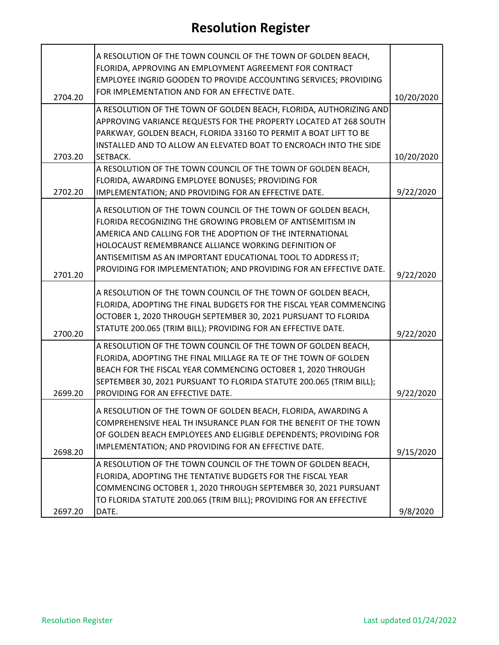|         | A RESOLUTION OF THE TOWN COUNCIL OF THE TOWN OF GOLDEN BEACH,<br>FLORIDA, APPROVING AN EMPLOYMENT AGREEMENT FOR CONTRACT<br>EMPLOYEE INGRID GOODEN TO PROVIDE ACCOUNTING SERVICES; PROVIDING<br>FOR IMPLEMENTATION AND FOR AN EFFECTIVE DATE.                                                                                                                                          |            |
|---------|----------------------------------------------------------------------------------------------------------------------------------------------------------------------------------------------------------------------------------------------------------------------------------------------------------------------------------------------------------------------------------------|------------|
| 2704.20 |                                                                                                                                                                                                                                                                                                                                                                                        | 10/20/2020 |
|         | A RESOLUTION OF THE TOWN OF GOLDEN BEACH, FLORIDA, AUTHORIZING AND<br>APPROVING VARIANCE REQUESTS FOR THE PROPERTY LOCATED AT 268 SOUTH<br>PARKWAY, GOLDEN BEACH, FLORIDA 33160 TO PERMIT A BOAT LIFT TO BE<br>INSTALLED AND TO ALLOW AN ELEVATED BOAT TO ENCROACH INTO THE SIDE                                                                                                       |            |
| 2703.20 | SETBACK.                                                                                                                                                                                                                                                                                                                                                                               | 10/20/2020 |
| 2702.20 | A RESOLUTION OF THE TOWN COUNCIL OF THE TOWN OF GOLDEN BEACH,<br>FLORIDA, AWARDING EMPLOYEE BONUSES; PROVIDING FOR<br>IMPLEMENTATION; AND PROVIDING FOR AN EFFECTIVE DATE.                                                                                                                                                                                                             | 9/22/2020  |
| 2701.20 | A RESOLUTION OF THE TOWN COUNCIL OF THE TOWN OF GOLDEN BEACH,<br>FLORIDA RECOGNIZING THE GROWING PROBLEM OF ANTISEMITISM IN<br>AMERICA AND CALLING FOR THE ADOPTION OF THE INTERNATIONAL<br>HOLOCAUST REMEMBRANCE ALLIANCE WORKING DEFINITION OF<br>ANTISEMITISM AS AN IMPORTANT EDUCATIONAL TOOL TO ADDRESS IT;<br>PROVIDING FOR IMPLEMENTATION; AND PROVIDING FOR AN EFFECTIVE DATE. | 9/22/2020  |
| 2700.20 | A RESOLUTION OF THE TOWN COUNCIL OF THE TOWN OF GOLDEN BEACH,<br>FLORIDA, ADOPTING THE FINAL BUDGETS FOR THE FISCAL YEAR COMMENCING<br>OCTOBER 1, 2020 THROUGH SEPTEMBER 30, 2021 PURSUANT TO FLORIDA<br>STATUTE 200.065 (TRIM BILL); PROVIDING FOR AN EFFECTIVE DATE.                                                                                                                 | 9/22/2020  |
| 2699.20 | A RESOLUTION OF THE TOWN COUNCIL OF THE TOWN OF GOLDEN BEACH,<br>FLORIDA, ADOPTING THE FINAL MILLAGE RA TE OF THE TOWN OF GOLDEN<br>BEACH FOR THE FISCAL YEAR COMMENCING OCTOBER 1, 2020 THROUGH<br>SEPTEMBER 30, 2021 PURSUANT TO FLORIDA STATUTE 200.065 (TRIM BILL);<br>PROVIDING FOR AN EFFECTIVE DATE.                                                                            | 9/22/2020  |
| 2698.20 | A RESOLUTION OF THE TOWN OF GOLDEN BEACH, FLORIDA, AWARDING A<br>COMPREHENSIVE HEAL TH INSURANCE PLAN FOR THE BENEFIT OF THE TOWN<br>OF GOLDEN BEACH EMPLOYEES AND ELIGIBLE DEPENDENTS; PROVIDING FOR<br>IMPLEMENTATION; AND PROVIDING FOR AN EFFECTIVE DATE.                                                                                                                          | 9/15/2020  |
| 2697.20 | A RESOLUTION OF THE TOWN COUNCIL OF THE TOWN OF GOLDEN BEACH,<br>FLORIDA, ADOPTING THE TENTATIVE BUDGETS FOR THE FISCAL YEAR<br>COMMENCING OCTOBER 1, 2020 THROUGH SEPTEMBER 30, 2021 PURSUANT<br>TO FLORIDA STATUTE 200.065 (TRIM BILL); PROVIDING FOR AN EFFECTIVE<br>DATE.                                                                                                          | 9/8/2020   |
|         |                                                                                                                                                                                                                                                                                                                                                                                        |            |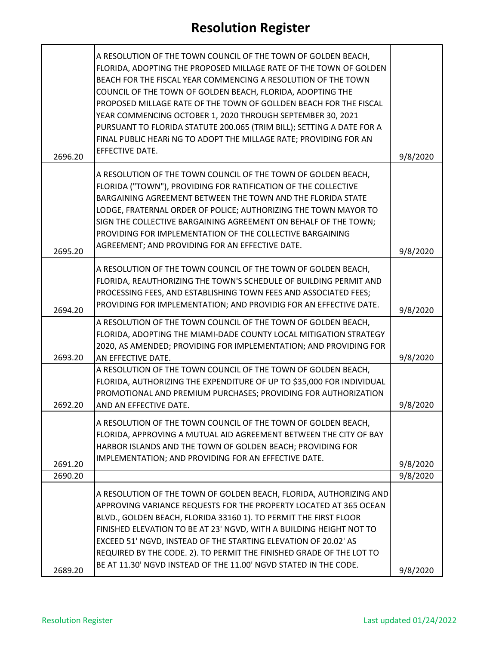| 2696.20 | A RESOLUTION OF THE TOWN COUNCIL OF THE TOWN OF GOLDEN BEACH,<br>FLORIDA, ADOPTING THE PROPOSED MILLAGE RATE OF THE TOWN OF GOLDEN<br>BEACH FOR THE FISCAL YEAR COMMENCING A RESOLUTION OF THE TOWN<br>COUNCIL OF THE TOWN OF GOLDEN BEACH, FLORIDA, ADOPTING THE<br>PROPOSED MILLAGE RATE OF THE TOWN OF GOLLDEN BEACH FOR THE FISCAL<br>YEAR COMMENCING OCTOBER 1, 2020 THROUGH SEPTEMBER 30, 2021<br>PURSUANT TO FLORIDA STATUTE 200.065 (TRIM BILL); SETTING A DATE FOR A<br>FINAL PUBLIC HEARI NG TO ADOPT THE MILLAGE RATE; PROVIDING FOR AN<br>EFFECTIVE DATE. | 9/8/2020 |
|---------|-----------------------------------------------------------------------------------------------------------------------------------------------------------------------------------------------------------------------------------------------------------------------------------------------------------------------------------------------------------------------------------------------------------------------------------------------------------------------------------------------------------------------------------------------------------------------|----------|
|         | A RESOLUTION OF THE TOWN COUNCIL OF THE TOWN OF GOLDEN BEACH,                                                                                                                                                                                                                                                                                                                                                                                                                                                                                                         |          |
|         | FLORIDA ("TOWN"), PROVIDING FOR RATIFICATION OF THE COLLECTIVE<br>BARGAINING AGREEMENT BETWEEN THE TOWN AND THE FLORIDA STATE                                                                                                                                                                                                                                                                                                                                                                                                                                         |          |
|         | LODGE, FRATERNAL ORDER OF POLICE; AUTHORIZING THE TOWN MAYOR TO<br>SIGN THE COLLECTIVE BARGAINING AGREEMENT ON BEHALF OF THE TOWN;                                                                                                                                                                                                                                                                                                                                                                                                                                    |          |
|         | PROVIDING FOR IMPLEMENTATION OF THE COLLECTIVE BARGAINING                                                                                                                                                                                                                                                                                                                                                                                                                                                                                                             |          |
| 2695.20 | AGREEMENT; AND PROVIDING FOR AN EFFECTIVE DATE.                                                                                                                                                                                                                                                                                                                                                                                                                                                                                                                       | 9/8/2020 |
|         | A RESOLUTION OF THE TOWN COUNCIL OF THE TOWN OF GOLDEN BEACH,<br>FLORIDA, REAUTHORIZING THE TOWN'S SCHEDULE OF BUILDING PERMIT AND                                                                                                                                                                                                                                                                                                                                                                                                                                    |          |
|         | PROCESSING FEES, AND ESTABLISHING TOWN FEES AND ASSOCIATED FEES;                                                                                                                                                                                                                                                                                                                                                                                                                                                                                                      |          |
| 2694.20 | PROVIDING FOR IMPLEMENTATION; AND PROVIDIG FOR AN EFFECTIVE DATE.                                                                                                                                                                                                                                                                                                                                                                                                                                                                                                     | 9/8/2020 |
|         | A RESOLUTION OF THE TOWN COUNCIL OF THE TOWN OF GOLDEN BEACH,<br>FLORIDA, ADOPTING THE MIAMI-DADE COUNTY LOCAL MITIGATION STRATEGY                                                                                                                                                                                                                                                                                                                                                                                                                                    |          |
|         | 2020, AS AMENDED; PROVIDING FOR IMPLEMENTATION; AND PROVIDING FOR                                                                                                                                                                                                                                                                                                                                                                                                                                                                                                     |          |
| 2693.20 | AN EFFECTIVE DATE.<br>A RESOLUTION OF THE TOWN COUNCIL OF THE TOWN OF GOLDEN BEACH,                                                                                                                                                                                                                                                                                                                                                                                                                                                                                   | 9/8/2020 |
|         | FLORIDA, AUTHORIZING THE EXPENDITURE OF UP TO \$35,000 FOR INDIVIDUAL                                                                                                                                                                                                                                                                                                                                                                                                                                                                                                 |          |
| 2692.20 | PROMOTIONAL AND PREMIUM PURCHASES; PROVIDING FOR AUTHORIZATION<br>AND AN EFFECTIVE DATE.                                                                                                                                                                                                                                                                                                                                                                                                                                                                              | 9/8/2020 |
|         | A RESOLUTION OF THE TOWN COUNCIL OF THE TOWN OF GOLDEN BEACH,                                                                                                                                                                                                                                                                                                                                                                                                                                                                                                         |          |
|         | FLORIDA, APPROVING A MUTUAL AID AGREEMENT BETWEEN THE CITY OF BAY<br>HARBOR ISLANDS AND THE TOWN OF GOLDEN BEACH; PROVIDING FOR                                                                                                                                                                                                                                                                                                                                                                                                                                       |          |
| 2691.20 | IMPLEMENTATION; AND PROVIDING FOR AN EFFECTIVE DATE.                                                                                                                                                                                                                                                                                                                                                                                                                                                                                                                  | 9/8/2020 |
| 2690.20 |                                                                                                                                                                                                                                                                                                                                                                                                                                                                                                                                                                       | 9/8/2020 |
|         | A RESOLUTION OF THE TOWN OF GOLDEN BEACH, FLORIDA, AUTHORIZING AND                                                                                                                                                                                                                                                                                                                                                                                                                                                                                                    |          |
|         | APPROVING VARIANCE REQUESTS FOR THE PROPERTY LOCATED AT 365 OCEAN                                                                                                                                                                                                                                                                                                                                                                                                                                                                                                     |          |
|         | BLVD., GOLDEN BEACH, FLORIDA 33160 1). TO PERMIT THE FIRST FLOOR                                                                                                                                                                                                                                                                                                                                                                                                                                                                                                      |          |
|         | FINISHED ELEVATION TO BE AT 23' NGVD, WITH A BUILDING HEIGHT NOT TO<br>EXCEED 51' NGVD, INSTEAD OF THE STARTING ELEVATION OF 20.02' AS                                                                                                                                                                                                                                                                                                                                                                                                                                |          |
|         | REQUIRED BY THE CODE. 2). TO PERMIT THE FINISHED GRADE OF THE LOT TO                                                                                                                                                                                                                                                                                                                                                                                                                                                                                                  |          |
| 2689.20 | BE AT 11.30' NGVD INSTEAD OF THE 11.00' NGVD STATED IN THE CODE.                                                                                                                                                                                                                                                                                                                                                                                                                                                                                                      | 9/8/2020 |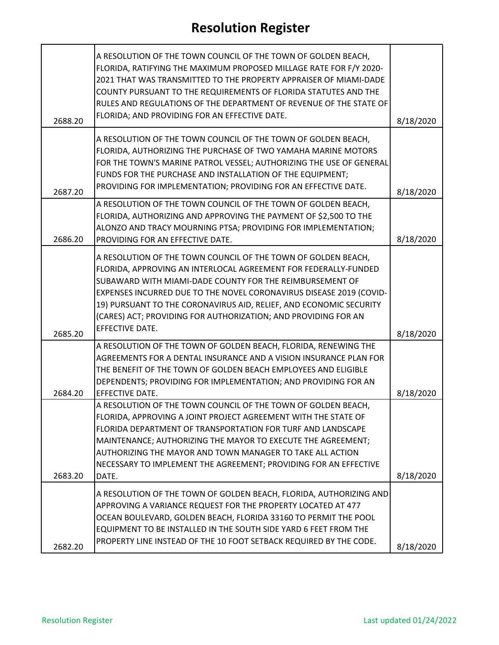| 2688.20 | A RESOLUTION OF THE TOWN COUNCIL OF THE TOWN OF GOLDEN BEACH,<br>FLORIDA, RATIFYING THE MAXIMUM PROPOSED MILLAGE RATE FOR F/Y 2020-<br>2021 THAT WAS TRANSMITTED TO THE PROPERTY APPRAISER OF MIAMI-DADE<br>COUNTY PURSUANT TO THE REQUIREMENTS OF FLORIDA STATUTES AND THE<br>RULES AND REGULATIONS OF THE DEPARTMENT OF REVENUE OF THE STATE OF<br>FLORIDA; AND PROVIDING FOR AN EFFECTIVE DATE.                                    | 8/18/2020 |
|---------|---------------------------------------------------------------------------------------------------------------------------------------------------------------------------------------------------------------------------------------------------------------------------------------------------------------------------------------------------------------------------------------------------------------------------------------|-----------|
| 2687.20 | A RESOLUTION OF THE TOWN COUNCIL OF THE TOWN OF GOLDEN BEACH,<br>FLORIDA, AUTHORIZING THE PURCHASE OF TWO YAMAHA MARINE MOTORS<br>FOR THE TOWN'S MARINE PATROL VESSEL; AUTHORIZING THE USE OF GENERAL<br>FUNDS FOR THE PURCHASE AND INSTALLATION OF THE EQUIPMENT;<br>PROVIDING FOR IMPLEMENTATION; PROVIDING FOR AN EFFECTIVE DATE.                                                                                                  | 8/18/2020 |
| 2686.20 | A RESOLUTION OF THE TOWN COUNCIL OF THE TOWN OF GOLDEN BEACH,<br>FLORIDA, AUTHORIZING AND APPROVING THE PAYMENT OF \$2,500 TO THE<br>ALONZO AND TRACY MOURNING PTSA; PROVIDING FOR IMPLEMENTATION;<br>PROVIDING FOR AN EFFECTIVE DATE.                                                                                                                                                                                                | 8/18/2020 |
| 2685.20 | A RESOLUTION OF THE TOWN COUNCIL OF THE TOWN OF GOLDEN BEACH,<br>FLORIDA, APPROVING AN INTERLOCAL AGREEMENT FOR FEDERALLY-FUNDED<br>SUBAWARD WITH MIAMI-DADE COUNTY FOR THE REIMBURSEMENT OF<br>EXPENSES INCURRED DUE TO THE NOVEL CORONAVIRUS DISEASE 2019 (COVID-<br>19) PURSUANT TO THE CORONAVIRUS AID, RELIEF, AND ECONOMIC SECURITY<br>(CARES) ACT; PROVIDING FOR AUTHORIZATION; AND PROVIDING FOR AN<br><b>EFFECTIVE DATE.</b> | 8/18/2020 |
| 2684.20 | A RESOLUTION OF THE TOWN OF GOLDEN BEACH, FLORIDA, RENEWING THE<br>AGREEMENTS FOR A DENTAL INSURANCE AND A VISION INSURANCE PLAN FOR<br>THE BENEFIT OF THE TOWN OF GOLDEN BEACH EMPLOYEES AND ELIGIBLE<br>DEPENDENTS; PROVIDING FOR IMPLEMENTATION; AND PROVIDING FOR AN<br>EFFECTIVE DATE.                                                                                                                                           | 8/18/2020 |
| 2683.20 | A RESOLUTION OF THE TOWN COUNCIL OF THE TOWN OF GOLDEN BEACH,<br>FLORIDA, APPROVING A JOINT PROJECT AGREEMENT WITH THE STATE OF<br>FLORIDA DEPARTMENT OF TRANSPORTATION FOR TURF AND LANDSCAPE<br>MAINTENANCE; AUTHORIZING THE MAYOR TO EXECUTE THE AGREEMENT;<br>AUTHORIZING THE MAYOR AND TOWN MANAGER TO TAKE ALL ACTION<br>NECESSARY TO IMPLEMENT THE AGREEMENT; PROVIDING FOR AN EFFECTIVE<br>DATE.                              | 8/18/2020 |
| 2682.20 | A RESOLUTION OF THE TOWN OF GOLDEN BEACH, FLORIDA, AUTHORIZING AND<br>APPROVING A VARIANCE REQUEST FOR THE PROPERTY LOCATED AT 477<br>OCEAN BOULEVARD, GOLDEN BEACH, FLORIDA 33160 TO PERMIT THE POOL<br>EQUIPMENT TO BE INSTALLED IN THE SOUTH SIDE YARD 6 FEET FROM THE<br>PROPERTY LINE INSTEAD OF THE 10 FOOT SETBACK REQUIRED BY THE CODE.                                                                                       | 8/18/2020 |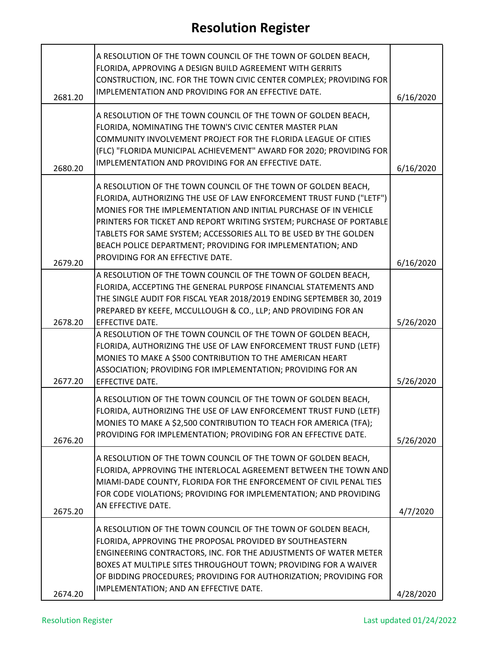|         | A RESOLUTION OF THE TOWN COUNCIL OF THE TOWN OF GOLDEN BEACH,<br>FLORIDA, APPROVING A DESIGN BUILD AGREEMENT WITH GERRITS<br>CONSTRUCTION, INC. FOR THE TOWN CIVIC CENTER COMPLEX; PROVIDING FOR<br>IMPLEMENTATION AND PROVIDING FOR AN EFFECTIVE DATE.                                                                                                                                                                                                |           |
|---------|--------------------------------------------------------------------------------------------------------------------------------------------------------------------------------------------------------------------------------------------------------------------------------------------------------------------------------------------------------------------------------------------------------------------------------------------------------|-----------|
| 2681.20 |                                                                                                                                                                                                                                                                                                                                                                                                                                                        | 6/16/2020 |
| 2680.20 | A RESOLUTION OF THE TOWN COUNCIL OF THE TOWN OF GOLDEN BEACH,<br>FLORIDA, NOMINATING THE TOWN'S CIVIC CENTER MASTER PLAN<br>COMMUNITY INVOLVEMENT PROJECT FOR THE FLORIDA LEAGUE OF CITIES<br>(FLC) "FLORIDA MUNICIPAL ACHIEVEMENT" AWARD FOR 2020; PROVIDING FOR<br>IMPLEMENTATION AND PROVIDING FOR AN EFFECTIVE DATE.                                                                                                                               | 6/16/2020 |
| 2679.20 | A RESOLUTION OF THE TOWN COUNCIL OF THE TOWN OF GOLDEN BEACH,<br>FLORIDA, AUTHORIZING THE USE OF LAW ENFORCEMENT TRUST FUND ("LETF")<br>MONIES FOR THE IMPLEMENTATION AND INITIAL PURCHASE OF IN VEHICLE<br>PRINTERS FOR TICKET AND REPORT WRITING SYSTEM; PURCHASE OF PORTABLE<br>TABLETS FOR SAME SYSTEM; ACCESSORIES ALL TO BE USED BY THE GOLDEN<br>BEACH POLICE DEPARTMENT; PROVIDING FOR IMPLEMENTATION; AND<br>PROVIDING FOR AN EFFECTIVE DATE. | 6/16/2020 |
| 2678.20 | A RESOLUTION OF THE TOWN COUNCIL OF THE TOWN OF GOLDEN BEACH,<br>FLORIDA, ACCEPTING THE GENERAL PURPOSE FINANCIAL STATEMENTS AND<br>THE SINGLE AUDIT FOR FISCAL YEAR 2018/2019 ENDING SEPTEMBER 30, 2019<br>PREPARED BY KEEFE, MCCULLOUGH & CO., LLP; AND PROVIDING FOR AN<br>EFFECTIVE DATE.                                                                                                                                                          | 5/26/2020 |
| 2677.20 | A RESOLUTION OF THE TOWN COUNCIL OF THE TOWN OF GOLDEN BEACH,<br>FLORIDA, AUTHORIZING THE USE OF LAW ENFORCEMENT TRUST FUND (LETF)<br>MONIES TO MAKE A \$500 CONTRIBUTION TO THE AMERICAN HEART<br>ASSOCIATION; PROVIDING FOR IMPLEMENTATION; PROVIDING FOR AN<br>EFFECTIVE DATE.                                                                                                                                                                      | 5/26/2020 |
| 2676.20 | A RESOLUTION OF THE TOWN COUNCIL OF THE TOWN OF GOLDEN BEACH,<br>FLORIDA, AUTHORIZING THE USE OF LAW ENFORCEMENT TRUST FUND (LETF)<br>MONIES TO MAKE A \$2,500 CONTRIBUTION TO TEACH FOR AMERICA (TFA);<br>PROVIDING FOR IMPLEMENTATION; PROVIDING FOR AN EFFECTIVE DATE.                                                                                                                                                                              | 5/26/2020 |
| 2675.20 | A RESOLUTION OF THE TOWN COUNCIL OF THE TOWN OF GOLDEN BEACH,<br>FLORIDA, APPROVING THE INTERLOCAL AGREEMENT BETWEEN THE TOWN AND<br>MIAMI-DADE COUNTY, FLORIDA FOR THE ENFORCEMENT OF CIVIL PENAL TIES<br>FOR CODE VIOLATIONS; PROVIDING FOR IMPLEMENTATION; AND PROVIDING<br>AN EFFECTIVE DATE.                                                                                                                                                      | 4/7/2020  |
| 2674.20 | A RESOLUTION OF THE TOWN COUNCIL OF THE TOWN OF GOLDEN BEACH,<br>FLORIDA, APPROVING THE PROPOSAL PROVIDED BY SOUTHEASTERN<br>ENGINEERING CONTRACTORS, INC. FOR THE ADJUSTMENTS OF WATER METER<br>BOXES AT MULTIPLE SITES THROUGHOUT TOWN; PROVIDING FOR A WAIVER<br>OF BIDDING PROCEDURES; PROVIDING FOR AUTHORIZATION; PROVIDING FOR<br>IMPLEMENTATION; AND AN EFFECTIVE DATE.                                                                        | 4/28/2020 |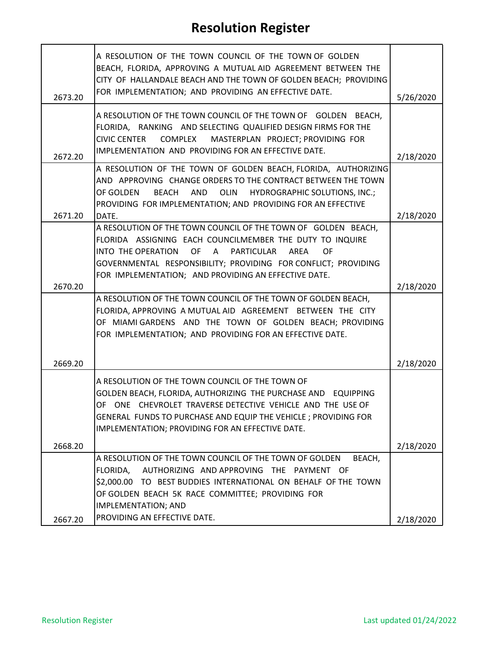| 2673.20 | A RESOLUTION OF THE TOWN COUNCIL OF THE TOWN OF GOLDEN<br>BEACH, FLORIDA, APPROVING A MUTUAL AID AGREEMENT BETWEEN THE<br>CITY OF HALLANDALE BEACH AND THE TOWN OF GOLDEN BEACH; PROVIDING<br>FOR IMPLEMENTATION; AND PROVIDING AN EFFECTIVE DATE.                                                                      | 5/26/2020 |
|---------|-------------------------------------------------------------------------------------------------------------------------------------------------------------------------------------------------------------------------------------------------------------------------------------------------------------------------|-----------|
| 2672.20 | A RESOLUTION OF THE TOWN COUNCIL OF THE TOWN OF GOLDEN BEACH,<br>FLORIDA, RANKING AND SELECTING QUALIFIED DESIGN FIRMS FOR THE<br>COMPLEX MASTERPLAN PROJECT; PROVIDING FOR<br><b>CIVIC CENTER</b><br>IMPLEMENTATION AND PROVIDING FOR AN EFFECTIVE DATE.                                                               | 2/18/2020 |
| 2671.20 | A RESOLUTION OF THE TOWN OF GOLDEN BEACH, FLORIDA, AUTHORIZING<br>AND APPROVING CHANGE ORDERS TO THE CONTRACT BETWEEN THE TOWN<br>OF GOLDEN<br><b>BEACH</b><br>AND<br>OLIN<br><b>HYDROGRAPHIC SOLUTIONS, INC.;</b><br>PROVIDING FOR IMPLEMENTATION; AND PROVIDING FOR AN EFFECTIVE<br>DATE.                             | 2/18/2020 |
| 2670.20 | A RESOLUTION OF THE TOWN COUNCIL OF THE TOWN OF GOLDEN BEACH,<br>FLORIDA ASSIGNING EACH COUNCILMEMBER THE DUTY TO INQUIRE<br>INTO THE OPERATION<br>OF<br>A<br><b>PARTICULAR</b><br>AREA<br>OF<br>GOVERNMENTAL RESPONSIBILITY; PROVIDING FOR CONFLICT; PROVIDING<br>FOR IMPLEMENTATION; AND PROVIDING AN EFFECTIVE DATE. | 2/18/2020 |
|         | A RESOLUTION OF THE TOWN COUNCIL OF THE TOWN OF GOLDEN BEACH,<br>FLORIDA, APPROVING A MUTUAL AID AGREEMENT BETWEEN THE CITY<br>OF MIAMI GARDENS AND THE TOWN OF GOLDEN BEACH; PROVIDING<br>FOR IMPLEMENTATION; AND PROVIDING FOR AN EFFECTIVE DATE.                                                                     |           |
| 2669.20 | A RESOLUTION OF THE TOWN COUNCIL OF THE TOWN OF<br>GOLDEN BEACH, FLORIDA, AUTHORIZING THE PURCHASE AND EQUIPPING<br>OF ONE CHEVROLET TRAVERSE DETECTIVE VEHICLE AND THE USE OF<br>GENERAL FUNDS TO PURCHASE AND EQUIP THE VEHICLE; PROVIDING FOR<br>IMPLEMENTATION; PROVIDING FOR AN EFFECTIVE DATE.                    | 2/18/2020 |
| 2668.20 |                                                                                                                                                                                                                                                                                                                         | 2/18/2020 |
|         | A RESOLUTION OF THE TOWN COUNCIL OF THE TOWN OF GOLDEN<br>BEACH,<br>FLORIDA,<br>AUTHORIZING AND APPROVING THE PAYMENT OF<br>\$2,000.00 TO BEST BUDDIES INTERNATIONAL ON BEHALF OF THE TOWN<br>OF GOLDEN BEACH 5K RACE COMMITTEE; PROVIDING FOR<br><b>IMPLEMENTATION; AND</b>                                            |           |
| 2667.20 | PROVIDING AN EFFECTIVE DATE.                                                                                                                                                                                                                                                                                            | 2/18/2020 |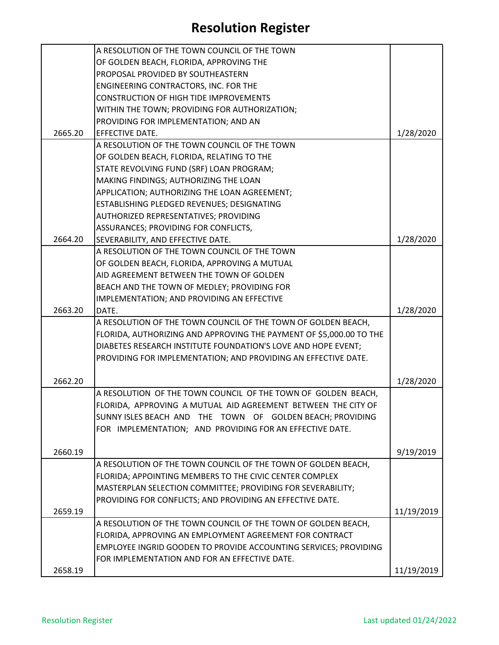|         | A RESOLUTION OF THE TOWN COUNCIL OF THE TOWN                        |            |
|---------|---------------------------------------------------------------------|------------|
|         | OF GOLDEN BEACH, FLORIDA, APPROVING THE                             |            |
|         | PROPOSAL PROVIDED BY SOUTHEASTERN                                   |            |
|         | ENGINEERING CONTRACTORS, INC. FOR THE                               |            |
|         | <b>CONSTRUCTION OF HIGH TIDE IMPROVEMENTS</b>                       |            |
|         | WITHIN THE TOWN; PROVIDING FOR AUTHORIZATION;                       |            |
|         | PROVIDING FOR IMPLEMENTATION; AND AN                                |            |
| 2665.20 | EFFECTIVE DATE.                                                     | 1/28/2020  |
|         | A RESOLUTION OF THE TOWN COUNCIL OF THE TOWN                        |            |
|         | OF GOLDEN BEACH, FLORIDA, RELATING TO THE                           |            |
|         | STATE REVOLVING FUND (SRF) LOAN PROGRAM;                            |            |
|         | MAKING FINDINGS; AUTHORIZING THE LOAN                               |            |
|         | APPLICATION; AUTHORIZING THE LOAN AGREEMENT;                        |            |
|         | ESTABLISHING PLEDGED REVENUES; DESIGNATING                          |            |
|         | AUTHORIZED REPRESENTATIVES; PROVIDING                               |            |
|         |                                                                     |            |
|         | ASSURANCES; PROVIDING FOR CONFLICTS,                                |            |
| 2664.20 | SEVERABILITY, AND EFFECTIVE DATE.                                   | 1/28/2020  |
|         | A RESOLUTION OF THE TOWN COUNCIL OF THE TOWN                        |            |
|         | OF GOLDEN BEACH, FLORIDA, APPROVING A MUTUAL                        |            |
|         | AID AGREEMENT BETWEEN THE TOWN OF GOLDEN                            |            |
|         | BEACH AND THE TOWN OF MEDLEY; PROVIDING FOR                         |            |
|         | IMPLEMENTATION; AND PROVIDING AN EFFECTIVE                          |            |
| 2663.20 | DATE.                                                               | 1/28/2020  |
|         | A RESOLUTION OF THE TOWN COUNCIL OF THE TOWN OF GOLDEN BEACH,       |            |
|         | FLORIDA, AUTHORIZING AND APPROVING THE PAYMENT OF \$5,000.00 TO THE |            |
|         | DIABETES RESEARCH INSTITUTE FOUNDATION'S LOVE AND HOPE EVENT;       |            |
|         | PROVIDING FOR IMPLEMENTATION; AND PROVIDING AN EFFECTIVE DATE.      |            |
|         |                                                                     |            |
| 2662.20 |                                                                     | 1/28/2020  |
|         | A RESOLUTION OF THE TOWN COUNCIL OF THE TOWN OF GOLDEN BEACH,       |            |
|         | FLORIDA, APPROVING A MUTUAL AID AGREEMENT BETWEEN THE CITY OF       |            |
|         | SUNNY ISLES BEACH AND THE TOWN OF GOLDEN BEACH; PROVIDING           |            |
|         | FOR IMPLEMENTATION; AND PROVIDING FOR AN EFFECTIVE DATE.            |            |
|         |                                                                     |            |
| 2660.19 |                                                                     | 9/19/2019  |
|         | A RESOLUTION OF THE TOWN COUNCIL OF THE TOWN OF GOLDEN BEACH,       |            |
|         | FLORIDA; APPOINTING MEMBERS TO THE CIVIC CENTER COMPLEX             |            |
|         | MASTERPLAN SELECTION COMMITTEE; PROVIDING FOR SEVERABILITY;         |            |
|         | PROVIDING FOR CONFLICTS; AND PROVIDING AN EFFECTIVE DATE.           |            |
| 2659.19 |                                                                     | 11/19/2019 |
|         | A RESOLUTION OF THE TOWN COUNCIL OF THE TOWN OF GOLDEN BEACH,       |            |
|         | FLORIDA, APPROVING AN EMPLOYMENT AGREEMENT FOR CONTRACT             |            |
|         | EMPLOYEE INGRID GOODEN TO PROVIDE ACCOUNTING SERVICES; PROVIDING    |            |
|         | FOR IMPLEMENTATION AND FOR AN EFFECTIVE DATE.                       |            |
| 2658.19 |                                                                     | 11/19/2019 |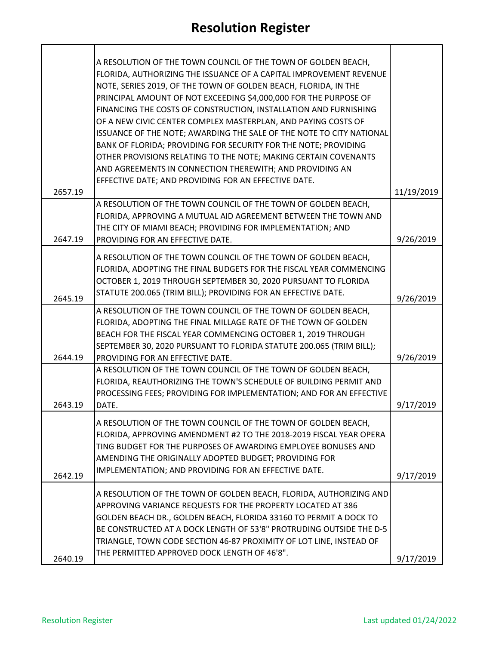| 2657.19 | A RESOLUTION OF THE TOWN COUNCIL OF THE TOWN OF GOLDEN BEACH,<br>FLORIDA, AUTHORIZING THE ISSUANCE OF A CAPITAL IMPROVEMENT REVENUE<br>NOTE, SERIES 2019, OF THE TOWN OF GOLDEN BEACH, FLORIDA, IN THE<br>PRINCIPAL AMOUNT OF NOT EXCEEDING \$4,000,000 FOR THE PURPOSE OF<br>FINANCING THE COSTS OF CONSTRUCTION, INSTALLATION AND FURNISHING<br>OF A NEW CIVIC CENTER COMPLEX MASTERPLAN, AND PAYING COSTS OF<br>ISSUANCE OF THE NOTE; AWARDING THE SALE OF THE NOTE TO CITY NATIONAL<br>BANK OF FLORIDA; PROVIDING FOR SECURITY FOR THE NOTE; PROVIDING<br>OTHER PROVISIONS RELATING TO THE NOTE; MAKING CERTAIN COVENANTS<br>AND AGREEMENTS IN CONNECTION THEREWITH; AND PROVIDING AN<br>EFFECTIVE DATE; AND PROVIDING FOR AN EFFECTIVE DATE. | 11/19/2019 |
|---------|---------------------------------------------------------------------------------------------------------------------------------------------------------------------------------------------------------------------------------------------------------------------------------------------------------------------------------------------------------------------------------------------------------------------------------------------------------------------------------------------------------------------------------------------------------------------------------------------------------------------------------------------------------------------------------------------------------------------------------------------------|------------|
|         | A RESOLUTION OF THE TOWN COUNCIL OF THE TOWN OF GOLDEN BEACH,                                                                                                                                                                                                                                                                                                                                                                                                                                                                                                                                                                                                                                                                                     |            |
| 2647.19 | FLORIDA, APPROVING A MUTUAL AID AGREEMENT BETWEEN THE TOWN AND<br>THE CITY OF MIAMI BEACH; PROVIDING FOR IMPLEMENTATION; AND<br>PROVIDING FOR AN EFFECTIVE DATE.                                                                                                                                                                                                                                                                                                                                                                                                                                                                                                                                                                                  | 9/26/2019  |
|         |                                                                                                                                                                                                                                                                                                                                                                                                                                                                                                                                                                                                                                                                                                                                                   |            |
| 2645.19 | A RESOLUTION OF THE TOWN COUNCIL OF THE TOWN OF GOLDEN BEACH,<br>FLORIDA, ADOPTING THE FINAL BUDGETS FOR THE FISCAL YEAR COMMENCING<br>OCTOBER 1, 2019 THROUGH SEPTEMBER 30, 2020 PURSUANT TO FLORIDA<br>STATUTE 200.065 (TRIM BILL); PROVIDING FOR AN EFFECTIVE DATE.                                                                                                                                                                                                                                                                                                                                                                                                                                                                            | 9/26/2019  |
|         | A RESOLUTION OF THE TOWN COUNCIL OF THE TOWN OF GOLDEN BEACH,<br>FLORIDA, ADOPTING THE FINAL MILLAGE RATE OF THE TOWN OF GOLDEN<br>BEACH FOR THE FISCAL YEAR COMMENCING OCTOBER 1, 2019 THROUGH<br>SEPTEMBER 30, 2020 PURSUANT TO FLORIDA STATUTE 200.065 (TRIM BILL);                                                                                                                                                                                                                                                                                                                                                                                                                                                                            |            |
| 2644.19 | PROVIDING FOR AN EFFECTIVE DATE.                                                                                                                                                                                                                                                                                                                                                                                                                                                                                                                                                                                                                                                                                                                  | 9/26/2019  |
| 2643.19 | A RESOLUTION OF THE TOWN COUNCIL OF THE TOWN OF GOLDEN BEACH,<br>FLORIDA, REAUTHORIZING THE TOWN'S SCHEDULE OF BUILDING PERMIT AND<br>PROCESSING FEES; PROVIDING FOR IMPLEMENTATION; AND FOR AN EFFECTIVE<br>DATE.                                                                                                                                                                                                                                                                                                                                                                                                                                                                                                                                | 9/17/2019  |
|         |                                                                                                                                                                                                                                                                                                                                                                                                                                                                                                                                                                                                                                                                                                                                                   |            |
|         | A RESOLUTION OF THE TOWN COUNCIL OF THE TOWN OF GOLDEN BEACH,<br>FLORIDA, APPROVING AMENDMENT #2 TO THE 2018-2019 FISCAL YEAR OPERA<br>TING BUDGET FOR THE PURPOSES OF AWARDING EMPLOYEE BONUSES AND<br>AMENDING THE ORIGINALLY ADOPTED BUDGET; PROVIDING FOR                                                                                                                                                                                                                                                                                                                                                                                                                                                                                     |            |
| 2642.19 | IMPLEMENTATION; AND PROVIDING FOR AN EFFECTIVE DATE.                                                                                                                                                                                                                                                                                                                                                                                                                                                                                                                                                                                                                                                                                              | 9/17/2019  |
| 2640.19 | A RESOLUTION OF THE TOWN OF GOLDEN BEACH, FLORIDA, AUTHORIZING AND<br>APPROVING VARIANCE REQUESTS FOR THE PROPERTY LOCATED AT 386<br>GOLDEN BEACH DR., GOLDEN BEACH, FLORIDA 33160 TO PERMIT A DOCK TO<br>BE CONSTRUCTED AT A DOCK LENGTH OF 53'8" PROTRUDING OUTSIDE THE D-5<br>TRIANGLE, TOWN CODE SECTION 46-87 PROXIMITY OF LOT LINE, INSTEAD OF<br>THE PERMITTED APPROVED DOCK LENGTH OF 46'8".                                                                                                                                                                                                                                                                                                                                              | 9/17/2019  |

 $\mathbf{r}$ 

h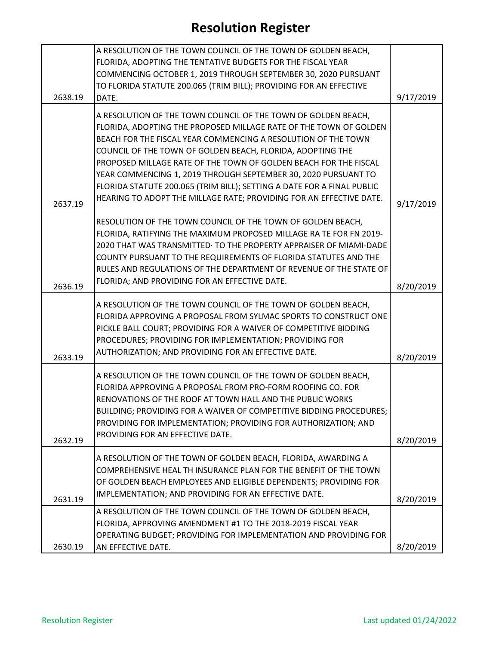|         | A RESOLUTION OF THE TOWN COUNCIL OF THE TOWN OF GOLDEN BEACH,          |           |
|---------|------------------------------------------------------------------------|-----------|
|         | FLORIDA, ADOPTING THE TENTATIVE BUDGETS FOR THE FISCAL YEAR            |           |
|         | COMMENCING OCTOBER 1, 2019 THROUGH SEPTEMBER 30, 2020 PURSUANT         |           |
|         | TO FLORIDA STATUTE 200.065 (TRIM BILL); PROVIDING FOR AN EFFECTIVE     |           |
| 2638.19 | DATE.                                                                  | 9/17/2019 |
|         |                                                                        |           |
|         | A RESOLUTION OF THE TOWN COUNCIL OF THE TOWN OF GOLDEN BEACH,          |           |
|         | FLORIDA, ADOPTING THE PROPOSED MILLAGE RATE OF THE TOWN OF GOLDEN      |           |
|         | BEACH FOR THE FISCAL YEAR COMMENCING A RESOLUTION OF THE TOWN          |           |
|         | COUNCIL OF THE TOWN OF GOLDEN BEACH, FLORIDA, ADOPTING THE             |           |
|         | PROPOSED MILLAGE RATE OF THE TOWN OF GOLDEN BEACH FOR THE FISCAL       |           |
|         | YEAR COMMENCING 1, 2019 THROUGH SEPTEMBER 30, 2020 PURSUANT TO         |           |
|         | FLORIDA STATUTE 200.065 (TRIM BILL); SETTING A DATE FOR A FINAL PUBLIC |           |
| 2637.19 | HEARING TO ADOPT THE MILLAGE RATE; PROVIDING FOR AN EFFECTIVE DATE.    | 9/17/2019 |
|         |                                                                        |           |
|         | RESOLUTION OF THE TOWN COUNCIL OF THE TOWN OF GOLDEN BEACH,            |           |
|         | FLORIDA, RATIFYING THE MAXIMUM PROPOSED MILLAGE RA TE FOR FN 2019-     |           |
|         | 2020 THAT WAS TRANSMITTED: TO THE PROPERTY APPRAISER OF MIAMI-DADE     |           |
|         | COUNTY PURSUANT TO THE REQUIREMENTS OF FLORIDA STATUTES AND THE        |           |
|         | RULES AND REGULATIONS OF THE DEPARTMENT OF REVENUE OF THE STATE OF     |           |
|         | FLORIDA; AND PROVIDING FOR AN EFFECTIVE DATE.                          |           |
| 2636.19 |                                                                        | 8/20/2019 |
|         | A RESOLUTION OF THE TOWN COUNCIL OF THE TOWN OF GOLDEN BEACH,          |           |
|         | FLORIDA APPROVING A PROPOSAL FROM SYLMAC SPORTS TO CONSTRUCT ONE       |           |
|         | PICKLE BALL COURT; PROVIDING FOR A WAIVER OF COMPETITIVE BIDDING       |           |
|         | PROCEDURES; PROVIDING FOR IMPLEMENTATION; PROVIDING FOR                |           |
|         | AUTHORIZATION; AND PROVIDING FOR AN EFFECTIVE DATE.                    |           |
| 2633.19 |                                                                        | 8/20/2019 |
|         | A RESOLUTION OF THE TOWN COUNCIL OF THE TOWN OF GOLDEN BEACH,          |           |
|         | FLORIDA APPROVING A PROPOSAL FROM PRO-FORM ROOFING CO. FOR             |           |
|         | RENOVATIONS OF THE ROOF AT TOWN HALL AND THE PUBLIC WORKS              |           |
|         | BUILDING; PROVIDING FOR A WAIVER OF COMPETITIVE BIDDING PROCEDURES;    |           |
|         | PROVIDING FOR IMPLEMENTATION; PROVIDING FOR AUTHORIZATION; AND         |           |
|         | PROVIDING FOR AN EFFECTIVE DATE.                                       |           |
| 2632.19 |                                                                        | 8/20/2019 |
|         | A RESOLUTION OF THE TOWN OF GOLDEN BEACH, FLORIDA, AWARDING A          |           |
|         | COMPREHENSIVE HEAL TH INSURANCE PLAN FOR THE BENEFIT OF THE TOWN       |           |
|         | OF GOLDEN BEACH EMPLOYEES AND ELIGIBLE DEPENDENTS; PROVIDING FOR       |           |
|         | IMPLEMENTATION; AND PROVIDING FOR AN EFFECTIVE DATE.                   |           |
| 2631.19 |                                                                        | 8/20/2019 |
|         | A RESOLUTION OF THE TOWN COUNCIL OF THE TOWN OF GOLDEN BEACH,          |           |
|         | FLORIDA, APPROVING AMENDMENT #1 TO THE 2018-2019 FISCAL YEAR           |           |
|         | OPERATING BUDGET; PROVIDING FOR IMPLEMENTATION AND PROVIDING FOR       |           |
| 2630.19 | AN EFFECTIVE DATE.                                                     | 8/20/2019 |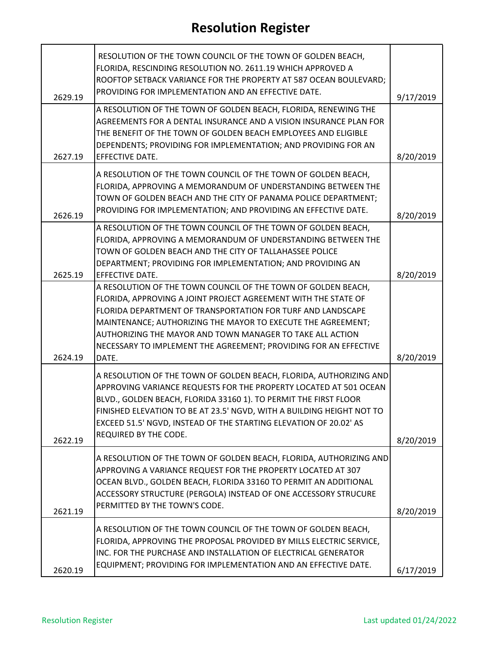|         | RESOLUTION OF THE TOWN COUNCIL OF THE TOWN OF GOLDEN BEACH,<br>FLORIDA, RESCINDING RESOLUTION NO. 2611.19 WHICH APPROVED A<br>ROOFTOP SETBACK VARIANCE FOR THE PROPERTY AT 587 OCEAN BOULEVARD;                                                                                                                                                           |           |
|---------|-----------------------------------------------------------------------------------------------------------------------------------------------------------------------------------------------------------------------------------------------------------------------------------------------------------------------------------------------------------|-----------|
| 2629.19 | PROVIDING FOR IMPLEMENTATION AND AN EFFECTIVE DATE.                                                                                                                                                                                                                                                                                                       | 9/17/2019 |
| 2627.19 | A RESOLUTION OF THE TOWN OF GOLDEN BEACH, FLORIDA, RENEWING THE<br>AGREEMENTS FOR A DENTAL INSURANCE AND A VISION INSURANCE PLAN FOR<br>THE BENEFIT OF THE TOWN OF GOLDEN BEACH EMPLOYEES AND ELIGIBLE<br>DEPENDENTS; PROVIDING FOR IMPLEMENTATION; AND PROVIDING FOR AN<br><b>EFFECTIVE DATE.</b>                                                        | 8/20/2019 |
| 2626.19 | A RESOLUTION OF THE TOWN COUNCIL OF THE TOWN OF GOLDEN BEACH,<br>FLORIDA, APPROVING A MEMORANDUM OF UNDERSTANDING BETWEEN THE<br>TOWN OF GOLDEN BEACH AND THE CITY OF PANAMA POLICE DEPARTMENT;<br>PROVIDING FOR IMPLEMENTATION; AND PROVIDING AN EFFECTIVE DATE.                                                                                         | 8/20/2019 |
|         | A RESOLUTION OF THE TOWN COUNCIL OF THE TOWN OF GOLDEN BEACH,<br>FLORIDA, APPROVING A MEMORANDUM OF UNDERSTANDING BETWEEN THE<br>TOWN OF GOLDEN BEACH AND THE CITY OF TALLAHASSEE POLICE<br>DEPARTMENT; PROVIDING FOR IMPLEMENTATION; AND PROVIDING AN                                                                                                    |           |
| 2625.19 | EFFECTIVE DATE.<br>A RESOLUTION OF THE TOWN COUNCIL OF THE TOWN OF GOLDEN BEACH,                                                                                                                                                                                                                                                                          | 8/20/2019 |
| 2624.19 | FLORIDA, APPROVING A JOINT PROJECT AGREEMENT WITH THE STATE OF<br>FLORIDA DEPARTMENT OF TRANSPORTATION FOR TURF AND LANDSCAPE<br>MAINTENANCE; AUTHORIZING THE MAYOR TO EXECUTE THE AGREEMENT;<br>AUTHORIZING THE MAYOR AND TOWN MANAGER TO TAKE ALL ACTION<br>NECESSARY TO IMPLEMENT THE AGREEMENT; PROVIDING FOR AN EFFECTIVE<br>DATE.                   | 8/20/2019 |
|         | A RESOLUTION OF THE TOWN OF GOLDEN BEACH, FLORIDA, AUTHORIZING AND<br>APPROVING VARIANCE REQUESTS FOR THE PROPERTY LOCATED AT 501 OCEAN<br>BLVD., GOLDEN BEACH, FLORIDA 33160 1). TO PERMIT THE FIRST FLOOR<br>FINISHED ELEVATION TO BE AT 23.5' NGVD, WITH A BUILDING HEIGHT NOT TO<br>EXCEED 51.5' NGVD, INSTEAD OF THE STARTING ELEVATION OF 20.02' AS |           |
| 2622.19 | <b>REQUIRED BY THE CODE.</b>                                                                                                                                                                                                                                                                                                                              | 8/20/2019 |
| 2621.19 | A RESOLUTION OF THE TOWN OF GOLDEN BEACH, FLORIDA, AUTHORIZING AND<br>APPROVING A VARIANCE REQUEST FOR THE PROPERTY LOCATED AT 307<br>OCEAN BLVD., GOLDEN BEACH, FLORIDA 33160 TO PERMIT AN ADDITIONAL<br>ACCESSORY STRUCTURE (PERGOLA) INSTEAD OF ONE ACCESSORY STRUCURE<br>PERMITTED BY THE TOWN'S CODE.                                                | 8/20/2019 |
| 2620.19 | A RESOLUTION OF THE TOWN COUNCIL OF THE TOWN OF GOLDEN BEACH,<br>FLORIDA, APPROVING THE PROPOSAL PROVIDED BY MILLS ELECTRIC SERVICE,<br>INC. FOR THE PURCHASE AND INSTALLATION OF ELECTRICAL GENERATOR<br>EQUIPMENT; PROVIDING FOR IMPLEMENTATION AND AN EFFECTIVE DATE.                                                                                  | 6/17/2019 |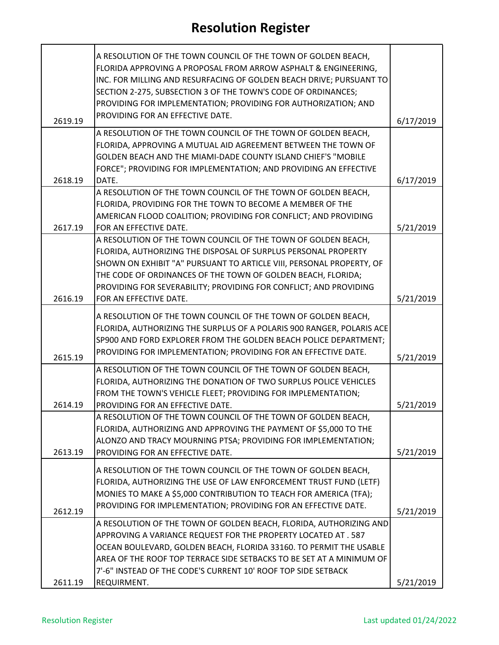|         | A RESOLUTION OF THE TOWN COUNCIL OF THE TOWN OF GOLDEN BEACH,                                                                        |           |
|---------|--------------------------------------------------------------------------------------------------------------------------------------|-----------|
|         | FLORIDA APPROVING A PROPOSAL FROM ARROW ASPHALT & ENGINEERING,                                                                       |           |
|         | INC. FOR MILLING AND RESURFACING OF GOLDEN BEACH DRIVE; PURSUANT TO<br>SECTION 2-275, SUBSECTION 3 OF THE TOWN'S CODE OF ORDINANCES; |           |
|         | PROVIDING FOR IMPLEMENTATION; PROVIDING FOR AUTHORIZATION; AND                                                                       |           |
|         | PROVIDING FOR AN EFFECTIVE DATE.                                                                                                     |           |
| 2619.19 |                                                                                                                                      | 6/17/2019 |
|         | A RESOLUTION OF THE TOWN COUNCIL OF THE TOWN OF GOLDEN BEACH,                                                                        |           |
|         | FLORIDA, APPROVING A MUTUAL AID AGREEMENT BETWEEN THE TOWN OF                                                                        |           |
|         | <b>GOLDEN BEACH AND THE MIAMI-DADE COUNTY ISLAND CHIEF'S "MOBILE</b>                                                                 |           |
| 2618.19 | FORCE"; PROVIDING FOR IMPLEMENTATION; AND PROVIDING AN EFFECTIVE<br>DATE.                                                            |           |
|         | A RESOLUTION OF THE TOWN COUNCIL OF THE TOWN OF GOLDEN BEACH,                                                                        | 6/17/2019 |
|         | FLORIDA, PROVIDING FOR THE TOWN TO BECOME A MEMBER OF THE                                                                            |           |
|         | AMERICAN FLOOD COALITION; PROVIDING FOR CONFLICT; AND PROVIDING                                                                      |           |
| 2617.19 | FOR AN EFFECTIVE DATE.                                                                                                               | 5/21/2019 |
|         | A RESOLUTION OF THE TOWN COUNCIL OF THE TOWN OF GOLDEN BEACH,                                                                        |           |
|         | FLORIDA, AUTHORIZING THE DISPOSAL OF SURPLUS PERSONAL PROPERTY                                                                       |           |
|         | SHOWN ON EXHIBIT "A" PURSUANT TO ARTICLE VIII, PERSONAL PROPERTY, OF                                                                 |           |
|         | THE CODE OF ORDINANCES OF THE TOWN OF GOLDEN BEACH, FLORIDA;                                                                         |           |
|         | PROVIDING FOR SEVERABILITY; PROVIDING FOR CONFLICT; AND PROVIDING                                                                    |           |
| 2616.19 | FOR AN EFFECTIVE DATE.                                                                                                               | 5/21/2019 |
|         | A RESOLUTION OF THE TOWN COUNCIL OF THE TOWN OF GOLDEN BEACH,                                                                        |           |
|         | FLORIDA, AUTHORIZING THE SURPLUS OF A POLARIS 900 RANGER, POLARIS ACE                                                                |           |
|         | SP900 AND FORD EXPLORER FROM THE GOLDEN BEACH POLICE DEPARTMENT;                                                                     |           |
| 2615.19 | PROVIDING FOR IMPLEMENTATION; PROVIDING FOR AN EFFECTIVE DATE.                                                                       | 5/21/2019 |
|         | A RESOLUTION OF THE TOWN COUNCIL OF THE TOWN OF GOLDEN BEACH,                                                                        |           |
|         | FLORIDA, AUTHORIZING THE DONATION OF TWO SURPLUS POLICE VEHICLES                                                                     |           |
|         | FROM THE TOWN'S VEHICLE FLEET; PROVIDING FOR IMPLEMENTATION;                                                                         |           |
| 2614.19 | PROVIDING FOR AN EFFECTIVE DATE.                                                                                                     | 5/21/2019 |
|         | A RESOLUTION OF THE TOWN COUNCIL OF THE TOWN OF GOLDEN BEACH,                                                                        |           |
|         | FLORIDA, AUTHORIZING AND APPROVING THE PAYMENT OF \$5,000 TO THE                                                                     |           |
|         | ALONZO AND TRACY MOURNING PTSA; PROVIDING FOR IMPLEMENTATION;                                                                        |           |
| 2613.19 | PROVIDING FOR AN EFFECTIVE DATE.                                                                                                     | 5/21/2019 |
|         | A RESOLUTION OF THE TOWN COUNCIL OF THE TOWN OF GOLDEN BEACH,                                                                        |           |
|         | FLORIDA, AUTHORIZING THE USE OF LAW ENFORCEMENT TRUST FUND (LETF)                                                                    |           |
|         | MONIES TO MAKE A \$5,000 CONTRIBUTION TO TEACH FOR AMERICA (TFA);                                                                    |           |
|         | PROVIDING FOR IMPLEMENTATION; PROVIDING FOR AN EFFECTIVE DATE.                                                                       |           |
| 2612.19 | A RESOLUTION OF THE TOWN OF GOLDEN BEACH, FLORIDA, AUTHORIZING AND                                                                   | 5/21/2019 |
|         | APPROVING A VARIANCE REQUEST FOR THE PROPERTY LOCATED AT . 587                                                                       |           |
|         | OCEAN BOULEVARD, GOLDEN BEACH, FLORIDA 33160. TO PERMIT THE USABLE                                                                   |           |
|         | AREA OF THE ROOF TOP TERRACE SIDE SETBACKS TO BE SET AT A MINIMUM OF                                                                 |           |
|         | 7'-6" INSTEAD OF THE CODE'S CURRENT 10' ROOF TOP SIDE SETBACK                                                                        |           |
| 2611.19 | REQUIRMENT.                                                                                                                          | 5/21/2019 |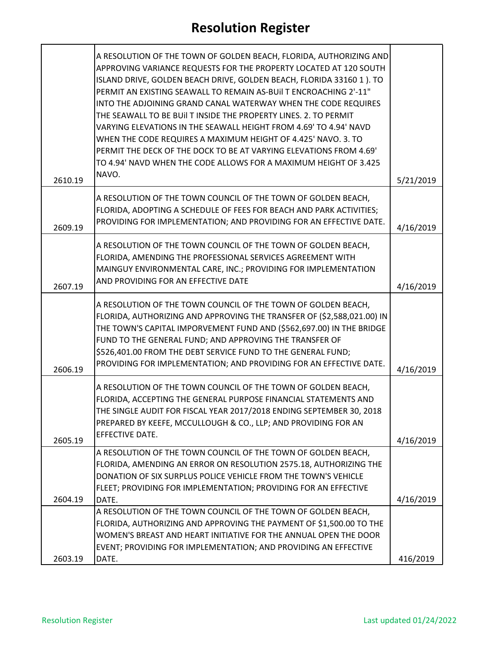| 2610.19 | A RESOLUTION OF THE TOWN OF GOLDEN BEACH, FLORIDA, AUTHORIZING AND<br>APPROVING VARIANCE REQUESTS FOR THE PROPERTY LOCATED AT 120 SOUTH<br>ISLAND DRIVE, GOLDEN BEACH DRIVE, GOLDEN BEACH, FLORIDA 33160 1). TO<br>PERMIT AN EXISTING SEAWALL TO REMAIN AS-BUII T ENCROACHING 2'-11"<br>INTO THE ADJOINING GRAND CANAL WATERWAY WHEN THE CODE REQUIRES<br>THE SEAWALL TO BE BUILT INSIDE THE PROPERTY LINES. 2. TO PERMIT<br>VARYING ELEVATIONS IN THE SEAWALL HEIGHT FROM 4.69' TO 4.94' NAVD<br>WHEN THE CODE REQUIRES A MAXIMUM HEIGHT OF 4.425' NAVO. 3. TO<br>PERMIT THE DECK OF THE DOCK TO BE AT VARYING ELEVATIONS FROM 4.69'<br>TO 4.94' NAVD WHEN THE CODE ALLOWS FOR A MAXIMUM HEIGHT OF 3.425<br>NAVO. | 5/21/2019 |
|---------|--------------------------------------------------------------------------------------------------------------------------------------------------------------------------------------------------------------------------------------------------------------------------------------------------------------------------------------------------------------------------------------------------------------------------------------------------------------------------------------------------------------------------------------------------------------------------------------------------------------------------------------------------------------------------------------------------------------------|-----------|
|         |                                                                                                                                                                                                                                                                                                                                                                                                                                                                                                                                                                                                                                                                                                                    |           |
| 2609.19 | A RESOLUTION OF THE TOWN COUNCIL OF THE TOWN OF GOLDEN BEACH,<br>FLORIDA, ADOPTING A SCHEDULE OF FEES FOR BEACH AND PARK ACTIVITIES;<br>PROVIDING FOR IMPLEMENTATION; AND PROVIDING FOR AN EFFECTIVE DATE.                                                                                                                                                                                                                                                                                                                                                                                                                                                                                                         | 4/16/2019 |
|         |                                                                                                                                                                                                                                                                                                                                                                                                                                                                                                                                                                                                                                                                                                                    |           |
|         | A RESOLUTION OF THE TOWN COUNCIL OF THE TOWN OF GOLDEN BEACH,<br>FLORIDA, AMENDING THE PROFESSIONAL SERVICES AGREEMENT WITH                                                                                                                                                                                                                                                                                                                                                                                                                                                                                                                                                                                        |           |
|         | MAINGUY ENVIRONMENTAL CARE, INC.; PROVIDING FOR IMPLEMENTATION                                                                                                                                                                                                                                                                                                                                                                                                                                                                                                                                                                                                                                                     |           |
| 2607.19 | AND PROVIDING FOR AN EFFECTIVE DATE                                                                                                                                                                                                                                                                                                                                                                                                                                                                                                                                                                                                                                                                                | 4/16/2019 |
| 2606.19 | A RESOLUTION OF THE TOWN COUNCIL OF THE TOWN OF GOLDEN BEACH,<br>FLORIDA, AUTHORIZING AND APPROVING THE TRANSFER OF (\$2,588,021.00) IN<br>THE TOWN'S CAPITAL IMPORVEMENT FUND AND (\$562,697.00) IN THE BRIDGE<br>FUND TO THE GENERAL FUND; AND APPROVING THE TRANSFER OF<br>\$526,401.00 FROM THE DEBT SERVICE FUND TO THE GENERAL FUND;<br>PROVIDING FOR IMPLEMENTATION; AND PROVIDING FOR AN EFFECTIVE DATE.                                                                                                                                                                                                                                                                                                   | 4/16/2019 |
|         |                                                                                                                                                                                                                                                                                                                                                                                                                                                                                                                                                                                                                                                                                                                    |           |
| 2605.19 | A RESOLUTION OF THE TOWN COUNCIL OF THE TOWN OF GOLDEN BEACH,<br>FLORIDA, ACCEPTING THE GENERAL PURPOSE FINANCIAL STATEMENTS AND<br>THE SINGLE AUDIT FOR FISCAL YEAR 2017/2018 ENDING SEPTEMBER 30, 2018<br>PREPARED BY KEEFE, MCCULLOUGH & CO., LLP; AND PROVIDING FOR AN<br>EFFECTIVE DATE.                                                                                                                                                                                                                                                                                                                                                                                                                      | 4/16/2019 |
|         | A RESOLUTION OF THE TOWN COUNCIL OF THE TOWN OF GOLDEN BEACH,                                                                                                                                                                                                                                                                                                                                                                                                                                                                                                                                                                                                                                                      |           |
|         | FLORIDA, AMENDING AN ERROR ON RESOLUTION 2575.18, AUTHORIZING THE<br>DONATION OF SIX SURPLUS POLICE VEHICLE FROM THE TOWN'S VEHICLE                                                                                                                                                                                                                                                                                                                                                                                                                                                                                                                                                                                |           |
|         | FLEET; PROVIDING FOR IMPLEMENTATION; PROVIDING FOR AN EFFECTIVE                                                                                                                                                                                                                                                                                                                                                                                                                                                                                                                                                                                                                                                    |           |
| 2604.19 | DATE.                                                                                                                                                                                                                                                                                                                                                                                                                                                                                                                                                                                                                                                                                                              | 4/16/2019 |
|         | A RESOLUTION OF THE TOWN COUNCIL OF THE TOWN OF GOLDEN BEACH,                                                                                                                                                                                                                                                                                                                                                                                                                                                                                                                                                                                                                                                      |           |
|         | FLORIDA, AUTHORIZING AND APPROVING THE PAYMENT OF \$1,500.00 TO THE<br>WOMEN'S BREAST AND HEART INITIATIVE FOR THE ANNUAL OPEN THE DOOR                                                                                                                                                                                                                                                                                                                                                                                                                                                                                                                                                                            |           |
|         | EVENT; PROVIDING FOR IMPLEMENTATION; AND PROVIDING AN EFFECTIVE                                                                                                                                                                                                                                                                                                                                                                                                                                                                                                                                                                                                                                                    |           |
| 2603.19 | DATE.                                                                                                                                                                                                                                                                                                                                                                                                                                                                                                                                                                                                                                                                                                              | 416/2019  |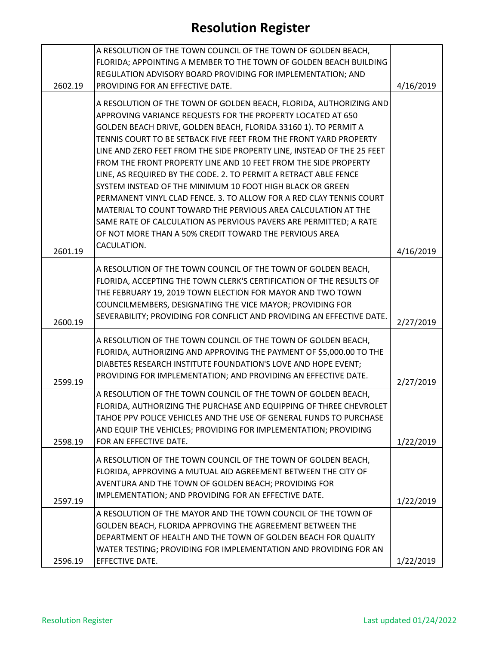|         | A RESOLUTION OF THE TOWN COUNCIL OF THE TOWN OF GOLDEN BEACH,                                                                             |           |
|---------|-------------------------------------------------------------------------------------------------------------------------------------------|-----------|
|         | FLORIDA; APPOINTING A MEMBER TO THE TOWN OF GOLDEN BEACH BUILDING                                                                         |           |
|         | REGULATION ADVISORY BOARD PROVIDING FOR IMPLEMENTATION; AND                                                                               |           |
| 2602.19 | PROVIDING FOR AN EFFECTIVE DATE.                                                                                                          | 4/16/2019 |
|         | A RESOLUTION OF THE TOWN OF GOLDEN BEACH, FLORIDA, AUTHORIZING AND                                                                        |           |
|         | APPROVING VARIANCE REQUESTS FOR THE PROPERTY LOCATED AT 650                                                                               |           |
|         | GOLDEN BEACH DRIVE, GOLDEN BEACH, FLORIDA 33160 1). TO PERMIT A                                                                           |           |
|         | TENNIS COURT TO BE SETBACK FIVE FEET FROM THE FRONT YARD PROPERTY                                                                         |           |
|         | LINE AND ZERO FEET FROM THE SIDE PROPERTY LINE, INSTEAD OF THE 25 FEET<br>FROM THE FRONT PROPERTY LINE AND 10 FEET FROM THE SIDE PROPERTY |           |
|         | LINE, AS REQUIRED BY THE CODE. 2. TO PERMIT A RETRACT ABLE FENCE                                                                          |           |
|         | SYSTEM INSTEAD OF THE MINIMUM 10 FOOT HIGH BLACK OR GREEN                                                                                 |           |
|         | PERMANENT VINYL CLAD FENCE. 3. TO ALLOW FOR A RED CLAY TENNIS COURT                                                                       |           |
|         | MATERIAL TO COUNT TOWARD THE PERVIOUS AREA CALCULATION AT THE                                                                             |           |
|         | SAME RATE OF CALCULATION AS PERVIOUS PAVERS ARE PERMITTED; A RATE                                                                         |           |
|         | OF NOT MORE THAN A 50% CREDIT TOWARD THE PERVIOUS AREA                                                                                    |           |
| 2601.19 | CACULATION.                                                                                                                               | 4/16/2019 |
|         |                                                                                                                                           |           |
|         | A RESOLUTION OF THE TOWN COUNCIL OF THE TOWN OF GOLDEN BEACH,                                                                             |           |
|         | FLORIDA, ACCEPTING THE TOWN CLERK'S CERTIFICATION OF THE RESULTS OF                                                                       |           |
|         | THE FEBRUARY 19, 2019 TOWN ELECTION FOR MAYOR AND TWO TOWN                                                                                |           |
|         | COUNCILMEMBERS, DESIGNATING THE VICE MAYOR; PROVIDING FOR                                                                                 |           |
| 2600.19 | SEVERABILITY; PROVIDING FOR CONFLICT AND PROVIDING AN EFFECTIVE DATE.                                                                     | 2/27/2019 |
|         | A RESOLUTION OF THE TOWN COUNCIL OF THE TOWN OF GOLDEN BEACH,                                                                             |           |
|         | FLORIDA, AUTHORIZING AND APPROVING THE PAYMENT OF \$5,000.00 TO THE                                                                       |           |
|         | DIABETES RESEARCH INSTITUTE FOUNDATION'S LOVE AND HOPE EVENT;                                                                             |           |
|         | PROVIDING FOR IMPLEMENTATION; AND PROVIDING AN EFFECTIVE DATE.                                                                            |           |
| 2599.19 | A RESOLUTION OF THE TOWN COUNCIL OF THE TOWN OF GOLDEN BEACH,                                                                             | 2/27/2019 |
|         | FLORIDA, AUTHORIZING THE PURCHASE AND EQUIPPING OF THREE CHEVROLET                                                                        |           |
|         | TAHOE PPV POLICE VEHICLES AND THE USE OF GENERAL FUNDS TO PURCHASE                                                                        |           |
|         | AND EQUIP THE VEHICLES; PROVIDING FOR IMPLEMENTATION; PROVIDING                                                                           |           |
| 2598.19 | FOR AN EFFECTIVE DATE.                                                                                                                    | 1/22/2019 |
|         | A RESOLUTION OF THE TOWN COUNCIL OF THE TOWN OF GOLDEN BEACH,                                                                             |           |
|         | FLORIDA, APPROVING A MUTUAL AID AGREEMENT BETWEEN THE CITY OF                                                                             |           |
|         | AVENTURA AND THE TOWN OF GOLDEN BEACH; PROVIDING FOR                                                                                      |           |
|         | IMPLEMENTATION; AND PROVIDING FOR AN EFFECTIVE DATE.                                                                                      |           |
| 2597.19 |                                                                                                                                           | 1/22/2019 |
|         | A RESOLUTION OF THE MAYOR AND THE TOWN COUNCIL OF THE TOWN OF<br>GOLDEN BEACH, FLORIDA APPROVING THE AGREEMENT BETWEEN THE                |           |
|         | DEPARTMENT OF HEALTH AND THE TOWN OF GOLDEN BEACH FOR QUALITY                                                                             |           |
|         | WATER TESTING; PROVIDING FOR IMPLEMENTATION AND PROVIDING FOR AN                                                                          |           |
| 2596.19 | EFFECTIVE DATE.                                                                                                                           | 1/22/2019 |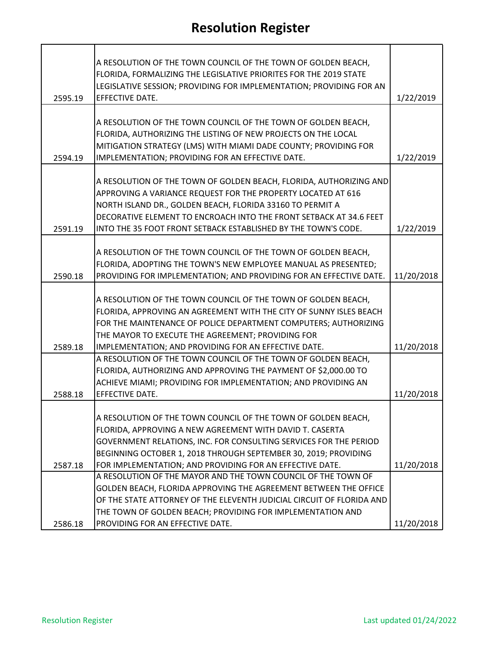|         | A RESOLUTION OF THE TOWN COUNCIL OF THE TOWN OF GOLDEN BEACH,                                                             |            |
|---------|---------------------------------------------------------------------------------------------------------------------------|------------|
|         | FLORIDA, FORMALIZING THE LEGISLATIVE PRIORITES FOR THE 2019 STATE                                                         |            |
|         | LEGISLATIVE SESSION; PROVIDING FOR IMPLEMENTATION; PROVIDING FOR AN                                                       |            |
| 2595.19 | <b>EFFECTIVE DATE.</b>                                                                                                    | 1/22/2019  |
|         |                                                                                                                           |            |
|         | A RESOLUTION OF THE TOWN COUNCIL OF THE TOWN OF GOLDEN BEACH,                                                             |            |
|         | FLORIDA, AUTHORIZING THE LISTING OF NEW PROJECTS ON THE LOCAL                                                             |            |
|         | MITIGATION STRATEGY (LMS) WITH MIAMI DADE COUNTY; PROVIDING FOR                                                           |            |
| 2594.19 | IMPLEMENTATION; PROVIDING FOR AN EFFECTIVE DATE.                                                                          | 1/22/2019  |
|         | A RESOLUTION OF THE TOWN OF GOLDEN BEACH, FLORIDA, AUTHORIZING AND                                                        |            |
|         | APPROVING A VARIANCE REQUEST FOR THE PROPERTY LOCATED AT 616                                                              |            |
|         | NORTH ISLAND DR., GOLDEN BEACH, FLORIDA 33160 TO PERMIT A                                                                 |            |
|         | DECORATIVE ELEMENT TO ENCROACH INTO THE FRONT SETBACK AT 34.6 FEET                                                        |            |
| 2591.19 | INTO THE 35 FOOT FRONT SETBACK ESTABLISHED BY THE TOWN'S CODE.                                                            | 1/22/2019  |
|         |                                                                                                                           |            |
|         | A RESOLUTION OF THE TOWN COUNCIL OF THE TOWN OF GOLDEN BEACH,                                                             |            |
|         | FLORIDA, ADOPTING THE TOWN'S NEW EMPLOYEE MANUAL AS PRESENTED;                                                            |            |
| 2590.18 | PROVIDING FOR IMPLEMENTATION; AND PROVIDING FOR AN EFFECTIVE DATE.                                                        | 11/20/2018 |
|         |                                                                                                                           |            |
|         | A RESOLUTION OF THE TOWN COUNCIL OF THE TOWN OF GOLDEN BEACH,                                                             |            |
|         | FLORIDA, APPROVING AN AGREEMENT WITH THE CITY OF SUNNY ISLES BEACH                                                        |            |
|         | FOR THE MAINTENANCE OF POLICE DEPARTMENT COMPUTERS; AUTHORIZING                                                           |            |
|         | THE MAYOR TO EXECUTE THE AGREEMENT; PROVIDING FOR                                                                         |            |
| 2589.18 | IMPLEMENTATION; AND PROVIDING FOR AN EFFECTIVE DATE.                                                                      | 11/20/2018 |
|         | A RESOLUTION OF THE TOWN COUNCIL OF THE TOWN OF GOLDEN BEACH,                                                             |            |
|         | FLORIDA, AUTHORIZING AND APPROVING THE PAYMENT OF \$2,000.00 TO                                                           |            |
|         | ACHIEVE MIAMI; PROVIDING FOR IMPLEMENTATION; AND PROVIDING AN                                                             |            |
| 2588.18 | EFFECTIVE DATE.                                                                                                           | 11/20/2018 |
|         |                                                                                                                           |            |
|         | A RESOLUTION OF THE TOWN COUNCIL OF THE TOWN OF GOLDEN BEACH,                                                             |            |
|         | FLORIDA, APPROVING A NEW AGREEMENT WITH DAVID T. CASERTA                                                                  |            |
|         | GOVERNMENT RELATIONS, INC. FOR CONSULTING SERVICES FOR THE PERIOD                                                         |            |
|         | BEGINNING OCTOBER 1, 2018 THROUGH SEPTEMBER 30, 2019; PROVIDING                                                           |            |
| 2587.18 | FOR IMPLEMENTATION; AND PROVIDING FOR AN EFFECTIVE DATE.<br>A RESOLUTION OF THE MAYOR AND THE TOWN COUNCIL OF THE TOWN OF | 11/20/2018 |
|         | GOLDEN BEACH, FLORIDA APPROVING THE AGREEMENT BETWEEN THE OFFICE                                                          |            |
|         | OF THE STATE ATTORNEY OF THE ELEVENTH JUDICIAL CIRCUIT OF FLORIDA AND                                                     |            |
|         | THE TOWN OF GOLDEN BEACH; PROVIDING FOR IMPLEMENTATION AND                                                                |            |
| 2586.18 | PROVIDING FOR AN EFFECTIVE DATE.                                                                                          | 11/20/2018 |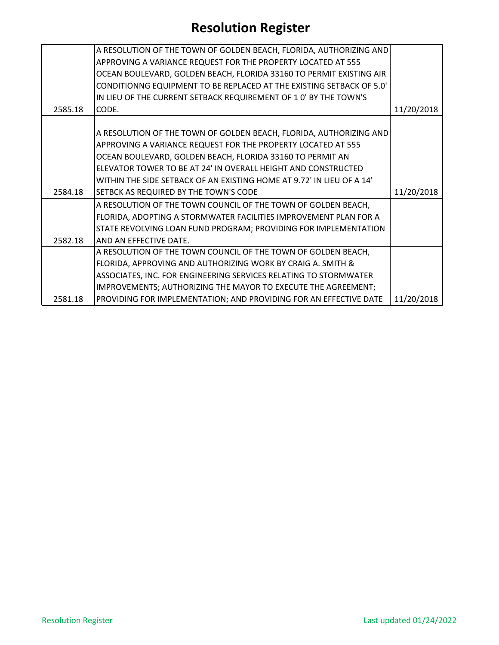|         | A RESOLUTION OF THE TOWN OF GOLDEN BEACH, FLORIDA, AUTHORIZING AND    |            |
|---------|-----------------------------------------------------------------------|------------|
|         | APPROVING A VARIANCE REQUEST FOR THE PROPERTY LOCATED AT 555          |            |
|         | OCEAN BOULEVARD, GOLDEN BEACH, FLORIDA 33160 TO PERMIT EXISTING AIR   |            |
|         | CONDITIONNG EQUIPMENT TO BE REPLACED AT THE EXISTING SETBACK OF 5.0'  |            |
|         | IN LIEU OF THE CURRENT SETBACK REQUIREMENT OF 1 0' BY THE TOWN'S      |            |
| 2585.18 | CODE.                                                                 | 11/20/2018 |
|         |                                                                       |            |
|         | A RESOLUTION OF THE TOWN OF GOLDEN BEACH, FLORIDA, AUTHORIZING AND    |            |
|         | APPROVING A VARIANCE REQUEST FOR THE PROPERTY LOCATED AT 555          |            |
|         | OCEAN BOULEVARD, GOLDEN BEACH, FLORIDA 33160 TO PERMIT AN             |            |
|         | ELEVATOR TOWER TO BE AT 24' IN OVERALL HEIGHT AND CONSTRUCTED         |            |
|         | WITHIN THE SIDE SETBACK OF AN EXISTING HOME AT 9.72' IN LIEU OF A 14' |            |
| 2584.18 | SETBCK AS REQUIRED BY THE TOWN'S CODE                                 | 11/20/2018 |
|         | A RESOLUTION OF THE TOWN COUNCIL OF THE TOWN OF GOLDEN BEACH,         |            |
|         | FLORIDA, ADOPTING A STORMWATER FACILITIES IMPROVEMENT PLAN FOR A      |            |
|         | STATE REVOLVING LOAN FUND PROGRAM; PROVIDING FOR IMPLEMENTATION       |            |
| 2582.18 | AND AN EFFECTIVE DATE.                                                |            |
|         | A RESOLUTION OF THE TOWN COUNCIL OF THE TOWN OF GOLDEN BEACH,         |            |
|         | FLORIDA, APPROVING AND AUTHORIZING WORK BY CRAIG A. SMITH &           |            |
|         | ASSOCIATES, INC. FOR ENGINEERING SERVICES RELATING TO STORMWATER      |            |
|         | IMPROVEMENTS; AUTHORIZING THE MAYOR TO EXECUTE THE AGREEMENT;         |            |
| 2581.18 | PROVIDING FOR IMPLEMENTATION; AND PROVIDING FOR AN EFFECTIVE DATE     | 11/20/2018 |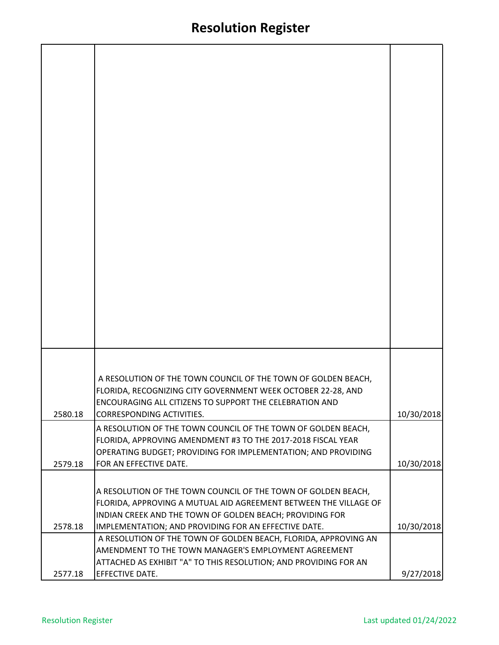|         | A RESOLUTION OF THE TOWN COUNCIL OF THE TOWN OF GOLDEN BEACH,                                                                                                                                  |            |
|---------|------------------------------------------------------------------------------------------------------------------------------------------------------------------------------------------------|------------|
| 2580.18 | FLORIDA, RECOGNIZING CITY GOVERNMENT WEEK OCTOBER 22-28, AND<br><b>ENCOURAGING ALL CITIZENS TO SUPPORT THE CELEBRATION AND</b><br>CORRESPONDING ACTIVITIES.                                    | 10/30/2018 |
|         | A RESOLUTION OF THE TOWN COUNCIL OF THE TOWN OF GOLDEN BEACH,<br>FLORIDA, APPROVING AMENDMENT #3 TO THE 2017-2018 FISCAL YEAR<br>OPERATING BUDGET; PROVIDING FOR IMPLEMENTATION; AND PROVIDING |            |
| 2579.18 | FOR AN EFFECTIVE DATE.                                                                                                                                                                         | 10/30/2018 |
|         |                                                                                                                                                                                                |            |
|         | A RESOLUTION OF THE TOWN COUNCIL OF THE TOWN OF GOLDEN BEACH,<br>FLORIDA, APPROVING A MUTUAL AID AGREEMENT BETWEEN THE VILLAGE OF                                                              |            |
|         | INDIAN CREEK AND THE TOWN OF GOLDEN BEACH; PROVIDING FOR                                                                                                                                       |            |
| 2578.18 | IMPLEMENTATION; AND PROVIDING FOR AN EFFECTIVE DATE.                                                                                                                                           | 10/30/2018 |
|         | A RESOLUTION OF THE TOWN OF GOLDEN BEACH, FLORIDA, APPROVING AN<br>AMENDMENT TO THE TOWN MANAGER'S EMPLOYMENT AGREEMENT<br>ATTACHED AS EXHIBIT "A" TO THIS RESOLUTION; AND PROVIDING FOR AN    |            |
| 2577.18 | <b>EFFECTIVE DATE.</b>                                                                                                                                                                         | 9/27/2018  |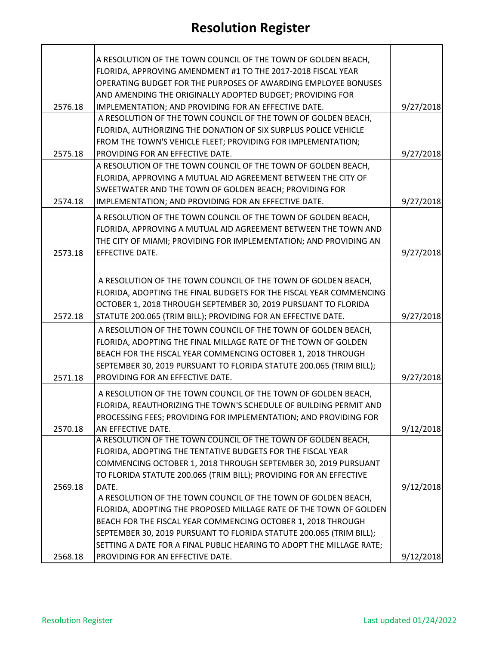|         | A RESOLUTION OF THE TOWN COUNCIL OF THE TOWN OF GOLDEN BEACH,<br>FLORIDA, APPROVING AMENDMENT #1 TO THE 2017-2018 FISCAL YEAR |           |
|---------|-------------------------------------------------------------------------------------------------------------------------------|-----------|
|         | OPERATING BUDGET FOR THE PURPOSES OF AWARDING EMPLOYEE BONUSES<br>AND AMENDING THE ORIGINALLY ADOPTED BUDGET; PROVIDING FOR   |           |
| 2576.18 | IMPLEMENTATION; AND PROVIDING FOR AN EFFECTIVE DATE.                                                                          | 9/27/2018 |
|         | A RESOLUTION OF THE TOWN COUNCIL OF THE TOWN OF GOLDEN BEACH,                                                                 |           |
|         | FLORIDA, AUTHORIZING THE DONATION OF SIX SURPLUS POLICE VEHICLE                                                               |           |
|         | FROM THE TOWN'S VEHICLE FLEET; PROVIDING FOR IMPLEMENTATION;                                                                  |           |
| 2575.18 | PROVIDING FOR AN EFFECTIVE DATE.                                                                                              | 9/27/2018 |
|         | A RESOLUTION OF THE TOWN COUNCIL OF THE TOWN OF GOLDEN BEACH,                                                                 |           |
|         | FLORIDA, APPROVING A MUTUAL AID AGREEMENT BETWEEN THE CITY OF                                                                 |           |
|         | SWEETWATER AND THE TOWN OF GOLDEN BEACH; PROVIDING FOR                                                                        |           |
| 2574.18 | IMPLEMENTATION; AND PROVIDING FOR AN EFFECTIVE DATE.                                                                          | 9/27/2018 |
|         | A RESOLUTION OF THE TOWN COUNCIL OF THE TOWN OF GOLDEN BEACH,                                                                 |           |
|         | FLORIDA, APPROVING A MUTUAL AID AGREEMENT BETWEEN THE TOWN AND                                                                |           |
|         | THE CITY OF MIAMI; PROVIDING FOR IMPLEMENTATION; AND PROVIDING AN                                                             |           |
| 2573.18 | EFFECTIVE DATE.                                                                                                               | 9/27/2018 |
|         |                                                                                                                               |           |
|         | A RESOLUTION OF THE TOWN COUNCIL OF THE TOWN OF GOLDEN BEACH,                                                                 |           |
|         | FLORIDA, ADOPTING THE FINAL BUDGETS FOR THE FISCAL YEAR COMMENCING                                                            |           |
|         | OCTOBER 1, 2018 THROUGH SEPTEMBER 30, 2019 PURSUANT TO FLORIDA                                                                |           |
| 2572.18 | STATUTE 200.065 (TRIM BILL); PROVIDING FOR AN EFFECTIVE DATE.                                                                 | 9/27/2018 |
|         | A RESOLUTION OF THE TOWN COUNCIL OF THE TOWN OF GOLDEN BEACH,                                                                 |           |
|         | FLORIDA, ADOPTING THE FINAL MILLAGE RATE OF THE TOWN OF GOLDEN                                                                |           |
|         | BEACH FOR THE FISCAL YEAR COMMENCING OCTOBER 1, 2018 THROUGH                                                                  |           |
|         | SEPTEMBER 30, 2019 PURSUANT TO FLORIDA STATUTE 200.065 (TRIM BILL);                                                           |           |
| 2571.18 | PROVIDING FOR AN EFFECTIVE DATE.                                                                                              | 9/27/2018 |
|         | A RESOLUTION OF THE TOWN COUNCIL OF THE TOWN OF GOLDEN BEACH,                                                                 |           |
|         | FLORIDA, REAUTHORIZING THE TOWN'S SCHEDULE OF BUILDING PERMIT AND                                                             |           |
|         | PROCESSING FEES; PROVIDING FOR IMPLEMENTATION; AND PROVIDING FOR                                                              |           |
| 2570.18 | AN EFFECTIVE DATE.                                                                                                            | 9/12/2018 |
|         | A RESOLUTION OF THE TOWN COUNCIL OF THE TOWN OF GOLDEN BEACH,                                                                 |           |
|         | FLORIDA, ADOPTING THE TENTATIVE BUDGETS FOR THE FISCAL YEAR<br>COMMENCING OCTOBER 1, 2018 THROUGH SEPTEMBER 30, 2019 PURSUANT |           |
|         | TO FLORIDA STATUTE 200.065 (TRIM BILL); PROVIDING FOR AN EFFECTIVE                                                            |           |
| 2569.18 | DATE.                                                                                                                         | 9/12/2018 |
|         | A RESOLUTION OF THE TOWN COUNCIL OF THE TOWN OF GOLDEN BEACH,                                                                 |           |
|         | FLORIDA, ADOPTING THE PROPOSED MILLAGE RATE OF THE TOWN OF GOLDEN                                                             |           |
|         | BEACH FOR THE FISCAL YEAR COMMENCING OCTOBER 1, 2018 THROUGH                                                                  |           |
|         | SEPTEMBER 30, 2019 PURSUANT TO FLORIDA STATUTE 200.065 (TRIM BILL);                                                           |           |
|         | SETTING A DATE FOR A FINAL PUBLIC HEARING TO ADOPT THE MILLAGE RATE;                                                          |           |
| 2568.18 | PROVIDING FOR AN EFFECTIVE DATE.                                                                                              | 9/12/2018 |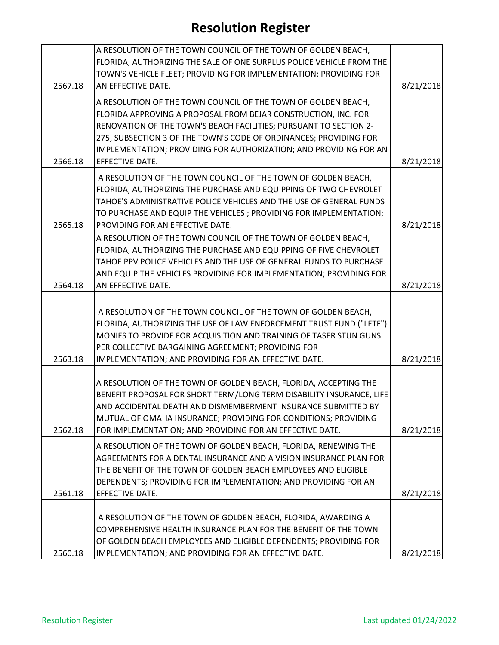|         | A RESOLUTION OF THE TOWN COUNCIL OF THE TOWN OF GOLDEN BEACH,        |           |
|---------|----------------------------------------------------------------------|-----------|
|         | FLORIDA, AUTHORIZING THE SALE OF ONE SURPLUS POLICE VEHICLE FROM THE |           |
|         | TOWN'S VEHICLE FLEET; PROVIDING FOR IMPLEMENTATION; PROVIDING FOR    |           |
| 2567.18 | AN EFFECTIVE DATE.                                                   | 8/21/2018 |
|         | A RESOLUTION OF THE TOWN COUNCIL OF THE TOWN OF GOLDEN BEACH,        |           |
|         | FLORIDA APPROVING A PROPOSAL FROM BEJAR CONSTRUCTION, INC. FOR       |           |
|         | RENOVATION OF THE TOWN'S BEACH FACILITIES; PURSUANT TO SECTION 2-    |           |
|         | 275, SUBSECTION 3 OF THE TOWN'S CODE OF ORDINANCES; PROVIDING FOR    |           |
|         |                                                                      |           |
|         | IMPLEMENTATION; PROVIDING FOR AUTHORIZATION; AND PROVIDING FOR AN    |           |
| 2566.18 | EFFECTIVE DATE.                                                      | 8/21/2018 |
|         | A RESOLUTION OF THE TOWN COUNCIL OF THE TOWN OF GOLDEN BEACH,        |           |
|         | FLORIDA, AUTHORIZING THE PURCHASE AND EQUIPPING OF TWO CHEVROLET     |           |
|         | TAHOE'S ADMINISTRATIVE POLICE VEHICLES AND THE USE OF GENERAL FUNDS  |           |
|         | TO PURCHASE AND EQUIP THE VEHICLES ; PROVIDING FOR IMPLEMENTATION;   |           |
| 2565.18 | PROVIDING FOR AN EFFECTIVE DATE.                                     | 8/21/2018 |
|         | A RESOLUTION OF THE TOWN COUNCIL OF THE TOWN OF GOLDEN BEACH,        |           |
|         | FLORIDA, AUTHORIZING THE PURCHASE AND EQUIPPING OF FIVE CHEVROLET    |           |
|         | TAHOE PPV POLICE VEHICLES AND THE USE OF GENERAL FUNDS TO PURCHASE   |           |
|         | AND EQUIP THE VEHICLES PROVIDING FOR IMPLEMENTATION; PROVIDING FOR   |           |
| 2564.18 | AN EFFECTIVE DATE.                                                   | 8/21/2018 |
|         |                                                                      |           |
|         | A RESOLUTION OF THE TOWN COUNCIL OF THE TOWN OF GOLDEN BEACH,        |           |
|         | FLORIDA, AUTHORIZING THE USE OF LAW ENFORCEMENT TRUST FUND ("LETF")  |           |
|         | MONIES TO PROVIDE FOR ACQUISITION AND TRAINING OF TASER STUN GUNS    |           |
|         |                                                                      |           |
| 2563.18 | PER COLLECTIVE BARGAINING AGREEMENT; PROVIDING FOR                   |           |
|         | IMPLEMENTATION; AND PROVIDING FOR AN EFFECTIVE DATE.                 | 8/21/2018 |
|         | A RESOLUTION OF THE TOWN OF GOLDEN BEACH, FLORIDA, ACCEPTING THE     |           |
|         | BENEFIT PROPOSAL FOR SHORT TERM/LONG TERM DISABILITY INSURANCE, LIFE |           |
|         | AND ACCIDENTAL DEATH AND DISMEMBERMENT INSURANCE SUBMITTED BY        |           |
|         |                                                                      |           |
|         | MUTUAL OF OMAHA INSURANCE; PROVIDING FOR CONDITIONS; PROVIDING       |           |
| 2562.18 | FOR IMPLEMENTATION; AND PROVIDING FOR AN EFFECTIVE DATE.             | 8/21/2018 |
|         | A RESOLUTION OF THE TOWN OF GOLDEN BEACH, FLORIDA, RENEWING THE      |           |
|         | AGREEMENTS FOR A DENTAL INSURANCE AND A VISION INSURANCE PLAN FOR    |           |
|         | THE BENEFIT OF THE TOWN OF GOLDEN BEACH EMPLOYEES AND ELIGIBLE       |           |
|         | DEPENDENTS; PROVIDING FOR IMPLEMENTATION; AND PROVIDING FOR AN       |           |
| 2561.18 | EFFECTIVE DATE.                                                      | 8/21/2018 |
|         |                                                                      |           |
|         | A RESOLUTION OF THE TOWN OF GOLDEN BEACH, FLORIDA, AWARDING A        |           |
|         | COMPREHENSIVE HEALTH INSURANCE PLAN FOR THE BENEFIT OF THE TOWN      |           |
|         | OF GOLDEN BEACH EMPLOYEES AND ELIGIBLE DEPENDENTS; PROVIDING FOR     |           |
| 2560.18 | IMPLEMENTATION; AND PROVIDING FOR AN EFFECTIVE DATE.                 | 8/21/2018 |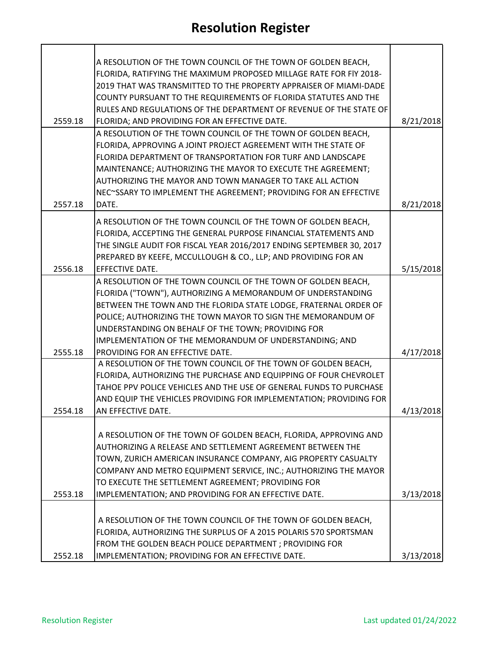|         | A RESOLUTION OF THE TOWN COUNCIL OF THE TOWN OF GOLDEN BEACH,        |           |
|---------|----------------------------------------------------------------------|-----------|
|         | FLORIDA, RATIFYING THE MAXIMUM PROPOSED MILLAGE RATE FOR FIY 2018-   |           |
|         | 2019 THAT WAS TRANSMITTED TO THE PROPERTY APPRAISER OF MIAMI-DADE    |           |
|         | COUNTY PURSUANT TO THE REQUIREMENTS OF FLORIDA STATUTES AND THE      |           |
|         | RULES AND REGULATIONS OF THE DEPARTMENT OF REVENUE OF THE STATE OF   |           |
| 2559.18 | FLORIDA; AND PROVIDING FOR AN EFFECTIVE DATE.                        | 8/21/2018 |
|         | A RESOLUTION OF THE TOWN COUNCIL OF THE TOWN OF GOLDEN BEACH,        |           |
|         | FLORIDA, APPROVING A JOINT PROJECT AGREEMENT WITH THE STATE OF       |           |
|         | FLORIDA DEPARTMENT OF TRANSPORTATION FOR TURF AND LANDSCAPE          |           |
|         | MAINTENANCE; AUTHORIZING THE MAYOR TO EXECUTE THE AGREEMENT;         |           |
|         | AUTHORIZING THE MAYOR AND TOWN MANAGER TO TAKE ALL ACTION            |           |
|         | NEC~SSARY TO IMPLEMENT THE AGREEMENT; PROVIDING FOR AN EFFECTIVE     |           |
| 2557.18 | DATE.                                                                | 8/21/2018 |
|         | A RESOLUTION OF THE TOWN COUNCIL OF THE TOWN OF GOLDEN BEACH,        |           |
|         | FLORIDA, ACCEPTING THE GENERAL PURPOSE FINANCIAL STATEMENTS AND      |           |
|         | THE SINGLE AUDIT FOR FISCAL YEAR 2016/2017 ENDING SEPTEMBER 30, 2017 |           |
|         | PREPARED BY KEEFE, MCCULLOUGH & CO., LLP; AND PROVIDING FOR AN       |           |
| 2556.18 | EFFECTIVE DATE.                                                      | 5/15/2018 |
|         | A RESOLUTION OF THE TOWN COUNCIL OF THE TOWN OF GOLDEN BEACH,        |           |
|         | FLORIDA ("TOWN"), AUTHORIZING A MEMORANDUM OF UNDERSTANDING          |           |
|         | BETWEEN THE TOWN AND THE FLORIDA STATE LODGE, FRATERNAL ORDER OF     |           |
|         | POLICE; AUTHORIZING THE TOWN MAYOR TO SIGN THE MEMORANDUM OF         |           |
|         | UNDERSTANDING ON BEHALF OF THE TOWN; PROVIDING FOR                   |           |
|         | IMPLEMENTATION OF THE MEMORANDUM OF UNDERSTANDING; AND               |           |
| 2555.18 | PROVIDING FOR AN EFFECTIVE DATE.                                     | 4/17/2018 |
|         | A RESOLUTION OF THE TOWN COUNCIL OF THE TOWN OF GOLDEN BEACH,        |           |
|         | FLORIDA, AUTHORIZING THE PURCHASE AND EQUIPPING OF FOUR CHEVROLET    |           |
|         | TAHOE PPV POLICE VEHICLES AND THE USE OF GENERAL FUNDS TO PURCHASE   |           |
|         | AND EQUIP THE VEHICLES PROVIDING FOR IMPLEMENTATION; PROVIDING FOR   |           |
| 2554.18 | AN EFFECTIVE DATE.                                                   | 4/13/2018 |
|         |                                                                      |           |
|         | A RESOLUTION OF THE TOWN OF GOLDEN BEACH, FLORIDA, APPROVING AND     |           |
|         | AUTHORIZING A RELEASE AND SETTLEMENT AGREEMENT BETWEEN THE           |           |
|         | TOWN, ZURICH AMERICAN INSURANCE COMPANY, AIG PROPERTY CASUALTY       |           |
|         | COMPANY AND METRO EQUIPMENT SERVICE, INC.; AUTHORIZING THE MAYOR     |           |
| 2553.18 | TO EXECUTE THE SETTLEMENT AGREEMENT; PROVIDING FOR                   |           |
|         | IMPLEMENTATION; AND PROVIDING FOR AN EFFECTIVE DATE.                 | 3/13/2018 |
|         | A RESOLUTION OF THE TOWN COUNCIL OF THE TOWN OF GOLDEN BEACH,        |           |
|         | FLORIDA, AUTHORIZING THE SURPLUS OF A 2015 POLARIS 570 SPORTSMAN     |           |
|         | FROM THE GOLDEN BEACH POLICE DEPARTMENT ; PROVIDING FOR              |           |
| 2552.18 | IMPLEMENTATION; PROVIDING FOR AN EFFECTIVE DATE.                     | 3/13/2018 |
|         |                                                                      |           |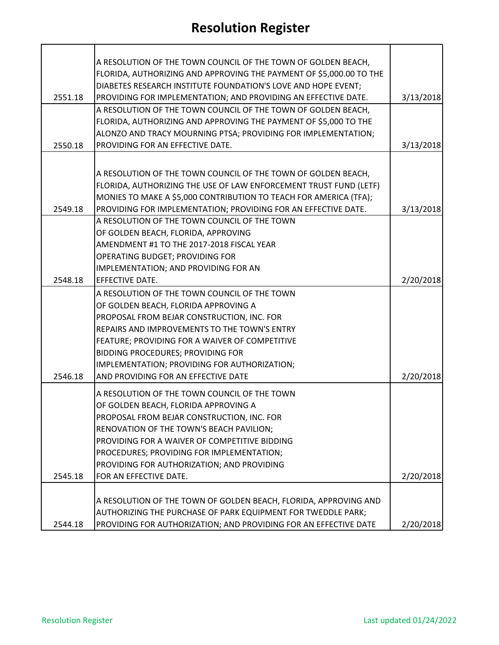|         | A RESOLUTION OF THE TOWN COUNCIL OF THE TOWN OF GOLDEN BEACH,       |           |
|---------|---------------------------------------------------------------------|-----------|
|         | FLORIDA, AUTHORIZING AND APPROVING THE PAYMENT OF \$5,000.00 TO THE |           |
|         | DIABETES RESEARCH INSTITUTE FOUNDATION'S LOVE AND HOPE EVENT;       |           |
| 2551.18 | PROVIDING FOR IMPLEMENTATION; AND PROVIDING AN EFFECTIVE DATE.      | 3/13/2018 |
|         | A RESOLUTION OF THE TOWN COUNCIL OF THE TOWN OF GOLDEN BEACH,       |           |
|         | FLORIDA, AUTHORIZING AND APPROVING THE PAYMENT OF \$5,000 TO THE    |           |
|         | ALONZO AND TRACY MOURNING PTSA; PROVIDING FOR IMPLEMENTATION;       |           |
| 2550.18 | PROVIDING FOR AN EFFECTIVE DATE.                                    | 3/13/2018 |
|         |                                                                     |           |
|         |                                                                     |           |
|         | A RESOLUTION OF THE TOWN COUNCIL OF THE TOWN OF GOLDEN BEACH,       |           |
|         | FLORIDA, AUTHORIZING THE USE OF LAW ENFORCEMENT TRUST FUND (LETF)   |           |
|         | MONIES TO MAKE A \$5,000 CONTRIBUTION TO TEACH FOR AMERICA (TFA);   |           |
| 2549.18 | PROVIDING FOR IMPLEMENTATION; PROVIDING FOR AN EFFECTIVE DATE.      | 3/13/2018 |
|         | A RESOLUTION OF THE TOWN COUNCIL OF THE TOWN                        |           |
|         | OF GOLDEN BEACH, FLORIDA, APPROVING                                 |           |
|         | AMENDMENT #1 TO THE 2017-2018 FISCAL YEAR                           |           |
|         | OPERATING BUDGET; PROVIDING FOR                                     |           |
|         | IMPLEMENTATION; AND PROVIDING FOR AN                                |           |
| 2548.18 | <b>EFFECTIVE DATE.</b>                                              | 2/20/2018 |
|         | A RESOLUTION OF THE TOWN COUNCIL OF THE TOWN                        |           |
|         | OF GOLDEN BEACH, FLORIDA APPROVING A                                |           |
|         | PROPOSAL FROM BEJAR CONSTRUCTION, INC. FOR                          |           |
|         | REPAIRS AND IMPROVEMENTS TO THE TOWN'S ENTRY                        |           |
|         | FEATURE; PROVIDING FOR A WAIVER OF COMPETITIVE                      |           |
|         | BIDDING PROCEDURES; PROVIDING FOR                                   |           |
|         | IMPLEMENTATION; PROVIDING FOR AUTHORIZATION;                        |           |
| 2546.18 | AND PROVIDING FOR AN EFFECTIVE DATE                                 | 2/20/2018 |
|         |                                                                     |           |
|         | A RESOLUTION OF THE TOWN COUNCIL OF THE TOWN                        |           |
|         | OF GOLDEN BEACH, FLORIDA APPROVING A                                |           |
|         | PROPOSAL FROM BEJAR CONSTRUCTION, INC. FOR                          |           |
|         | RENOVATION OF THE TOWN'S BEACH PAVILION;                            |           |
|         | PROVIDING FOR A WAIVER OF COMPETITIVE BIDDING                       |           |
|         | PROCEDURES; PROVIDING FOR IMPLEMENTATION;                           |           |
|         | PROVIDING FOR AUTHORIZATION; AND PROVIDING                          |           |
| 2545.18 | FOR AN EFFECTIVE DATE.                                              | 2/20/2018 |
|         |                                                                     |           |
|         | A RESOLUTION OF THE TOWN OF GOLDEN BEACH, FLORIDA, APPROVING AND    |           |
|         | AUTHORIZING THE PURCHASE OF PARK EQUIPMENT FOR TWEDDLE PARK;        |           |
| 2544.18 | PROVIDING FOR AUTHORIZATION; AND PROVIDING FOR AN EFFECTIVE DATE    | 2/20/2018 |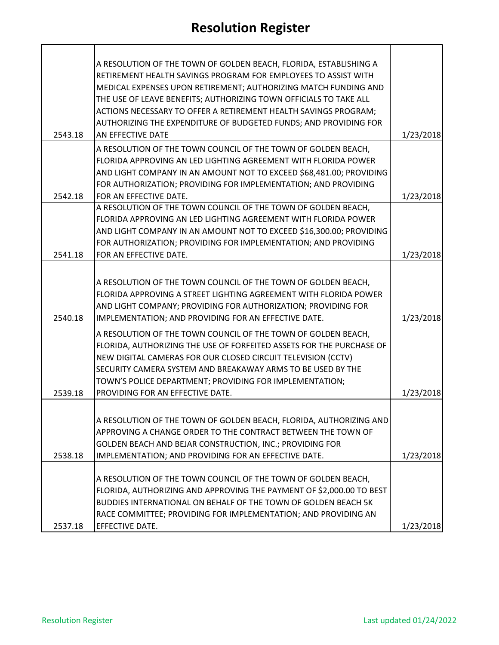|         | A RESOLUTION OF THE TOWN OF GOLDEN BEACH, FLORIDA, ESTABLISHING A    |           |
|---------|----------------------------------------------------------------------|-----------|
|         | RETIREMENT HEALTH SAVINGS PROGRAM FOR EMPLOYEES TO ASSIST WITH       |           |
|         | MEDICAL EXPENSES UPON RETIREMENT; AUTHORIZING MATCH FUNDING AND      |           |
|         | THE USE OF LEAVE BENEFITS; AUTHORIZING TOWN OFFICIALS TO TAKE ALL    |           |
|         | ACTIONS NECESSARY TO OFFER A RETIREMENT HEALTH SAVINGS PROGRAM;      |           |
|         | AUTHORIZING THE EXPENDITURE OF BUDGETED FUNDS; AND PROVIDING FOR     |           |
| 2543.18 | AN EFFECTIVE DATE                                                    | 1/23/2018 |
|         | A RESOLUTION OF THE TOWN COUNCIL OF THE TOWN OF GOLDEN BEACH,        |           |
|         | FLORIDA APPROVING AN LED LIGHTING AGREEMENT WITH FLORIDA POWER       |           |
|         | AND LIGHT COMPANY IN AN AMOUNT NOT TO EXCEED \$68,481.00; PROVIDING  |           |
|         | FOR AUTHORIZATION; PROVIDING FOR IMPLEMENTATION; AND PROVIDING       |           |
| 2542.18 | FOR AN EFFECTIVE DATE.                                               | 1/23/2018 |
|         | A RESOLUTION OF THE TOWN COUNCIL OF THE TOWN OF GOLDEN BEACH,        |           |
|         | FLORIDA APPROVING AN LED LIGHTING AGREEMENT WITH FLORIDA POWER       |           |
|         | AND LIGHT COMPANY IN AN AMOUNT NOT TO EXCEED \$16,300.00; PROVIDING  |           |
|         | FOR AUTHORIZATION; PROVIDING FOR IMPLEMENTATION; AND PROVIDING       |           |
| 2541.18 | FOR AN EFFECTIVE DATE.                                               | 1/23/2018 |
|         |                                                                      |           |
|         | A RESOLUTION OF THE TOWN COUNCIL OF THE TOWN OF GOLDEN BEACH,        |           |
|         | FLORIDA APPROVING A STREET LIGHTING AGREEMENT WITH FLORIDA POWER     |           |
|         | AND LIGHT COMPANY; PROVIDING FOR AUTHORIZATION; PROVIDING FOR        |           |
| 2540.18 | IMPLEMENTATION; AND PROVIDING FOR AN EFFECTIVE DATE.                 | 1/23/2018 |
|         | A RESOLUTION OF THE TOWN COUNCIL OF THE TOWN OF GOLDEN BEACH,        |           |
|         | FLORIDA, AUTHORIZING THE USE OF FORFEITED ASSETS FOR THE PURCHASE OF |           |
|         | NEW DIGITAL CAMERAS FOR OUR CLOSED CIRCUIT TELEVISION (CCTV)         |           |
|         | SECURITY CAMERA SYSTEM AND BREAKAWAY ARMS TO BE USED BY THE          |           |
|         | TOWN'S POLICE DEPARTMENT; PROVIDING FOR IMPLEMENTATION;              |           |
| 2539.18 | PROVIDING FOR AN EFFECTIVE DATE.                                     | 1/23/2018 |
|         |                                                                      |           |
|         | A RESOLUTION OF THE TOWN OF GOLDEN BEACH, FLORIDA, AUTHORIZING AND   |           |
|         | APPROVING A CHANGE ORDER TO THE CONTRACT BETWEEN THE TOWN OF         |           |
|         | GOLDEN BEACH AND BEJAR CONSTRUCTION, INC.; PROVIDING FOR             |           |
| 2538.18 | IMPLEMENTATION; AND PROVIDING FOR AN EFFECTIVE DATE.                 | 1/23/2018 |
|         |                                                                      |           |
|         | A RESOLUTION OF THE TOWN COUNCIL OF THE TOWN OF GOLDEN BEACH,        |           |
|         | FLORIDA, AUTHORIZING AND APPROVING THE PAYMENT OF \$2,000.00 TO BEST |           |
|         | BUDDIES INTERNATIONAL ON BEHALF OF THE TOWN OF GOLDEN BEACH 5K       |           |
|         | RACE COMMITTEE; PROVIDING FOR IMPLEMENTATION; AND PROVIDING AN       |           |
| 2537.18 | <b>EFFECTIVE DATE.</b>                                               | 1/23/2018 |

 $\mathbf{r}$ 

h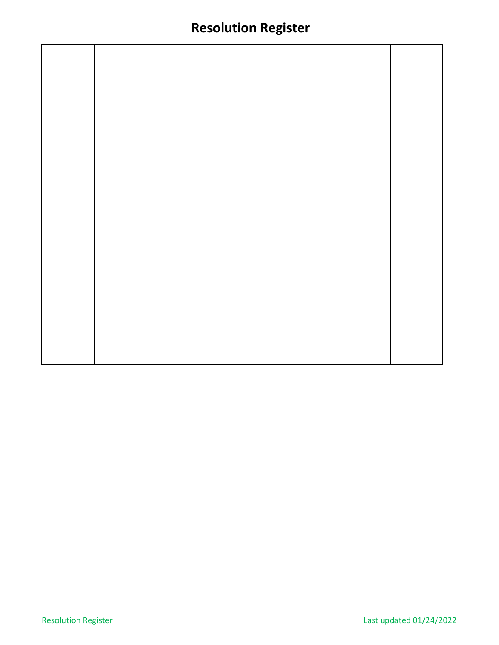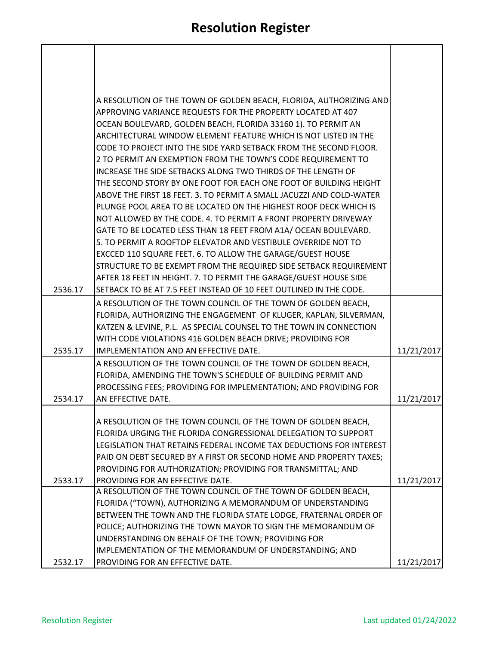|         | A RESOLUTION OF THE TOWN OF GOLDEN BEACH, FLORIDA, AUTHORIZING AND                                     |            |
|---------|--------------------------------------------------------------------------------------------------------|------------|
|         | APPROVING VARIANCE REQUESTS FOR THE PROPERTY LOCATED AT 407                                            |            |
|         | OCEAN BOULEVARD, GOLDEN BEACH, FLORIDA 33160 1). TO PERMIT AN                                          |            |
|         | ARCHITECTURAL WINDOW ELEMENT FEATURE WHICH IS NOT LISTED IN THE                                        |            |
|         | CODE TO PROJECT INTO THE SIDE YARD SETBACK FROM THE SECOND FLOOR.                                      |            |
|         | 2 TO PERMIT AN EXEMPTION FROM THE TOWN'S CODE REQUIREMENT TO                                           |            |
|         | INCREASE THE SIDE SETBACKS ALONG TWO THIRDS OF THE LENGTH OF                                           |            |
|         | THE SECOND STORY BY ONE FOOT FOR EACH ONE FOOT OF BUILDING HEIGHT                                      |            |
|         | ABOVE THE FIRST 18 FEET. 3. TO PERMIT A SMALL JACUZZI AND COLD-WATER                                   |            |
|         | PLUNGE POOL AREA TO BE LOCATED ON THE HIGHEST ROOF DECK WHICH IS                                       |            |
|         | NOT ALLOWED BY THE CODE. 4. TO PERMIT A FRONT PROPERTY DRIVEWAY                                        |            |
|         | GATE TO BE LOCATED LESS THAN 18 FEET FROM A1A/ OCEAN BOULEVARD.                                        |            |
|         | 5. TO PERMIT A ROOFTOP ELEVATOR AND VESTIBULE OVERRIDE NOT TO                                          |            |
|         | EXCCED 110 SQUARE FEET. 6. TO ALLOW THE GARAGE/GUEST HOUSE                                             |            |
|         | STRUCTURE TO BE EXEMPT FROM THE REQUIRED SIDE SETBACK REQUIREMENT                                      |            |
|         | AFTER 18 FEET IN HEIGHT. 7. TO PERMIT THE GARAGE/GUEST HOUSE SIDE                                      |            |
| 2536.17 | SETBACK TO BE AT 7.5 FEET INSTEAD OF 10 FEET OUTLINED IN THE CODE.                                     |            |
|         | A RESOLUTION OF THE TOWN COUNCIL OF THE TOWN OF GOLDEN BEACH,                                          |            |
|         | FLORIDA, AUTHORIZING THE ENGAGEMENT OF KLUGER, KAPLAN, SILVERMAN,                                      |            |
|         | KATZEN & LEVINE, P.L. AS SPECIAL COUNSEL TO THE TOWN IN CONNECTION                                     |            |
|         | WITH CODE VIOLATIONS 416 GOLDEN BEACH DRIVE; PROVIDING FOR                                             |            |
| 2535.17 | IMPLEMENTATION AND AN EFFECTIVE DATE.                                                                  | 11/21/2017 |
|         | A RESOLUTION OF THE TOWN COUNCIL OF THE TOWN OF GOLDEN BEACH,                                          |            |
|         | FLORIDA, AMENDING THE TOWN'S SCHEDULE OF BUILDING PERMIT AND                                           |            |
|         | PROCESSING FEES; PROVIDING FOR IMPLEMENTATION; AND PROVIDING FOR                                       |            |
| 2534.17 | AN EFFECTIVE DATE.                                                                                     | 11/21/2017 |
|         |                                                                                                        |            |
|         | A RESOLUTION OF THE TOWN COUNCIL OF THE TOWN OF GOLDEN BEACH,                                          |            |
|         | FLORIDA URGING THE FLORIDA CONGRESSIONAL DELEGATION TO SUPPORT                                         |            |
|         | LEGISLATION THAT RETAINS FEDERAL INCOME TAX DEDUCTIONS FOR INTEREST                                    |            |
|         | PAID ON DEBT SECURED BY A FIRST OR SECOND HOME AND PROPERTY TAXES;                                     |            |
|         | PROVIDING FOR AUTHORIZATION; PROVIDING FOR TRANSMITTAL; AND<br><b>PROVIDING FOR AN EFFECTIVE DATE.</b> |            |
| 2533.17 | A RESOLUTION OF THE TOWN COUNCIL OF THE TOWN OF GOLDEN BEACH,                                          | 11/21/2017 |
|         | FLORIDA ("TOWN), AUTHORIZING A MEMORANDUM OF UNDERSTANDING                                             |            |
|         | BETWEEN THE TOWN AND THE FLORIDA STATE LODGE, FRATERNAL ORDER OF                                       |            |
|         | POLICE; AUTHORIZING THE TOWN MAYOR TO SIGN THE MEMORANDUM OF                                           |            |
|         | UNDERSTANDING ON BEHALF OF THE TOWN; PROVIDING FOR                                                     |            |
|         | IMPLEMENTATION OF THE MEMORANDUM OF UNDERSTANDING; AND                                                 |            |
| 2532.17 | PROVIDING FOR AN EFFECTIVE DATE.                                                                       | 11/21/2017 |

 $\sqrt{ }$ 

 $\overline{\phantom{a}}$ 

 $\overline{1}$ 

 $\mathsf{l}$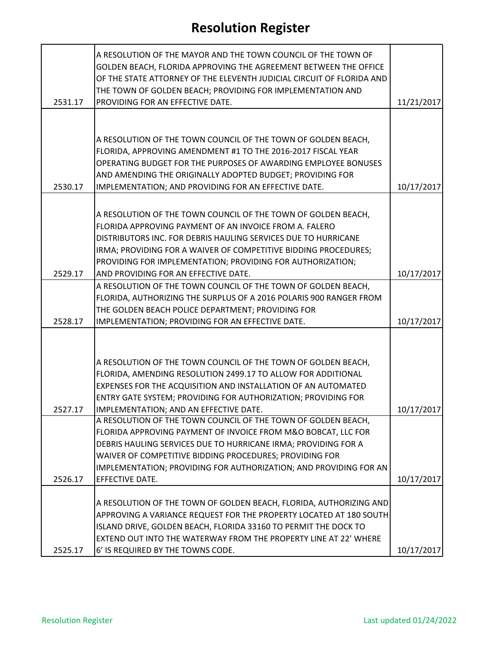| 2531.17 | A RESOLUTION OF THE MAYOR AND THE TOWN COUNCIL OF THE TOWN OF<br>GOLDEN BEACH, FLORIDA APPROVING THE AGREEMENT BETWEEN THE OFFICE<br>OF THE STATE ATTORNEY OF THE ELEVENTH JUDICIAL CIRCUIT OF FLORIDA AND<br>THE TOWN OF GOLDEN BEACH; PROVIDING FOR IMPLEMENTATION AND<br>PROVIDING FOR AN EFFECTIVE DATE.               | 11/21/2017 |
|---------|----------------------------------------------------------------------------------------------------------------------------------------------------------------------------------------------------------------------------------------------------------------------------------------------------------------------------|------------|
| 2530.17 | A RESOLUTION OF THE TOWN COUNCIL OF THE TOWN OF GOLDEN BEACH,<br>FLORIDA, APPROVING AMENDMENT #1 TO THE 2016-2017 FISCAL YEAR<br>OPERATING BUDGET FOR THE PURPOSES OF AWARDING EMPLOYEE BONUSES<br>AND AMENDING THE ORIGINALLY ADOPTED BUDGET; PROVIDING FOR<br>IMPLEMENTATION; AND PROVIDING FOR AN EFFECTIVE DATE.       | 10/17/2017 |
|         | A RESOLUTION OF THE TOWN COUNCIL OF THE TOWN OF GOLDEN BEACH,<br>FLORIDA APPROVING PAYMENT OF AN INVOICE FROM A. FALERO<br>DISTRIBUTORS INC. FOR DEBRIS HAULING SERVICES DUE TO HURRICANE<br>IRMA; PROVIDING FOR A WAIVER OF COMPETITIVE BIDDING PROCEDURES;<br>PROVIDING FOR IMPLEMENTATION; PROVIDING FOR AUTHORIZATION; |            |
| 2529.17 | AND PROVIDING FOR AN EFFECTIVE DATE.                                                                                                                                                                                                                                                                                       | 10/17/2017 |
| 2528.17 | A RESOLUTION OF THE TOWN COUNCIL OF THE TOWN OF GOLDEN BEACH,<br>FLORIDA, AUTHORIZING THE SURPLUS OF A 2016 POLARIS 900 RANGER FROM<br>THE GOLDEN BEACH POLICE DEPARTMENT; PROVIDING FOR<br>IMPLEMENTATION; PROVIDING FOR AN EFFECTIVE DATE.                                                                               | 10/17/2017 |
|         | A RESOLUTION OF THE TOWN COUNCIL OF THE TOWN OF GOLDEN BEACH,<br>FLORIDA, AMENDING RESOLUTION 2499.17 TO ALLOW FOR ADDITIONAL<br>EXPENSES FOR THE ACQUISITION AND INSTALLATION OF AN AUTOMATED<br>ENTRY GATE SYSTEM; PROVIDING FOR AUTHORIZATION; PROVIDING FOR                                                            |            |
| 2527.17 | IMPLEMENTATION; AND AN EFFECTIVE DATE.<br>A RESOLUTION OF THE TOWN COUNCIL OF THE TOWN OF GOLDEN BEACH,<br>FLORIDA APPROVING PAYMENT OF INVOICE FROM M&O BOBCAT, LLC FOR<br>DEBRIS HAULING SERVICES DUE TO HURRICANE IRMA; PROVIDING FOR A<br>WAIVER OF COMPETITIVE BIDDING PROCEDURES; PROVIDING FOR                      | 10/17/2017 |
|         | IMPLEMENTATION; PROVIDING FOR AUTHORIZATION; AND PROVIDING FOR AN                                                                                                                                                                                                                                                          |            |
| 2526.17 | EFFECTIVE DATE.                                                                                                                                                                                                                                                                                                            | 10/17/2017 |
| 2525.17 | A RESOLUTION OF THE TOWN OF GOLDEN BEACH, FLORIDA, AUTHORIZING AND<br>APPROVING A VARIANCE REQUEST FOR THE PROPERTY LOCATED AT 180 SOUTH<br>ISLAND DRIVE, GOLDEN BEACH, FLORIDA 33160 TO PERMIT THE DOCK TO<br>EXTEND OUT INTO THE WATERWAY FROM THE PROPERTY LINE AT 22' WHERE<br>6' IS REQUIRED BY THE TOWNS CODE.       | 10/17/2017 |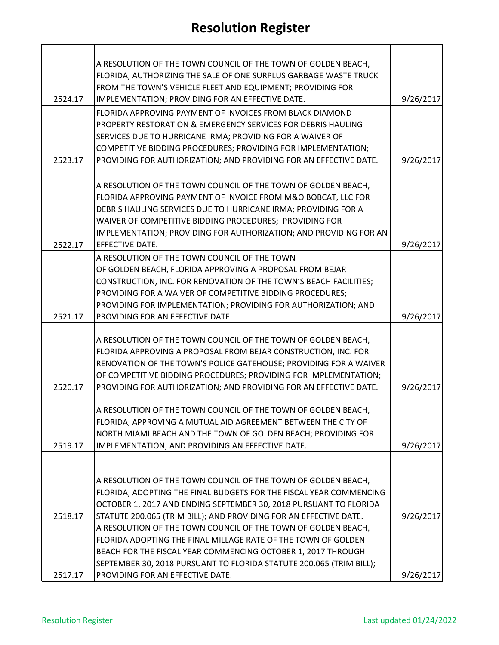|         | A RESOLUTION OF THE TOWN COUNCIL OF THE TOWN OF GOLDEN BEACH,                                                                       |           |
|---------|-------------------------------------------------------------------------------------------------------------------------------------|-----------|
|         | FLORIDA, AUTHORIZING THE SALE OF ONE SURPLUS GARBAGE WASTE TRUCK                                                                    |           |
|         | FROM THE TOWN'S VEHICLE FLEET AND EQUIPMENT; PROVIDING FOR                                                                          |           |
| 2524.17 | IMPLEMENTATION; PROVIDING FOR AN EFFECTIVE DATE.                                                                                    | 9/26/2017 |
|         | FLORIDA APPROVING PAYMENT OF INVOICES FROM BLACK DIAMOND                                                                            |           |
|         | PROPERTY RESTORATION & EMERGENCY SERVICES FOR DEBRIS HAULING                                                                        |           |
|         | SERVICES DUE TO HURRICANE IRMA; PROVIDING FOR A WAIVER OF                                                                           |           |
|         | COMPETITIVE BIDDING PROCEDURES; PROVIDING FOR IMPLEMENTATION;                                                                       |           |
| 2523.17 | PROVIDING FOR AUTHORIZATION; AND PROVIDING FOR AN EFFECTIVE DATE.                                                                   | 9/26/2017 |
|         |                                                                                                                                     |           |
|         | A RESOLUTION OF THE TOWN COUNCIL OF THE TOWN OF GOLDEN BEACH,                                                                       |           |
|         | FLORIDA APPROVING PAYMENT OF INVOICE FROM M&O BOBCAT, LLC FOR<br>DEBRIS HAULING SERVICES DUE TO HURRICANE IRMA; PROVIDING FOR A     |           |
|         | WAIVER OF COMPETITIVE BIDDING PROCEDURES; PROVIDING FOR                                                                             |           |
|         | IMPLEMENTATION; PROVIDING FOR AUTHORIZATION; AND PROVIDING FOR AN                                                                   |           |
| 2522.17 | EFFECTIVE DATE.                                                                                                                     | 9/26/2017 |
|         | A RESOLUTION OF THE TOWN COUNCIL OF THE TOWN                                                                                        |           |
|         | OF GOLDEN BEACH, FLORIDA APPROVING A PROPOSAL FROM BEJAR                                                                            |           |
|         | CONSTRUCTION, INC. FOR RENOVATION OF THE TOWN'S BEACH FACILITIES;                                                                   |           |
|         | PROVIDING FOR A WAIVER OF COMPETITIVE BIDDING PROCEDURES;                                                                           |           |
|         | PROVIDING FOR IMPLEMENTATION; PROVIDING FOR AUTHORIZATION; AND                                                                      |           |
| 2521.17 | PROVIDING FOR AN EFFECTIVE DATE.                                                                                                    | 9/26/2017 |
|         |                                                                                                                                     |           |
|         | A RESOLUTION OF THE TOWN COUNCIL OF THE TOWN OF GOLDEN BEACH,<br>FLORIDA APPROVING A PROPOSAL FROM BEJAR CONSTRUCTION, INC. FOR     |           |
|         | RENOVATION OF THE TOWN'S POLICE GATEHOUSE; PROVIDING FOR A WAIVER                                                                   |           |
|         | OF COMPETITIVE BIDDING PROCEDURES; PROVIDING FOR IMPLEMENTATION;                                                                    |           |
| 2520.17 | PROVIDING FOR AUTHORIZATION; AND PROVIDING FOR AN EFFECTIVE DATE.                                                                   | 9/26/2017 |
|         |                                                                                                                                     |           |
|         | A RESOLUTION OF THE TOWN COUNCIL OF THE TOWN OF GOLDEN BEACH,                                                                       |           |
|         | FLORIDA, APPROVING A MUTUAL AID AGREEMENT BETWEEN THE CITY OF                                                                       |           |
|         | NORTH MIAMI BEACH AND THE TOWN OF GOLDEN BEACH; PROVIDING FOR                                                                       |           |
| 2519.17 | IMPLEMENTATION; AND PROVIDING AN EFFECTIVE DATE.                                                                                    | 9/26/2017 |
|         |                                                                                                                                     |           |
|         |                                                                                                                                     |           |
|         | A RESOLUTION OF THE TOWN COUNCIL OF THE TOWN OF GOLDEN BEACH,<br>FLORIDA, ADOPTING THE FINAL BUDGETS FOR THE FISCAL YEAR COMMENCING |           |
|         | OCTOBER 1, 2017 AND ENDING SEPTEMBER 30, 2018 PURSUANT TO FLORIDA                                                                   |           |
| 2518.17 | STATUTE 200.065 (TRIM BILL); AND PROVIDING FOR AN EFFECTIVE DATE.                                                                   | 9/26/2017 |
|         | A RESOLUTION OF THE TOWN COUNCIL OF THE TOWN OF GOLDEN BEACH,                                                                       |           |
|         | FLORIDA ADOPTING THE FINAL MILLAGE RATE OF THE TOWN OF GOLDEN                                                                       |           |
|         | BEACH FOR THE FISCAL YEAR COMMENCING OCTOBER 1, 2017 THROUGH                                                                        |           |
|         | SEPTEMBER 30, 2018 PURSUANT TO FLORIDA STATUTE 200.065 (TRIM BILL);                                                                 |           |
| 2517.17 | PROVIDING FOR AN EFFECTIVE DATE.                                                                                                    | 9/26/2017 |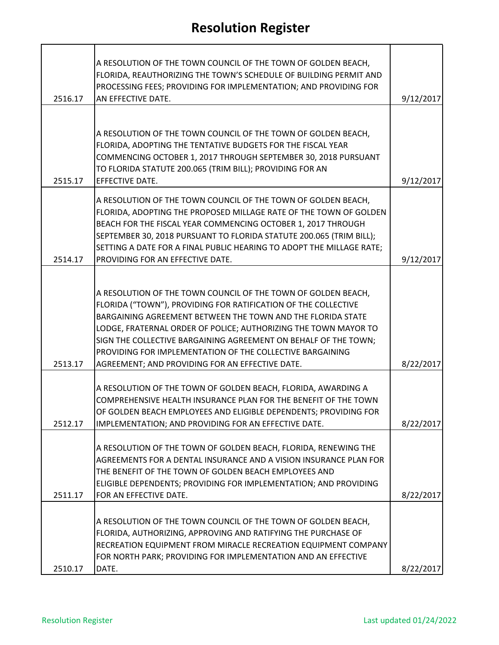| 2516.17 | A RESOLUTION OF THE TOWN COUNCIL OF THE TOWN OF GOLDEN BEACH,<br>FLORIDA, REAUTHORIZING THE TOWN'S SCHEDULE OF BUILDING PERMIT AND<br>PROCESSING FEES; PROVIDING FOR IMPLEMENTATION; AND PROVIDING FOR<br>AN EFFECTIVE DATE.                                                                                                                                                                                                                         | 9/12/2017 |
|---------|------------------------------------------------------------------------------------------------------------------------------------------------------------------------------------------------------------------------------------------------------------------------------------------------------------------------------------------------------------------------------------------------------------------------------------------------------|-----------|
|         |                                                                                                                                                                                                                                                                                                                                                                                                                                                      |           |
| 2515.17 | A RESOLUTION OF THE TOWN COUNCIL OF THE TOWN OF GOLDEN BEACH,<br>FLORIDA, ADOPTING THE TENTATIVE BUDGETS FOR THE FISCAL YEAR<br>COMMENCING OCTOBER 1, 2017 THROUGH SEPTEMBER 30, 2018 PURSUANT<br>TO FLORIDA STATUTE 200.065 (TRIM BILL); PROVIDING FOR AN<br>EFFECTIVE DATE.                                                                                                                                                                        | 9/12/2017 |
|         | A RESOLUTION OF THE TOWN COUNCIL OF THE TOWN OF GOLDEN BEACH,<br>FLORIDA, ADOPTING THE PROPOSED MILLAGE RATE OF THE TOWN OF GOLDEN<br>BEACH FOR THE FISCAL YEAR COMMENCING OCTOBER 1, 2017 THROUGH<br>SEPTEMBER 30, 2018 PURSUANT TO FLORIDA STATUTE 200.065 (TRIM BILL);<br>SETTING A DATE FOR A FINAL PUBLIC HEARING TO ADOPT THE MILLAGE RATE;                                                                                                    |           |
| 2514.17 | PROVIDING FOR AN EFFECTIVE DATE.                                                                                                                                                                                                                                                                                                                                                                                                                     | 9/12/2017 |
| 2513.17 | A RESOLUTION OF THE TOWN COUNCIL OF THE TOWN OF GOLDEN BEACH,<br>FLORIDA ("TOWN"), PROVIDING FOR RATIFICATION OF THE COLLECTIVE<br>BARGAINING AGREEMENT BETWEEN THE TOWN AND THE FLORIDA STATE<br>LODGE, FRATERNAL ORDER OF POLICE; AUTHORIZING THE TOWN MAYOR TO<br>SIGN THE COLLECTIVE BARGAINING AGREEMENT ON BEHALF OF THE TOWN;<br>PROVIDING FOR IMPLEMENTATION OF THE COLLECTIVE BARGAINING<br>AGREEMENT; AND PROVIDING FOR AN EFFECTIVE DATE. | 8/22/2017 |
| 2512.17 | A RESOLUTION OF THE TOWN OF GOLDEN BEACH, FLORIDA, AWARDING A<br>COMPREHENSIVE HEALTH INSURANCE PLAN FOR THE BENEFIT OF THE TOWN<br>OF GOLDEN BEACH EMPLOYEES AND ELIGIBLE DEPENDENTS; PROVIDING FOR<br>IMPLEMENTATION; AND PROVIDING FOR AN EFFECTIVE DATE.                                                                                                                                                                                         | 8/22/2017 |
| 2511.17 | A RESOLUTION OF THE TOWN OF GOLDEN BEACH, FLORIDA, RENEWING THE<br>AGREEMENTS FOR A DENTAL INSURANCE AND A VISION INSURANCE PLAN FOR<br>THE BENEFIT OF THE TOWN OF GOLDEN BEACH EMPLOYEES AND<br>ELIGIBLE DEPENDENTS; PROVIDING FOR IMPLEMENTATION; AND PROVIDING<br>FOR AN EFFECTIVE DATE.                                                                                                                                                          | 8/22/2017 |
| 2510.17 | A RESOLUTION OF THE TOWN COUNCIL OF THE TOWN OF GOLDEN BEACH,<br>FLORIDA, AUTHORIZING, APPROVING AND RATIFYING THE PURCHASE OF<br>RECREATION EQUIPMENT FROM MIRACLE RECREATION EQUIPMENT COMPANY<br>FOR NORTH PARK; PROVIDING FOR IMPLEMENTATION AND AN EFFECTIVE<br>DATE.                                                                                                                                                                           | 8/22/2017 |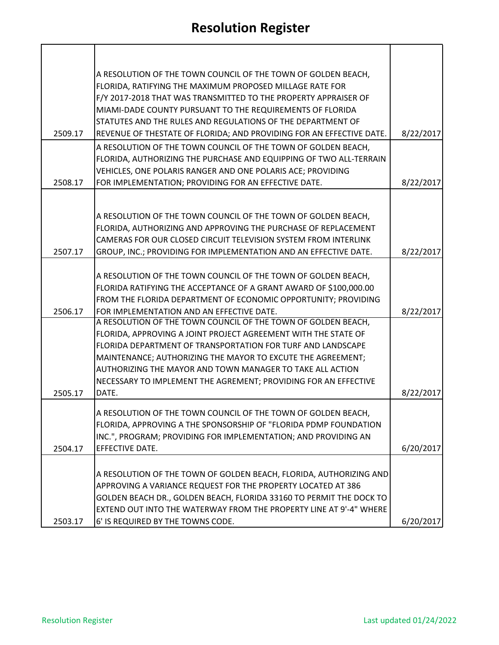|         | A RESOLUTION OF THE TOWN COUNCIL OF THE TOWN OF GOLDEN BEACH,                                                                      |           |
|---------|------------------------------------------------------------------------------------------------------------------------------------|-----------|
|         | FLORIDA, RATIFYING THE MAXIMUM PROPOSED MILLAGE RATE FOR                                                                           |           |
|         | F/Y 2017-2018 THAT WAS TRANSMITTED TO THE PROPERTY APPRAISER OF                                                                    |           |
|         | MIAMI-DADE COUNTY PURSUANT TO THE REQUIREMENTS OF FLORIDA                                                                          |           |
|         | STATUTES AND THE RULES AND REGULATIONS OF THE DEPARTMENT OF                                                                        |           |
| 2509.17 | REVENUE OF THESTATE OF FLORIDA; AND PROVIDING FOR AN EFFECTIVE DATE.                                                               | 8/22/2017 |
|         | A RESOLUTION OF THE TOWN COUNCIL OF THE TOWN OF GOLDEN BEACH,                                                                      |           |
|         | FLORIDA, AUTHORIZING THE PURCHASE AND EQUIPPING OF TWO ALL-TERRAIN                                                                 |           |
|         | VEHICLES, ONE POLARIS RANGER AND ONE POLARIS ACE; PROVIDING                                                                        |           |
| 2508.17 | FOR IMPLEMENTATION; PROVIDING FOR AN EFFECTIVE DATE.                                                                               | 8/22/2017 |
|         |                                                                                                                                    |           |
|         | A RESOLUTION OF THE TOWN COUNCIL OF THE TOWN OF GOLDEN BEACH,                                                                      |           |
|         | FLORIDA, AUTHORIZING AND APPROVING THE PURCHASE OF REPLACEMENT                                                                     |           |
|         | CAMERAS FOR OUR CLOSED CIRCUIT TELEVISION SYSTEM FROM INTERLINK                                                                    |           |
| 2507.17 | GROUP, INC.; PROVIDING FOR IMPLEMENTATION AND AN EFFECTIVE DATE.                                                                   | 8/22/2017 |
|         |                                                                                                                                    |           |
|         | A RESOLUTION OF THE TOWN COUNCIL OF THE TOWN OF GOLDEN BEACH,                                                                      |           |
|         | FLORIDA RATIFYING THE ACCEPTANCE OF A GRANT AWARD OF \$100,000.00                                                                  |           |
|         | FROM THE FLORIDA DEPARTMENT OF ECONOMIC OPPORTUNITY; PROVIDING                                                                     |           |
| 2506.17 | FOR IMPLEMENTATION AND AN EFFECTIVE DATE.<br>A RESOLUTION OF THE TOWN COUNCIL OF THE TOWN OF GOLDEN BEACH,                         | 8/22/2017 |
|         | FLORIDA, APPROVING A JOINT PROJECT AGREEMENT WITH THE STATE OF                                                                     |           |
|         | FLORIDA DEPARTMENT OF TRANSPORTATION FOR TURF AND LANDSCAPE                                                                        |           |
|         | MAINTENANCE; AUTHORIZING THE MAYOR TO EXCUTE THE AGREEMENT;                                                                        |           |
|         | AUTHORIZING THE MAYOR AND TOWN MANAGER TO TAKE ALL ACTION                                                                          |           |
|         | NECESSARY TO IMPLEMENT THE AGREMENT; PROVIDING FOR AN EFFECTIVE                                                                    |           |
| 2505.17 | DATE.                                                                                                                              | 8/22/2017 |
|         |                                                                                                                                    |           |
|         | A RESOLUTION OF THE TOWN COUNCIL OF THE TOWN OF GOLDEN BEACH,                                                                      |           |
|         | FLORIDA, APPROVING A THE SPONSORSHIP OF "FLORIDA PDMP FOUNDATION<br>INC.", PROGRAM; PROVIDING FOR IMPLEMENTATION; AND PROVIDING AN |           |
| 2504.17 | EFFECTIVE DATE.                                                                                                                    | 6/20/2017 |
|         |                                                                                                                                    |           |
|         | A RESOLUTION OF THE TOWN OF GOLDEN BEACH, FLORIDA, AUTHORIZING AND                                                                 |           |
|         | APPROVING A VARIANCE REQUEST FOR THE PROPERTY LOCATED AT 386                                                                       |           |
|         | GOLDEN BEACH DR., GOLDEN BEACH, FLORIDA 33160 TO PERMIT THE DOCK TO                                                                |           |
|         | EXTEND OUT INTO THE WATERWAY FROM THE PROPERTY LINE AT 9'-4" WHERE                                                                 |           |
| 2503.17 | 6' IS REQUIRED BY THE TOWNS CODE.                                                                                                  | 6/20/2017 |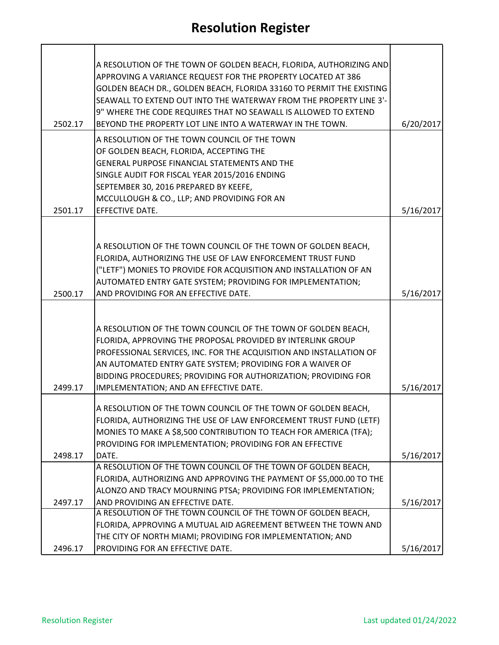| 2502.17 | A RESOLUTION OF THE TOWN OF GOLDEN BEACH, FLORIDA, AUTHORIZING AND<br>APPROVING A VARIANCE REQUEST FOR THE PROPERTY LOCATED AT 386<br>GOLDEN BEACH DR., GOLDEN BEACH, FLORIDA 33160 TO PERMIT THE EXISTING<br>SEAWALL TO EXTEND OUT INTO THE WATERWAY FROM THE PROPERTY LINE 3'-<br>9" WHERE THE CODE REQUIRES THAT NO SEAWALL IS ALLOWED TO EXTEND<br>BEYOND THE PROPERTY LOT LINE INTO A WATERWAY IN THE TOWN. | 6/20/2017 |
|---------|------------------------------------------------------------------------------------------------------------------------------------------------------------------------------------------------------------------------------------------------------------------------------------------------------------------------------------------------------------------------------------------------------------------|-----------|
|         | A RESOLUTION OF THE TOWN COUNCIL OF THE TOWN                                                                                                                                                                                                                                                                                                                                                                     |           |
|         | OF GOLDEN BEACH, FLORIDA, ACCEPTING THE                                                                                                                                                                                                                                                                                                                                                                          |           |
|         | GENERAL PURPOSE FINANCIAL STATEMENTS AND THE                                                                                                                                                                                                                                                                                                                                                                     |           |
|         | SINGLE AUDIT FOR FISCAL YEAR 2015/2016 ENDING<br>SEPTEMBER 30, 2016 PREPARED BY KEEFE,                                                                                                                                                                                                                                                                                                                           |           |
|         | MCCULLOUGH & CO., LLP; AND PROVIDING FOR AN                                                                                                                                                                                                                                                                                                                                                                      |           |
| 2501.17 | EFFECTIVE DATE.                                                                                                                                                                                                                                                                                                                                                                                                  | 5/16/2017 |
|         |                                                                                                                                                                                                                                                                                                                                                                                                                  |           |
|         |                                                                                                                                                                                                                                                                                                                                                                                                                  |           |
|         | A RESOLUTION OF THE TOWN COUNCIL OF THE TOWN OF GOLDEN BEACH,                                                                                                                                                                                                                                                                                                                                                    |           |
|         | FLORIDA, AUTHORIZING THE USE OF LAW ENFORCEMENT TRUST FUND                                                                                                                                                                                                                                                                                                                                                       |           |
|         | ("LETF") MONIES TO PROVIDE FOR ACQUISITION AND INSTALLATION OF AN                                                                                                                                                                                                                                                                                                                                                |           |
|         | AUTOMATED ENTRY GATE SYSTEM; PROVIDING FOR IMPLEMENTATION;                                                                                                                                                                                                                                                                                                                                                       |           |
| 2500.17 | AND PROVIDING FOR AN EFFECTIVE DATE.                                                                                                                                                                                                                                                                                                                                                                             | 5/16/2017 |
|         | A RESOLUTION OF THE TOWN COUNCIL OF THE TOWN OF GOLDEN BEACH,                                                                                                                                                                                                                                                                                                                                                    |           |
|         | FLORIDA, APPROVING THE PROPOSAL PROVIDED BY INTERLINK GROUP                                                                                                                                                                                                                                                                                                                                                      |           |
|         | PROFESSIONAL SERVICES, INC. FOR THE ACQUISITION AND INSTALLATION OF                                                                                                                                                                                                                                                                                                                                              |           |
|         | AN AUTOMATED ENTRY GATE SYSTEM; PROVIDING FOR A WAIVER OF                                                                                                                                                                                                                                                                                                                                                        |           |
|         | BIDDING PROCEDURES; PROVIDING FOR AUTHORIZATION; PROVIDING FOR                                                                                                                                                                                                                                                                                                                                                   |           |
| 2499.17 | IMPLEMENTATION; AND AN EFFECTIVE DATE.                                                                                                                                                                                                                                                                                                                                                                           | 5/16/2017 |
|         |                                                                                                                                                                                                                                                                                                                                                                                                                  |           |
|         | A RESOLUTION OF THE TOWN COUNCIL OF THE TOWN OF GOLDEN BEACH,                                                                                                                                                                                                                                                                                                                                                    |           |
|         | FLORIDA, AUTHORIZING THE USE OF LAW ENFORCEMENT TRUST FUND (LETF)                                                                                                                                                                                                                                                                                                                                                |           |
|         | MONIES TO MAKE A \$8,500 CONTRIBUTION TO TEACH FOR AMERICA (TFA);                                                                                                                                                                                                                                                                                                                                                |           |
|         | PROVIDING FOR IMPLEMENTATION; PROVIDING FOR AN EFFECTIVE                                                                                                                                                                                                                                                                                                                                                         |           |
| 2498.17 | DATE.<br>A RESOLUTION OF THE TOWN COUNCIL OF THE TOWN OF GOLDEN BEACH,                                                                                                                                                                                                                                                                                                                                           | 5/16/2017 |
|         | FLORIDA, AUTHORIZING AND APPROVING THE PAYMENT OF \$5,000.00 TO THE                                                                                                                                                                                                                                                                                                                                              |           |
|         | ALONZO AND TRACY MOURNING PTSA; PROVIDING FOR IMPLEMENTATION;                                                                                                                                                                                                                                                                                                                                                    |           |
| 2497.17 | AND PROVIDING AN EFFECTIVE DATE.                                                                                                                                                                                                                                                                                                                                                                                 | 5/16/2017 |
|         | A RESOLUTION OF THE TOWN COUNCIL OF THE TOWN OF GOLDEN BEACH,                                                                                                                                                                                                                                                                                                                                                    |           |
|         | FLORIDA, APPROVING A MUTUAL AID AGREEMENT BETWEEN THE TOWN AND                                                                                                                                                                                                                                                                                                                                                   |           |
|         | THE CITY OF NORTH MIAMI; PROVIDING FOR IMPLEMENTATION; AND                                                                                                                                                                                                                                                                                                                                                       |           |
| 2496.17 | PROVIDING FOR AN EFFECTIVE DATE.                                                                                                                                                                                                                                                                                                                                                                                 | 5/16/2017 |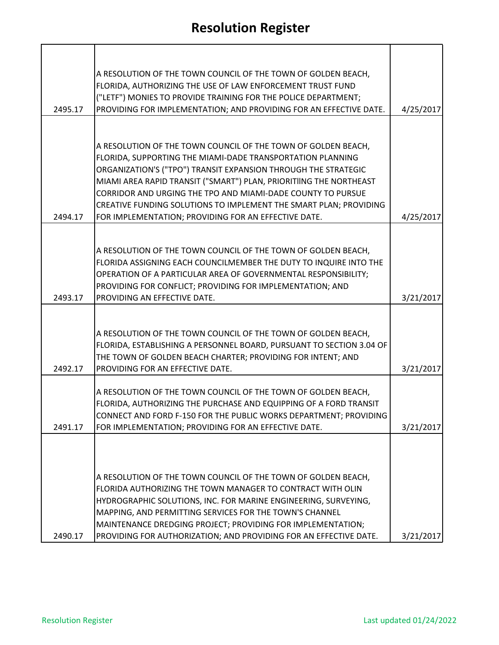|         | A RESOLUTION OF THE TOWN COUNCIL OF THE TOWN OF GOLDEN BEACH,                                                                       |           |
|---------|-------------------------------------------------------------------------------------------------------------------------------------|-----------|
|         | FLORIDA, AUTHORIZING THE USE OF LAW ENFORCEMENT TRUST FUND                                                                          |           |
|         | ("LETF") MONIES TO PROVIDE TRAINING FOR THE POLICE DEPARTMENT;                                                                      |           |
| 2495.17 | PROVIDING FOR IMPLEMENTATION; AND PROVIDING FOR AN EFFECTIVE DATE.                                                                  | 4/25/2017 |
|         |                                                                                                                                     |           |
|         | A RESOLUTION OF THE TOWN COUNCIL OF THE TOWN OF GOLDEN BEACH,                                                                       |           |
|         | FLORIDA, SUPPORTING THE MIAMI-DADE TRANSPORTATION PLANNING                                                                          |           |
|         | ORGANIZATION'S ("TPO") TRANSIT EXPANSION THROUGH THE STRATEGIC                                                                      |           |
|         | MIAMI AREA RAPID TRANSIT ("SMART") PLAN, PRIORITIING THE NORTHEAST                                                                  |           |
|         | CORRIDOR AND URGING THE TPO AND MIAMI-DADE COUNTY TO PURSUE                                                                         |           |
| 2494.17 | CREATIVE FUNDING SOLUTIONS TO IMPLEMENT THE SMART PLAN; PROVIDING<br>FOR IMPLEMENTATION; PROVIDING FOR AN EFFECTIVE DATE.           | 4/25/2017 |
|         |                                                                                                                                     |           |
|         |                                                                                                                                     |           |
|         | A RESOLUTION OF THE TOWN COUNCIL OF THE TOWN OF GOLDEN BEACH,                                                                       |           |
|         | FLORIDA ASSIGNING EACH COUNCILMEMBER THE DUTY TO INQUIRE INTO THE<br>OPERATION OF A PARTICULAR AREA OF GOVERNMENTAL RESPONSIBILITY; |           |
|         | PROVIDING FOR CONFLICT; PROVIDING FOR IMPLEMENTATION; AND                                                                           |           |
| 2493.17 | PROVIDING AN EFFECTIVE DATE.                                                                                                        | 3/21/2017 |
|         |                                                                                                                                     |           |
|         |                                                                                                                                     |           |
|         | A RESOLUTION OF THE TOWN COUNCIL OF THE TOWN OF GOLDEN BEACH,                                                                       |           |
|         | FLORIDA, ESTABLISHING A PERSONNEL BOARD, PURSUANT TO SECTION 3.04 OF<br>THE TOWN OF GOLDEN BEACH CHARTER; PROVIDING FOR INTENT; AND |           |
| 2492.17 | PROVIDING FOR AN EFFECTIVE DATE.                                                                                                    | 3/21/2017 |
|         |                                                                                                                                     |           |
|         | A RESOLUTION OF THE TOWN COUNCIL OF THE TOWN OF GOLDEN BEACH,                                                                       |           |
|         | FLORIDA, AUTHORIZING THE PURCHASE AND EQUIPPING OF A FORD TRANSIT                                                                   |           |
| 2491.17 | CONNECT AND FORD F-150 FOR THE PUBLIC WORKS DEPARTMENT; PROVIDING<br>FOR IMPLEMENTATION; PROVIDING FOR AN EFFECTIVE DATE.           | 3/21/2017 |
|         |                                                                                                                                     |           |
|         |                                                                                                                                     |           |
|         |                                                                                                                                     |           |
|         | A RESOLUTION OF THE TOWN COUNCIL OF THE TOWN OF GOLDEN BEACH,                                                                       |           |
|         | FLORIDA AUTHORIZING THE TOWN MANAGER TO CONTRACT WITH OLIN                                                                          |           |
|         | HYDROGRAPHIC SOLUTIONS, INC. FOR MARINE ENGINEERING, SURVEYING,<br>MAPPING, AND PERMITTING SERVICES FOR THE TOWN'S CHANNEL          |           |
|         | MAINTENANCE DREDGING PROJECT; PROVIDING FOR IMPLEMENTATION;                                                                         |           |
| 2490.17 | PROVIDING FOR AUTHORIZATION; AND PROVIDING FOR AN EFFECTIVE DATE.                                                                   | 3/21/2017 |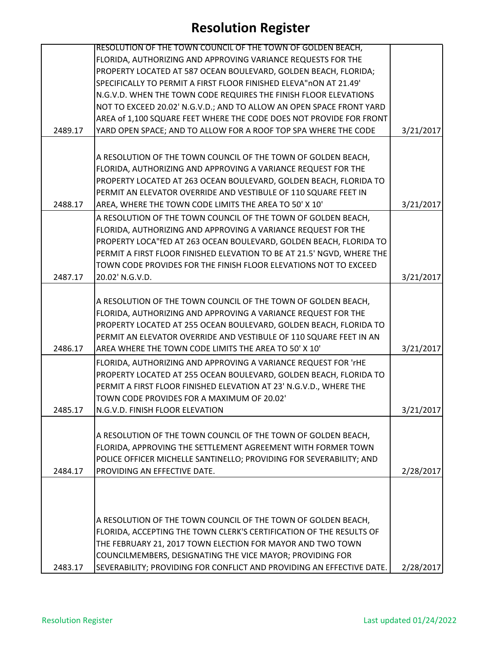|         | RESOLUTION OF THE TOWN COUNCIL OF THE TOWN OF GOLDEN BEACH,<br>FLORIDA, AUTHORIZING AND APPROVING VARIANCE REQUESTS FOR THE |           |
|---------|-----------------------------------------------------------------------------------------------------------------------------|-----------|
|         | PROPERTY LOCATED AT 587 OCEAN BOULEVARD, GOLDEN BEACH, FLORIDA;                                                             |           |
|         | SPECIFICALLY TO PERMIT A FIRST FLOOR FINISHED ELEVA" nON AT 21.49'                                                          |           |
|         | N.G.V.D. WHEN THE TOWN CODE REQUIRES THE FINISH FLOOR ELEVATIONS                                                            |           |
|         |                                                                                                                             |           |
|         | NOT TO EXCEED 20.02' N.G.V.D.; AND TO ALLOW AN OPEN SPACE FRONT YARD                                                        |           |
|         | AREA of 1,100 SQUARE FEET WHERE THE CODE DOES NOT PROVIDE FOR FRONT                                                         |           |
| 2489.17 | YARD OPEN SPACE; AND TO ALLOW FOR A ROOF TOP SPA WHERE THE CODE                                                             | 3/21/2017 |
|         |                                                                                                                             |           |
|         | A RESOLUTION OF THE TOWN COUNCIL OF THE TOWN OF GOLDEN BEACH,                                                               |           |
|         | FLORIDA, AUTHORIZING AND APPROVING A VARIANCE REQUEST FOR THE                                                               |           |
|         | PROPERTY LOCATED AT 263 OCEAN BOULEVARD, GOLDEN BEACH, FLORIDA TO                                                           |           |
|         | PERMIT AN ELEVATOR OVERRIDE AND VESTIBULE OF 110 SQUARE FEET IN                                                             |           |
| 2488.17 | AREA, WHERE THE TOWN CODE LIMITS THE AREA TO 50' X 10'                                                                      | 3/21/2017 |
|         | A RESOLUTION OF THE TOWN COUNCIL OF THE TOWN OF GOLDEN BEACH,                                                               |           |
|         | FLORIDA, AUTHORIZING AND APPROVING A VARIANCE REQUEST FOR THE                                                               |           |
|         | PROPERTY LOCA" fED AT 263 OCEAN BOULEVARD, GOLDEN BEACH, FLORIDA TO                                                         |           |
|         | PERMIT A FIRST FLOOR FINISHED ELEVATION TO BE AT 21.5' NGVD, WHERE THE                                                      |           |
|         | TOWN CODE PROVIDES FOR THE FINISH FLOOR ELEVATIONS NOT TO EXCEED                                                            |           |
| 2487.17 | 20.02' N.G.V.D.                                                                                                             | 3/21/2017 |
|         |                                                                                                                             |           |
|         |                                                                                                                             |           |
|         | A RESOLUTION OF THE TOWN COUNCIL OF THE TOWN OF GOLDEN BEACH,                                                               |           |
|         | FLORIDA, AUTHORIZING AND APPROVING A VARIANCE REQUEST FOR THE                                                               |           |
|         | PROPERTY LOCATED AT 255 OCEAN BOULEVARD, GOLDEN BEACH, FLORIDA TO                                                           |           |
|         | PERMIT AN ELEVATOR OVERRIDE AND VESTIBULE OF 110 SQUARE FEET IN AN                                                          |           |
| 2486.17 | AREA WHERE THE TOWN CODE LIMITS THE AREA TO 50' X 10'                                                                       | 3/21/2017 |
|         | FLORIDA, AUTHORIZING AND APPROVING A VARIANCE REQUEST FOR 'rHE                                                              |           |
|         | PROPERTY LOCATED AT 255 OCEAN BOULEVARD, GOLDEN BEACH, FLORIDA TO                                                           |           |
|         | PERMIT A FIRST FLOOR FINISHED ELEVATION AT 23' N.G.V.D., WHERE THE                                                          |           |
|         | TOWN CODE PROVIDES FOR A MAXIMUM OF 20.02'                                                                                  |           |
| 2485.17 | N.G.V.D. FINISH FLOOR ELEVATION                                                                                             | 3/21/2017 |
|         |                                                                                                                             |           |
|         | A RESOLUTION OF THE TOWN COUNCIL OF THE TOWN OF GOLDEN BEACH,                                                               |           |
|         | FLORIDA, APPROVING THE SETTLEMENT AGREEMENT WITH FORMER TOWN                                                                |           |
|         | POLICE OFFICER MICHELLE SANTINELLO; PROVIDING FOR SEVERABILITY; AND                                                         |           |
| 2484.17 | PROVIDING AN EFFECTIVE DATE.                                                                                                | 2/28/2017 |
|         |                                                                                                                             |           |
|         |                                                                                                                             |           |
|         |                                                                                                                             |           |
|         | A RESOLUTION OF THE TOWN COUNCIL OF THE TOWN OF GOLDEN BEACH,                                                               |           |
|         | FLORIDA, ACCEPTING THE TOWN CLERK'S CERTIFICATION OF THE RESULTS OF                                                         |           |
|         |                                                                                                                             |           |
|         | THE FEBRUARY 21, 2017 TOWN ELECTION FOR MAYOR AND TWO TOWN                                                                  |           |
|         | COUNCILMEMBERS, DESIGNATING THE VICE MAYOR; PROVIDING FOR                                                                   |           |
| 2483.17 | SEVERABILITY; PROVIDING FOR CONFLICT AND PROVIDING AN EFFECTIVE DATE.                                                       | 2/28/2017 |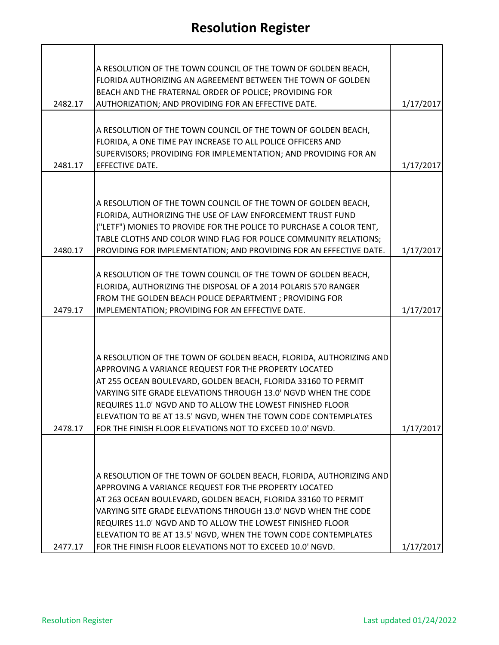|         | A RESOLUTION OF THE TOWN COUNCIL OF THE TOWN OF GOLDEN BEACH,                                                          |           |
|---------|------------------------------------------------------------------------------------------------------------------------|-----------|
|         | FLORIDA AUTHORIZING AN AGREEMENT BETWEEN THE TOWN OF GOLDEN                                                            |           |
|         | BEACH AND THE FRATERNAL ORDER OF POLICE; PROVIDING FOR                                                                 |           |
| 2482.17 | AUTHORIZATION; AND PROVIDING FOR AN EFFECTIVE DATE.                                                                    | 1/17/2017 |
|         |                                                                                                                        |           |
|         | A RESOLUTION OF THE TOWN COUNCIL OF THE TOWN OF GOLDEN BEACH,                                                          |           |
|         | FLORIDA, A ONE TIME PAY INCREASE TO ALL POLICE OFFICERS AND                                                            |           |
|         | SUPERVISORS; PROVIDING FOR IMPLEMENTATION; AND PROVIDING FOR AN                                                        |           |
| 2481.17 | EFFECTIVE DATE.                                                                                                        | 1/17/2017 |
|         |                                                                                                                        |           |
|         |                                                                                                                        |           |
|         | A RESOLUTION OF THE TOWN COUNCIL OF THE TOWN OF GOLDEN BEACH,                                                          |           |
|         | FLORIDA, AUTHORIZING THE USE OF LAW ENFORCEMENT TRUST FUND                                                             |           |
|         | ("LETF") MONIES TO PROVIDE FOR THE POLICE TO PURCHASE A COLOR TENT,                                                    |           |
|         | TABLE CLOTHS AND COLOR WIND FLAG FOR POLICE COMMUNITY RELATIONS;                                                       |           |
| 2480.17 | PROVIDING FOR IMPLEMENTATION; AND PROVIDING FOR AN EFFECTIVE DATE.                                                     | 1/17/2017 |
|         |                                                                                                                        |           |
|         | A RESOLUTION OF THE TOWN COUNCIL OF THE TOWN OF GOLDEN BEACH,                                                          |           |
|         | FLORIDA, AUTHORIZING THE DISPOSAL OF A 2014 POLARIS 570 RANGER                                                         |           |
|         | FROM THE GOLDEN BEACH POLICE DEPARTMENT ; PROVIDING FOR                                                                |           |
| 2479.17 | IMPLEMENTATION; PROVIDING FOR AN EFFECTIVE DATE.                                                                       | 1/17/2017 |
|         |                                                                                                                        |           |
|         |                                                                                                                        |           |
|         |                                                                                                                        |           |
|         | A RESOLUTION OF THE TOWN OF GOLDEN BEACH, FLORIDA, AUTHORIZING AND                                                     |           |
|         | APPROVING A VARIANCE REQUEST FOR THE PROPERTY LOCATED<br>AT 255 OCEAN BOULEVARD, GOLDEN BEACH, FLORIDA 33160 TO PERMIT |           |
|         | VARYING SITE GRADE ELEVATIONS THROUGH 13.0' NGVD WHEN THE CODE                                                         |           |
|         | REQUIRES 11.0' NGVD AND TO ALLOW THE LOWEST FINISHED FLOOR                                                             |           |
|         | ELEVATION TO BE AT 13.5' NGVD, WHEN THE TOWN CODE CONTEMPLATES                                                         |           |
| 2478.17 | FOR THE FINISH FLOOR ELEVATIONS NOT TO EXCEED 10.0' NGVD.                                                              | 1/17/2017 |
|         |                                                                                                                        |           |
|         |                                                                                                                        |           |
|         |                                                                                                                        |           |
|         | A RESOLUTION OF THE TOWN OF GOLDEN BEACH, FLORIDA, AUTHORIZING AND                                                     |           |
|         | APPROVING A VARIANCE REQUEST FOR THE PROPERTY LOCATED                                                                  |           |
|         | AT 263 OCEAN BOULEVARD, GOLDEN BEACH, FLORIDA 33160 TO PERMIT                                                          |           |
|         | VARYING SITE GRADE ELEVATIONS THROUGH 13.0' NGVD WHEN THE CODE                                                         |           |
|         | REQUIRES 11.0' NGVD AND TO ALLOW THE LOWEST FINISHED FLOOR                                                             |           |
|         | ELEVATION TO BE AT 13.5' NGVD, WHEN THE TOWN CODE CONTEMPLATES                                                         |           |
| 2477.17 | FOR THE FINISH FLOOR ELEVATIONS NOT TO EXCEED 10.0' NGVD.                                                              | 1/17/2017 |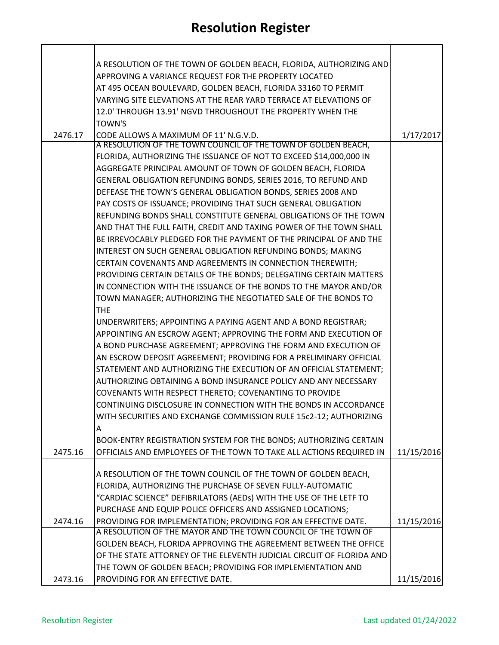|         | A RESOLUTION OF THE TOWN OF GOLDEN BEACH, FLORIDA, AUTHORIZING AND    |            |
|---------|-----------------------------------------------------------------------|------------|
|         | APPROVING A VARIANCE REQUEST FOR THE PROPERTY LOCATED                 |            |
|         | AT 495 OCEAN BOULEVARD, GOLDEN BEACH, FLORIDA 33160 TO PERMIT         |            |
|         | VARYING SITE ELEVATIONS AT THE REAR YARD TERRACE AT ELEVATIONS OF     |            |
|         | 12.0' THROUGH 13.91' NGVD THROUGHOUT THE PROPERTY WHEN THE            |            |
|         | <b>TOWN'S</b>                                                         |            |
| 2476.17 | CODE ALLOWS A MAXIMUM OF 11' N.G.V.D.                                 | 1/17/2017  |
|         | A RESOLUTION OF THE TOWN COUNCIL OF THE TOWN OF GOLDEN BEACH,         |            |
|         | FLORIDA, AUTHORIZING THE ISSUANCE OF NOT TO EXCEED \$14,000,000 IN    |            |
|         | AGGREGATE PRINCIPAL AMOUNT OF TOWN OF GOLDEN BEACH, FLORIDA           |            |
|         | GENERAL OBLIGATION REFUNDING BONDS, SERIES 2016, TO REFUND AND        |            |
|         | DEFEASE THE TOWN'S GENERAL OBLIGATION BONDS, SERIES 2008 AND          |            |
|         | PAY COSTS OF ISSUANCE; PROVIDING THAT SUCH GENERAL OBLIGATION         |            |
|         | REFUNDING BONDS SHALL CONSTITUTE GENERAL OBLIGATIONS OF THE TOWN      |            |
|         | AND THAT THE FULL FAITH, CREDIT AND TAXING POWER OF THE TOWN SHALL    |            |
|         | BE IRREVOCABLY PLEDGED FOR THE PAYMENT OF THE PRINCIPAL OF AND THE    |            |
|         | INTEREST ON SUCH GENERAL OBLIGATION REFUNDING BONDS; MAKING           |            |
|         |                                                                       |            |
|         | CERTAIN COVENANTS AND AGREEMENTS IN CONNECTION THEREWITH;             |            |
|         | PROVIDING CERTAIN DETAILS OF THE BONDS; DELEGATING CERTAIN MATTERS    |            |
|         | IN CONNECTION WITH THE ISSUANCE OF THE BONDS TO THE MAYOR AND/OR      |            |
|         | TOWN MANAGER; AUTHORIZING THE NEGOTIATED SALE OF THE BONDS TO         |            |
|         | <b>THE</b>                                                            |            |
|         | UNDERWRITERS; APPOINTING A PAYING AGENT AND A BOND REGISTRAR;         |            |
|         | APPOINTING AN ESCROW AGENT; APPROVING THE FORM AND EXECUTION OF       |            |
|         | A BOND PURCHASE AGREEMENT; APPROVING THE FORM AND EXECUTION OF        |            |
|         | AN ESCROW DEPOSIT AGREEMENT; PROVIDING FOR A PRELIMINARY OFFICIAL     |            |
|         | STATEMENT AND AUTHORIZING THE EXECUTION OF AN OFFICIAL STATEMENT;     |            |
|         | AUTHORIZING OBTAINING A BOND INSURANCE POLICY AND ANY NECESSARY       |            |
|         | COVENANTS WITH RESPECT THERETO; COVENANTING TO PROVIDE                |            |
|         | CONTINUING DISCLOSURE IN CONNECTION WITH THE BONDS IN ACCORDANCE      |            |
|         | WITH SECURITIES AND EXCHANGE COMMISSION RULE 15c2-12; AUTHORIZING     |            |
|         | A                                                                     |            |
|         | BOOK-ENTRY REGISTRATION SYSTEM FOR THE BONDS; AUTHORIZING CERTAIN     |            |
| 2475.16 | OFFICIALS AND EMPLOYEES OF THE TOWN TO TAKE ALL ACTIONS REQUIRED IN   | 11/15/2016 |
|         |                                                                       |            |
|         | A RESOLUTION OF THE TOWN COUNCIL OF THE TOWN OF GOLDEN BEACH,         |            |
|         | FLORIDA, AUTHORIZING THE PURCHASE OF SEVEN FULLY-AUTOMATIC            |            |
|         | "CARDIAC SCIENCE" DEFIBRILATORS (AEDs) WITH THE USE OF THE LETF TO    |            |
|         | PURCHASE AND EQUIP POLICE OFFICERS AND ASSIGNED LOCATIONS;            |            |
| 2474.16 | PROVIDING FOR IMPLEMENTATION; PROVIDING FOR AN EFFECTIVE DATE.        | 11/15/2016 |
|         | A RESOLUTION OF THE MAYOR AND THE TOWN COUNCIL OF THE TOWN OF         |            |
|         | GOLDEN BEACH, FLORIDA APPROVING THE AGREEMENT BETWEEN THE OFFICE      |            |
|         | OF THE STATE ATTORNEY OF THE ELEVENTH JUDICIAL CIRCUIT OF FLORIDA AND |            |
|         | THE TOWN OF GOLDEN BEACH; PROVIDING FOR IMPLEMENTATION AND            |            |
| 2473.16 | PROVIDING FOR AN EFFECTIVE DATE.                                      | 11/15/2016 |

**T** 

h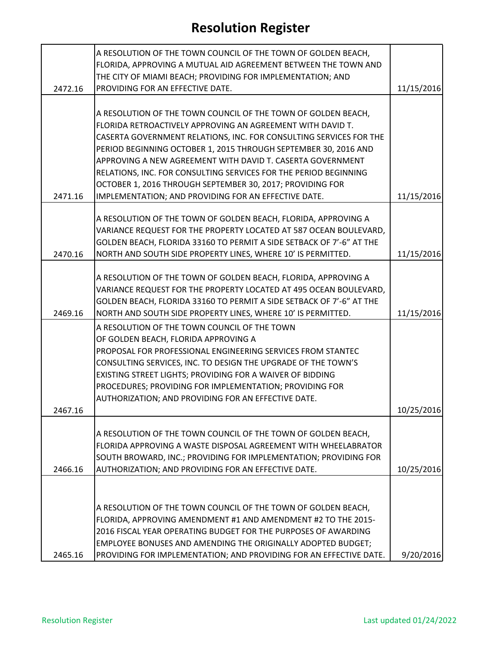|         | A RESOLUTION OF THE TOWN COUNCIL OF THE TOWN OF GOLDEN BEACH,                                                                       |            |
|---------|-------------------------------------------------------------------------------------------------------------------------------------|------------|
|         | FLORIDA, APPROVING A MUTUAL AID AGREEMENT BETWEEN THE TOWN AND<br>THE CITY OF MIAMI BEACH; PROVIDING FOR IMPLEMENTATION; AND        |            |
| 2472.16 | PROVIDING FOR AN EFFECTIVE DATE.                                                                                                    | 11/15/2016 |
|         |                                                                                                                                     |            |
|         | A RESOLUTION OF THE TOWN COUNCIL OF THE TOWN OF GOLDEN BEACH,                                                                       |            |
|         | FLORIDA RETROACTIVELY APPROVING AN AGREEMENT WITH DAVID T.                                                                          |            |
|         | CASERTA GOVERNMENT RELATIONS, INC. FOR CONSULTING SERVICES FOR THE                                                                  |            |
|         | PERIOD BEGINNING OCTOBER 1, 2015 THROUGH SEPTEMBER 30, 2016 AND                                                                     |            |
|         | APPROVING A NEW AGREEMENT WITH DAVID T. CASERTA GOVERNMENT                                                                          |            |
|         | RELATIONS, INC. FOR CONSULTING SERVICES FOR THE PERIOD BEGINNING                                                                    |            |
|         | OCTOBER 1, 2016 THROUGH SEPTEMBER 30, 2017; PROVIDING FOR                                                                           |            |
| 2471.16 | IMPLEMENTATION; AND PROVIDING FOR AN EFFECTIVE DATE.                                                                                | 11/15/2016 |
|         |                                                                                                                                     |            |
|         | A RESOLUTION OF THE TOWN OF GOLDEN BEACH, FLORIDA, APPROVING A<br>VARIANCE REQUEST FOR THE PROPERTY LOCATED AT 587 OCEAN BOULEVARD, |            |
|         | GOLDEN BEACH, FLORIDA 33160 TO PERMIT A SIDE SETBACK OF 7'-6" AT THE                                                                |            |
| 2470.16 | NORTH AND SOUTH SIDE PROPERTY LINES, WHERE 10' IS PERMITTED.                                                                        | 11/15/2016 |
|         |                                                                                                                                     |            |
|         | A RESOLUTION OF THE TOWN OF GOLDEN BEACH, FLORIDA, APPROVING A                                                                      |            |
|         | VARIANCE REQUEST FOR THE PROPERTY LOCATED AT 495 OCEAN BOULEVARD,                                                                   |            |
|         | GOLDEN BEACH, FLORIDA 33160 TO PERMIT A SIDE SETBACK OF 7'-6" AT THE                                                                |            |
| 2469.16 | NORTH AND SOUTH SIDE PROPERTY LINES, WHERE 10' IS PERMITTED.                                                                        | 11/15/2016 |
|         | A RESOLUTION OF THE TOWN COUNCIL OF THE TOWN                                                                                        |            |
|         | OF GOLDEN BEACH, FLORIDA APPROVING A                                                                                                |            |
|         | PROPOSAL FOR PROFESSIONAL ENGINEERING SERVICES FROM STANTEC                                                                         |            |
|         | CONSULTING SERVICES, INC. TO DESIGN THE UPGRADE OF THE TOWN'S                                                                       |            |
|         | EXISTING STREET LIGHTS; PROVIDING FOR A WAIVER OF BIDDING                                                                           |            |
|         | PROCEDURES; PROVIDING FOR IMPLEMENTATION; PROVIDING FOR                                                                             |            |
|         | AUTHORIZATION; AND PROVIDING FOR AN EFFECTIVE DATE.                                                                                 |            |
| 2467.16 |                                                                                                                                     | 10/25/2016 |
|         |                                                                                                                                     |            |
|         | A RESOLUTION OF THE TOWN COUNCIL OF THE TOWN OF GOLDEN BEACH,                                                                       |            |
|         | FLORIDA APPROVING A WASTE DISPOSAL AGREEMENT WITH WHEELABRATOR                                                                      |            |
|         | SOUTH BROWARD, INC.; PROVIDING FOR IMPLEMENTATION; PROVIDING FOR                                                                    |            |
| 2466.16 | AUTHORIZATION; AND PROVIDING FOR AN EFFECTIVE DATE.                                                                                 | 10/25/2016 |
|         |                                                                                                                                     |            |
|         |                                                                                                                                     |            |
|         | A RESOLUTION OF THE TOWN COUNCIL OF THE TOWN OF GOLDEN BEACH,                                                                       |            |
|         | FLORIDA, APPROVING AMENDMENT #1 AND AMENDMENT #2 TO THE 2015-<br>2016 FISCAL YEAR OPERATING BUDGET FOR THE PURPOSES OF AWARDING     |            |
|         |                                                                                                                                     |            |
| 2465.16 | EMPLOYEE BONUSES AND AMENDING THE ORIGINALLY ADOPTED BUDGET;                                                                        |            |
|         | PROVIDING FOR IMPLEMENTATION; AND PROVIDING FOR AN EFFECTIVE DATE.                                                                  | 9/20/2016  |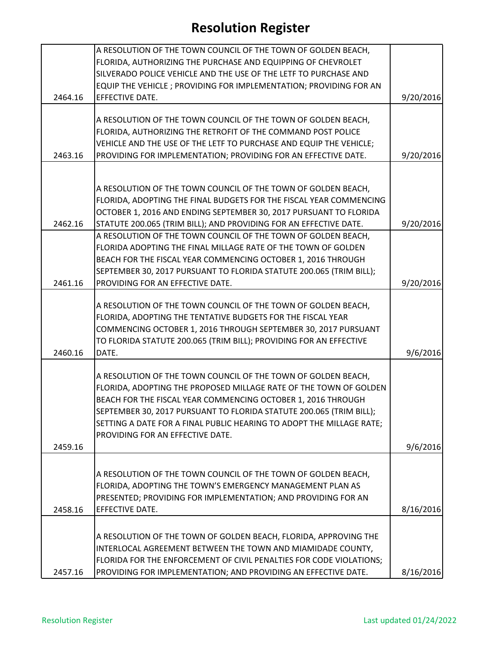|         | A RESOLUTION OF THE TOWN COUNCIL OF THE TOWN OF GOLDEN BEACH,                                                                      |           |
|---------|------------------------------------------------------------------------------------------------------------------------------------|-----------|
|         | FLORIDA, AUTHORIZING THE PURCHASE AND EQUIPPING OF CHEVROLET                                                                       |           |
|         | SILVERADO POLICE VEHICLE AND THE USE OF THE LETF TO PURCHASE AND                                                                   |           |
|         | EQUIP THE VEHICLE ; PROVIDING FOR IMPLEMENTATION; PROVIDING FOR AN                                                                 |           |
| 2464.16 | EFFECTIVE DATE.                                                                                                                    | 9/20/2016 |
|         |                                                                                                                                    |           |
|         | A RESOLUTION OF THE TOWN COUNCIL OF THE TOWN OF GOLDEN BEACH,                                                                      |           |
|         | FLORIDA, AUTHORIZING THE RETROFIT OF THE COMMAND POST POLICE                                                                       |           |
|         | VEHICLE AND THE USE OF THE LETF TO PURCHASE AND EQUIP THE VEHICLE;                                                                 |           |
| 2463.16 | PROVIDING FOR IMPLEMENTATION; PROVIDING FOR AN EFFECTIVE DATE.                                                                     | 9/20/2016 |
|         |                                                                                                                                    |           |
|         |                                                                                                                                    |           |
|         | A RESOLUTION OF THE TOWN COUNCIL OF THE TOWN OF GOLDEN BEACH,                                                                      |           |
|         | FLORIDA, ADOPTING THE FINAL BUDGETS FOR THE FISCAL YEAR COMMENCING                                                                 |           |
|         | OCTOBER 1, 2016 AND ENDING SEPTEMBER 30, 2017 PURSUANT TO FLORIDA                                                                  |           |
| 2462.16 | STATUTE 200.065 (TRIM BILL); AND PROVIDING FOR AN EFFECTIVE DATE.                                                                  | 9/20/2016 |
|         | A RESOLUTION OF THE TOWN COUNCIL OF THE TOWN OF GOLDEN BEACH,                                                                      |           |
|         | FLORIDA ADOPTING THE FINAL MILLAGE RATE OF THE TOWN OF GOLDEN                                                                      |           |
|         | BEACH FOR THE FISCAL YEAR COMMENCING OCTOBER 1, 2016 THROUGH                                                                       |           |
|         | SEPTEMBER 30, 2017 PURSUANT TO FLORIDA STATUTE 200.065 (TRIM BILL);                                                                |           |
| 2461.16 | PROVIDING FOR AN EFFECTIVE DATE.                                                                                                   | 9/20/2016 |
|         |                                                                                                                                    |           |
|         | A RESOLUTION OF THE TOWN COUNCIL OF THE TOWN OF GOLDEN BEACH,                                                                      |           |
|         | FLORIDA, ADOPTING THE TENTATIVE BUDGETS FOR THE FISCAL YEAR                                                                        |           |
|         | COMMENCING OCTOBER 1, 2016 THROUGH SEPTEMBER 30, 2017 PURSUANT                                                                     |           |
|         | TO FLORIDA STATUTE 200.065 (TRIM BILL); PROVIDING FOR AN EFFECTIVE                                                                 |           |
| 2460.16 | DATE.                                                                                                                              | 9/6/2016  |
|         |                                                                                                                                    |           |
|         | A RESOLUTION OF THE TOWN COUNCIL OF THE TOWN OF GOLDEN BEACH,<br>FLORIDA, ADOPTING THE PROPOSED MILLAGE RATE OF THE TOWN OF GOLDEN |           |
|         |                                                                                                                                    |           |
|         | BEACH FOR THE FISCAL YEAR COMMENCING OCTOBER 1, 2016 THROUGH                                                                       |           |
|         | SEPTEMBER 30, 2017 PURSUANT TO FLORIDA STATUTE 200.065 (TRIM BILL);                                                                |           |
|         | SETTING A DATE FOR A FINAL PUBLIC HEARING TO ADOPT THE MILLAGE RATE;                                                               |           |
|         | PROVIDING FOR AN EFFECTIVE DATE.                                                                                                   |           |
| 2459.16 |                                                                                                                                    | 9/6/2016  |
|         |                                                                                                                                    |           |
|         | A RESOLUTION OF THE TOWN COUNCIL OF THE TOWN OF GOLDEN BEACH,                                                                      |           |
|         | FLORIDA, ADOPTING THE TOWN'S EMERGENCY MANAGEMENT PLAN AS                                                                          |           |
|         | PRESENTED; PROVIDING FOR IMPLEMENTATION; AND PROVIDING FOR AN                                                                      |           |
| 2458.16 | EFFECTIVE DATE.                                                                                                                    | 8/16/2016 |
|         |                                                                                                                                    |           |
|         | A RESOLUTION OF THE TOWN OF GOLDEN BEACH, FLORIDA, APPROVING THE                                                                   |           |
|         | INTERLOCAL AGREEMENT BETWEEN THE TOWN AND MIAMIDADE COUNTY,                                                                        |           |
|         | FLORIDA FOR THE ENFORCEMENT OF CIVIL PENALTIES FOR CODE VIOLATIONS;                                                                |           |
| 2457.16 | PROVIDING FOR IMPLEMENTATION; AND PROVIDING AN EFFECTIVE DATE.                                                                     | 8/16/2016 |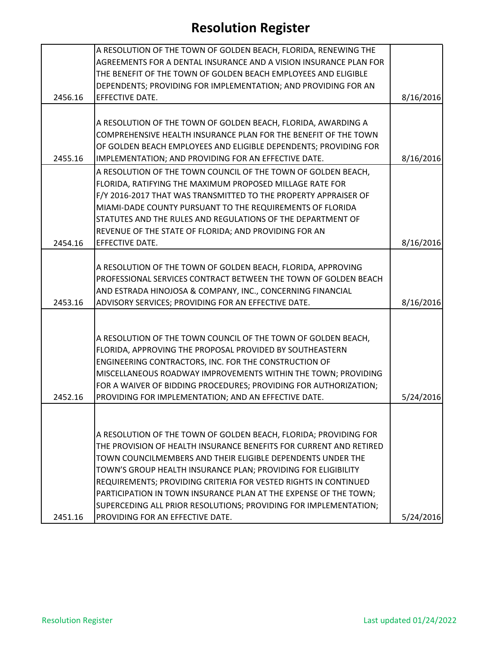|         | A RESOLUTION OF THE TOWN OF GOLDEN BEACH, FLORIDA, RENEWING THE    |           |
|---------|--------------------------------------------------------------------|-----------|
|         | AGREEMENTS FOR A DENTAL INSURANCE AND A VISION INSURANCE PLAN FOR  |           |
|         | THE BENEFIT OF THE TOWN OF GOLDEN BEACH EMPLOYEES AND ELIGIBLE     |           |
|         | DEPENDENTS; PROVIDING FOR IMPLEMENTATION; AND PROVIDING FOR AN     |           |
| 2456.16 | EFFECTIVE DATE.                                                    | 8/16/2016 |
|         |                                                                    |           |
|         |                                                                    |           |
|         | A RESOLUTION OF THE TOWN OF GOLDEN BEACH, FLORIDA, AWARDING A      |           |
|         | COMPREHENSIVE HEALTH INSURANCE PLAN FOR THE BENEFIT OF THE TOWN    |           |
|         | OF GOLDEN BEACH EMPLOYEES AND ELIGIBLE DEPENDENTS; PROVIDING FOR   |           |
| 2455.16 | IMPLEMENTATION; AND PROVIDING FOR AN EFFECTIVE DATE.               | 8/16/2016 |
|         | A RESOLUTION OF THE TOWN COUNCIL OF THE TOWN OF GOLDEN BEACH,      |           |
|         | FLORIDA, RATIFYING THE MAXIMUM PROPOSED MILLAGE RATE FOR           |           |
|         | F/Y 2016-2017 THAT WAS TRANSMITTED TO THE PROPERTY APPRAISER OF    |           |
|         | MIAMI-DADE COUNTY PURSUANT TO THE REQUIREMENTS OF FLORIDA          |           |
|         | STATUTES AND THE RULES AND REGULATIONS OF THE DEPARTMENT OF        |           |
|         | REVENUE OF THE STATE OF FLORIDA; AND PROVIDING FOR AN              |           |
| 2454.16 | EFFECTIVE DATE.                                                    | 8/16/2016 |
|         |                                                                    |           |
|         | A RESOLUTION OF THE TOWN OF GOLDEN BEACH, FLORIDA, APPROVING       |           |
|         | PROFESSIONAL SERVICES CONTRACT BETWEEN THE TOWN OF GOLDEN BEACH    |           |
|         | AND ESTRADA HINOJOSA & COMPANY, INC., CONCERNING FINANCIAL         |           |
|         |                                                                    |           |
| 2453.16 | ADVISORY SERVICES; PROVIDING FOR AN EFFECTIVE DATE.                | 8/16/2016 |
|         |                                                                    |           |
|         |                                                                    |           |
|         | A RESOLUTION OF THE TOWN COUNCIL OF THE TOWN OF GOLDEN BEACH,      |           |
|         | FLORIDA, APPROVING THE PROPOSAL PROVIDED BY SOUTHEASTERN           |           |
|         | ENGINEERING CONTRACTORS, INC. FOR THE CONSTRUCTION OF              |           |
|         | MISCELLANEOUS ROADWAY IMPROVEMENTS WITHIN THE TOWN; PROVIDING      |           |
|         | FOR A WAIVER OF BIDDING PROCEDURES; PROVIDING FOR AUTHORIZATION;   |           |
| 2452.16 | PROVIDING FOR IMPLEMENTATION; AND AN EFFECTIVE DATE.               | 5/24/2016 |
|         |                                                                    |           |
|         |                                                                    |           |
|         | A RESOLUTION OF THE TOWN OF GOLDEN BEACH, FLORIDA; PROVIDING FOR   |           |
|         | THE PROVISION OF HEALTH INSURANCE BENEFITS FOR CURRENT AND RETIRED |           |
|         | TOWN COUNCILMEMBERS AND THEIR ELIGIBLE DEPENDENTS UNDER THE        |           |
|         | TOWN'S GROUP HEALTH INSURANCE PLAN; PROVIDING FOR ELIGIBILITY      |           |
|         | REQUIREMENTS; PROVIDING CRITERIA FOR VESTED RIGHTS IN CONTINUED    |           |
|         | PARTICIPATION IN TOWN INSURANCE PLAN AT THE EXPENSE OF THE TOWN;   |           |
|         |                                                                    |           |
|         | SUPERCEDING ALL PRIOR RESOLUTIONS; PROVIDING FOR IMPLEMENTATION;   |           |
| 2451.16 | PROVIDING FOR AN EFFECTIVE DATE.                                   | 5/24/2016 |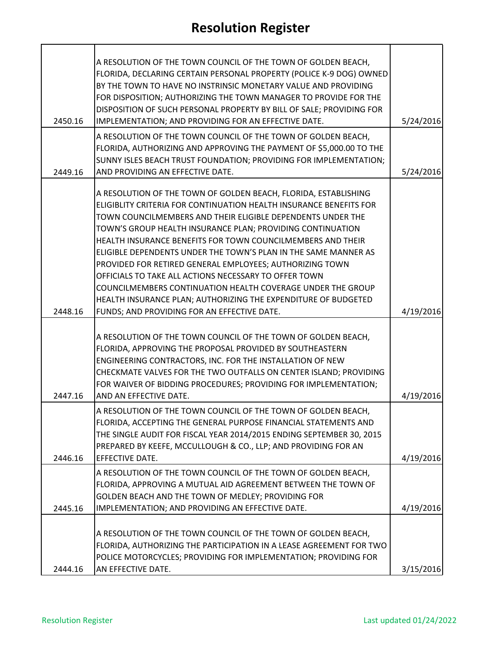| 2450.16 | A RESOLUTION OF THE TOWN COUNCIL OF THE TOWN OF GOLDEN BEACH,<br>FLORIDA, DECLARING CERTAIN PERSONAL PROPERTY (POLICE K-9 DOG) OWNED<br>BY THE TOWN TO HAVE NO INSTRINSIC MONETARY VALUE AND PROVIDING<br>FOR DISPOSITION; AUTHORIZING THE TOWN MANAGER TO PROVIDE FOR THE<br>DISPOSITION OF SUCH PERSONAL PROPERTY BY BILL OF SALE; PROVIDING FOR<br>IMPLEMENTATION; AND PROVIDING FOR AN EFFECTIVE DATE.                                                                                                                                                                                                                                                                                                | 5/24/2016 |
|---------|-----------------------------------------------------------------------------------------------------------------------------------------------------------------------------------------------------------------------------------------------------------------------------------------------------------------------------------------------------------------------------------------------------------------------------------------------------------------------------------------------------------------------------------------------------------------------------------------------------------------------------------------------------------------------------------------------------------|-----------|
| 2449.16 | A RESOLUTION OF THE TOWN COUNCIL OF THE TOWN OF GOLDEN BEACH,<br>FLORIDA, AUTHORIZING AND APPROVING THE PAYMENT OF \$5,000.00 TO THE<br>SUNNY ISLES BEACH TRUST FOUNDATION; PROVIDING FOR IMPLEMENTATION;<br>AND PROVIDING AN EFFECTIVE DATE.                                                                                                                                                                                                                                                                                                                                                                                                                                                             | 5/24/2016 |
| 2448.16 | A RESOLUTION OF THE TOWN OF GOLDEN BEACH, FLORIDA, ESTABLISHING<br>ELIGIBLITY CRITERIA FOR CONTINUATION HEALTH INSURANCE BENEFITS FOR<br>TOWN COUNCILMEMBERS AND THEIR ELIGIBLE DEPENDENTS UNDER THE<br>TOWN'S GROUP HEALTH INSURANCE PLAN; PROVIDING CONTINUATION<br>HEALTH INSURANCE BENEFITS FOR TOWN COUNCILMEMBERS AND THEIR<br>ELIGIBLE DEPENDENTS UNDER THE TOWN'S PLAN IN THE SAME MANNER AS<br>PROVIDED FOR RETIRED GENERAL EMPLOYEES; AUTHORIZING TOWN<br>OFFICIALS TO TAKE ALL ACTIONS NECESSARY TO OFFER TOWN<br>COUNCILMEMBERS CONTINUATION HEALTH COVERAGE UNDER THE GROUP<br>HEALTH INSURANCE PLAN; AUTHORIZING THE EXPENDITURE OF BUDGETED<br>FUNDS; AND PROVIDING FOR AN EFFECTIVE DATE. | 4/19/2016 |
| 2447.16 | A RESOLUTION OF THE TOWN COUNCIL OF THE TOWN OF GOLDEN BEACH,<br>FLORIDA, APPROVING THE PROPOSAL PROVIDED BY SOUTHEASTERN<br>ENGINEERING CONTRACTORS, INC. FOR THE INSTALLATION OF NEW<br>CHECKMATE VALVES FOR THE TWO OUTFALLS ON CENTER ISLAND; PROVIDING<br>FOR WAIVER OF BIDDING PROCEDURES; PROVIDING FOR IMPLEMENTATION;<br>AND AN EFFECTIVE DATE.                                                                                                                                                                                                                                                                                                                                                  | 4/19/2016 |
| 2446.16 | A RESOLUTION OF THE TOWN COUNCIL OF THE TOWN OF GOLDEN BEACH,<br>FLORIDA, ACCEPTING THE GENERAL PURPOSE FINANCIAL STATEMENTS AND<br>THE SINGLE AUDIT FOR FISCAL YEAR 2014/2015 ENDING SEPTEMBER 30, 2015<br>PREPARED BY KEEFE, MCCULLOUGH & CO., LLP; AND PROVIDING FOR AN<br>EFFECTIVE DATE.                                                                                                                                                                                                                                                                                                                                                                                                             | 4/19/2016 |
| 2445.16 | A RESOLUTION OF THE TOWN COUNCIL OF THE TOWN OF GOLDEN BEACH,<br>FLORIDA, APPROVING A MUTUAL AID AGREEMENT BETWEEN THE TOWN OF<br>GOLDEN BEACH AND THE TOWN OF MEDLEY; PROVIDING FOR<br>IMPLEMENTATION; AND PROVIDING AN EFFECTIVE DATE.                                                                                                                                                                                                                                                                                                                                                                                                                                                                  | 4/19/2016 |
|         | A RESOLUTION OF THE TOWN COUNCIL OF THE TOWN OF GOLDEN BEACH,<br>FLORIDA, AUTHORIZING THE PARTICIPATION IN A LEASE AGREEMENT FOR TWO<br>POLICE MOTORCYCLES; PROVIDING FOR IMPLEMENTATION; PROVIDING FOR                                                                                                                                                                                                                                                                                                                                                                                                                                                                                                   |           |
| 2444.16 | AN EFFECTIVE DATE.                                                                                                                                                                                                                                                                                                                                                                                                                                                                                                                                                                                                                                                                                        | 3/15/2016 |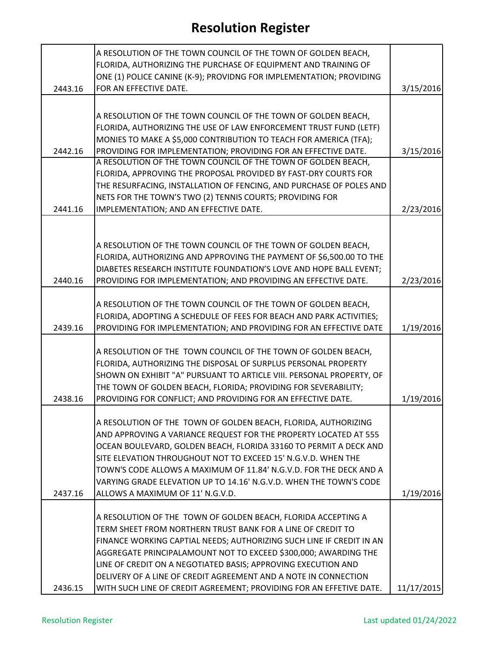|         | A RESOLUTION OF THE TOWN COUNCIL OF THE TOWN OF GOLDEN BEACH,<br>FLORIDA, AUTHORIZING THE PURCHASE OF EQUIPMENT AND TRAINING OF      |            |
|---------|--------------------------------------------------------------------------------------------------------------------------------------|------------|
| 2443.16 | ONE (1) POLICE CANINE (K-9); PROVIDNG FOR IMPLEMENTATION; PROVIDING<br>FOR AN EFFECTIVE DATE.                                        | 3/15/2016  |
|         |                                                                                                                                      |            |
|         | A RESOLUTION OF THE TOWN COUNCIL OF THE TOWN OF GOLDEN BEACH,                                                                        |            |
|         | FLORIDA, AUTHORIZING THE USE OF LAW ENFORCEMENT TRUST FUND (LETF)                                                                    |            |
|         | MONIES TO MAKE A \$5,000 CONTRIBUTION TO TEACH FOR AMERICA (TFA);                                                                    |            |
| 2442.16 | PROVIDING FOR IMPLEMENTATION; PROVIDING FOR AN EFFECTIVE DATE.                                                                       | 3/15/2016  |
|         | A RESOLUTION OF THE TOWN COUNCIL OF THE TOWN OF GOLDEN BEACH,                                                                        |            |
|         | FLORIDA, APPROVING THE PROPOSAL PROVIDED BY FAST-DRY COURTS FOR                                                                      |            |
|         | THE RESURFACING, INSTALLATION OF FENCING, AND PURCHASE OF POLES AND                                                                  |            |
|         | NETS FOR THE TOWN'S TWO (2) TENNIS COURTS; PROVIDING FOR                                                                             |            |
| 2441.16 | IMPLEMENTATION; AND AN EFFECTIVE DATE.                                                                                               | 2/23/2016  |
|         |                                                                                                                                      |            |
|         |                                                                                                                                      |            |
|         | A RESOLUTION OF THE TOWN COUNCIL OF THE TOWN OF GOLDEN BEACH,                                                                        |            |
|         | FLORIDA, AUTHORIZING AND APPROVING THE PAYMENT OF \$6,500.00 TO THE                                                                  |            |
| 2440.16 | DIABETES RESEARCH INSTITUTE FOUNDATION'S LOVE AND HOPE BALL EVENT;<br>PROVIDING FOR IMPLEMENTATION; AND PROVIDING AN EFFECTIVE DATE. | 2/23/2016  |
|         |                                                                                                                                      |            |
|         | A RESOLUTION OF THE TOWN COUNCIL OF THE TOWN OF GOLDEN BEACH,                                                                        |            |
|         | FLORIDA, ADOPTING A SCHEDULE OF FEES FOR BEACH AND PARK ACTIVITIES;                                                                  |            |
| 2439.16 | PROVIDING FOR IMPLEMENTATION; AND PROVIDING FOR AN EFFECTIVE DATE                                                                    | 1/19/2016  |
|         |                                                                                                                                      |            |
|         | A RESOLUTION OF THE TOWN COUNCIL OF THE TOWN OF GOLDEN BEACH,                                                                        |            |
|         | FLORIDA, AUTHORIZING THE DISPOSAL OF SURPLUS PERSONAL PROPERTY                                                                       |            |
|         | SHOWN ON EXHIBIT "A" PURSUANT TO ARTICLE VIII. PERSONAL PROPERTY, OF                                                                 |            |
|         | THE TOWN OF GOLDEN BEACH, FLORIDA; PROVIDING FOR SEVERABILITY;                                                                       |            |
| 2438.16 | PROVIDING FOR CONFLICT; AND PROVIDING FOR AN EFFECTIVE DATE.                                                                         | 1/19/2016  |
|         |                                                                                                                                      |            |
|         | A RESOLUTION OF THE TOWN OF GOLDEN BEACH, FLORIDA, AUTHORIZING                                                                       |            |
|         | AND APPROVING A VARIANCE REQUEST FOR THE PROPERTY LOCATED AT 555                                                                     |            |
|         | OCEAN BOULEVARD, GOLDEN BEACH, FLORIDA 33160 TO PERMIT A DECK AND<br>SITE ELEVATION THROUGHOUT NOT TO EXCEED 15' N.G.V.D. WHEN THE   |            |
|         | TOWN'S CODE ALLOWS A MAXIMUM OF 11.84' N.G.V.D. FOR THE DECK AND A                                                                   |            |
|         | VARYING GRADE ELEVATION UP TO 14.16' N.G.V.D. WHEN THE TOWN'S CODE                                                                   |            |
| 2437.16 | ALLOWS A MAXIMUM OF 11' N.G.V.D.                                                                                                     | 1/19/2016  |
|         |                                                                                                                                      |            |
|         | A RESOLUTION OF THE TOWN OF GOLDEN BEACH, FLORIDA ACCEPTING A                                                                        |            |
|         | TERM SHEET FROM NORTHERN TRUST BANK FOR A LINE OF CREDIT TO                                                                          |            |
|         | FINANCE WORKING CAPTIAL NEEDS; AUTHORIZING SUCH LINE IF CREDIT IN AN                                                                 |            |
|         | AGGREGATE PRINCIPALAMOUNT NOT TO EXCEED \$300,000; AWARDING THE                                                                      |            |
|         | LINE OF CREDIT ON A NEGOTIATED BASIS; APPROVING EXECUTION AND                                                                        |            |
|         | DELIVERY OF A LINE OF CREDIT AGREEMENT AND A NOTE IN CONNECTION                                                                      |            |
| 2436.15 | WITH SUCH LINE OF CREDIT AGREEMENT; PROVIDING FOR AN EFFETIVE DATE.                                                                  | 11/17/2015 |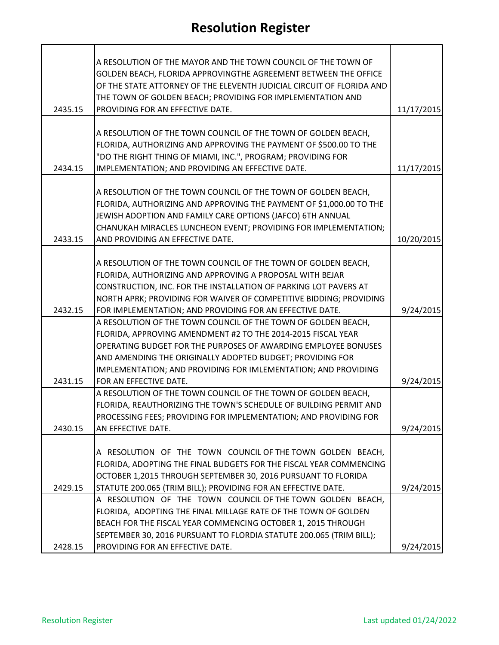| 2435.15 | A RESOLUTION OF THE MAYOR AND THE TOWN COUNCIL OF THE TOWN OF<br>GOLDEN BEACH, FLORIDA APPROVINGTHE AGREEMENT BETWEEN THE OFFICE<br>OF THE STATE ATTORNEY OF THE ELEVENTH JUDICIAL CIRCUIT OF FLORIDA AND<br>THE TOWN OF GOLDEN BEACH; PROVIDING FOR IMPLEMENTATION AND<br>PROVIDING FOR AN EFFECTIVE DATE.                                              | 11/17/2015 |
|---------|----------------------------------------------------------------------------------------------------------------------------------------------------------------------------------------------------------------------------------------------------------------------------------------------------------------------------------------------------------|------------|
| 2434.15 | A RESOLUTION OF THE TOWN COUNCIL OF THE TOWN OF GOLDEN BEACH,<br>FLORIDA, AUTHORIZING AND APPROVING THE PAYMENT OF \$500.00 TO THE<br>"DO THE RIGHT THING OF MIAMI, INC.", PROGRAM; PROVIDING FOR<br>IMPLEMENTATION; AND PROVIDING AN EFFECTIVE DATE.                                                                                                    | 11/17/2015 |
| 2433.15 | A RESOLUTION OF THE TOWN COUNCIL OF THE TOWN OF GOLDEN BEACH,<br>FLORIDA, AUTHORIZING AND APPROVING THE PAYMENT OF \$1,000.00 TO THE<br>JEWISH ADOPTION AND FAMILY CARE OPTIONS (JAFCO) 6TH ANNUAL<br>CHANUKAH MIRACLES LUNCHEON EVENT; PROVIDING FOR IMPLEMENTATION;<br>AND PROVIDING AN EFFECTIVE DATE.                                                | 10/20/2015 |
| 2432.15 | A RESOLUTION OF THE TOWN COUNCIL OF THE TOWN OF GOLDEN BEACH,<br>FLORIDA, AUTHORIZING AND APPROVING A PROPOSAL WITH BEJAR<br>CONSTRUCTION, INC. FOR THE INSTALLATION OF PARKING LOT PAVERS AT<br>NORTH APRK; PROVIDING FOR WAIVER OF COMPETITIVE BIDDING; PROVIDING<br>FOR IMPLEMENTATION; AND PROVIDING FOR AN EFFECTIVE DATE.                          | 9/24/2015  |
| 2431.15 | A RESOLUTION OF THE TOWN COUNCIL OF THE TOWN OF GOLDEN BEACH,<br>FLORIDA, APPROVING AMENDMENT #2 TO THE 2014-2015 FISCAL YEAR<br>OPERATING BUDGET FOR THE PURPOSES OF AWARDING EMPLOYEE BONUSES<br>AND AMENDING THE ORIGINALLY ADOPTED BUDGET; PROVIDING FOR<br>IMPLEMENTATION; AND PROVIDING FOR IMLEMENTATION; AND PROVIDING<br>FOR AN EFFECTIVE DATE. | 9/24/2015  |
| 2430.15 | A RESOLUTION OF THE TOWN COUNCIL OF THE TOWN OF GOLDEN BEACH,<br>FLORIDA, REAUTHORIZING THE TOWN'S SCHEDULE OF BUILDING PERMIT AND<br>PROCESSING FEES; PROVIDING FOR IMPLEMENTATION; AND PROVIDING FOR<br>AN EFFECTIVE DATE.                                                                                                                             | 9/24/2015  |
| 2429.15 | A RESOLUTION OF THE TOWN COUNCIL OF THE TOWN GOLDEN BEACH,<br>FLORIDA, ADOPTING THE FINAL BUDGETS FOR THE FISCAL YEAR COMMENCING<br>OCTOBER 1,2015 THROUGH SEPTEMBER 30, 2016 PURSUANT TO FLORIDA<br>STATUTE 200.065 (TRIM BILL); PROVIDING FOR AN EFFECTIVE DATE.                                                                                       | 9/24/2015  |
| 2428.15 | A RESOLUTION OF THE TOWN COUNCIL OF THE TOWN GOLDEN BEACH,<br>FLORIDA, ADOPTING THE FINAL MILLAGE RATE OF THE TOWN OF GOLDEN<br>BEACH FOR THE FISCAL YEAR COMMENCING OCTOBER 1, 2015 THROUGH<br>SEPTEMBER 30, 2016 PURSUANT TO FLORDIA STATUTE 200.065 (TRIM BILL);<br>PROVIDING FOR AN EFFECTIVE DATE.                                                  | 9/24/2015  |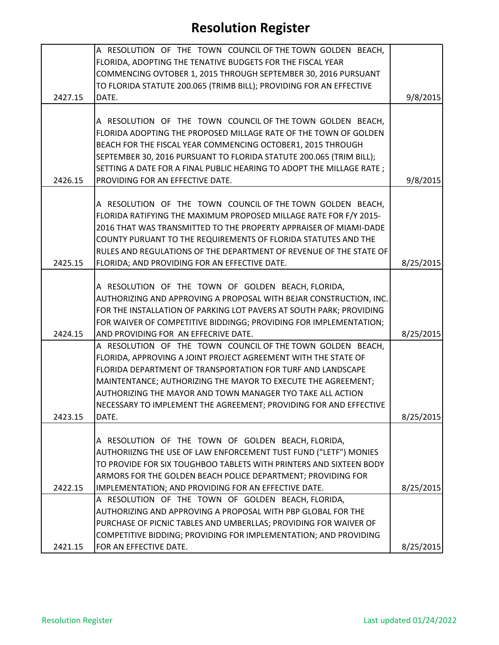|         | A RESOLUTION OF THE TOWN COUNCIL OF THE TOWN GOLDEN BEACH,           |           |
|---------|----------------------------------------------------------------------|-----------|
|         | FLORIDA, ADOPTING THE TENATIVE BUDGETS FOR THE FISCAL YEAR           |           |
|         | COMMENCING OVTOBER 1, 2015 THROUGH SEPTEMBER 30, 2016 PURSUANT       |           |
|         | TO FLORIDA STATUTE 200.065 (TRIMB BILL); PROVIDING FOR AN EFFECTIVE  |           |
| 2427.15 | DATE.                                                                | 9/8/2015  |
|         |                                                                      |           |
|         | A RESOLUTION OF THE TOWN COUNCIL OF THE TOWN GOLDEN BEACH,           |           |
|         | FLORIDA ADOPTING THE PROPOSED MILLAGE RATE OF THE TOWN OF GOLDEN     |           |
|         | BEACH FOR THE FISCAL YEAR COMMENCING OCTOBER1, 2015 THROUGH          |           |
|         | SEPTEMBER 30, 2016 PURSUANT TO FLORIDA STATUTE 200.065 (TRIM BILL);  |           |
|         | SETTING A DATE FOR A FINAL PUBLIC HEARING TO ADOPT THE MILLAGE RATE; |           |
| 2426.15 | PROVIDING FOR AN EFFECTIVE DATE.                                     | 9/8/2015  |
|         |                                                                      |           |
|         | A RESOLUTION OF THE TOWN COUNCIL OF THE TOWN GOLDEN BEACH,           |           |
|         | FLORIDA RATIFYING THE MAXIMUM PROPOSED MILLAGE RATE FOR F/Y 2015-    |           |
|         | 2016 THAT WAS TRANSMITTED TO THE PROPERTY APPRAISER OF MIAMI-DADE    |           |
|         | COUNTY PURUANT TO THE REQUIREMENTS OF FLORIDA STATUTES AND THE       |           |
|         | RULES AND REGULATIONS OF THE DEPARTMENT OF REVENUE OF THE STATE OF   |           |
| 2425.15 | FLORIDA; AND PROVIDING FOR AN EFFECTIVE DATE.                        | 8/25/2015 |
|         |                                                                      |           |
|         | A RESOLUTION OF THE TOWN OF GOLDEN BEACH, FLORIDA,                   |           |
|         | AUTHORIZING AND APPROVING A PROPOSAL WITH BEJAR CONSTRUCTION, INC.   |           |
|         | FOR THE INSTALLATION OF PARKING LOT PAVERS AT SOUTH PARK; PROVIDING  |           |
|         | FOR WAIVER OF COMPETITIVE BIDDINGG; PROVIDING FOR IMPLEMENTATION;    |           |
| 2424.15 | AND PROVIDING FOR AN EFFECRIVE DATE.                                 | 8/25/2015 |
|         | A RESOLUTION OF THE TOWN COUNCIL OF THE TOWN GOLDEN BEACH,           |           |
|         | FLORIDA, APPROVING A JOINT PROJECT AGREEMENT WITH THE STATE OF       |           |
|         | FLORIDA DEPARTMENT OF TRANSPORTATION FOR TURF AND LANDSCAPE          |           |
|         | MAINTENTANCE; AUTHORIZING THE MAYOR TO EXECUTE THE AGREEMENT;        |           |
|         | AUTHORIZING THE MAYOR AND TOWN MANAGER TYO TAKE ALL ACTION           |           |
|         | NECESSARY TO IMPLEMENT THE AGREEMENT; PROVIDING FOR AND EFFECTIVE    |           |
| 2423.15 | DATE.                                                                | 8/25/2015 |
|         |                                                                      |           |
|         | A RESOLUTION OF THE TOWN OF GOLDEN BEACH, FLORIDA,                   |           |
|         | AUTHORIIZNG THE USE OF LAW ENFORCEMENT TUST FUND ("LETF") MONIES     |           |
|         | TO PROVIDE FOR SIX TOUGHBOO TABLETS WITH PRINTERS AND SIXTEEN BODY   |           |
|         | ARMORS FOR THE GOLDEN BEACH POLICE DEPARTMENT; PROVIDING FOR         |           |
| 2422.15 | IMPLEMENTATION; AND PROVIDING FOR AN EFFECTIVE DATE.                 | 8/25/2015 |
|         | A RESOLUTION OF THE TOWN OF GOLDEN BEACH, FLORIDA,                   |           |
|         | AUTHORIZING AND APPROVING A PROPOSAL WITH PBP GLOBAL FOR THE         |           |
|         | PURCHASE OF PICNIC TABLES AND UMBERLLAS; PROVIDING FOR WAIVER OF     |           |
|         | COMPETITIVE BIDDING; PROVIDING FOR IMPLEMENTATION; AND PROVIDING     |           |
| 2421.15 | FOR AN EFFECTIVE DATE.                                               | 8/25/2015 |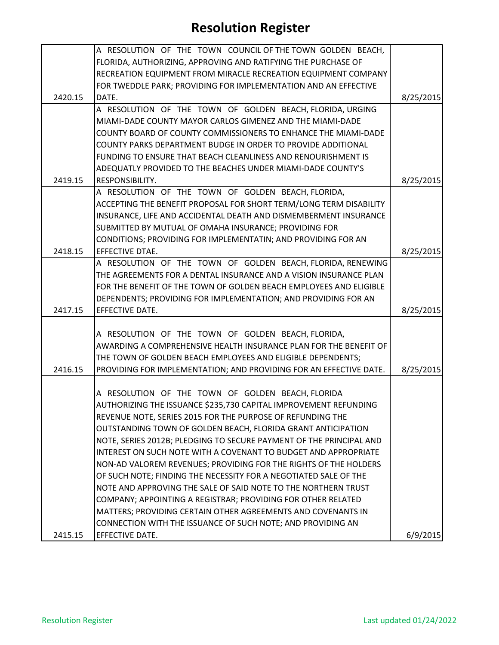|         | A RESOLUTION OF THE TOWN COUNCIL OF THE TOWN GOLDEN BEACH,          |           |
|---------|---------------------------------------------------------------------|-----------|
|         | FLORIDA, AUTHORIZING, APPROVING AND RATIFYING THE PURCHASE OF       |           |
|         | RECREATION EQUIPMENT FROM MIRACLE RECREATION EQUIPMENT COMPANY      |           |
|         | FOR TWEDDLE PARK; PROVIDING FOR IMPLEMENTATION AND AN EFFECTIVE     |           |
| 2420.15 | DATE.                                                               | 8/25/2015 |
|         | A RESOLUTION OF THE TOWN OF GOLDEN BEACH, FLORIDA, URGING           |           |
|         | MIAMI-DADE COUNTY MAYOR CARLOS GIMENEZ AND THE MIAMI-DADE           |           |
|         | COUNTY BOARD OF COUNTY COMMISSIONERS TO ENHANCE THE MIAMI-DADE      |           |
|         | COUNTY PARKS DEPARTMENT BUDGE IN ORDER TO PROVIDE ADDITIONAL        |           |
|         | FUNDING TO ENSURE THAT BEACH CLEANLINESS AND RENOURISHMENT IS       |           |
|         | ADEQUATLY PROVIDED TO THE BEACHES UNDER MIAMI-DADE COUNTY'S         |           |
| 2419.15 | RESPONSIBILITY.                                                     | 8/25/2015 |
|         | A RESOLUTION OF THE TOWN OF GOLDEN BEACH, FLORIDA,                  |           |
|         | ACCEPTING THE BENEFIT PROPOSAL FOR SHORT TERM/LONG TERM DISABILITY  |           |
|         | INSURANCE, LIFE AND ACCIDENTAL DEATH AND DISMEMBERMENT INSURANCE    |           |
|         | SUBMITTED BY MUTUAL OF OMAHA INSURANCE; PROVIDING FOR               |           |
|         | CONDITIONS; PROVIDING FOR IMPLEMENTATIN; AND PROVIDING FOR AN       |           |
| 2418.15 | EFFECTIVE DTAE.                                                     | 8/25/2015 |
|         | A RESOLUTION OF THE TOWN OF GOLDEN BEACH, FLORIDA, RENEWING         |           |
|         | THE AGREEMENTS FOR A DENTAL INSURANCE AND A VISION INSURANCE PLAN   |           |
|         | FOR THE BENEFIT OF THE TOWN OF GOLDEN BEACH EMPLOYEES AND ELIGIBLE  |           |
|         | DEPENDENTS; PROVIDING FOR IMPLEMENTATION; AND PROVIDING FOR AN      |           |
| 2417.15 | EFFECTIVE DATE.                                                     | 8/25/2015 |
|         |                                                                     |           |
|         | A RESOLUTION OF THE TOWN OF GOLDEN BEACH, FLORIDA,                  |           |
|         | AWARDING A COMPREHENSIVE HEALTH INSURANCE PLAN FOR THE BENEFIT OF   |           |
|         | THE TOWN OF GOLDEN BEACH EMPLOYEES AND ELIGIBLE DEPENDENTS;         |           |
| 2416.15 | PROVIDING FOR IMPLEMENTATION; AND PROVIDING FOR AN EFFECTIVE DATE.  | 8/25/2015 |
|         |                                                                     |           |
|         | A RESOLUTION OF THE TOWN OF GOLDEN BEACH, FLORIDA                   |           |
|         | AUTHORIZING THE ISSUANCE \$235,730 CAPITAL IMPROVEMENT REFUNDING    |           |
|         | REVENUE NOTE, SERIES 2015 FOR THE PURPOSE OF REFUNDING THE          |           |
|         | OUTSTANDING TOWN OF GOLDEN BEACH, FLORIDA GRANT ANTICIPATION        |           |
|         | NOTE, SERIES 2012B; PLEDGING TO SECURE PAYMENT OF THE PRINCIPAL AND |           |
|         | INTEREST ON SUCH NOTE WITH A COVENANT TO BUDGET AND APPROPRIATE     |           |
|         | NON-AD VALOREM REVENUES; PROVIDING FOR THE RIGHTS OF THE HOLDERS    |           |
|         | OF SUCH NOTE; FINDING THE NECESSITY FOR A NEGOTIATED SALE OF THE    |           |
|         | NOTE AND APPROVING THE SALE OF SAID NOTE TO THE NORTHERN TRUST      |           |
|         | COMPANY; APPOINTING A REGISTRAR; PROVIDING FOR OTHER RELATED        |           |
|         | MATTERS; PROVIDING CERTAIN OTHER AGREEMENTS AND COVENANTS IN        |           |
|         | CONNECTION WITH THE ISSUANCE OF SUCH NOTE; AND PROVIDING AN         |           |
| 2415.15 | EFFECTIVE DATE.                                                     | 6/9/2015  |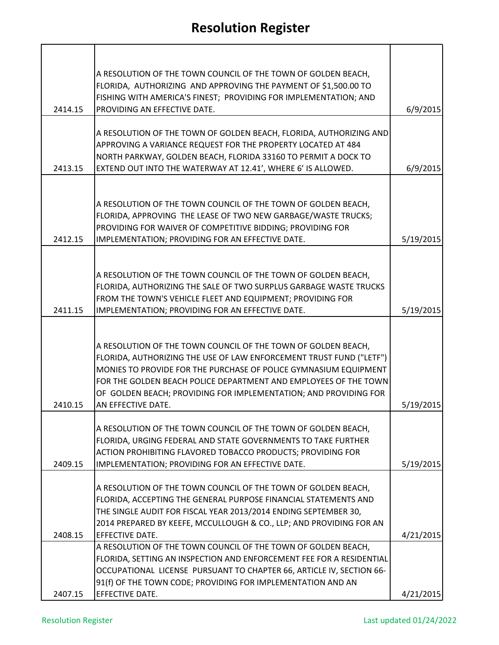|         | A RESOLUTION OF THE TOWN COUNCIL OF THE TOWN OF GOLDEN BEACH,                                                                           |           |
|---------|-----------------------------------------------------------------------------------------------------------------------------------------|-----------|
|         | FLORIDA, AUTHORIZING AND APPROVING THE PAYMENT OF \$1,500.00 TO                                                                         |           |
| 2414.15 | FISHING WITH AMERICA'S FINEST; PROVIDING FOR IMPLEMENTATION; AND<br>PROVIDING AN EFFECTIVE DATE.                                        | 6/9/2015  |
|         |                                                                                                                                         |           |
|         | A RESOLUTION OF THE TOWN OF GOLDEN BEACH, FLORIDA, AUTHORIZING AND                                                                      |           |
|         | APPROVING A VARIANCE REQUEST FOR THE PROPERTY LOCATED AT 484<br>NORTH PARKWAY, GOLDEN BEACH, FLORIDA 33160 TO PERMIT A DOCK TO          |           |
| 2413.15 | EXTEND OUT INTO THE WATERWAY AT 12.41', WHERE 6' IS ALLOWED.                                                                            | 6/9/2015  |
|         |                                                                                                                                         |           |
|         |                                                                                                                                         |           |
|         | A RESOLUTION OF THE TOWN COUNCIL OF THE TOWN OF GOLDEN BEACH,<br>FLORIDA, APPROVING THE LEASE OF TWO NEW GARBAGE/WASTE TRUCKS;          |           |
|         | PROVIDING FOR WAIVER OF COMPETITIVE BIDDING; PROVIDING FOR                                                                              |           |
| 2412.15 | IMPLEMENTATION; PROVIDING FOR AN EFFECTIVE DATE.                                                                                        | 5/19/2015 |
|         |                                                                                                                                         |           |
|         | A RESOLUTION OF THE TOWN COUNCIL OF THE TOWN OF GOLDEN BEACH,                                                                           |           |
|         | FLORIDA, AUTHORIZING THE SALE OF TWO SURPLUS GARBAGE WASTE TRUCKS                                                                       |           |
|         | FROM THE TOWN'S VEHICLE FLEET AND EQUIPMENT; PROVIDING FOR                                                                              |           |
| 2411.15 | IMPLEMENTATION; PROVIDING FOR AN EFFECTIVE DATE.                                                                                        | 5/19/2015 |
|         |                                                                                                                                         |           |
|         | A RESOLUTION OF THE TOWN COUNCIL OF THE TOWN OF GOLDEN BEACH,                                                                           |           |
|         | FLORIDA, AUTHORIZING THE USE OF LAW ENFORCEMENT TRUST FUND ("LETF")<br>MONIES TO PROVIDE FOR THE PURCHASE OF POLICE GYMNASIUM EQUIPMENT |           |
|         | FOR THE GOLDEN BEACH POLICE DEPARTMENT AND EMPLOYEES OF THE TOWN                                                                        |           |
|         | OF GOLDEN BEACH; PROVIDING FOR IMPLEMENTATION; AND PROVIDING FOR                                                                        |           |
| 2410.15 | AN EFFECTIVE DATE.                                                                                                                      | 5/19/2015 |
|         | A RESOLUTION OF THE TOWN COUNCIL OF THE TOWN OF GOLDEN BEACH,                                                                           |           |
|         | FLORIDA, URGING FEDERAL AND STATE GOVERNMENTS TO TAKE FURTHER                                                                           |           |
|         | ACTION PROHIBITING FLAVORED TOBACCO PRODUCTS; PROVIDING FOR                                                                             |           |
| 2409.15 | IMPLEMENTATION; PROVIDING FOR AN EFFECTIVE DATE.                                                                                        | 5/19/2015 |
|         | A RESOLUTION OF THE TOWN COUNCIL OF THE TOWN OF GOLDEN BEACH,                                                                           |           |
|         | FLORIDA, ACCEPTING THE GENERAL PURPOSE FINANCIAL STATEMENTS AND                                                                         |           |
|         | THE SINGLE AUDIT FOR FISCAL YEAR 2013/2014 ENDING SEPTEMBER 30,                                                                         |           |
| 2408.15 | 2014 PREPARED BY KEEFE, MCCULLOUGH & CO., LLP; AND PROVIDING FOR AN<br>EFFECTIVE DATE.                                                  | 4/21/2015 |
|         | A RESOLUTION OF THE TOWN COUNCIL OF THE TOWN OF GOLDEN BEACH,                                                                           |           |
|         | FLORIDA, SETTING AN INSPECTION AND ENFORCEMENT FEE FOR A RESIDENTIAL                                                                    |           |
|         | OCCUPATIONAL LICENSE PURSUANT TO CHAPTER 66, ARTICLE IV, SECTION 66-<br>91(f) OF THE TOWN CODE; PROVIDING FOR IMPLEMENTATION AND AN     |           |
| 2407.15 | <b>EFFECTIVE DATE.</b>                                                                                                                  | 4/21/2015 |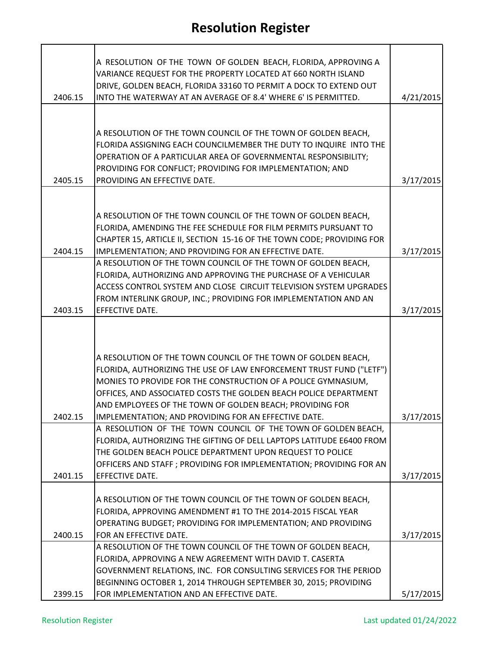|                    | A RESOLUTION OF THE TOWN OF GOLDEN BEACH, FLORIDA, APPROVING A<br>VARIANCE REQUEST FOR THE PROPERTY LOCATED AT 660 NORTH ISLAND<br>DRIVE, GOLDEN BEACH, FLORIDA 33160 TO PERMIT A DOCK TO EXTEND OUT                                                                                                                                                                                                                                                                                                                                                                                                                                                                      |                        |
|--------------------|---------------------------------------------------------------------------------------------------------------------------------------------------------------------------------------------------------------------------------------------------------------------------------------------------------------------------------------------------------------------------------------------------------------------------------------------------------------------------------------------------------------------------------------------------------------------------------------------------------------------------------------------------------------------------|------------------------|
| 2406.15            | INTO THE WATERWAY AT AN AVERAGE OF 8.4' WHERE 6' IS PERMITTED.                                                                                                                                                                                                                                                                                                                                                                                                                                                                                                                                                                                                            | 4/21/2015              |
|                    | A RESOLUTION OF THE TOWN COUNCIL OF THE TOWN OF GOLDEN BEACH,<br>FLORIDA ASSIGNING EACH COUNCILMEMBER THE DUTY TO INQUIRE INTO THE<br>OPERATION OF A PARTICULAR AREA OF GOVERNMENTAL RESPONSIBILITY;<br>PROVIDING FOR CONFLICT; PROVIDING FOR IMPLEMENTATION; AND                                                                                                                                                                                                                                                                                                                                                                                                         |                        |
| 2405.15            | PROVIDING AN EFFECTIVE DATE.                                                                                                                                                                                                                                                                                                                                                                                                                                                                                                                                                                                                                                              | 3/17/2015              |
| 2404.15<br>2403.15 | A RESOLUTION OF THE TOWN COUNCIL OF THE TOWN OF GOLDEN BEACH,<br>FLORIDA, AMENDING THE FEE SCHEDULE FOR FILM PERMITS PURSUANT TO<br>CHAPTER 15, ARTICLE II, SECTION 15-16 OF THE TOWN CODE; PROVIDING FOR<br>IMPLEMENTATION; AND PROVIDING FOR AN EFFECTIVE DATE.<br>A RESOLUTION OF THE TOWN COUNCIL OF THE TOWN OF GOLDEN BEACH,<br>FLORIDA, AUTHORIZING AND APPROVING THE PURCHASE OF A VEHICULAR<br>ACCESS CONTROL SYSTEM AND CLOSE CIRCUIT TELEVISION SYSTEM UPGRADES<br>FROM INTERLINK GROUP, INC.; PROVIDING FOR IMPLEMENTATION AND AN<br>EFFECTIVE DATE.                                                                                                          | 3/17/2015<br>3/17/2015 |
| 2402.15            | A RESOLUTION OF THE TOWN COUNCIL OF THE TOWN OF GOLDEN BEACH,<br>FLORIDA, AUTHORIZING THE USE OF LAW ENFORCEMENT TRUST FUND ("LETF")<br>MONIES TO PROVIDE FOR THE CONSTRUCTION OF A POLICE GYMNASIUM,<br>OFFICES, AND ASSOCIATED COSTS THE GOLDEN BEACH POLICE DEPARTMENT<br>AND EMPLOYEES OF THE TOWN OF GOLDEN BEACH; PROVIDING FOR<br>IMPLEMENTATION; AND PROVIDING FOR AN EFFECTIVE DATE.<br>A RESOLUTION OF THE TOWN COUNCIL OF THE TOWN OF GOLDEN BEACH,<br>FLORIDA, AUTHORIZING THE GIFTING OF DELL LAPTOPS LATITUDE E6400 FROM<br>THE GOLDEN BEACH POLICE DEPARTMENT UPON REQUEST TO POLICE<br>OFFICERS AND STAFF; PROVIDING FOR IMPLEMENTATION; PROVIDING FOR AN | 3/17/2015              |
| 2401.15            | EFFECTIVE DATE.                                                                                                                                                                                                                                                                                                                                                                                                                                                                                                                                                                                                                                                           | 3/17/2015              |
| 2400.15            | A RESOLUTION OF THE TOWN COUNCIL OF THE TOWN OF GOLDEN BEACH,<br>FLORIDA, APPROVING AMENDMENT #1 TO THE 2014-2015 FISCAL YEAR<br>OPERATING BUDGET; PROVIDING FOR IMPLEMENTATION; AND PROVIDING<br>FOR AN EFFECTIVE DATE.<br>A RESOLUTION OF THE TOWN COUNCIL OF THE TOWN OF GOLDEN BEACH,<br>FLORIDA, APPROVING A NEW AGREEMENT WITH DAVID T. CASERTA                                                                                                                                                                                                                                                                                                                     | 3/17/2015              |
| 2399.15            | GOVERNMENT RELATIONS, INC. FOR CONSULTING SERVICES FOR THE PERIOD<br>BEGINNING OCTOBER 1, 2014 THROUGH SEPTEMBER 30, 2015; PROVIDING<br>FOR IMPLEMENTATION AND AN EFFECTIVE DATE.                                                                                                                                                                                                                                                                                                                                                                                                                                                                                         | 5/17/2015              |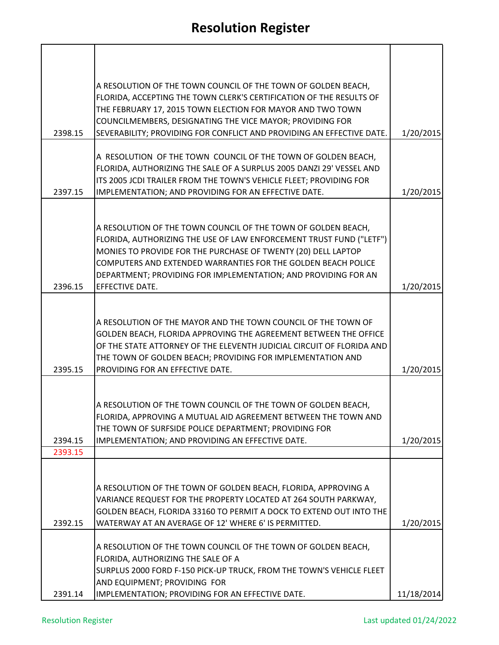| 2398.15 | A RESOLUTION OF THE TOWN COUNCIL OF THE TOWN OF GOLDEN BEACH,<br>FLORIDA, ACCEPTING THE TOWN CLERK'S CERTIFICATION OF THE RESULTS OF<br>THE FEBRUARY 17, 2015 TOWN ELECTION FOR MAYOR AND TWO TOWN<br>COUNCILMEMBERS, DESIGNATING THE VICE MAYOR; PROVIDING FOR<br>SEVERABILITY; PROVIDING FOR CONFLICT AND PROVIDING AN EFFECTIVE DATE.                                                                                                        | 1/20/2015  |
|---------|-------------------------------------------------------------------------------------------------------------------------------------------------------------------------------------------------------------------------------------------------------------------------------------------------------------------------------------------------------------------------------------------------------------------------------------------------|------------|
|         | A RESOLUTION OF THE TOWN COUNCIL OF THE TOWN OF GOLDEN BEACH,                                                                                                                                                                                                                                                                                                                                                                                   |            |
|         | FLORIDA, AUTHORIZING THE SALE OF A SURPLUS 2005 DANZI 29' VESSEL AND<br>ITS 2005 JCDI TRAILER FROM THE TOWN'S VEHICLE FLEET; PROVIDING FOR                                                                                                                                                                                                                                                                                                      |            |
| 2397.15 | IMPLEMENTATION; AND PROVIDING FOR AN EFFECTIVE DATE.                                                                                                                                                                                                                                                                                                                                                                                            | 1/20/2015  |
|         |                                                                                                                                                                                                                                                                                                                                                                                                                                                 |            |
|         | A RESOLUTION OF THE TOWN COUNCIL OF THE TOWN OF GOLDEN BEACH,<br>FLORIDA, AUTHORIZING THE USE OF LAW ENFORCEMENT TRUST FUND ("LETF")<br>MONIES TO PROVIDE FOR THE PURCHASE OF TWENTY (20) DELL LAPTOP<br>COMPUTERS AND EXTENDED WARRANTIES FOR THE GOLDEN BEACH POLICE<br>DEPARTMENT; PROVIDING FOR IMPLEMENTATION; AND PROVIDING FOR AN                                                                                                        |            |
| 2396.15 | EFFECTIVE DATE.                                                                                                                                                                                                                                                                                                                                                                                                                                 | 1/20/2015  |
| 2395.15 | A RESOLUTION OF THE MAYOR AND THE TOWN COUNCIL OF THE TOWN OF<br>GOLDEN BEACH, FLORIDA APPROVING THE AGREEMENT BETWEEN THE OFFICE<br>OF THE STATE ATTORNEY OF THE ELEVENTH JUDICIAL CIRCUIT OF FLORIDA AND<br>THE TOWN OF GOLDEN BEACH; PROVIDING FOR IMPLEMENTATION AND<br>PROVIDING FOR AN EFFECTIVE DATE.                                                                                                                                    | 1/20/2015  |
|         |                                                                                                                                                                                                                                                                                                                                                                                                                                                 |            |
| 2394.15 | A RESOLUTION OF THE TOWN COUNCIL OF THE TOWN OF GOLDEN BEACH,<br>FLORIDA, APPROVING A MUTUAL AID AGREEMENT BETWEEN THE TOWN AND<br>THE TOWN OF SURFSIDE POLICE DEPARTMENT; PROVIDING FOR<br>IMPLEMENTATION; AND PROVIDING AN EFFECTIVE DATE.                                                                                                                                                                                                    | 1/20/2015  |
| 2393.15 |                                                                                                                                                                                                                                                                                                                                                                                                                                                 |            |
| 2392.15 | A RESOLUTION OF THE TOWN OF GOLDEN BEACH, FLORIDA, APPROVING A<br>VARIANCE REQUEST FOR THE PROPERTY LOCATED AT 264 SOUTH PARKWAY,<br>GOLDEN BEACH, FLORIDA 33160 TO PERMIT A DOCK TO EXTEND OUT INTO THE<br>WATERWAY AT AN AVERAGE OF 12' WHERE 6' IS PERMITTED.<br>A RESOLUTION OF THE TOWN COUNCIL OF THE TOWN OF GOLDEN BEACH,<br>FLORIDA, AUTHORIZING THE SALE OF A<br>SURPLUS 2000 FORD F-150 PICK-UP TRUCK, FROM THE TOWN'S VEHICLE FLEET | 1/20/2015  |
| 2391.14 | AND EQUIPMENT; PROVIDING FOR<br>IMPLEMENTATION; PROVIDING FOR AN EFFECTIVE DATE.                                                                                                                                                                                                                                                                                                                                                                | 11/18/2014 |
|         |                                                                                                                                                                                                                                                                                                                                                                                                                                                 |            |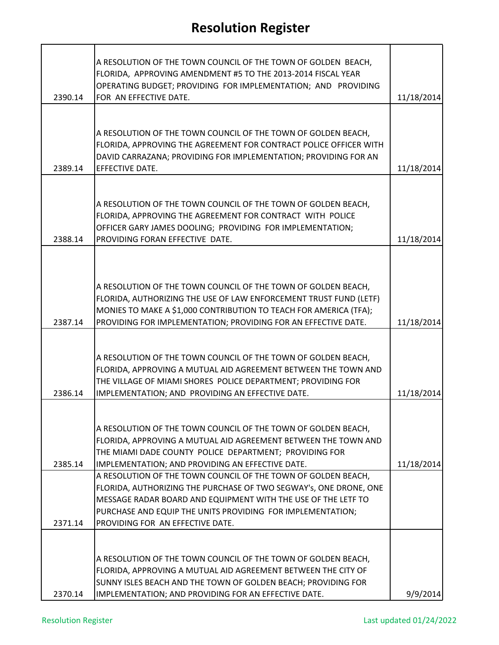|         | A RESOLUTION OF THE TOWN COUNCIL OF THE TOWN OF GOLDEN BEACH,<br>FLORIDA, APPROVING AMENDMENT #5 TO THE 2013-2014 FISCAL YEAR<br>OPERATING BUDGET; PROVIDING FOR IMPLEMENTATION; AND PROVIDING                                                                            |            |
|---------|---------------------------------------------------------------------------------------------------------------------------------------------------------------------------------------------------------------------------------------------------------------------------|------------|
| 2390.14 | FOR AN EFFECTIVE DATE.                                                                                                                                                                                                                                                    | 11/18/2014 |
| 2389.14 | A RESOLUTION OF THE TOWN COUNCIL OF THE TOWN OF GOLDEN BEACH,<br>FLORIDA, APPROVING THE AGREEMENT FOR CONTRACT POLICE OFFICER WITH<br>DAVID CARRAZANA; PROVIDING FOR IMPLEMENTATION; PROVIDING FOR AN<br><b>EFFECTIVE DATE.</b>                                           | 11/18/2014 |
|         |                                                                                                                                                                                                                                                                           |            |
| 2388.14 | A RESOLUTION OF THE TOWN COUNCIL OF THE TOWN OF GOLDEN BEACH,<br>FLORIDA, APPROVING THE AGREEMENT FOR CONTRACT WITH POLICE<br>OFFICER GARY JAMES DOOLING; PROVIDING FOR IMPLEMENTATION;<br>PROVIDING FORAN EFFECTIVE DATE.                                                | 11/18/2014 |
|         |                                                                                                                                                                                                                                                                           |            |
| 2387.14 | A RESOLUTION OF THE TOWN COUNCIL OF THE TOWN OF GOLDEN BEACH,<br>FLORIDA, AUTHORIZING THE USE OF LAW ENFORCEMENT TRUST FUND (LETF)<br>MONIES TO MAKE A \$1,000 CONTRIBUTION TO TEACH FOR AMERICA (TFA);<br>PROVIDING FOR IMPLEMENTATION; PROVIDING FOR AN EFFECTIVE DATE. | 11/18/2014 |
|         |                                                                                                                                                                                                                                                                           |            |
| 2386.14 | A RESOLUTION OF THE TOWN COUNCIL OF THE TOWN OF GOLDEN BEACH,<br>FLORIDA, APPROVING A MUTUAL AID AGREEMENT BETWEEN THE TOWN AND<br>THE VILLAGE OF MIAMI SHORES POLICE DEPARTMENT; PROVIDING FOR<br>IMPLEMENTATION; AND PROVIDING AN EFFECTIVE DATE.                       | 11/18/2014 |
| 2385.14 | A RESOLUTION OF THE TOWN COUNCIL OF THE TOWN OF GOLDEN BEACH,<br>FLORIDA, APPROVING A MUTUAL AID AGREEMENT BETWEEN THE TOWN AND<br>THE MIAMI DADE COUNTY POLICE DEPARTMENT; PROVIDING FOR<br>IMPLEMENTATION; AND PROVIDING AN EFFECTIVE DATE.                             | 11/18/2014 |
|         | A RESOLUTION OF THE TOWN COUNCIL OF THE TOWN OF GOLDEN BEACH,<br>FLORIDA, AUTHORIZING THE PURCHASE OF TWO SEGWAY's, ONE DRONE, ONE<br>MESSAGE RADAR BOARD AND EQUIPMENT WITH THE USE OF THE LETF TO<br>PURCHASE AND EQUIP THE UNITS PROVIDING FOR IMPLEMENTATION;         |            |
| 2371.14 | PROVIDING FOR AN EFFECTIVE DATE.                                                                                                                                                                                                                                          |            |
| 2370.14 | A RESOLUTION OF THE TOWN COUNCIL OF THE TOWN OF GOLDEN BEACH,<br>FLORIDA, APPROVING A MUTUAL AID AGREEMENT BETWEEN THE CITY OF<br>SUNNY ISLES BEACH AND THE TOWN OF GOLDEN BEACH; PROVIDING FOR<br>IMPLEMENTATION; AND PROVIDING FOR AN EFFECTIVE DATE.                   | 9/9/2014   |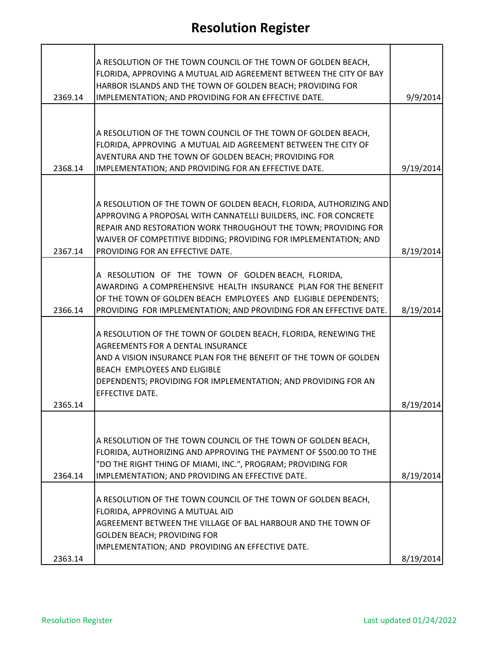| A RESOLUTION OF THE TOWN COUNCIL OF THE TOWN OF GOLDEN BEACH,<br>FLORIDA, APPROVING A MUTUAL AID AGREEMENT BETWEEN THE CITY OF BAY<br>HARBOR ISLANDS AND THE TOWN OF GOLDEN BEACH; PROVIDING FOR |           |
|--------------------------------------------------------------------------------------------------------------------------------------------------------------------------------------------------|-----------|
| IMPLEMENTATION; AND PROVIDING FOR AN EFFECTIVE DATE.<br>2369.14                                                                                                                                  | 9/9/2014  |
|                                                                                                                                                                                                  |           |
| A RESOLUTION OF THE TOWN COUNCIL OF THE TOWN OF GOLDEN BEACH,                                                                                                                                    |           |
| FLORIDA, APPROVING A MUTUAL AID AGREEMENT BETWEEN THE CITY OF                                                                                                                                    |           |
| AVENTURA AND THE TOWN OF GOLDEN BEACH; PROVIDING FOR<br>2368.14<br>IMPLEMENTATION; AND PROVIDING FOR AN EFFECTIVE DATE.                                                                          | 9/19/2014 |
|                                                                                                                                                                                                  |           |
|                                                                                                                                                                                                  |           |
| A RESOLUTION OF THE TOWN OF GOLDEN BEACH, FLORIDA, AUTHORIZING AND                                                                                                                               |           |
| APPROVING A PROPOSAL WITH CANNATELLI BUILDERS, INC. FOR CONCRETE<br>REPAIR AND RESTORATION WORK THROUGHOUT THE TOWN; PROVIDING FOR                                                               |           |
| WAIVER OF COMPETITIVE BIDDING; PROVIDING FOR IMPLEMENTATION; AND                                                                                                                                 |           |
| 2367.14<br>PROVIDING FOR AN EFFECTIVE DATE.                                                                                                                                                      | 8/19/2014 |
|                                                                                                                                                                                                  |           |
| A RESOLUTION OF THE TOWN OF GOLDEN BEACH, FLORIDA,                                                                                                                                               |           |
| AWARDING A COMPREHENSIVE HEALTH INSURANCE PLAN FOR THE BENEFIT<br>OF THE TOWN OF GOLDEN BEACH EMPLOYEES AND ELIGIBLE DEPENDENTS;                                                                 |           |
| 2366.14<br>PROVIDING FOR IMPLEMENTATION; AND PROVIDING FOR AN EFFECTIVE DATE.                                                                                                                    | 8/19/2014 |
|                                                                                                                                                                                                  |           |
| A RESOLUTION OF THE TOWN OF GOLDEN BEACH, FLORIDA, RENEWING THE                                                                                                                                  |           |
| AGREEMENTS FOR A DENTAL INSURANCE<br>AND A VISION INSURANCE PLAN FOR THE BENEFIT OF THE TOWN OF GOLDEN                                                                                           |           |
| BEACH EMPLOYEES AND ELIGIBLE                                                                                                                                                                     |           |
| DEPENDENTS; PROVIDING FOR IMPLEMENTATION; AND PROVIDING FOR AN                                                                                                                                   |           |
| EFFECTIVE DATE.                                                                                                                                                                                  |           |
| 2365.14                                                                                                                                                                                          | 8/19/2014 |
|                                                                                                                                                                                                  |           |
| A RESOLUTION OF THE TOWN COUNCIL OF THE TOWN OF GOLDEN BEACH,                                                                                                                                    |           |
| FLORIDA, AUTHORIZING AND APPROVING THE PAYMENT OF \$500.00 TO THE                                                                                                                                |           |
| "DO THE RIGHT THING OF MIAMI, INC.", PROGRAM; PROVIDING FOR                                                                                                                                      |           |
| 2364.14<br>IMPLEMENTATION; AND PROVIDING AN EFFECTIVE DATE.                                                                                                                                      | 8/19/2014 |
| A RESOLUTION OF THE TOWN COUNCIL OF THE TOWN OF GOLDEN BEACH,                                                                                                                                    |           |
| FLORIDA, APPROVING A MUTUAL AID                                                                                                                                                                  |           |
| AGREEMENT BETWEEN THE VILLAGE OF BAL HARBOUR AND THE TOWN OF                                                                                                                                     |           |
| <b>GOLDEN BEACH; PROVIDING FOR</b><br>IMPLEMENTATION; AND PROVIDING AN EFFECTIVE DATE.                                                                                                           |           |
| 2363.14                                                                                                                                                                                          | 8/19/2014 |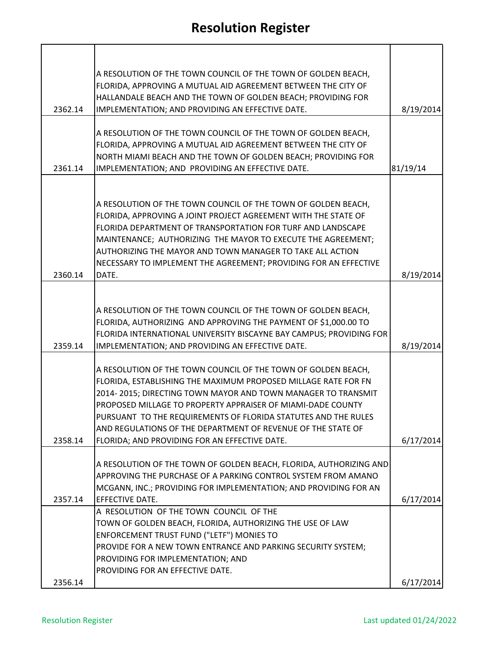| 8/19/2014 |
|-----------|
| 81/19/14  |
|           |
| 8/19/2014 |
| 8/19/2014 |
| 6/17/2014 |
| 6/17/2014 |
|           |
|           |
|           |
| 6/17/2014 |
|           |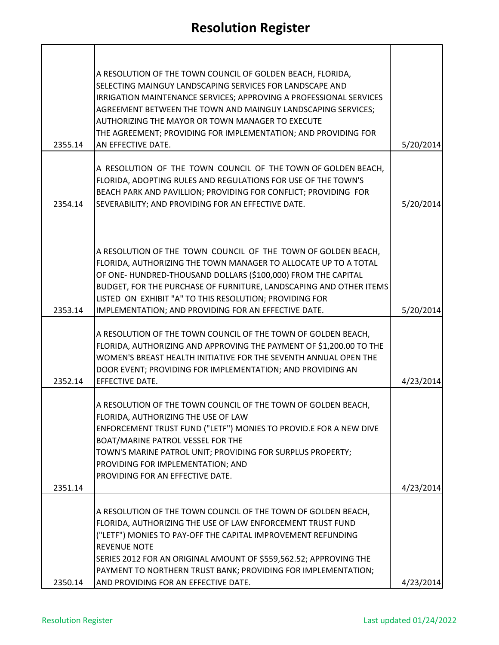| 2355.14 | A RESOLUTION OF THE TOWN COUNCIL OF GOLDEN BEACH, FLORIDA,<br>SELECTING MAINGUY LANDSCAPING SERVICES FOR LANDSCAPE AND<br>IRRIGATION MAINTENANCE SERVICES; APPROVING A PROFESSIONAL SERVICES<br>AGREEMENT BETWEEN THE TOWN AND MAINGUY LANDSCAPING SERVICES;<br>AUTHORIZING THE MAYOR OR TOWN MANAGER TO EXECUTE<br>THE AGREEMENT; PROVIDING FOR IMPLEMENTATION; AND PROVIDING FOR<br>AN EFFECTIVE DATE. | 5/20/2014 |
|---------|----------------------------------------------------------------------------------------------------------------------------------------------------------------------------------------------------------------------------------------------------------------------------------------------------------------------------------------------------------------------------------------------------------|-----------|
|         | A RESOLUTION OF THE TOWN COUNCIL OF THE TOWN OF GOLDEN BEACH,                                                                                                                                                                                                                                                                                                                                            |           |
| 2354.14 | FLORIDA, ADOPTING RULES AND REGULATIONS FOR USE OF THE TOWN'S<br>BEACH PARK AND PAVILLION; PROVIDING FOR CONFLICT; PROVIDING FOR<br>SEVERABILITY; AND PROVIDING FOR AN EFFECTIVE DATE.                                                                                                                                                                                                                   | 5/20/2014 |
|         |                                                                                                                                                                                                                                                                                                                                                                                                          |           |
| 2353.14 | A RESOLUTION OF THE TOWN COUNCIL OF THE TOWN OF GOLDEN BEACH,<br>FLORIDA, AUTHORIZING THE TOWN MANAGER TO ALLOCATE UP TO A TOTAL<br>OF ONE-HUNDRED-THOUSAND DOLLARS (\$100,000) FROM THE CAPITAL<br>BUDGET, FOR THE PURCHASE OF FURNITURE, LANDSCAPING AND OTHER ITEMS<br>LISTED ON EXHIBIT "A" TO THIS RESOLUTION; PROVIDING FOR<br>IMPLEMENTATION; AND PROVIDING FOR AN EFFECTIVE DATE.                | 5/20/2014 |
| 2352.14 | A RESOLUTION OF THE TOWN COUNCIL OF THE TOWN OF GOLDEN BEACH,<br>FLORIDA, AUTHORIZING AND APPROVING THE PAYMENT OF \$1,200.00 TO THE<br>WOMEN'S BREAST HEALTH INITIATIVE FOR THE SEVENTH ANNUAL OPEN THE<br>DOOR EVENT; PROVIDING FOR IMPLEMENTATION; AND PROVIDING AN<br>EFFECTIVE DATE.                                                                                                                | 4/23/2014 |
| 2351.14 | A RESOLUTION OF THE TOWN COUNCIL OF THE TOWN OF GOLDEN BEACH,<br>FLORIDA, AUTHORIZING THE USE OF LAW<br>ENFORCEMENT TRUST FUND ("LETF") MONIES TO PROVID.E FOR A NEW DIVE<br>BOAT/MARINE PATROL VESSEL FOR THE<br>TOWN'S MARINE PATROL UNIT; PROVIDING FOR SURPLUS PROPERTY;<br>PROVIDING FOR IMPLEMENTATION; AND<br>PROVIDING FOR AN EFFECTIVE DATE.                                                    | 4/23/2014 |
|         | A RESOLUTION OF THE TOWN COUNCIL OF THE TOWN OF GOLDEN BEACH,                                                                                                                                                                                                                                                                                                                                            |           |
|         | FLORIDA, AUTHORIZING THE USE OF LAW ENFORCEMENT TRUST FUND<br>("LETF") MONIES TO PAY-OFF THE CAPITAL IMPROVEMENT REFUNDING<br><b>REVENUE NOTE</b><br>SERIES 2012 FOR AN ORIGINAL AMOUNT OF \$559,562.52; APPROVING THE<br>PAYMENT TO NORTHERN TRUST BANK; PROVIDING FOR IMPLEMENTATION;                                                                                                                  |           |
| 2350.14 | AND PROVIDING FOR AN EFFECTIVE DATE.                                                                                                                                                                                                                                                                                                                                                                     | 4/23/2014 |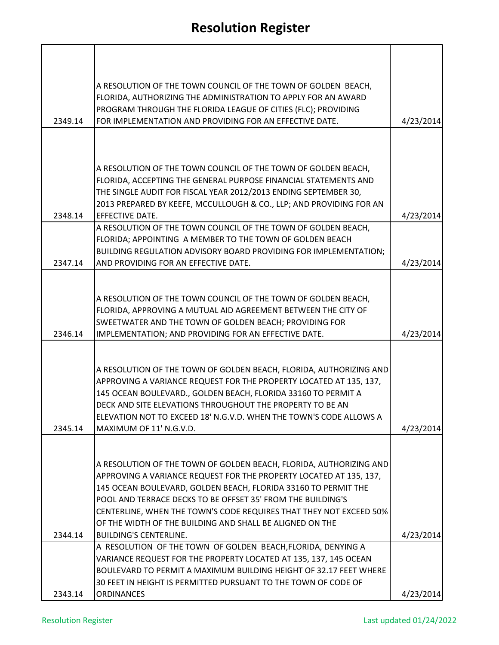|         | A RESOLUTION OF THE TOWN COUNCIL OF THE TOWN OF GOLDEN BEACH,<br>FLORIDA, AUTHORIZING THE ADMINISTRATION TO APPLY FOR AN AWARD<br>PROGRAM THROUGH THE FLORIDA LEAGUE OF CITIES (FLC); PROVIDING                                                                                                                                                                         |           |
|---------|-------------------------------------------------------------------------------------------------------------------------------------------------------------------------------------------------------------------------------------------------------------------------------------------------------------------------------------------------------------------------|-----------|
| 2349.14 | FOR IMPLEMENTATION AND PROVIDING FOR AN EFFECTIVE DATE.                                                                                                                                                                                                                                                                                                                 | 4/23/2014 |
|         |                                                                                                                                                                                                                                                                                                                                                                         |           |
| 2348.14 | A RESOLUTION OF THE TOWN COUNCIL OF THE TOWN OF GOLDEN BEACH,<br>FLORIDA, ACCEPTING THE GENERAL PURPOSE FINANCIAL STATEMENTS AND<br>THE SINGLE AUDIT FOR FISCAL YEAR 2012/2013 ENDING SEPTEMBER 30,<br>2013 PREPARED BY KEEFE, MCCULLOUGH & CO., LLP; AND PROVIDING FOR AN<br>EFFECTIVE DATE.                                                                           | 4/23/2014 |
|         | A RESOLUTION OF THE TOWN COUNCIL OF THE TOWN OF GOLDEN BEACH,                                                                                                                                                                                                                                                                                                           |           |
|         | FLORIDA; APPOINTING A MEMBER TO THE TOWN OF GOLDEN BEACH<br><b>BUILDING REGULATION ADVISORY BOARD PROVIDING FOR IMPLEMENTATION;</b>                                                                                                                                                                                                                                     |           |
| 2347.14 | AND PROVIDING FOR AN EFFECTIVE DATE.                                                                                                                                                                                                                                                                                                                                    | 4/23/2014 |
| 2346.14 | A RESOLUTION OF THE TOWN COUNCIL OF THE TOWN OF GOLDEN BEACH,<br>FLORIDA, APPROVING A MUTUAL AID AGREEMENT BETWEEN THE CITY OF<br>SWEETWATER AND THE TOWN OF GOLDEN BEACH; PROVIDING FOR<br>IMPLEMENTATION; AND PROVIDING FOR AN EFFECTIVE DATE.                                                                                                                        | 4/23/2014 |
| 2345.14 | A RESOLUTION OF THE TOWN OF GOLDEN BEACH, FLORIDA, AUTHORIZING AND<br>APPROVING A VARIANCE REQUEST FOR THE PROPERTY LOCATED AT 135, 137,<br>145 OCEAN BOULEVARD., GOLDEN BEACH, FLORIDA 33160 TO PERMIT A<br>DECK AND SITE ELEVATIONS THROUGHOUT THE PROPERTY TO BE AN<br>ELEVATION NOT TO EXCEED 18' N.G.V.D. WHEN THE TOWN'S CODE ALLOWS A<br>MAXIMUM OF 11' N.G.V.D. | 4/23/2014 |
|         |                                                                                                                                                                                                                                                                                                                                                                         |           |
|         | A RESOLUTION OF THE TOWN OF GOLDEN BEACH, FLORIDA, AUTHORIZING AND<br>APPROVING A VARIANCE REQUEST FOR THE PROPERTY LOCATED AT 135, 137,<br>145 OCEAN BOULEVARD, GOLDEN BEACH, FLORIDA 33160 TO PERMIT THE<br>POOL AND TERRACE DECKS TO BE OFFSET 35' FROM THE BUILDING'S                                                                                               |           |
|         | CENTERLINE, WHEN THE TOWN'S CODE REQUIRES THAT THEY NOT EXCEED 50%                                                                                                                                                                                                                                                                                                      |           |
| 2344.14 | OF THE WIDTH OF THE BUILDING AND SHALL BE ALIGNED ON THE<br><b>BUILDING'S CENTERLINE.</b>                                                                                                                                                                                                                                                                               | 4/23/2014 |
|         | A RESOLUTION OF THE TOWN OF GOLDEN BEACH, FLORIDA, DENYING A                                                                                                                                                                                                                                                                                                            |           |
|         | VARIANCE REQUEST FOR THE PROPERTY LOCATED AT 135, 137, 145 OCEAN<br>BOULEVARD TO PERMIT A MAXIMUM BUILDING HEIGHT OF 32.17 FEET WHERE                                                                                                                                                                                                                                   |           |
|         | 30 FEET IN HEIGHT IS PERMITTED PURSUANT TO THE TOWN OF CODE OF                                                                                                                                                                                                                                                                                                          |           |
| 2343.14 | <b>ORDINANCES</b>                                                                                                                                                                                                                                                                                                                                                       | 4/23/2014 |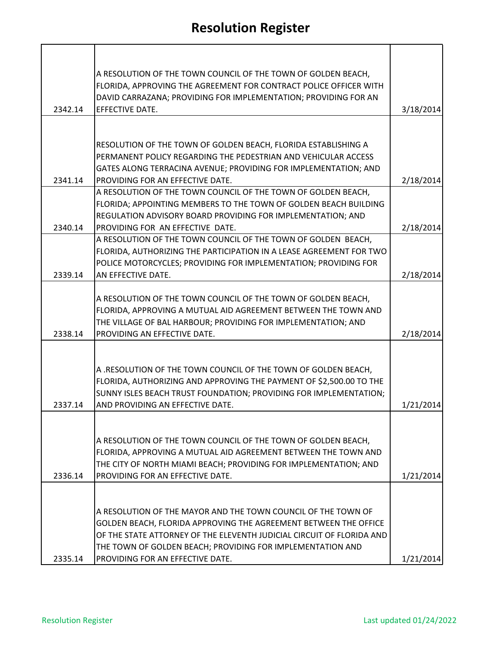|         | A RESOLUTION OF THE TOWN COUNCIL OF THE TOWN OF GOLDEN BEACH,<br>FLORIDA, APPROVING THE AGREEMENT FOR CONTRACT POLICE OFFICER WITH |           |
|---------|------------------------------------------------------------------------------------------------------------------------------------|-----------|
|         | DAVID CARRAZANA; PROVIDING FOR IMPLEMENTATION; PROVIDING FOR AN                                                                    |           |
| 2342.14 | EFFECTIVE DATE.                                                                                                                    | 3/18/2014 |
|         |                                                                                                                                    |           |
|         | RESOLUTION OF THE TOWN OF GOLDEN BEACH, FLORIDA ESTABLISHING A                                                                     |           |
|         | PERMANENT POLICY REGARDING THE PEDESTRIAN AND VEHICULAR ACCESS                                                                     |           |
|         | GATES ALONG TERRACINA AVENUE; PROVIDING FOR IMPLEMENTATION; AND                                                                    |           |
| 2341.14 | PROVIDING FOR AN EFFECTIVE DATE.                                                                                                   | 2/18/2014 |
|         | A RESOLUTION OF THE TOWN COUNCIL OF THE TOWN OF GOLDEN BEACH,                                                                      |           |
|         | FLORIDA; APPOINTING MEMBERS TO THE TOWN OF GOLDEN BEACH BUILDING                                                                   |           |
| 2340.14 | REGULATION ADVISORY BOARD PROVIDING FOR IMPLEMENTATION; AND<br>PROVIDING FOR AN EFFECTIVE DATE.                                    | 2/18/2014 |
|         | A RESOLUTION OF THE TOWN COUNCIL OF THE TOWN OF GOLDEN BEACH,                                                                      |           |
|         | FLORIDA, AUTHORIZING THE PARTICIPATION IN A LEASE AGREEMENT FOR TWO                                                                |           |
|         | POLICE MOTORCYCLES; PROVIDING FOR IMPLEMENTATION; PROVIDING FOR                                                                    |           |
| 2339.14 | AN EFFECTIVE DATE.                                                                                                                 | 2/18/2014 |
|         |                                                                                                                                    |           |
|         | A RESOLUTION OF THE TOWN COUNCIL OF THE TOWN OF GOLDEN BEACH,                                                                      |           |
|         | FLORIDA, APPROVING A MUTUAL AID AGREEMENT BETWEEN THE TOWN AND<br>THE VILLAGE OF BAL HARBOUR; PROVIDING FOR IMPLEMENTATION; AND    |           |
| 2338.14 | PROVIDING AN EFFECTIVE DATE.                                                                                                       | 2/18/2014 |
|         |                                                                                                                                    |           |
|         |                                                                                                                                    |           |
|         | A .RESOLUTION OF THE TOWN COUNCIL OF THE TOWN OF GOLDEN BEACH,                                                                     |           |
|         | FLORIDA, AUTHORIZING AND APPROVING THE PAYMENT OF \$2,500.00 TO THE                                                                |           |
|         | SUNNY ISLES BEACH TRUST FOUNDATION; PROVIDING FOR IMPLEMENTATION;                                                                  |           |
| 2337.14 | AND PROVIDING AN EFFECTIVE DATE.                                                                                                   | 1/21/2014 |
|         |                                                                                                                                    |           |
|         | A RESOLUTION OF THE TOWN COUNCIL OF THE TOWN OF GOLDEN BEACH,                                                                      |           |
|         | FLORIDA, APPROVING A MUTUAL AID AGREEMENT BETWEEN THE TOWN AND                                                                     |           |
|         | THE CITY OF NORTH MIAMI BEACH; PROVIDING FOR IMPLEMENTATION; AND                                                                   |           |
| 2336.14 | PROVIDING FOR AN EFFECTIVE DATE.                                                                                                   | 1/21/2014 |
|         |                                                                                                                                    |           |
|         |                                                                                                                                    |           |
|         | A RESOLUTION OF THE MAYOR AND THE TOWN COUNCIL OF THE TOWN OF<br>GOLDEN BEACH, FLORIDA APPROVING THE AGREEMENT BETWEEN THE OFFICE  |           |
|         | OF THE STATE ATTORNEY OF THE ELEVENTH JUDICIAL CIRCUIT OF FLORIDA AND                                                              |           |
|         | THE TOWN OF GOLDEN BEACH; PROVIDING FOR IMPLEMENTATION AND                                                                         |           |
| 2335.14 | PROVIDING FOR AN EFFECTIVE DATE.                                                                                                   | 1/21/2014 |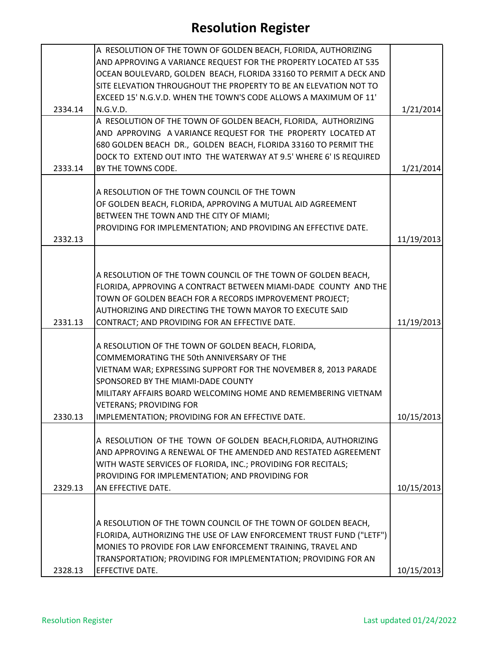|         | A RESOLUTION OF THE TOWN OF GOLDEN BEACH, FLORIDA, AUTHORIZING                                                                  |            |
|---------|---------------------------------------------------------------------------------------------------------------------------------|------------|
|         | AND APPROVING A VARIANCE REQUEST FOR THE PROPERTY LOCATED AT 535                                                                |            |
|         | OCEAN BOULEVARD, GOLDEN BEACH, FLORIDA 33160 TO PERMIT A DECK AND                                                               |            |
|         | SITE ELEVATION THROUGHOUT THE PROPERTY TO BE AN ELEVATION NOT TO                                                                |            |
|         | EXCEED 15' N.G.V.D. WHEN THE TOWN'S CODE ALLOWS A MAXIMUM OF 11'                                                                |            |
| 2334.14 | N.G.V.D.                                                                                                                        | 1/21/2014  |
|         | A RESOLUTION OF THE TOWN OF GOLDEN BEACH, FLORIDA, AUTHORIZING                                                                  |            |
|         | AND APPROVING A VARIANCE REQUEST FOR THE PROPERTY LOCATED AT                                                                    |            |
|         | 680 GOLDEN BEACH DR., GOLDEN BEACH, FLORIDA 33160 TO PERMIT THE                                                                 |            |
|         | DOCK TO EXTEND OUT INTO THE WATERWAY AT 9.5' WHERE 6' IS REQUIRED                                                               |            |
| 2333.14 | BY THE TOWNS CODE.                                                                                                              | 1/21/2014  |
|         |                                                                                                                                 |            |
|         | A RESOLUTION OF THE TOWN COUNCIL OF THE TOWN                                                                                    |            |
|         | OF GOLDEN BEACH, FLORIDA, APPROVING A MUTUAL AID AGREEMENT                                                                      |            |
|         | BETWEEN THE TOWN AND THE CITY OF MIAMI;                                                                                         |            |
|         | PROVIDING FOR IMPLEMENTATION; AND PROVIDING AN EFFECTIVE DATE.                                                                  |            |
| 2332.13 |                                                                                                                                 | 11/19/2013 |
|         |                                                                                                                                 |            |
|         |                                                                                                                                 |            |
|         | A RESOLUTION OF THE TOWN COUNCIL OF THE TOWN OF GOLDEN BEACH,                                                                   |            |
|         | FLORIDA, APPROVING A CONTRACT BETWEEN MIAMI-DADE COUNTY AND THE                                                                 |            |
|         | TOWN OF GOLDEN BEACH FOR A RECORDS IMPROVEMENT PROJECT;                                                                         |            |
|         | AUTHORIZING AND DIRECTING THE TOWN MAYOR TO EXECUTE SAID                                                                        |            |
| 2331.13 | CONTRACT; AND PROVIDING FOR AN EFFECTIVE DATE.                                                                                  | 11/19/2013 |
|         |                                                                                                                                 |            |
|         | A RESOLUTION OF THE TOWN OF GOLDEN BEACH, FLORIDA,                                                                              |            |
|         | COMMEMORATING THE 50th ANNIVERSARY OF THE                                                                                       |            |
|         | VIETNAM WAR; EXPRESSING SUPPORT FOR THE NOVEMBER 8, 2013 PARADE                                                                 |            |
|         | SPONSORED BY THE MIAMI-DADE COUNTY                                                                                              |            |
|         | MILITARY AFFAIRS BOARD WELCOMING HOME AND REMEMBERING VIETNAM                                                                   |            |
|         | <b>VETERANS; PROVIDING FOR</b>                                                                                                  |            |
| 2330.13 | IMPLEMENTATION; PROVIDING FOR AN EFFECTIVE DATE.                                                                                | 10/15/2013 |
|         |                                                                                                                                 |            |
|         | A RESOLUTION OF THE TOWN OF GOLDEN BEACH, FLORIDA, AUTHORIZING<br>AND APPROVING A RENEWAL OF THE AMENDED AND RESTATED AGREEMENT |            |
|         |                                                                                                                                 |            |
|         | WITH WASTE SERVICES OF FLORIDA, INC.; PROVIDING FOR RECITALS;                                                                   |            |
|         | PROVIDING FOR IMPLEMENTATION; AND PROVIDING FOR                                                                                 |            |
| 2329.13 | AN EFFECTIVE DATE.                                                                                                              | 10/15/2013 |
|         |                                                                                                                                 |            |
|         | A RESOLUTION OF THE TOWN COUNCIL OF THE TOWN OF GOLDEN BEACH,                                                                   |            |
|         | FLORIDA, AUTHORIZING THE USE OF LAW ENFORCEMENT TRUST FUND ("LETF")                                                             |            |
|         | MONIES TO PROVIDE FOR LAW ENFORCEMENT TRAINING, TRAVEL AND                                                                      |            |
|         | TRANSPORTATION; PROVIDING FOR IMPLEMENTATION; PROVIDING FOR AN                                                                  |            |
| 2328.13 | EFFECTIVE DATE.                                                                                                                 | 10/15/2013 |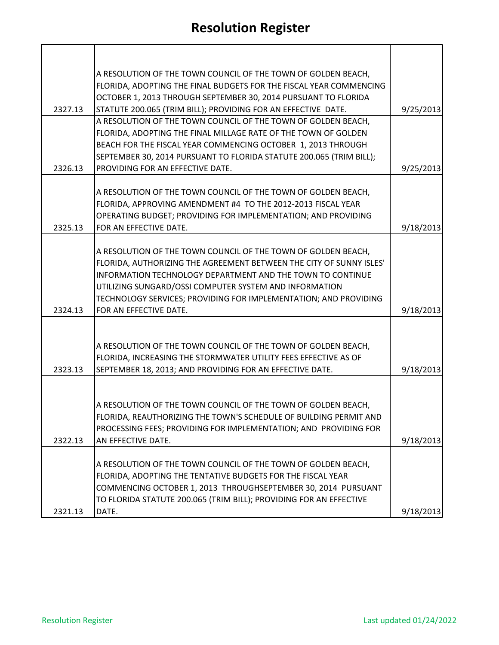|         | A RESOLUTION OF THE TOWN COUNCIL OF THE TOWN OF GOLDEN BEACH,<br>FLORIDA, ADOPTING THE FINAL BUDGETS FOR THE FISCAL YEAR COMMENCING<br>OCTOBER 1, 2013 THROUGH SEPTEMBER 30, 2014 PURSUANT TO FLORIDA                                                                        |           |
|---------|------------------------------------------------------------------------------------------------------------------------------------------------------------------------------------------------------------------------------------------------------------------------------|-----------|
| 2327.13 | STATUTE 200.065 (TRIM BILL); PROVIDING FOR AN EFFECTIVE DATE.<br>A RESOLUTION OF THE TOWN COUNCIL OF THE TOWN OF GOLDEN BEACH,                                                                                                                                               | 9/25/2013 |
|         | FLORIDA, ADOPTING THE FINAL MILLAGE RATE OF THE TOWN OF GOLDEN<br>BEACH FOR THE FISCAL YEAR COMMENCING OCTOBER 1, 2013 THROUGH                                                                                                                                               |           |
| 2326.13 | SEPTEMBER 30, 2014 PURSUANT TO FLORIDA STATUTE 200.065 (TRIM BILL);<br>PROVIDING FOR AN EFFECTIVE DATE.                                                                                                                                                                      | 9/25/2013 |
|         |                                                                                                                                                                                                                                                                              |           |
|         | A RESOLUTION OF THE TOWN COUNCIL OF THE TOWN OF GOLDEN BEACH,<br>FLORIDA, APPROVING AMENDMENT #4 TO THE 2012-2013 FISCAL YEAR<br>OPERATING BUDGET; PROVIDING FOR IMPLEMENTATION; AND PROVIDING                                                                               |           |
| 2325.13 | FOR AN EFFECTIVE DATE.                                                                                                                                                                                                                                                       | 9/18/2013 |
|         | A RESOLUTION OF THE TOWN COUNCIL OF THE TOWN OF GOLDEN BEACH,<br>FLORIDA, AUTHORIZING THE AGREEMENT BETWEEN THE CITY OF SUNNY ISLES'<br>INFORMATION TECHNOLOGY DEPARTMENT AND THE TOWN TO CONTINUE<br>UTILIZING SUNGARD/OSSI COMPUTER SYSTEM AND INFORMATION                 |           |
| 2324.13 | TECHNOLOGY SERVICES; PROVIDING FOR IMPLEMENTATION; AND PROVIDING<br>FOR AN EFFECTIVE DATE.                                                                                                                                                                                   | 9/18/2013 |
|         | A RESOLUTION OF THE TOWN COUNCIL OF THE TOWN OF GOLDEN BEACH,<br>FLORIDA, INCREASING THE STORMWATER UTILITY FEES EFFECTIVE AS OF                                                                                                                                             |           |
| 2323.13 | SEPTEMBER 18, 2013; AND PROVIDING FOR AN EFFECTIVE DATE.                                                                                                                                                                                                                     | 9/18/2013 |
| 2322.13 | A RESOLUTION OF THE TOWN COUNCIL OF THE TOWN OF GOLDEN BEACH,<br>FLORIDA, REAUTHORIZING THE TOWN'S SCHEDULE OF BUILDING PERMIT AND<br>PROCESSING FEES; PROVIDING FOR IMPLEMENTATION; AND PROVIDING FOR<br>AN EFFECTIVE DATE.                                                 | 9/18/2013 |
| 2321.13 | A RESOLUTION OF THE TOWN COUNCIL OF THE TOWN OF GOLDEN BEACH,<br>FLORIDA, ADOPTING THE TENTATIVE BUDGETS FOR THE FISCAL YEAR<br>COMMENCING OCTOBER 1, 2013 THROUGHSEPTEMBER 30, 2014 PURSUANT<br>TO FLORIDA STATUTE 200.065 (TRIM BILL); PROVIDING FOR AN EFFECTIVE<br>DATE. | 9/18/2013 |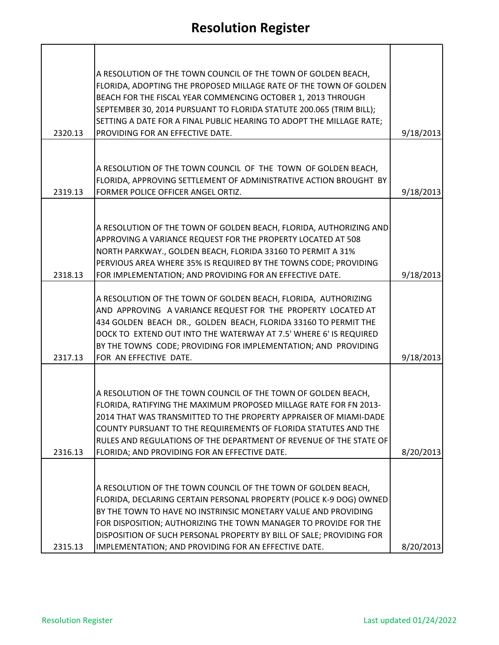|         | A RESOLUTION OF THE TOWN COUNCIL OF THE TOWN OF GOLDEN BEACH,<br>FLORIDA, ADOPTING THE PROPOSED MILLAGE RATE OF THE TOWN OF GOLDEN<br>BEACH FOR THE FISCAL YEAR COMMENCING OCTOBER 1, 2013 THROUGH<br>SEPTEMBER 30, 2014 PURSUANT TO FLORIDA STATUTE 200.065 (TRIM BILL);                                                                                                                                  |           |
|---------|------------------------------------------------------------------------------------------------------------------------------------------------------------------------------------------------------------------------------------------------------------------------------------------------------------------------------------------------------------------------------------------------------------|-----------|
| 2320.13 | SETTING A DATE FOR A FINAL PUBLIC HEARING TO ADOPT THE MILLAGE RATE;<br>PROVIDING FOR AN EFFECTIVE DATE.                                                                                                                                                                                                                                                                                                   | 9/18/2013 |
|         |                                                                                                                                                                                                                                                                                                                                                                                                            |           |
|         | A RESOLUTION OF THE TOWN COUNCIL OF THE TOWN OF GOLDEN BEACH,<br>FLORIDA, APPROVING SETTLEMENT OF ADMINISTRATIVE ACTION BROUGHT BY                                                                                                                                                                                                                                                                         |           |
| 2319.13 | FORMER POLICE OFFICER ANGEL ORTIZ.                                                                                                                                                                                                                                                                                                                                                                         | 9/18/2013 |
|         | A RESOLUTION OF THE TOWN OF GOLDEN BEACH, FLORIDA, AUTHORIZING AND<br>APPROVING A VARIANCE REQUEST FOR THE PROPERTY LOCATED AT 508<br>NORTH PARKWAY., GOLDEN BEACH, FLORIDA 33160 TO PERMIT A 31%<br>PERVIOUS AREA WHERE 35% IS REQUIRED BY THE TOWNS CODE; PROVIDING                                                                                                                                      |           |
| 2318.13 | FOR IMPLEMENTATION; AND PROVIDING FOR AN EFFECTIVE DATE.                                                                                                                                                                                                                                                                                                                                                   | 9/18/2013 |
|         | A RESOLUTION OF THE TOWN OF GOLDEN BEACH, FLORIDA, AUTHORIZING<br>AND APPROVING A VARIANCE REQUEST FOR THE PROPERTY LOCATED AT<br>434 GOLDEN BEACH DR., GOLDEN BEACH, FLORIDA 33160 TO PERMIT THE<br>DOCK TO EXTEND OUT INTO THE WATERWAY AT 7.5' WHERE 6' IS REQUIRED<br>BY THE TOWNS CODE; PROVIDING FOR IMPLEMENTATION; AND PROVIDING                                                                   |           |
| 2317.13 | FOR AN EFFECTIVE DATE.                                                                                                                                                                                                                                                                                                                                                                                     | 9/18/2013 |
| 2316.13 | A RESOLUTION OF THE TOWN COUNCIL OF THE TOWN OF GOLDEN BEACH,<br>FLORIDA, RATIFYING THE MAXIMUM PROPOSED MILLAGE RATE FOR FN 2013-<br>2014 THAT WAS TRANSMITTED TO THE PROPERTY APPRAISER OF MIAMI-DADE<br>COUNTY PURSUANT TO THE REQUIREMENTS OF FLORIDA STATUTES AND THE<br>RULES AND REGULATIONS OF THE DEPARTMENT OF REVENUE OF THE STATE OF<br>FLORIDA; AND PROVIDING FOR AN EFFECTIVE DATE.          | 8/20/2013 |
|         |                                                                                                                                                                                                                                                                                                                                                                                                            |           |
| 2315.13 | A RESOLUTION OF THE TOWN COUNCIL OF THE TOWN OF GOLDEN BEACH,<br>FLORIDA, DECLARING CERTAIN PERSONAL PROPERTY (POLICE K-9 DOG) OWNED<br>BY THE TOWN TO HAVE NO INSTRINSIC MONETARY VALUE AND PROVIDING<br>FOR DISPOSITION; AUTHORIZING THE TOWN MANAGER TO PROVIDE FOR THE<br>DISPOSITION OF SUCH PERSONAL PROPERTY BY BILL OF SALE; PROVIDING FOR<br>IMPLEMENTATION; AND PROVIDING FOR AN EFFECTIVE DATE. | 8/20/2013 |

**T** 

h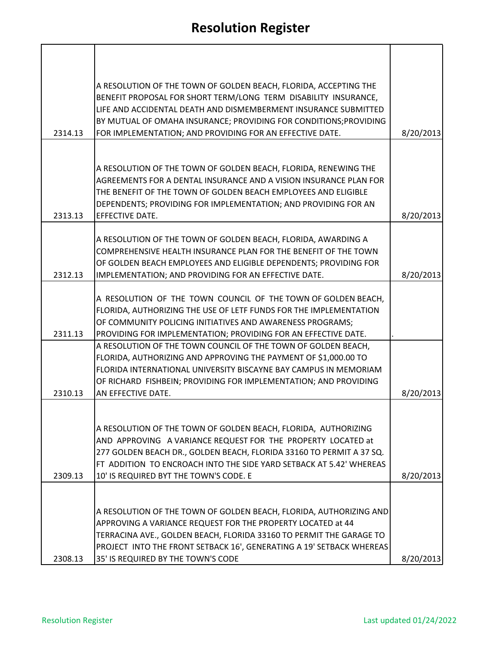| 2314.13 | A RESOLUTION OF THE TOWN OF GOLDEN BEACH, FLORIDA, ACCEPTING THE<br>BENEFIT PROPOSAL FOR SHORT TERM/LONG TERM DISABILITY INSURANCE,<br>LIFE AND ACCIDENTAL DEATH AND DISMEMBERMENT INSURANCE SUBMITTED<br>BY MUTUAL OF OMAHA INSURANCE; PROVIDING FOR CONDITIONS; PROVIDING<br>FOR IMPLEMENTATION; AND PROVIDING FOR AN EFFECTIVE DATE. | 8/20/2013 |
|---------|-----------------------------------------------------------------------------------------------------------------------------------------------------------------------------------------------------------------------------------------------------------------------------------------------------------------------------------------|-----------|
|         |                                                                                                                                                                                                                                                                                                                                         |           |
| 2313.13 | A RESOLUTION OF THE TOWN OF GOLDEN BEACH, FLORIDA, RENEWING THE<br>AGREEMENTS FOR A DENTAL INSURANCE AND A VISION INSURANCE PLAN FOR<br>THE BENEFIT OF THE TOWN OF GOLDEN BEACH EMPLOYEES AND ELIGIBLE<br>DEPENDENTS; PROVIDING FOR IMPLEMENTATION; AND PROVIDING FOR AN<br>EFFECTIVE DATE.                                             | 8/20/2013 |
|         |                                                                                                                                                                                                                                                                                                                                         |           |
|         | A RESOLUTION OF THE TOWN OF GOLDEN BEACH, FLORIDA, AWARDING A<br>COMPREHENSIVE HEALTH INSURANCE PLAN FOR THE BENEFIT OF THE TOWN                                                                                                                                                                                                        |           |
| 2312.13 | OF GOLDEN BEACH EMPLOYEES AND ELIGIBLE DEPENDENTS; PROVIDING FOR<br>IMPLEMENTATION; AND PROVIDING FOR AN EFFECTIVE DATE.                                                                                                                                                                                                                | 8/20/2013 |
|         |                                                                                                                                                                                                                                                                                                                                         |           |
|         | A RESOLUTION OF THE TOWN COUNCIL OF THE TOWN OF GOLDEN BEACH,<br>FLORIDA, AUTHORIZING THE USE OF LETF FUNDS FOR THE IMPLEMENTATION                                                                                                                                                                                                      |           |
| 2311.13 | OF COMMUNITY POLICING INITIATIVES AND AWARENESS PROGRAMS;<br>PROVIDING FOR IMPLEMENTATION; PROVIDING FOR AN EFFECTIVE DATE.                                                                                                                                                                                                             |           |
| 2310.13 | A RESOLUTION OF THE TOWN COUNCIL OF THE TOWN OF GOLDEN BEACH,<br>FLORIDA, AUTHORIZING AND APPROVING THE PAYMENT OF \$1,000.00 TO<br>FLORIDA INTERNATIONAL UNIVERSITY BISCAYNE BAY CAMPUS IN MEMORIAM<br>OF RICHARD FISHBEIN; PROVIDING FOR IMPLEMENTATION; AND PROVIDING<br>AN EFFECTIVE DATE.                                          | 8/20/2013 |
|         |                                                                                                                                                                                                                                                                                                                                         |           |
| 2309.13 | A RESOLUTION OF THE TOWN OF GOLDEN BEACH, FLORIDA, AUTHORIZING<br>AND APPROVING A VARIANCE REQUEST FOR THE PROPERTY LOCATED at<br>277 GOLDEN BEACH DR., GOLDEN BEACH, FLORIDA 33160 TO PERMIT A 37 SQ.<br>FT ADDITION TO ENCROACH INTO THE SIDE YARD SETBACK AT 5.42' WHEREAS<br>10' IS REQUIRED BYT THE TOWN'S CODE. E                 | 8/20/2013 |
|         |                                                                                                                                                                                                                                                                                                                                         |           |
| 2308.13 | A RESOLUTION OF THE TOWN OF GOLDEN BEACH, FLORIDA, AUTHORIZING AND<br>APPROVING A VARIANCE REQUEST FOR THE PROPERTY LOCATED at 44<br>TERRACINA AVE., GOLDEN BEACH, FLORIDA 33160 TO PERMIT THE GARAGE TO<br>PROJECT INTO THE FRONT SETBACK 16', GENERATING A 19' SETBACK WHEREAS<br>35' IS REQUIRED BY THE TOWN'S CODE                  | 8/20/2013 |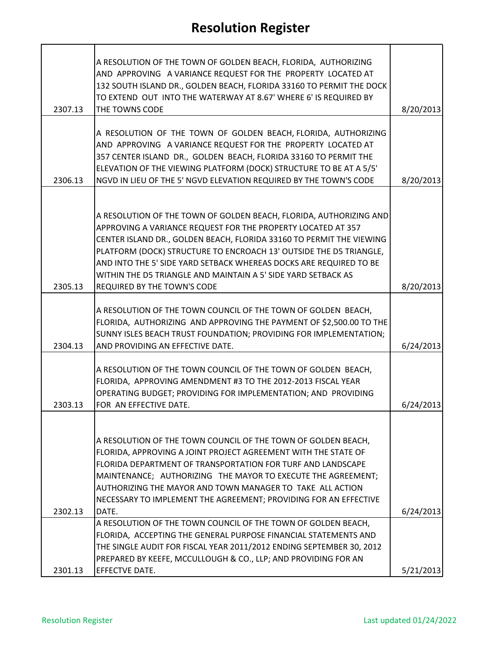| 2307.13 | A RESOLUTION OF THE TOWN OF GOLDEN BEACH, FLORIDA, AUTHORIZING<br>AND APPROVING A VARIANCE REQUEST FOR THE PROPERTY LOCATED AT<br>132 SOUTH ISLAND DR., GOLDEN BEACH, FLORIDA 33160 TO PERMIT THE DOCK<br>TO EXTEND OUT INTO THE WATERWAY AT 8.67' WHERE 6' IS REQUIRED BY<br>THE TOWNS CODE                                                                                                                                                           | 8/20/2013 |
|---------|--------------------------------------------------------------------------------------------------------------------------------------------------------------------------------------------------------------------------------------------------------------------------------------------------------------------------------------------------------------------------------------------------------------------------------------------------------|-----------|
| 2306.13 | A RESOLUTION OF THE TOWN OF GOLDEN BEACH, FLORIDA, AUTHORIZING<br>AND APPROVING A VARIANCE REQUEST FOR THE PROPERTY LOCATED AT<br>357 CENTER ISLAND DR., GOLDEN BEACH, FLORIDA 33160 TO PERMIT THE<br>ELEVATION OF THE VIEWING PLATFORM (DOCK) STRUCTURE TO BE AT A 5/5'<br>NGVD IN LIEU OF THE 5' NGVD ELEVATION REQUIRED BY THE TOWN'S CODE                                                                                                          | 8/20/2013 |
| 2305.13 | A RESOLUTION OF THE TOWN OF GOLDEN BEACH, FLORIDA, AUTHORIZING AND<br>APPROVING A VARIANCE REQUEST FOR THE PROPERTY LOCATED AT 357<br>CENTER ISLAND DR., GOLDEN BEACH, FLORIDA 33160 TO PERMIT THE VIEWING<br>PLATFORM (DOCK) STRUCTURE TO ENCROACH 13' OUTSIDE THE D5 TRIANGLE,<br>AND INTO THE 5' SIDE YARD SETBACK WHEREAS DOCKS ARE REQUIRED TO BE<br>WITHIN THE D5 TRIANGLE AND MAINTAIN A 5' SIDE YARD SETBACK AS<br>REQUIRED BY THE TOWN'S CODE | 8/20/2013 |
| 2304.13 | A RESOLUTION OF THE TOWN COUNCIL OF THE TOWN OF GOLDEN BEACH,<br>FLORIDA, AUTHORIZING AND APPROVING THE PAYMENT OF \$2,500.00 TO THE<br>SUNNY ISLES BEACH TRUST FOUNDATION; PROVIDING FOR IMPLEMENTATION;<br>AND PROVIDING AN EFFECTIVE DATE.                                                                                                                                                                                                          | 6/24/2013 |
| 2303.13 | A RESOLUTION OF THE TOWN COUNCIL OF THE TOWN OF GOLDEN BEACH,<br>FLORIDA, APPROVING AMENDMENT #3 TO THE 2012-2013 FISCAL YEAR<br>OPERATING BUDGET; PROVIDING FOR IMPLEMENTATION; AND PROVIDING<br>FOR AN EFFECTIVE DATE.                                                                                                                                                                                                                               | 6/24/2013 |
|         | A RESOLUTION OF THE TOWN COUNCIL OF THE TOWN OF GOLDEN BEACH,<br>FLORIDA, APPROVING A JOINT PROJECT AGREEMENT WITH THE STATE OF<br>FLORIDA DEPARTMENT OF TRANSPORTATION FOR TURF AND LANDSCAPE<br>MAINTENANCE; AUTHORIZING THE MAYOR TO EXECUTE THE AGREEMENT;<br>AUTHORIZING THE MAYOR AND TOWN MANAGER TO TAKE ALL ACTION<br>NECESSARY TO IMPLEMENT THE AGREEMENT; PROVIDING FOR AN EFFECTIVE                                                        |           |
| 2302.13 | DATE.                                                                                                                                                                                                                                                                                                                                                                                                                                                  | 6/24/2013 |
|         | A RESOLUTION OF THE TOWN COUNCIL OF THE TOWN OF GOLDEN BEACH,<br>FLORIDA, ACCEPTING THE GENERAL PURPOSE FINANCIAL STATEMENTS AND<br>THE SINGLE AUDIT FOR FISCAL YEAR 2011/2012 ENDING SEPTEMBER 30, 2012<br>PREPARED BY KEEFE, MCCULLOUGH & CO., LLP; AND PROVIDING FOR AN                                                                                                                                                                             |           |
| 2301.13 | EFFECTVE DATE.                                                                                                                                                                                                                                                                                                                                                                                                                                         | 5/21/2013 |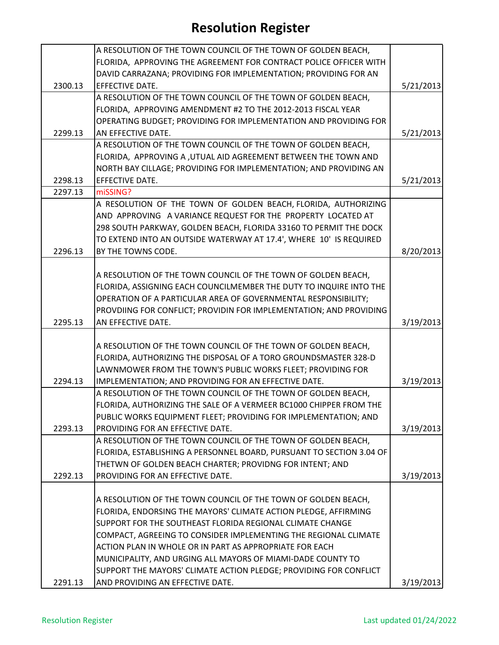|         | A RESOLUTION OF THE TOWN COUNCIL OF THE TOWN OF GOLDEN BEACH,        |           |
|---------|----------------------------------------------------------------------|-----------|
|         | FLORIDA, APPROVING THE AGREEMENT FOR CONTRACT POLICE OFFICER WITH    |           |
|         | DAVID CARRAZANA; PROVIDING FOR IMPLEMENTATION; PROVIDING FOR AN      |           |
| 2300.13 | EFFECTIVE DATE.                                                      | 5/21/2013 |
|         | A RESOLUTION OF THE TOWN COUNCIL OF THE TOWN OF GOLDEN BEACH,        |           |
|         | FLORIDA, APPROVING AMENDMENT #2 TO THE 2012-2013 FISCAL YEAR         |           |
|         | OPERATING BUDGET; PROVIDING FOR IMPLEMENTATION AND PROVIDING FOR     |           |
| 2299.13 | AN EFFECTIVE DATE.                                                   | 5/21/2013 |
|         | A RESOLUTION OF THE TOWN COUNCIL OF THE TOWN OF GOLDEN BEACH,        |           |
|         | FLORIDA, APPROVING A , UTUAL AID AGREEMENT BETWEEN THE TOWN AND      |           |
|         | NORTH BAY CILLAGE; PROVIDING FOR IMPLEMENTATION; AND PROVIDING AN    |           |
| 2298.13 | EFFECTIVE DATE.                                                      | 5/21/2013 |
| 2297.13 | miSSING?                                                             |           |
|         | A RESOLUTION OF THE TOWN OF GOLDEN BEACH, FLORIDA, AUTHORIZING       |           |
|         | AND APPROVING A VARIANCE REQUEST FOR THE PROPERTY LOCATED AT         |           |
|         | 298 SOUTH PARKWAY, GOLDEN BEACH, FLORIDA 33160 TO PERMIT THE DOCK    |           |
|         | TO EXTEND INTO AN OUTSIDE WATERWAY AT 17.4', WHERE 10' IS REQUIRED   |           |
| 2296.13 | BY THE TOWNS CODE.                                                   | 8/20/2013 |
|         |                                                                      |           |
|         | A RESOLUTION OF THE TOWN COUNCIL OF THE TOWN OF GOLDEN BEACH,        |           |
|         | FLORIDA, ASSIGNING EACH COUNCILMEMBER THE DUTY TO INQUIRE INTO THE   |           |
|         | OPERATION OF A PARTICULAR AREA OF GOVERNMENTAL RESPONSIBILITY;       |           |
|         | PROVDIING FOR CONFLICT; PROVIDIN FOR IMPLEMENTATION; AND PROVIDING   |           |
| 2295.13 | AN EFFECTIVE DATE.                                                   | 3/19/2013 |
|         |                                                                      |           |
|         | A RESOLUTION OF THE TOWN COUNCIL OF THE TOWN OF GOLDEN BEACH,        |           |
|         | FLORIDA, AUTHORIZING THE DISPOSAL OF A TORO GROUNDSMASTER 328-D      |           |
|         | LAWNMOWER FROM THE TOWN'S PUBLIC WORKS FLEET; PROVIDING FOR          |           |
| 2294.13 | IMPLEMENTATION; AND PROVIDING FOR AN EFFECTIVE DATE.                 | 3/19/2013 |
|         | A RESOLUTION OF THE TOWN COUNCIL OF THE TOWN OF GOLDEN BEACH,        |           |
|         | FLORIDA, AUTHORIZING THE SALE OF A VERMEER BC1000 CHIPPER FROM THE   |           |
|         | PUBLIC WORKS EQUIPMENT FLEET; PROVIDING FOR IMPLEMENTATION; AND      |           |
| 2293.13 | PROVIDING FOR AN EFFECTIVE DATE.                                     | 3/19/2013 |
|         | A RESOLUTION OF THE TOWN COUNCIL OF THE TOWN OF GOLDEN BEACH,        |           |
|         | FLORIDA, ESTABLISHING A PERSONNEL BOARD, PURSUANT TO SECTION 3.04 OF |           |
|         | THETWN OF GOLDEN BEACH CHARTER; PROVIDNG FOR INTENT; AND             |           |
| 2292.13 | PROVIDING FOR AN EFFECTIVE DATE.                                     | 3/19/2013 |
|         |                                                                      |           |
|         | A RESOLUTION OF THE TOWN COUNCIL OF THE TOWN OF GOLDEN BEACH,        |           |
|         | FLORIDA, ENDORSING THE MAYORS' CLIMATE ACTION PLEDGE, AFFIRMING      |           |
|         | SUPPORT FOR THE SOUTHEAST FLORIDA REGIONAL CLIMATE CHANGE            |           |
|         | COMPACT, AGREEING TO CONSIDER IMPLEMENTING THE REGIONAL CLIMATE      |           |
|         | ACTION PLAN IN WHOLE OR IN PART AS APPROPRIATE FOR EACH              |           |
|         | MUNICIPALITY, AND URGING ALL MAYORS OF MIAMI-DADE COUNTY TO          |           |
|         | SUPPORT THE MAYORS' CLIMATE ACTION PLEDGE; PROVIDING FOR CONFLICT    |           |
| 2291.13 | AND PROVIDING AN EFFECTIVE DATE.                                     | 3/19/2013 |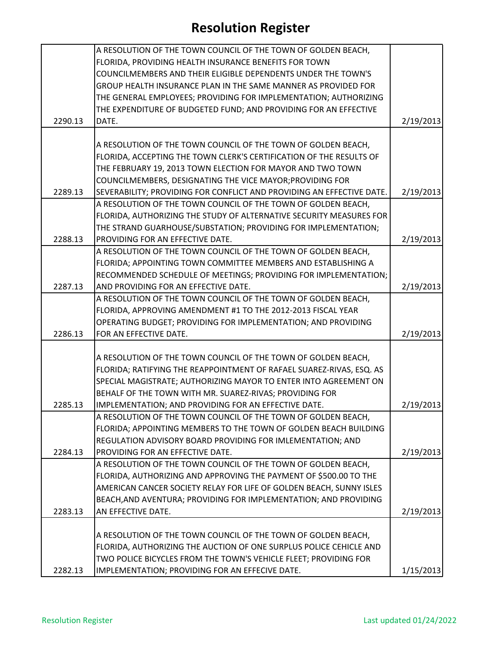|         | A RESOLUTION OF THE TOWN COUNCIL OF THE TOWN OF GOLDEN BEACH,         |           |
|---------|-----------------------------------------------------------------------|-----------|
|         | FLORIDA, PROVIDING HEALTH INSURANCE BENEFITS FOR TOWN                 |           |
|         | COUNCILMEMBERS AND THEIR ELIGIBLE DEPENDENTS UNDER THE TOWN'S         |           |
|         | GROUP HEALTH INSURANCE PLAN IN THE SAME MANNER AS PROVIDED FOR        |           |
|         | THE GENERAL EMPLOYEES; PROVIDING FOR IMPLEMENTATION; AUTHORIZING      |           |
|         | THE EXPENDITURE OF BUDGETED FUND; AND PROVIDING FOR AN EFFECTIVE      |           |
| 2290.13 | DATE.                                                                 | 2/19/2013 |
|         |                                                                       |           |
|         | A RESOLUTION OF THE TOWN COUNCIL OF THE TOWN OF GOLDEN BEACH,         |           |
|         | FLORIDA, ACCEPTING THE TOWN CLERK'S CERTIFICATION OF THE RESULTS OF   |           |
|         | THE FEBRUARY 19, 2013 TOWN ELECTION FOR MAYOR AND TWO TOWN            |           |
|         | COUNCILMEMBERS, DESIGNATING THE VICE MAYOR; PROVIDING FOR             |           |
| 2289.13 | SEVERABILITY; PROVIDING FOR CONFLICT AND PROVIDING AN EFFECTIVE DATE. | 2/19/2013 |
|         | A RESOLUTION OF THE TOWN COUNCIL OF THE TOWN OF GOLDEN BEACH,         |           |
|         | FLORIDA, AUTHORIZING THE STUDY OF ALTERNATIVE SECURITY MEASURES FOR   |           |
|         | THE STRAND GUARHOUSE/SUBSTATION; PROVIDING FOR IMPLEMENTATION;        |           |
| 2288.13 | PROVIDING FOR AN EFFECTIVE DATE.                                      | 2/19/2013 |
|         | A RESOLUTION OF THE TOWN COUNCIL OF THE TOWN OF GOLDEN BEACH,         |           |
|         | FLORIDA; APPOINTING TOWN COMMITTEE MEMBERS AND ESTABLISHING A         |           |
|         | RECOMMENDED SCHEDULE OF MEETINGS; PROVIDING FOR IMPLEMENTATION;       |           |
| 2287.13 | AND PROVIDING FOR AN EFFECTIVE DATE.                                  | 2/19/2013 |
|         | A RESOLUTION OF THE TOWN COUNCIL OF THE TOWN OF GOLDEN BEACH,         |           |
|         | FLORIDA, APPROVING AMENDMENT #1 TO THE 2012-2013 FISCAL YEAR          |           |
|         | OPERATING BUDGET; PROVIDING FOR IMPLEMENTATION; AND PROVIDING         |           |
| 2286.13 | FOR AN EFFECTIVE DATE.                                                | 2/19/2013 |
|         |                                                                       |           |
|         | A RESOLUTION OF THE TOWN COUNCIL OF THE TOWN OF GOLDEN BEACH,         |           |
|         | FLORIDA; RATIFYING THE REAPPOINTMENT OF RAFAEL SUAREZ-RIVAS, ESQ. AS  |           |
|         | SPECIAL MAGISTRATE; AUTHORIZING MAYOR TO ENTER INTO AGREEMENT ON      |           |
|         | BEHALF OF THE TOWN WITH MR. SUAREZ-RIVAS; PROVIDING FOR               |           |
| 2285.13 | IMPLEMENTATION; AND PROVIDING FOR AN EFFECTIVE DATE.                  | 2/19/2013 |
|         | A RESOLUTION OF THE TOWN COUNCIL OF THE TOWN OF GOLDEN BEACH,         |           |
|         | FLORIDA; APPOINTING MEMBERS TO THE TOWN OF GOLDEN BEACH BUILDING      |           |
|         | REGULATION ADVISORY BOARD PROVIDING FOR IMLEMENTATION; AND            |           |
| 2284.13 | PROVIDING FOR AN EFFECTIVE DATE.                                      | 2/19/2013 |
|         | A RESOLUTION OF THE TOWN COUNCIL OF THE TOWN OF GOLDEN BEACH,         |           |
|         | FLORIDA, AUTHORIZING AND APPROVING THE PAYMENT OF \$500.00 TO THE     |           |
|         | AMERICAN CANCER SOCIETY RELAY FOR LIFE OF GOLDEN BEACH, SUNNY ISLES   |           |
|         | BEACH, AND AVENTURA; PROVIDING FOR IMPLEMENTATION; AND PROVIDING      |           |
| 2283.13 | AN EFFECTIVE DATE.                                                    | 2/19/2013 |
|         |                                                                       |           |
|         | A RESOLUTION OF THE TOWN COUNCIL OF THE TOWN OF GOLDEN BEACH,         |           |
|         | FLORIDA, AUTHORIZING THE AUCTION OF ONE SURPLUS POLICE CEHICLE AND    |           |
|         | TWO POLICE BICYCLES FROM THE TOWN'S VEHICLE FLEET; PROVIDING FOR      |           |
| 2282.13 | IMPLEMENTATION; PROVIDING FOR AN EFFECIVE DATE.                       | 1/15/2013 |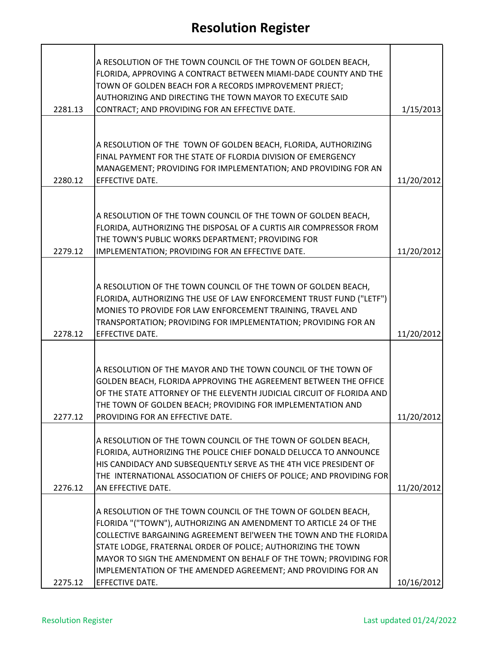|         | A RESOLUTION OF THE TOWN COUNCIL OF THE TOWN OF GOLDEN BEACH,<br>FLORIDA, APPROVING A CONTRACT BETWEEN MIAMI-DADE COUNTY AND THE<br>TOWN OF GOLDEN BEACH FOR A RECORDS IMPROVEMENT PRJECT;                                                                                                                                                                                                                                     |            |
|---------|--------------------------------------------------------------------------------------------------------------------------------------------------------------------------------------------------------------------------------------------------------------------------------------------------------------------------------------------------------------------------------------------------------------------------------|------------|
| 2281.13 | AUTHORIZING AND DIRECTING THE TOWN MAYOR TO EXECUTE SAID<br>CONTRACT; AND PROVIDING FOR AN EFFECTIVE DATE.                                                                                                                                                                                                                                                                                                                     | 1/15/2013  |
|         |                                                                                                                                                                                                                                                                                                                                                                                                                                |            |
|         | A RESOLUTION OF THE TOWN OF GOLDEN BEACH, FLORIDA, AUTHORIZING<br>FINAL PAYMENT FOR THE STATE OF FLORDIA DIVISION OF EMERGENCY<br>MANAGEMENT; PROVIDING FOR IMPLEMENTATION; AND PROVIDING FOR AN                                                                                                                                                                                                                               |            |
| 2280.12 | EFFECTIVE DATE.                                                                                                                                                                                                                                                                                                                                                                                                                | 11/20/2012 |
| 2279.12 | A RESOLUTION OF THE TOWN COUNCIL OF THE TOWN OF GOLDEN BEACH,<br>FLORIDA, AUTHORIZING THE DISPOSAL OF A CURTIS AIR COMPRESSOR FROM<br>THE TOWN'S PUBLIC WORKS DEPARTMENT; PROVIDING FOR<br>IMPLEMENTATION; PROVIDING FOR AN EFFECTIVE DATE.                                                                                                                                                                                    | 11/20/2012 |
|         |                                                                                                                                                                                                                                                                                                                                                                                                                                |            |
| 2278.12 | A RESOLUTION OF THE TOWN COUNCIL OF THE TOWN OF GOLDEN BEACH,<br>FLORIDA, AUTHORIZING THE USE OF LAW ENFORCEMENT TRUST FUND ("LETF")<br>MONIES TO PROVIDE FOR LAW ENFORCEMENT TRAINING, TRAVEL AND<br>TRANSPORTATION; PROVIDING FOR IMPLEMENTATION; PROVIDING FOR AN<br>EFFECTIVE DATE.                                                                                                                                        | 11/20/2012 |
|         |                                                                                                                                                                                                                                                                                                                                                                                                                                |            |
| 2277.12 | A RESOLUTION OF THE MAYOR AND THE TOWN COUNCIL OF THE TOWN OF<br>GOLDEN BEACH, FLORIDA APPROVING THE AGREEMENT BETWEEN THE OFFICE<br>OF THE STATE ATTORNEY OF THE ELEVENTH JUDICIAL CIRCUIT OF FLORIDA AND<br>THE TOWN OF GOLDEN BEACH; PROVIDING FOR IMPLEMENTATION AND<br>PROVIDING FOR AN EFFECTIVE DATE.                                                                                                                   | 11/20/2012 |
| 2276.12 | A RESOLUTION OF THE TOWN COUNCIL OF THE TOWN OF GOLDEN BEACH,<br>FLORIDA, AUTHORIZING THE POLICE CHIEF DONALD DELUCCA TO ANNOUNCE<br>HIS CANDIDACY AND SUBSEQUENTLY SERVE AS THE 4TH VICE PRESIDENT OF<br>THE INTERNATIONAL ASSOCIATION OF CHIEFS OF POLICE; AND PROVIDING FOR<br>AN EFFECTIVE DATE.                                                                                                                           | 11/20/2012 |
|         |                                                                                                                                                                                                                                                                                                                                                                                                                                |            |
|         | A RESOLUTION OF THE TOWN COUNCIL OF THE TOWN OF GOLDEN BEACH,<br>FLORIDA "("TOWN"), AUTHORIZING AN AMENDMENT TO ARTICLE 24 OF THE<br>COLLECTIVE BARGAINING AGREEMENT BEI'WEEN THE TOWN AND THE FLORIDA<br>STATE LODGE, FRATERNAL ORDER OF POLICE; AUTHORIZING THE TOWN<br>MAYOR TO SIGN THE AMENDMENT ON BEHALF OF THE TOWN; PROVIDING FOR<br>IMPLEMENTATION OF THE AMENDED AGREEMENT; AND PROVIDING FOR AN<br>EFFECTIVE DATE. |            |
| 2275.12 |                                                                                                                                                                                                                                                                                                                                                                                                                                | 10/16/2012 |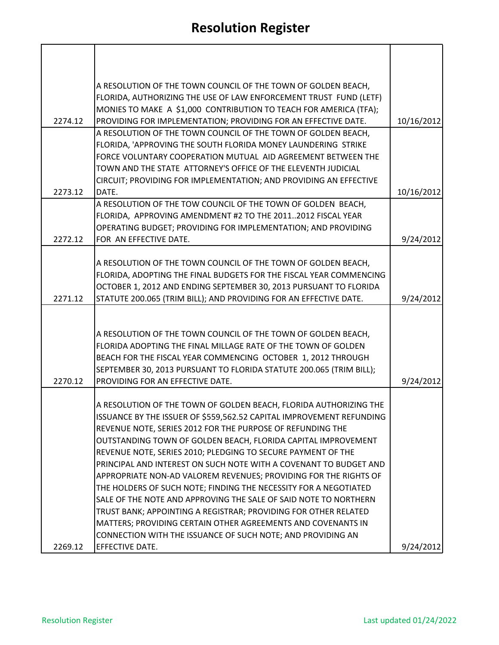|         | A RESOLUTION OF THE TOWN COUNCIL OF THE TOWN OF GOLDEN BEACH,                                                                   |            |
|---------|---------------------------------------------------------------------------------------------------------------------------------|------------|
|         | FLORIDA, AUTHORIZING THE USE OF LAW ENFORCEMENT TRUST FUND (LETF)                                                               |            |
|         | MONIES TO MAKE A \$1,000 CONTRIBUTION TO TEACH FOR AMERICA (TFA);                                                               |            |
| 2274.12 | PROVIDING FOR IMPLEMENTATION; PROVIDING FOR AN EFFECTIVE DATE.<br>A RESOLUTION OF THE TOWN COUNCIL OF THE TOWN OF GOLDEN BEACH, | 10/16/2012 |
|         | FLORIDA, 'APPROVING THE SOUTH FLORIDA MONEY LAUNDERING STRIKE                                                                   |            |
|         | FORCE VOLUNTARY COOPERATION MUTUAL AID AGREEMENT BETWEEN THE                                                                    |            |
|         | TOWN AND THE STATE ATTORNEY'S OFFICE OF THE ELEVENTH JUDICIAL                                                                   |            |
|         | CIRCUIT; PROVIDING FOR IMPLEMENTATION; AND PROVIDING AN EFFECTIVE                                                               |            |
| 2273.12 | DATE.                                                                                                                           | 10/16/2012 |
|         | A RESOLUTION OF THE TOW COUNCIL OF THE TOWN OF GOLDEN BEACH,                                                                    |            |
|         | FLORIDA, APPROVING AMENDMENT #2 TO THE 20112012 FISCAL YEAR                                                                     |            |
|         | OPERATING BUDGET; PROVIDING FOR IMPLEMENTATION; AND PROVIDING                                                                   |            |
| 2272.12 | FOR AN EFFECTIVE DATE.                                                                                                          | 9/24/2012  |
|         | A RESOLUTION OF THE TOWN COUNCIL OF THE TOWN OF GOLDEN BEACH,                                                                   |            |
|         | FLORIDA, ADOPTING THE FINAL BUDGETS FOR THE FISCAL YEAR COMMENCING                                                              |            |
|         | OCTOBER 1, 2012 AND ENDING SEPTEMBER 30, 2013 PURSUANT TO FLORIDA                                                               |            |
| 2271.12 | STATUTE 200.065 (TRIM BILL); AND PROVIDING FOR AN EFFECTIVE DATE.                                                               | 9/24/2012  |
|         |                                                                                                                                 |            |
|         |                                                                                                                                 |            |
|         | A RESOLUTION OF THE TOWN COUNCIL OF THE TOWN OF GOLDEN BEACH,                                                                   |            |
|         | FLORIDA ADOPTING THE FINAL MILLAGE RATE OF THE TOWN OF GOLDEN                                                                   |            |
|         | BEACH FOR THE FISCAL YEAR COMMENCING OCTOBER 1, 2012 THROUGH                                                                    |            |
|         | SEPTEMBER 30, 2013 PURSUANT TO FLORIDA STATUTE 200.065 (TRIM BILL);<br>PROVIDING FOR AN EFFECTIVE DATE.                         |            |
| 2270.12 |                                                                                                                                 | 9/24/2012  |
|         | A RESOLUTION OF THE TOWN OF GOLDEN BEACH, FLORIDA AUTHORIZING THE                                                               |            |
|         | ISSUANCE BY THE ISSUER OF \$559,562.52 CAPITAL IMPROVEMENT REFUNDING                                                            |            |
|         | REVENUE NOTE, SERIES 2012 FOR THE PURPOSE OF REFUNDING THE                                                                      |            |
|         | OUTSTANDING TOWN OF GOLDEN BEACH, FLORIDA CAPITAL IMPROVEMENT                                                                   |            |
|         | REVENUE NOTE, SERIES 2010; PLEDGING TO SECURE PAYMENT OF THE                                                                    |            |
|         | PRINCIPAL AND INTEREST ON SUCH NOTE WITH A COVENANT TO BUDGET AND                                                               |            |
|         | APPROPRIATE NON-AD VALOREM REVENUES; PROVIDING FOR THE RIGHTS OF                                                                |            |
|         | THE HOLDERS OF SUCH NOTE; FINDING THE NECESSITY FOR A NEGOTIATED                                                                |            |
|         | SALE OF THE NOTE AND APPROVING THE SALE OF SAID NOTE TO NORTHERN                                                                |            |
|         | TRUST BANK; APPOINTING A REGISTRAR; PROVIDING FOR OTHER RELATED                                                                 |            |
|         | MATTERS; PROVIDING CERTAIN OTHER AGREEMENTS AND COVENANTS IN<br>CONNECTION WITH THE ISSUANCE OF SUCH NOTE; AND PROVIDING AN     |            |
| 2269.12 | <b>EFFECTIVE DATE.</b>                                                                                                          | 9/24/2012  |
|         |                                                                                                                                 |            |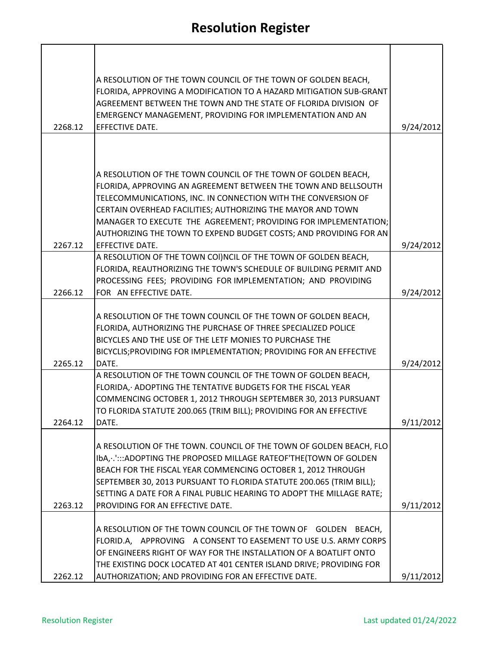|         | A RESOLUTION OF THE TOWN COUNCIL OF THE TOWN OF GOLDEN BEACH,<br>FLORIDA, APPROVING A MODIFICATION TO A HAZARD MITIGATION SUB-GRANT<br>AGREEMENT BETWEEN THE TOWN AND THE STATE OF FLORIDA DIVISION OF<br>EMERGENCY MANAGEMENT, PROVIDING FOR IMPLEMENTATION AND AN                                                                                                                                                                                                                                                                              |           |
|---------|--------------------------------------------------------------------------------------------------------------------------------------------------------------------------------------------------------------------------------------------------------------------------------------------------------------------------------------------------------------------------------------------------------------------------------------------------------------------------------------------------------------------------------------------------|-----------|
| 2268.12 | EFFECTIVE DATE.                                                                                                                                                                                                                                                                                                                                                                                                                                                                                                                                  | 9/24/2012 |
|         | A RESOLUTION OF THE TOWN COUNCIL OF THE TOWN OF GOLDEN BEACH,<br>FLORIDA, APPROVING AN AGREEMENT BETWEEN THE TOWN AND BELLSOUTH<br>TELECOMMUNICATIONS, INC. IN CONNECTION WITH THE CONVERSION OF<br>CERTAIN OVERHEAD FACILITIES; AUTHORIZING THE MAYOR AND TOWN                                                                                                                                                                                                                                                                                  |           |
|         | MANAGER TO EXECUTE THE AGREEMENT; PROVIDING FOR IMPLEMENTATION;                                                                                                                                                                                                                                                                                                                                                                                                                                                                                  |           |
|         | AUTHORIZING THE TOWN TO EXPEND BUDGET COSTS; AND PROVIDING FOR AN                                                                                                                                                                                                                                                                                                                                                                                                                                                                                |           |
| 2267.12 | EFFECTIVE DATE.<br>A RESOLUTION OF THE TOWN COI)NCIL OF THE TOWN OF GOLDEN BEACH,                                                                                                                                                                                                                                                                                                                                                                                                                                                                | 9/24/2012 |
|         | FLORIDA, REAUTHORIZING THE TOWN'S SCHEDULE OF BUILDING PERMIT AND<br>PROCESSING FEES; PROVIDING FOR IMPLEMENTATION; AND PROVIDING                                                                                                                                                                                                                                                                                                                                                                                                                |           |
| 2266.12 | FOR AN EFFECTIVE DATE.                                                                                                                                                                                                                                                                                                                                                                                                                                                                                                                           | 9/24/2012 |
| 2265.12 | A RESOLUTION OF THE TOWN COUNCIL OF THE TOWN OF GOLDEN BEACH,<br>FLORIDA, AUTHORIZING THE PURCHASE OF THREE SPECIALIZED POLICE<br>BICYCLES AND THE USE OF THE LETF MONIES TO PURCHASE THE<br>BICYCLIS; PROVIDING FOR IMPLEMENTATION; PROVIDING FOR AN EFFECTIVE<br>DATE.<br>A RESOLUTION OF THE TOWN COUNCIL OF THE TOWN OF GOLDEN BEACH,<br>FLORIDA, ADOPTING THE TENTATIVE BUDGETS FOR THE FISCAL YEAR<br>COMMENCING OCTOBER 1, 2012 THROUGH SEPTEMBER 30, 2013 PURSUANT<br>TO FLORIDA STATUTE 200.065 (TRIM BILL); PROVIDING FOR AN EFFECTIVE | 9/24/2012 |
| 2264.12 | DATE.                                                                                                                                                                                                                                                                                                                                                                                                                                                                                                                                            | 9/11/2012 |
| 2263.12 | A RESOLUTION OF THE TOWN. COUNCIL OF THE TOWN OF GOLDEN BEACH, FLO<br>IbA, . 'ADOPTING THE PROPOSED MILLAGE RATEOF'THE(TOWN OF GOLDEN<br>BEACH FOR THE FISCAL YEAR COMMENCING OCTOBER 1, 2012 THROUGH<br>SEPTEMBER 30, 2013 PURSUANT TO FLORIDA STATUTE 200.065 (TRIM BILL);<br>SETTING A DATE FOR A FINAL PUBLIC HEARING TO ADOPT THE MILLAGE RATE;<br>PROVIDING FOR AN EFFECTIVE DATE.                                                                                                                                                         | 9/11/2012 |
| 2262.12 | A RESOLUTION OF THE TOWN COUNCIL OF THE TOWN OF GOLDEN BEACH,<br>FLORID.A, APPROVING A CONSENT TO EASEMENT TO USE U.S. ARMY CORPS<br>OF ENGINEERS RIGHT OF WAY FOR THE INSTALLATION OF A BOATLIFT ONTO<br>THE EXISTING DOCK LOCATED AT 401 CENTER ISLAND DRIVE; PROVIDING FOR<br>AUTHORIZATION; AND PROVIDING FOR AN EFFECTIVE DATE.                                                                                                                                                                                                             | 9/11/2012 |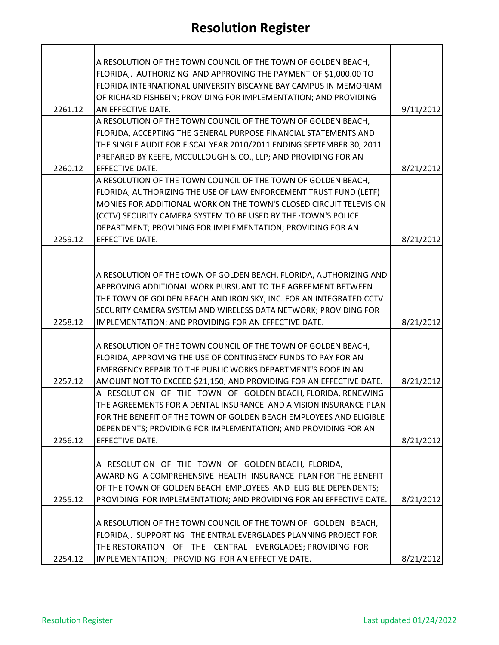| A RESOLUTION OF THE TOWN COUNCIL OF THE TOWN OF GOLDEN BEACH,    |                                                                                                                                                                                                                                                                                                                                                                                                                                                                                                                                                                                                                                                                                                                                                                                                                                                                                                                                                                                                                                                                                                                                                                                                                                                                                                                                                                                                                                                                                                                                                                                                                                                                                                                                                                                                                                                                                                                                                                                                                  |
|------------------------------------------------------------------|------------------------------------------------------------------------------------------------------------------------------------------------------------------------------------------------------------------------------------------------------------------------------------------------------------------------------------------------------------------------------------------------------------------------------------------------------------------------------------------------------------------------------------------------------------------------------------------------------------------------------------------------------------------------------------------------------------------------------------------------------------------------------------------------------------------------------------------------------------------------------------------------------------------------------------------------------------------------------------------------------------------------------------------------------------------------------------------------------------------------------------------------------------------------------------------------------------------------------------------------------------------------------------------------------------------------------------------------------------------------------------------------------------------------------------------------------------------------------------------------------------------------------------------------------------------------------------------------------------------------------------------------------------------------------------------------------------------------------------------------------------------------------------------------------------------------------------------------------------------------------------------------------------------------------------------------------------------------------------------------------------------|
| FLORIDA,. AUTHORIZING AND APPROVING THE PAYMENT OF \$1,000.00 TO |                                                                                                                                                                                                                                                                                                                                                                                                                                                                                                                                                                                                                                                                                                                                                                                                                                                                                                                                                                                                                                                                                                                                                                                                                                                                                                                                                                                                                                                                                                                                                                                                                                                                                                                                                                                                                                                                                                                                                                                                                  |
| FLORIDA INTERNATIONAL UNIVERSITY BISCAYNE BAY CAMPUS IN MEMORIAM |                                                                                                                                                                                                                                                                                                                                                                                                                                                                                                                                                                                                                                                                                                                                                                                                                                                                                                                                                                                                                                                                                                                                                                                                                                                                                                                                                                                                                                                                                                                                                                                                                                                                                                                                                                                                                                                                                                                                                                                                                  |
|                                                                  |                                                                                                                                                                                                                                                                                                                                                                                                                                                                                                                                                                                                                                                                                                                                                                                                                                                                                                                                                                                                                                                                                                                                                                                                                                                                                                                                                                                                                                                                                                                                                                                                                                                                                                                                                                                                                                                                                                                                                                                                                  |
| AN EFFECTIVE DATE.                                               | 9/11/2012                                                                                                                                                                                                                                                                                                                                                                                                                                                                                                                                                                                                                                                                                                                                                                                                                                                                                                                                                                                                                                                                                                                                                                                                                                                                                                                                                                                                                                                                                                                                                                                                                                                                                                                                                                                                                                                                                                                                                                                                        |
| A RESOLUTION OF THE TOWN COUNCIL OF THE TOWN OF GOLDEN BEACH,    |                                                                                                                                                                                                                                                                                                                                                                                                                                                                                                                                                                                                                                                                                                                                                                                                                                                                                                                                                                                                                                                                                                                                                                                                                                                                                                                                                                                                                                                                                                                                                                                                                                                                                                                                                                                                                                                                                                                                                                                                                  |
| FLORJDA, ACCEPTING THE GENERAL PURPOSE FINANCIAL STATEMENTS AND  |                                                                                                                                                                                                                                                                                                                                                                                                                                                                                                                                                                                                                                                                                                                                                                                                                                                                                                                                                                                                                                                                                                                                                                                                                                                                                                                                                                                                                                                                                                                                                                                                                                                                                                                                                                                                                                                                                                                                                                                                                  |
|                                                                  |                                                                                                                                                                                                                                                                                                                                                                                                                                                                                                                                                                                                                                                                                                                                                                                                                                                                                                                                                                                                                                                                                                                                                                                                                                                                                                                                                                                                                                                                                                                                                                                                                                                                                                                                                                                                                                                                                                                                                                                                                  |
|                                                                  |                                                                                                                                                                                                                                                                                                                                                                                                                                                                                                                                                                                                                                                                                                                                                                                                                                                                                                                                                                                                                                                                                                                                                                                                                                                                                                                                                                                                                                                                                                                                                                                                                                                                                                                                                                                                                                                                                                                                                                                                                  |
| <b>EFFECTIVE DATE.</b>                                           | 8/21/2012                                                                                                                                                                                                                                                                                                                                                                                                                                                                                                                                                                                                                                                                                                                                                                                                                                                                                                                                                                                                                                                                                                                                                                                                                                                                                                                                                                                                                                                                                                                                                                                                                                                                                                                                                                                                                                                                                                                                                                                                        |
|                                                                  |                                                                                                                                                                                                                                                                                                                                                                                                                                                                                                                                                                                                                                                                                                                                                                                                                                                                                                                                                                                                                                                                                                                                                                                                                                                                                                                                                                                                                                                                                                                                                                                                                                                                                                                                                                                                                                                                                                                                                                                                                  |
|                                                                  |                                                                                                                                                                                                                                                                                                                                                                                                                                                                                                                                                                                                                                                                                                                                                                                                                                                                                                                                                                                                                                                                                                                                                                                                                                                                                                                                                                                                                                                                                                                                                                                                                                                                                                                                                                                                                                                                                                                                                                                                                  |
|                                                                  |                                                                                                                                                                                                                                                                                                                                                                                                                                                                                                                                                                                                                                                                                                                                                                                                                                                                                                                                                                                                                                                                                                                                                                                                                                                                                                                                                                                                                                                                                                                                                                                                                                                                                                                                                                                                                                                                                                                                                                                                                  |
|                                                                  |                                                                                                                                                                                                                                                                                                                                                                                                                                                                                                                                                                                                                                                                                                                                                                                                                                                                                                                                                                                                                                                                                                                                                                                                                                                                                                                                                                                                                                                                                                                                                                                                                                                                                                                                                                                                                                                                                                                                                                                                                  |
|                                                                  |                                                                                                                                                                                                                                                                                                                                                                                                                                                                                                                                                                                                                                                                                                                                                                                                                                                                                                                                                                                                                                                                                                                                                                                                                                                                                                                                                                                                                                                                                                                                                                                                                                                                                                                                                                                                                                                                                                                                                                                                                  |
|                                                                  | 8/21/2012                                                                                                                                                                                                                                                                                                                                                                                                                                                                                                                                                                                                                                                                                                                                                                                                                                                                                                                                                                                                                                                                                                                                                                                                                                                                                                                                                                                                                                                                                                                                                                                                                                                                                                                                                                                                                                                                                                                                                                                                        |
|                                                                  |                                                                                                                                                                                                                                                                                                                                                                                                                                                                                                                                                                                                                                                                                                                                                                                                                                                                                                                                                                                                                                                                                                                                                                                                                                                                                                                                                                                                                                                                                                                                                                                                                                                                                                                                                                                                                                                                                                                                                                                                                  |
|                                                                  |                                                                                                                                                                                                                                                                                                                                                                                                                                                                                                                                                                                                                                                                                                                                                                                                                                                                                                                                                                                                                                                                                                                                                                                                                                                                                                                                                                                                                                                                                                                                                                                                                                                                                                                                                                                                                                                                                                                                                                                                                  |
|                                                                  |                                                                                                                                                                                                                                                                                                                                                                                                                                                                                                                                                                                                                                                                                                                                                                                                                                                                                                                                                                                                                                                                                                                                                                                                                                                                                                                                                                                                                                                                                                                                                                                                                                                                                                                                                                                                                                                                                                                                                                                                                  |
|                                                                  |                                                                                                                                                                                                                                                                                                                                                                                                                                                                                                                                                                                                                                                                                                                                                                                                                                                                                                                                                                                                                                                                                                                                                                                                                                                                                                                                                                                                                                                                                                                                                                                                                                                                                                                                                                                                                                                                                                                                                                                                                  |
|                                                                  |                                                                                                                                                                                                                                                                                                                                                                                                                                                                                                                                                                                                                                                                                                                                                                                                                                                                                                                                                                                                                                                                                                                                                                                                                                                                                                                                                                                                                                                                                                                                                                                                                                                                                                                                                                                                                                                                                                                                                                                                                  |
|                                                                  |                                                                                                                                                                                                                                                                                                                                                                                                                                                                                                                                                                                                                                                                                                                                                                                                                                                                                                                                                                                                                                                                                                                                                                                                                                                                                                                                                                                                                                                                                                                                                                                                                                                                                                                                                                                                                                                                                                                                                                                                                  |
|                                                                  | 8/21/2012                                                                                                                                                                                                                                                                                                                                                                                                                                                                                                                                                                                                                                                                                                                                                                                                                                                                                                                                                                                                                                                                                                                                                                                                                                                                                                                                                                                                                                                                                                                                                                                                                                                                                                                                                                                                                                                                                                                                                                                                        |
|                                                                  |                                                                                                                                                                                                                                                                                                                                                                                                                                                                                                                                                                                                                                                                                                                                                                                                                                                                                                                                                                                                                                                                                                                                                                                                                                                                                                                                                                                                                                                                                                                                                                                                                                                                                                                                                                                                                                                                                                                                                                                                                  |
|                                                                  |                                                                                                                                                                                                                                                                                                                                                                                                                                                                                                                                                                                                                                                                                                                                                                                                                                                                                                                                                                                                                                                                                                                                                                                                                                                                                                                                                                                                                                                                                                                                                                                                                                                                                                                                                                                                                                                                                                                                                                                                                  |
|                                                                  |                                                                                                                                                                                                                                                                                                                                                                                                                                                                                                                                                                                                                                                                                                                                                                                                                                                                                                                                                                                                                                                                                                                                                                                                                                                                                                                                                                                                                                                                                                                                                                                                                                                                                                                                                                                                                                                                                                                                                                                                                  |
|                                                                  |                                                                                                                                                                                                                                                                                                                                                                                                                                                                                                                                                                                                                                                                                                                                                                                                                                                                                                                                                                                                                                                                                                                                                                                                                                                                                                                                                                                                                                                                                                                                                                                                                                                                                                                                                                                                                                                                                                                                                                                                                  |
|                                                                  | 8/21/2012                                                                                                                                                                                                                                                                                                                                                                                                                                                                                                                                                                                                                                                                                                                                                                                                                                                                                                                                                                                                                                                                                                                                                                                                                                                                                                                                                                                                                                                                                                                                                                                                                                                                                                                                                                                                                                                                                                                                                                                                        |
|                                                                  |                                                                                                                                                                                                                                                                                                                                                                                                                                                                                                                                                                                                                                                                                                                                                                                                                                                                                                                                                                                                                                                                                                                                                                                                                                                                                                                                                                                                                                                                                                                                                                                                                                                                                                                                                                                                                                                                                                                                                                                                                  |
|                                                                  |                                                                                                                                                                                                                                                                                                                                                                                                                                                                                                                                                                                                                                                                                                                                                                                                                                                                                                                                                                                                                                                                                                                                                                                                                                                                                                                                                                                                                                                                                                                                                                                                                                                                                                                                                                                                                                                                                                                                                                                                                  |
|                                                                  |                                                                                                                                                                                                                                                                                                                                                                                                                                                                                                                                                                                                                                                                                                                                                                                                                                                                                                                                                                                                                                                                                                                                                                                                                                                                                                                                                                                                                                                                                                                                                                                                                                                                                                                                                                                                                                                                                                                                                                                                                  |
|                                                                  |                                                                                                                                                                                                                                                                                                                                                                                                                                                                                                                                                                                                                                                                                                                                                                                                                                                                                                                                                                                                                                                                                                                                                                                                                                                                                                                                                                                                                                                                                                                                                                                                                                                                                                                                                                                                                                                                                                                                                                                                                  |
|                                                                  | 8/21/2012                                                                                                                                                                                                                                                                                                                                                                                                                                                                                                                                                                                                                                                                                                                                                                                                                                                                                                                                                                                                                                                                                                                                                                                                                                                                                                                                                                                                                                                                                                                                                                                                                                                                                                                                                                                                                                                                                                                                                                                                        |
|                                                                  |                                                                                                                                                                                                                                                                                                                                                                                                                                                                                                                                                                                                                                                                                                                                                                                                                                                                                                                                                                                                                                                                                                                                                                                                                                                                                                                                                                                                                                                                                                                                                                                                                                                                                                                                                                                                                                                                                                                                                                                                                  |
|                                                                  |                                                                                                                                                                                                                                                                                                                                                                                                                                                                                                                                                                                                                                                                                                                                                                                                                                                                                                                                                                                                                                                                                                                                                                                                                                                                                                                                                                                                                                                                                                                                                                                                                                                                                                                                                                                                                                                                                                                                                                                                                  |
|                                                                  |                                                                                                                                                                                                                                                                                                                                                                                                                                                                                                                                                                                                                                                                                                                                                                                                                                                                                                                                                                                                                                                                                                                                                                                                                                                                                                                                                                                                                                                                                                                                                                                                                                                                                                                                                                                                                                                                                                                                                                                                                  |
|                                                                  |                                                                                                                                                                                                                                                                                                                                                                                                                                                                                                                                                                                                                                                                                                                                                                                                                                                                                                                                                                                                                                                                                                                                                                                                                                                                                                                                                                                                                                                                                                                                                                                                                                                                                                                                                                                                                                                                                                                                                                                                                  |
|                                                                  | 8/21/2012                                                                                                                                                                                                                                                                                                                                                                                                                                                                                                                                                                                                                                                                                                                                                                                                                                                                                                                                                                                                                                                                                                                                                                                                                                                                                                                                                                                                                                                                                                                                                                                                                                                                                                                                                                                                                                                                                                                                                                                                        |
|                                                                  |                                                                                                                                                                                                                                                                                                                                                                                                                                                                                                                                                                                                                                                                                                                                                                                                                                                                                                                                                                                                                                                                                                                                                                                                                                                                                                                                                                                                                                                                                                                                                                                                                                                                                                                                                                                                                                                                                                                                                                                                                  |
|                                                                  |                                                                                                                                                                                                                                                                                                                                                                                                                                                                                                                                                                                                                                                                                                                                                                                                                                                                                                                                                                                                                                                                                                                                                                                                                                                                                                                                                                                                                                                                                                                                                                                                                                                                                                                                                                                                                                                                                                                                                                                                                  |
|                                                                  |                                                                                                                                                                                                                                                                                                                                                                                                                                                                                                                                                                                                                                                                                                                                                                                                                                                                                                                                                                                                                                                                                                                                                                                                                                                                                                                                                                                                                                                                                                                                                                                                                                                                                                                                                                                                                                                                                                                                                                                                                  |
|                                                                  |                                                                                                                                                                                                                                                                                                                                                                                                                                                                                                                                                                                                                                                                                                                                                                                                                                                                                                                                                                                                                                                                                                                                                                                                                                                                                                                                                                                                                                                                                                                                                                                                                                                                                                                                                                                                                                                                                                                                                                                                                  |
|                                                                  | 8/21/2012                                                                                                                                                                                                                                                                                                                                                                                                                                                                                                                                                                                                                                                                                                                                                                                                                                                                                                                                                                                                                                                                                                                                                                                                                                                                                                                                                                                                                                                                                                                                                                                                                                                                                                                                                                                                                                                                                                                                                                                                        |
|                                                                  | OF RICHARD FISHBEIN; PROVIDING FOR IMPLEMENTATION; AND PROVIDING<br>THE SINGLE AUDIT FOR FISCAL YEAR 2010/2011 ENDING SEPTEMBER 30, 2011<br>PREPARED BY KEEFE, MCCULLOUGH & CO., LLP; AND PROVIDING FOR AN<br>A RESOLUTION OF THE TOWN COUNCIL OF THE TOWN OF GOLDEN BEACH,<br>FLORIDA, AUTHORIZING THE USE OF LAW ENFORCEMENT TRUST FUND (LETF)<br>MONIES FOR ADDITIONAL WORK ON THE TOWN'S CLOSED CIRCUIT TELEVISION<br>(CCTV) SECURITY CAMERA SYSTEM TO BE USED BY THE TOWN'S POLICE<br>DEPARTMENT; PROVIDING FOR IMPLEMENTATION; PROVIDING FOR AN<br>EFFECTIVE DATE.<br>A RESOLUTION OF THE tOWN OF GOLDEN BEACH, FLORIDA, AUTHORIZING AND<br>APPROVING ADDITIONAL WORK PURSUANT TO THE AGREEMENT BETWEEN<br>THE TOWN OF GOLDEN BEACH AND IRON SKY, INC. FOR AN INTEGRATED CCTV<br>SECURITY CAMERA SYSTEM AND WIRELESS DATA NETWORK; PROVIDING FOR<br>IMPLEMENTATION; AND PROVIDING FOR AN EFFECTIVE DATE.<br>A RESOLUTION OF THE TOWN COUNCIL OF THE TOWN OF GOLDEN BEACH,<br>FLORIDA, APPROVING THE USE OF CONTINGENCY FUNDS TO PAY FOR AN<br><b>EMERGENCY REPAIR TO THE PUBLIC WORKS DEPARTMENT'S ROOF IN AN</b><br>AMOUNT NOT TO EXCEED \$21,150; AND PROVIDING FOR AN EFFECTIVE DATE.<br>A RESOLUTION OF THE TOWN OF GOLDEN BEACH, FLORIDA, RENEWING<br>THE AGREEMENTS FOR A DENTAL INSURANCE AND A VISION INSURANCE PLAN<br>FOR THE BENEFIT OF THE TOWN OF GOLDEN BEACH EMPLOYEES AND ELIGIBLE<br>DEPENDENTS; PROVIDING FOR IMPLEMENTATION; AND PROVIDING FOR AN<br>EFFECTIVE DATE.<br>A RESOLUTION OF THE TOWN OF GOLDEN BEACH, FLORIDA,<br>AWARDING A COMPREHENSIVE HEALTH INSURANCE PLAN FOR THE BENEFIT<br>OF THE TOWN OF GOLDEN BEACH EMPLOYEES AND ELIGIBLE DEPENDENTS;<br>PROVIDING FOR IMPLEMENTATION; AND PROVIDING FOR AN EFFECTIVE DATE.<br>A RESOLUTION OF THE TOWN COUNCIL OF THE TOWN OF GOLDEN BEACH,<br>FLORIDA, SUPPORTING THE ENTRAL EVERGLADES PLANNING PROJECT FOR<br>THE RESTORATION OF THE CENTRAL EVERGLADES; PROVIDING FOR<br>IMPLEMENTATION; PROVIDING FOR AN EFFECTIVE DATE. |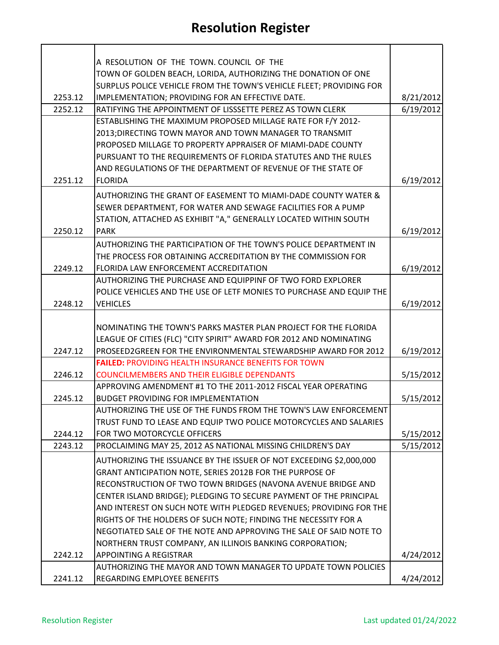## **Resolution Register**

|         | A RESOLUTION OF THE TOWN. COUNCIL OF THE                             |           |
|---------|----------------------------------------------------------------------|-----------|
|         | TOWN OF GOLDEN BEACH, LORIDA, AUTHORIZING THE DONATION OF ONE        |           |
|         | SURPLUS POLICE VEHICLE FROM THE TOWN'S VEHICLE FLEET; PROVIDING FOR  |           |
| 2253.12 | IMPLEMENTATION; PROVIDING FOR AN EFFECTIVE DATE.                     | 8/21/2012 |
| 2252.12 | RATIFYING THE APPOINTMENT OF LISSSETTE PEREZ AS TOWN CLERK           | 6/19/2012 |
|         | ESTABLISHING THE MAXIMUM PROPOSED MILLAGE RATE FOR F/Y 2012-         |           |
|         | 2013; DIRECTING TOWN MAYOR AND TOWN MANAGER TO TRANSMIT              |           |
|         | PROPOSED MILLAGE TO PROPERTY APPRAISER OF MIAMI-DADE COUNTY          |           |
|         | PURSUANT TO THE REQUIREMENTS OF FLORIDA STATUTES AND THE RULES       |           |
|         | AND REGULATIONS OF THE DEPARTMENT OF REVENUE OF THE STATE OF         |           |
| 2251.12 | <b>FLORIDA</b>                                                       | 6/19/2012 |
|         | AUTHORIZING THE GRANT OF EASEMENT TO MIAMI-DADE COUNTY WATER &       |           |
|         | SEWER DEPARTMENT, FOR WATER AND SEWAGE FACILITIES FOR A PUMP         |           |
|         | STATION, ATTACHED AS EXHIBIT "A," GENERALLY LOCATED WITHIN SOUTH     |           |
| 2250.12 | <b>PARK</b>                                                          | 6/19/2012 |
|         | AUTHORIZING THE PARTICIPATION OF THE TOWN'S POLICE DEPARTMENT IN     |           |
|         | THE PROCESS FOR OBTAINING ACCREDITATION BY THE COMMISSION FOR        |           |
| 2249.12 | FLORIDA LAW ENFORCEMENT ACCREDITATION                                | 6/19/2012 |
|         | AUTHORIZING THE PURCHASE AND EQUIPPINF OF TWO FORD EXPLORER          |           |
|         | POLICE VEHICLES AND THE USE OF LETF MONIES TO PURCHASE AND EQUIP THE |           |
| 2248.12 | <b>VEHICLES</b>                                                      | 6/19/2012 |
|         |                                                                      |           |
|         | NOMINATING THE TOWN'S PARKS MASTER PLAN PROJECT FOR THE FLORIDA      |           |
|         | LEAGUE OF CITIES (FLC) "CITY SPIRIT" AWARD FOR 2012 AND NOMINATING   |           |
| 2247.12 | PROSEED2GREEN FOR THE ENVIRONMENTAL STEWARDSHIP AWARD FOR 2012       | 6/19/2012 |
|         | <b>FAILED: PROVIDING HEALTH INSURANCE BENEFITS FOR TOWN</b>          |           |
| 2246.12 | <b>COUNCILMEMBERS AND THEIR ELIGIBLE DEPENDANTS</b>                  | 5/15/2012 |
|         | APPROVING AMENDMENT #1 TO THE 2011-2012 FISCAL YEAR OPERATING        |           |
| 2245.12 | <b>BUDGET PROVIDING FOR IMPLEMENTATION</b>                           | 5/15/2012 |
|         | AUTHORIZING THE USE OF THE FUNDS FROM THE TOWN'S LAW ENFORCEMENT.    |           |
|         | TRUST FUND TO LEASE AND EQUIP TWO POLICE MOTORCYCLES AND SALARIES    |           |
| 2244.12 | FOR TWO MOTORCYCLE OFFICERS                                          | 5/15/2012 |
| 2243.12 | PROCLAIMING MAY 25, 2012 AS NATIONAL MISSING CHILDREN'S DAY          | 5/15/2012 |
|         | AUTHORIZING THE ISSUANCE BY THE ISSUER OF NOT EXCEEDING \$2,000,000  |           |
|         | GRANT ANTICIPATION NOTE, SERIES 2012B FOR THE PURPOSE OF             |           |
|         | RECONSTRUCTION OF TWO TOWN BRIDGES (NAVONA AVENUE BRIDGE AND         |           |
|         | CENTER ISLAND BRIDGE); PLEDGING TO SECURE PAYMENT OF THE PRINCIPAL   |           |
|         | AND INTEREST ON SUCH NOTE WITH PLEDGED REVENUES; PROVIDING FOR THE   |           |
|         | RIGHTS OF THE HOLDERS OF SUCH NOTE; FINDING THE NECESSITY FOR A      |           |
|         | NEGOTIATED SALE OF THE NOTE AND APPROVING THE SALE OF SAID NOTE TO   |           |
|         | NORTHERN TRUST COMPANY, AN ILLINOIS BANKING CORPORATION;             |           |
| 2242.12 | APPOINTING A REGISTRAR                                               | 4/24/2012 |
|         | AUTHORIZING THE MAYOR AND TOWN MANAGER TO UPDATE TOWN POLICIES       |           |
|         | REGARDING EMPLOYEE BENEFITS                                          |           |
| 2241.12 |                                                                      | 4/24/2012 |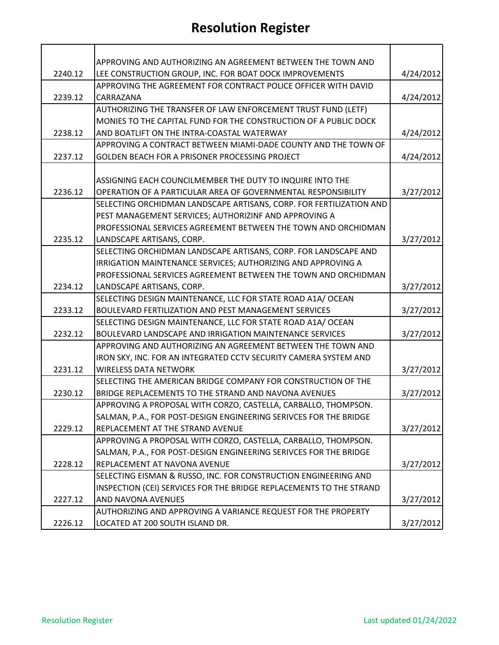## **Resolution Register**

|         | APPROVING AND AUTHORIZING AN AGREEMENT BETWEEN THE TOWN AND         |           |
|---------|---------------------------------------------------------------------|-----------|
| 2240.12 | LEE CONSTRUCTION GROUP, INC. FOR BOAT DOCK IMPROVEMENTS             | 4/24/2012 |
|         | APPROVING THE AGREEMENT FOR CONTRACT POLICE OFFICER WITH DAVID      |           |
| 2239.12 | CARRAZANA                                                           | 4/24/2012 |
|         | AUTHORIZING THE TRANSFER OF LAW ENFORCEMENT TRUST FUND (LETF)       |           |
|         | MONIES TO THE CAPITAL FUND FOR THE CONSTRUCTION OF A PUBLIC DOCK    |           |
| 2238.12 | AND BOATLIFT ON THE INTRA-COASTAL WATERWAY                          | 4/24/2012 |
|         | APPROVING A CONTRACT BETWEEN MIAMI-DADE COUNTY AND THE TOWN OF      |           |
| 2237.12 | GOLDEN BEACH FOR A PRISONER PROCESSING PROJECT                      | 4/24/2012 |
|         |                                                                     |           |
|         | ASSIGNING EACH COUNCILMEMBER THE DUTY TO INQUIRE INTO THE           |           |
| 2236.12 | OPERATION OF A PARTICULAR AREA OF GOVERNMENTAL RESPONSIBILITY       | 3/27/2012 |
|         | SELECTING ORCHIDMAN LANDSCAPE ARTISANS, CORP. FOR FERTILIZATION AND |           |
|         | PEST MANAGEMENT SERVICES; AUTHORIZINF AND APPROVING A               |           |
|         | PROFESSIONAL SERVICES AGREEMENT BETWEEN THE TOWN AND ORCHIDMAN      |           |
| 2235.12 | LANDSCAPE ARTISANS, CORP.                                           | 3/27/2012 |
|         | SELECTING ORCHIDMAN LANDSCAPE ARTISANS, CORP. FOR LANDSCAPE AND     |           |
|         | IRRIGATION MAINTENANCE SERVICES; AUTHORIZING AND APPROVING A        |           |
|         | PROFESSIONAL SERVICES AGREEMENT BETWEEN THE TOWN AND ORCHIDMAN      |           |
| 2234.12 | LANDSCAPE ARTISANS, CORP.                                           | 3/27/2012 |
|         | SELECTING DESIGN MAINTENANCE, LLC FOR STATE ROAD A1A/ OCEAN         |           |
| 2233.12 | BOULEVARD FERTILIZATION AND PEST MANAGEMENT SERVICES                | 3/27/2012 |
|         | SELECTING DESIGN MAINTENANCE, LLC FOR STATE ROAD A1A/ OCEAN         |           |
| 2232.12 | BOULEVARD LANDSCAPE AND IRRIGATION MAINTENANCE SERVICES             | 3/27/2012 |
|         | APPROVING AND AUTHORIZING AN AGREEMENT BETWEEN THE TOWN AND         |           |
|         | IRON SKY, INC. FOR AN INTEGRATED CCTV SECURITY CAMERA SYSTEM AND    |           |
| 2231.12 | <b>WIRELESS DATA NETWORK</b>                                        | 3/27/2012 |
|         | SELECTING THE AMERICAN BRIDGE COMPANY FOR CONSTRUCTION OF THE       |           |
| 2230.12 | BRIDGE REPLACEMENTS TO THE STRAND AND NAVONA AVENUES                | 3/27/2012 |
|         | APPROVING A PROPOSAL WITH CORZO, CASTELLA, CARBALLO, THOMPSON.      |           |
|         | SALMAN, P.A., FOR POST-DESIGN ENGINEERING SERIVCES FOR THE BRIDGE   |           |
| 2229.12 | REPLACEMENT AT THE STRAND AVENUE                                    | 3/27/2012 |
|         | APPROVING A PROPOSAL WITH CORZO, CASTELLA, CARBALLO, THOMPSON.      |           |
|         | SALMAN, P.A., FOR POST-DESIGN ENGINEERING SERIVCES FOR THE BRIDGE   |           |
| 2228.12 | REPLACEMENT AT NAVONA AVENUE                                        | 3/27/2012 |
|         | SELECTING EISMAN & RUSSO, INC. FOR CONSTRUCTION ENGINEERING AND     |           |
|         | INSPECTION (CEI) SERVICES FOR THE BRIDGE REPLACEMENTS TO THE STRAND |           |
| 2227.12 | AND NAVONA AVENUES                                                  | 3/27/2012 |
|         | AUTHORIZING AND APPROVING A VARIANCE REQUEST FOR THE PROPERTY       |           |
| 2226.12 | LOCATED AT 200 SOUTH ISLAND DR.                                     | 3/27/2012 |